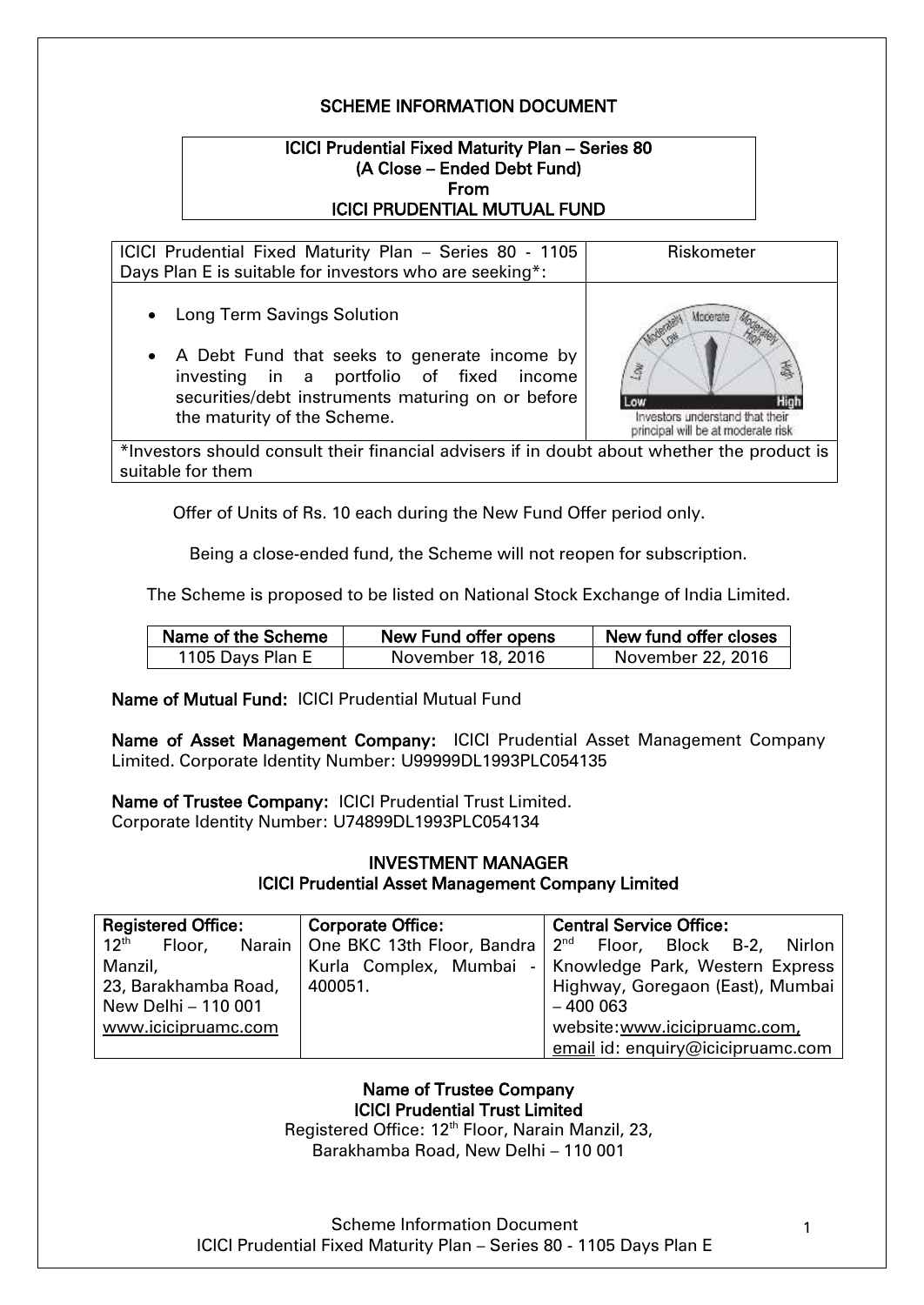# SCHEME INFORMATION DOCUMENT

# ICICI Prudential Fixed Maturity Plan – Series 80 (A Close – Ended Debt Fund) From ICICI PRUDENTIAL MUTUAL FUND

ICICI Prudential Fixed Maturity Plan – Series 80 - 1105 Days Plan E is suitable for investors who are seeking\*: Riskometer

- Long Term Savings Solution
- A Debt Fund that seeks to generate income by investing in a portfolio of fixed income securities/debt instruments maturing on or before the maturity of the Scheme.



\*Investors should consult their financial advisers if in doubt about whether the product is suitable for them

Offer of Units of Rs. 10 each during the New Fund Offer period only.

Being a close-ended fund, the Scheme will not reopen for subscription.

The Scheme is proposed to be listed on National Stock Exchange of India Limited.

| Name of the Scheme | New Fund offer opens | New fund offer closes |
|--------------------|----------------------|-----------------------|
| 1105 Days Plan E   | November 18, 2016    | November 22, 2016     |

#### Name of Mutual Fund: ICICI Prudential Mutual Fund

Name of Asset Management Company: ICICI Prudential Asset Management Company Limited. Corporate Identity Number: U99999DL1993PLC054135

Name of Trustee Company: ICICI Prudential Trust Limited. Corporate Identity Number: U74899DL1993PLC054134

# INVESTMENT MANAGER ICICI Prudential Asset Management Company Limited

| <b>Registered Office:</b>  | <b>Corporate Office:</b> | <b>Central Service Office:</b>                                                 |  |
|----------------------------|--------------------------|--------------------------------------------------------------------------------|--|
| $12^{\text{th}}$<br>Floor, |                          | Narain   One BKC 13th Floor, Bandra   2 <sup>nd</sup> Floor, Block B-2, Nirlon |  |
| Manzil,                    |                          | Kurla Complex, Mumbai - Knowledge Park, Western Express                        |  |
| 23, Barakhamba Road,       | 400051.                  | Highway, Goregaon (East), Mumbai                                               |  |
| New Delhi - 110 001        |                          | $-400003$                                                                      |  |
| www.icicipruamc.com        |                          | website:www.icicipruamc.com,                                                   |  |
|                            |                          | email id: enquiry@icicipruamc.com                                              |  |

# Name of Trustee Company ICICI Prudential Trust Limited

Registered Office: 12<sup>th</sup> Floor, Narain Manzil, 23, Barakhamba Road, New Delhi – 110 001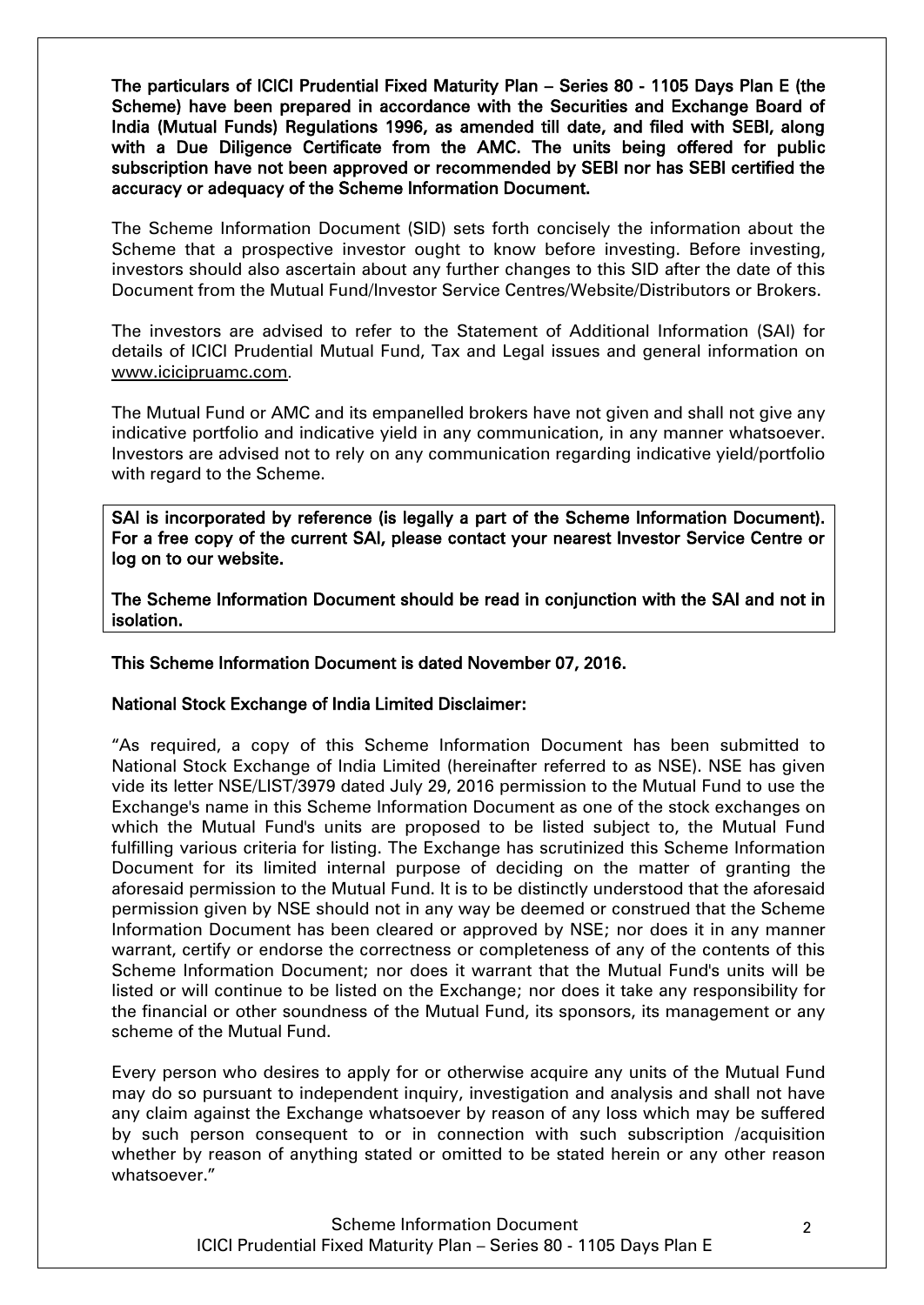The particulars of ICICI Prudential Fixed Maturity Plan – Series 80 - 1105 Days Plan E (the Scheme) have been prepared in accordance with the Securities and Exchange Board of India (Mutual Funds) Regulations 1996, as amended till date, and filed with SEBI, along with a Due Diligence Certificate from the AMC. The units being offered for public subscription have not been approved or recommended by SEBI nor has SEBI certified the accuracy or adequacy of the Scheme Information Document.

The Scheme Information Document (SID) sets forth concisely the information about the Scheme that a prospective investor ought to know before investing. Before investing, investors should also ascertain about any further changes to this SID after the date of this Document from the Mutual Fund/Investor Service Centres/Website/Distributors or Brokers.

The investors are advised to refer to the Statement of Additional Information (SAI) for details of ICICI Prudential Mutual Fund, Tax and Legal issues and general information on [www.icicipruamc.com](http://www.icicipruamc.com/).

The Mutual Fund or AMC and its empanelled brokers have not given and shall not give any indicative portfolio and indicative yield in any communication, in any manner whatsoever. Investors are advised not to rely on any communication regarding indicative yield/portfolio with regard to the Scheme.

SAI is incorporated by reference (is legally a part of the Scheme Information Document). For a free copy of the current SAI, please contact your nearest Investor Service Centre or log on to our website.

The Scheme Information Document should be read in conjunction with the SAI and not in isolation.

#### This Scheme Information Document is dated November 07, 2016.

#### National Stock Exchange of India Limited Disclaimer:

"As required, a copy of this Scheme Information Document has been submitted to National Stock Exchange of India Limited (hereinafter referred to as NSE). NSE has given vide its letter NSE/LIST/3979 dated July 29, 2016 permission to the Mutual Fund to use the Exchange's name in this Scheme Information Document as one of the stock exchanges on which the Mutual Fund's units are proposed to be listed subject to, the Mutual Fund fulfilling various criteria for listing. The Exchange has scrutinized this Scheme Information Document for its limited internal purpose of deciding on the matter of granting the aforesaid permission to the Mutual Fund. It is to be distinctly understood that the aforesaid permission given by NSE should not in any way be deemed or construed that the Scheme Information Document has been cleared or approved by NSE; nor does it in any manner warrant, certify or endorse the correctness or completeness of any of the contents of this Scheme Information Document; nor does it warrant that the Mutual Fund's units will be listed or will continue to be listed on the Exchange; nor does it take any responsibility for the financial or other soundness of the Mutual Fund, its sponsors, its management or any scheme of the Mutual Fund.

Every person who desires to apply for or otherwise acquire any units of the Mutual Fund may do so pursuant to independent inquiry, investigation and analysis and shall not have any claim against the Exchange whatsoever by reason of any loss which may be suffered by such person consequent to or in connection with such subscription /acquisition whether by reason of anything stated or omitted to be stated herein or any other reason whatsoever."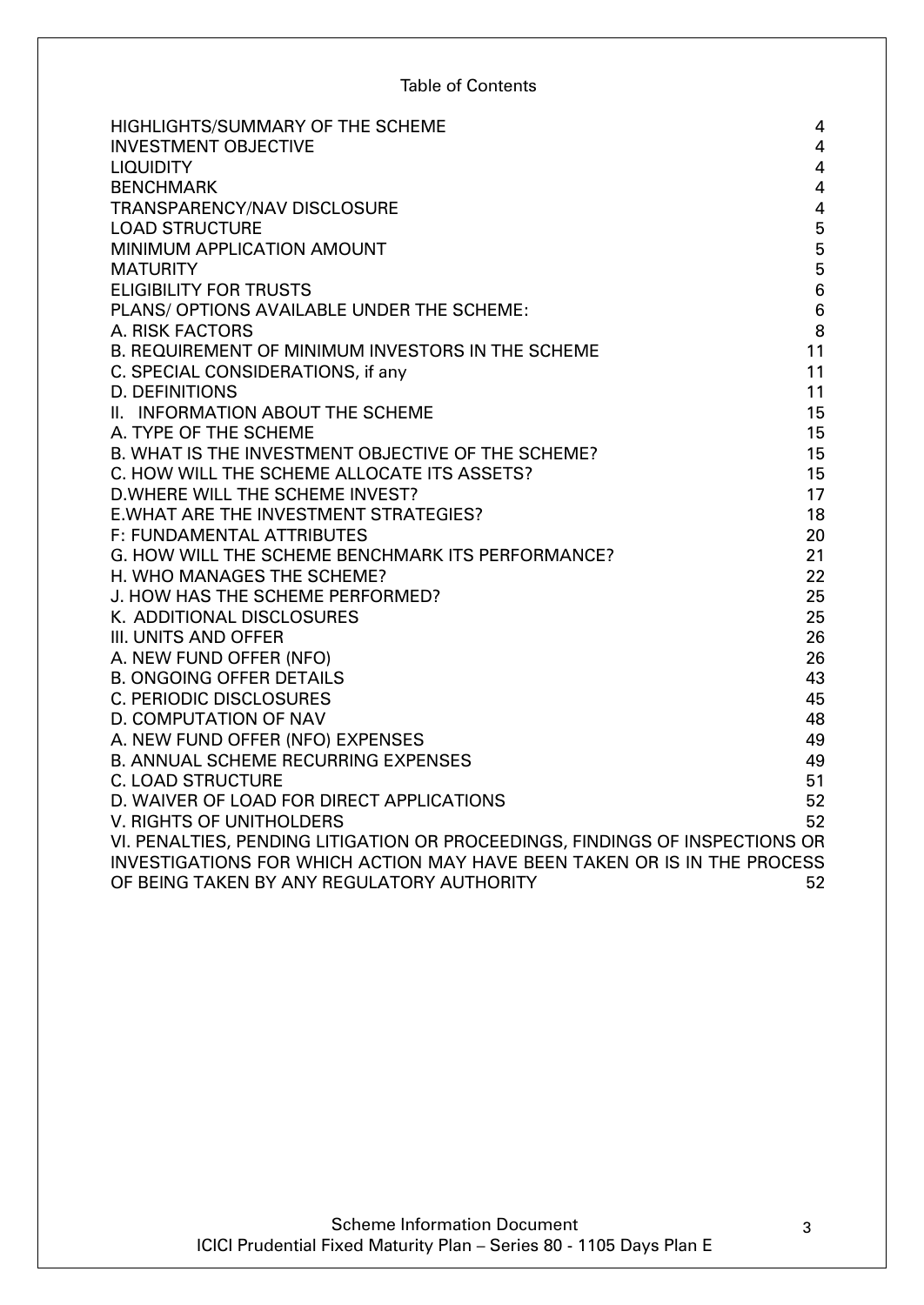# Table of Contents

| HIGHLIGHTS/SUMMARY OF THE SCHEME                                             | $\overline{4}$          |
|------------------------------------------------------------------------------|-------------------------|
| <b>INVESTMENT OBJECTIVE</b>                                                  | $\overline{4}$          |
| <b>LIQUIDITY</b>                                                             | $\overline{4}$          |
| <b>BENCHMARK</b>                                                             | 4                       |
| TRANSPARENCY/NAV DISCLOSURE                                                  | $\overline{\mathbf{4}}$ |
| <b>LOAD STRUCTURE</b>                                                        | 5                       |
| MINIMUM APPLICATION AMOUNT                                                   | 5                       |
| <b>MATURITY</b>                                                              | 5                       |
| <b>ELIGIBILITY FOR TRUSTS</b>                                                | $\boldsymbol{6}$        |
| PLANS/ OPTIONS AVAILABLE UNDER THE SCHEME:                                   | $6\phantom{1}6$         |
| A. RISK FACTORS                                                              | 8                       |
| B. REQUIREMENT OF MINIMUM INVESTORS IN THE SCHEME                            | 11                      |
| C. SPECIAL CONSIDERATIONS, if any                                            | 11                      |
| <b>D. DEFINITIONS</b>                                                        | 11                      |
| II. INFORMATION ABOUT THE SCHEME                                             | 15                      |
| A. TYPE OF THE SCHEME                                                        | 15                      |
| B. WHAT IS THE INVESTMENT OBJECTIVE OF THE SCHEME?                           | 15                      |
| C. HOW WILL THE SCHEME ALLOCATE ITS ASSETS?                                  | 15                      |
| D. WHERE WILL THE SCHEME INVEST?                                             | 17                      |
| <b>E.WHAT ARE THE INVESTMENT STRATEGIES?</b>                                 | 18                      |
| <b>F: FUNDAMENTAL ATTRIBUTES</b>                                             | 20                      |
| G. HOW WILL THE SCHEME BENCHMARK ITS PERFORMANCE?                            | 21                      |
| H. WHO MANAGES THE SCHEME?                                                   | 22                      |
| J. HOW HAS THE SCHEME PERFORMED?                                             | 25                      |
| K. ADDITIONAL DISCLOSURES                                                    | 25                      |
| III. UNITS AND OFFER                                                         | 26                      |
| A. NEW FUND OFFER (NFO)                                                      | 26                      |
| <b>B. ONGOING OFFER DETAILS</b>                                              | 43                      |
| <b>C. PERIODIC DISCLOSURES</b>                                               | 45                      |
| D. COMPUTATION OF NAV                                                        | 48                      |
| A. NEW FUND OFFER (NFO) EXPENSES                                             | 49                      |
| <b>B. ANNUAL SCHEME RECURRING EXPENSES</b>                                   | 49                      |
| <b>C. LOAD STRUCTURE</b>                                                     | 51                      |
| D. WAIVER OF LOAD FOR DIRECT APPLICATIONS                                    | 52                      |
| V. RIGHTS OF UNITHOLDERS                                                     | 52                      |
| VI. PENALTIES, PENDING LITIGATION OR PROCEEDINGS, FINDINGS OF INSPECTIONS OR |                         |
| INVESTIGATIONS FOR WHICH ACTION MAY HAVE BEEN TAKEN OR IS IN THE PROCESS     |                         |
| OF BEING TAKEN BY ANY REGULATORY AUTHORITY                                   | 52                      |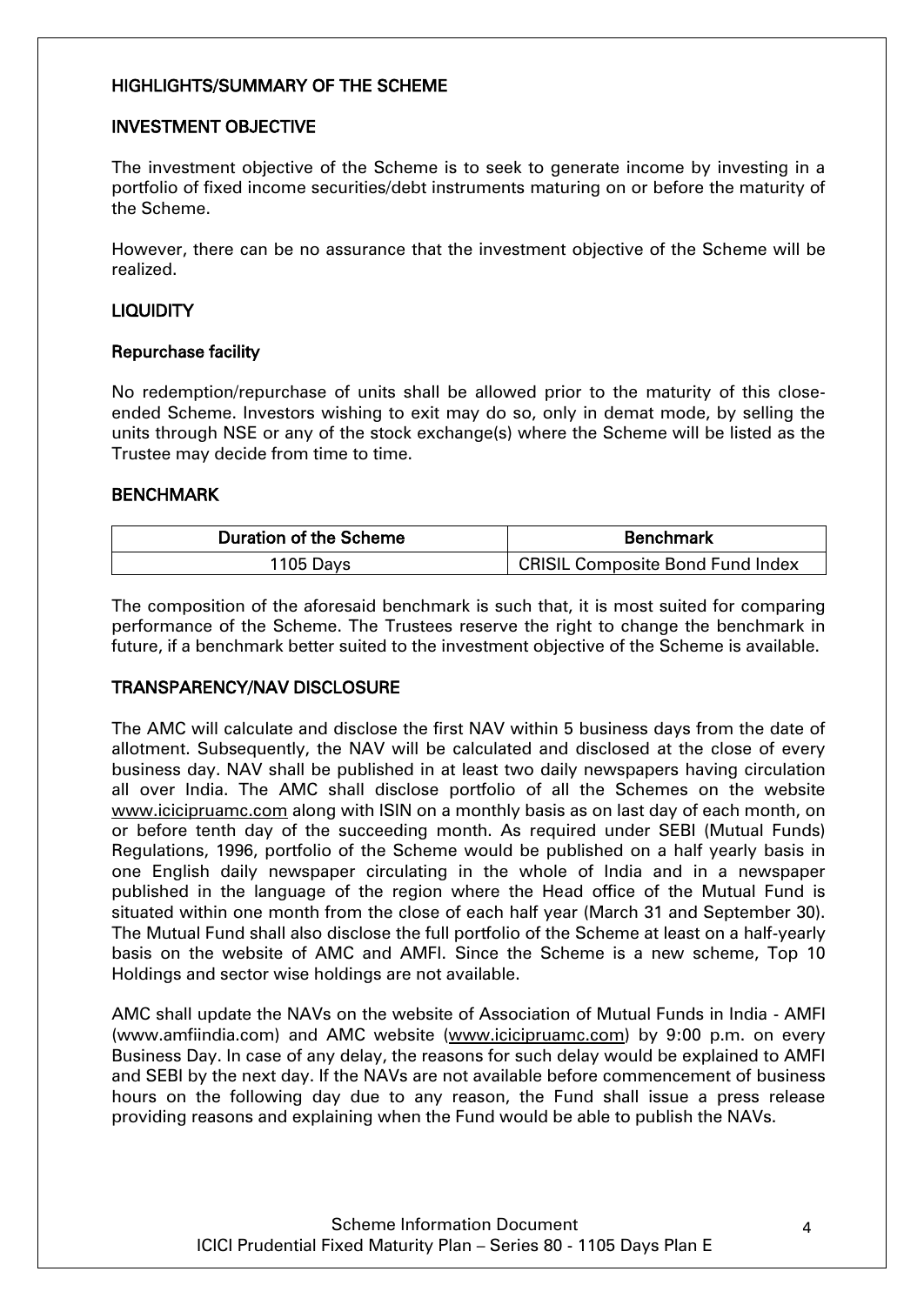#### <span id="page-3-0"></span>HIGHLIGHTS/SUMMARY OF THE SCHEME

#### <span id="page-3-1"></span>INVESTMENT OBJECTIVE

The investment objective of the Scheme is to seek to generate income by investing in a portfolio of fixed income securities/debt instruments maturing on or before the maturity of the Scheme.

However, there can be no assurance that the investment objective of the Scheme will be realized.

#### <span id="page-3-2"></span>LIQUIDITY

#### Repurchase facility

No redemption/repurchase of units shall be allowed prior to the maturity of this closeended Scheme. Investors wishing to exit may do so, only in demat mode, by selling the units through NSE or any of the stock exchange(s) where the Scheme will be listed as the Trustee may decide from time to time.

#### <span id="page-3-3"></span>**BENCHMARK**

| <b>Duration of the Scheme</b> | <b>Benchmark</b>                              |  |
|-------------------------------|-----------------------------------------------|--|
| 1105 Days                     | <sup>1</sup> CRISIL Composite Bond Fund Index |  |

The composition of the aforesaid benchmark is such that, it is most suited for comparing performance of the Scheme. The Trustees reserve the right to change the benchmark in future, if a benchmark better suited to the investment objective of the Scheme is available.

#### <span id="page-3-4"></span>TRANSPARENCY/NAV DISCLOSURE

The AMC will calculate and disclose the first NAV within 5 business days from the date of allotment. Subsequently, the NAV will be calculated and disclosed at the close of every business day. NAV shall be published in at least two daily newspapers having circulation all over India. The AMC shall disclose portfolio of all the Schemes on the website [www.icicipruamc.com](http://www.icicipruamc.com/) along with ISIN on a monthly basis as on last day of each month, on or before tenth day of the succeeding month. As required under SEBI (Mutual Funds) Regulations, 1996, portfolio of the Scheme would be published on a half yearly basis in one English daily newspaper circulating in the whole of India and in a newspaper published in the language of the region where the Head office of the Mutual Fund is situated within one month from the close of each half year (March 31 and September 30). The Mutual Fund shall also disclose the full portfolio of the Scheme at least on a half-yearly basis on the website of AMC and AMFI. Since the Scheme is a new scheme, Top 10 Holdings and sector wise holdings are not available.

<span id="page-3-5"></span>AMC shall update the NAVs on the website of Association of Mutual Funds in India - AMFI [\(www.amfiindia.com\)](http://www.amfiindia.com/) and AMC website [\(www.icicipruamc.com\)](http://www.icicipruamc.com/) by 9:00 p.m. on every Business Day. In case of any delay, the reasons for such delay would be explained to AMFI and SEBI by the next day. If the NAVs are not available before commencement of business hours on the following day due to any reason, the Fund shall issue a press release providing reasons and explaining when the Fund would be able to publish the NAVs.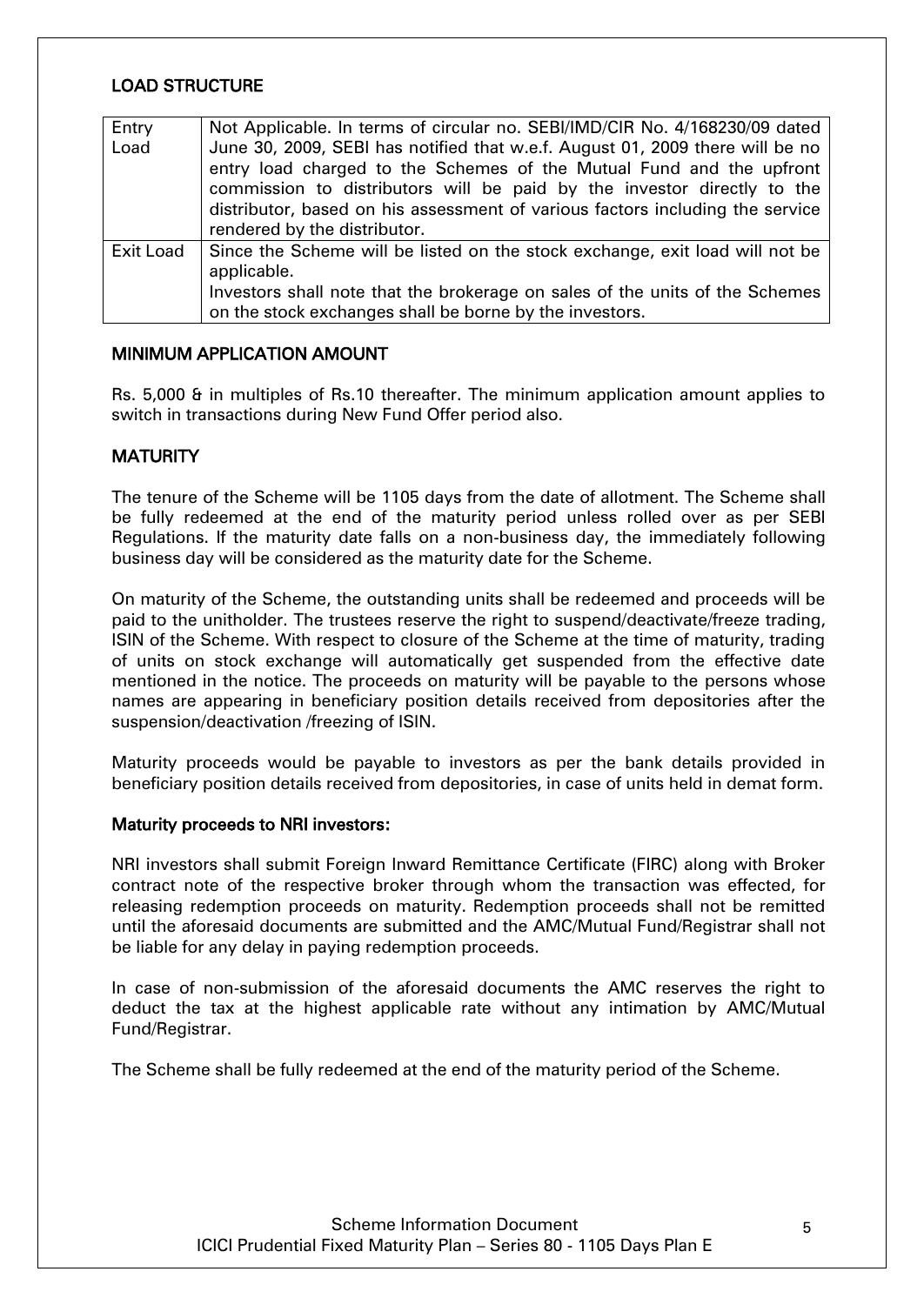#### LOAD STRUCTURE

| Entry     | Not Applicable. In terms of circular no. SEBI/IMD/CIR No. 4/168230/09 dated   |  |  |  |
|-----------|-------------------------------------------------------------------------------|--|--|--|
| Load      | June 30, 2009, SEBI has notified that w.e.f. August 01, 2009 there will be no |  |  |  |
|           | entry load charged to the Schemes of the Mutual Fund and the upfront          |  |  |  |
|           | commission to distributors will be paid by the investor directly to the       |  |  |  |
|           | distributor, based on his assessment of various factors including the service |  |  |  |
|           | rendered by the distributor.                                                  |  |  |  |
| Exit Load | Since the Scheme will be listed on the stock exchange, exit load will not be  |  |  |  |
|           | applicable.                                                                   |  |  |  |
|           | Investors shall note that the brokerage on sales of the units of the Schemes  |  |  |  |
|           | on the stock exchanges shall be borne by the investors.                       |  |  |  |

#### <span id="page-4-0"></span>MINIMUM APPLICATION AMOUNT

Rs. 5,000 & in multiples of Rs.10 thereafter. The minimum application amount applies to switch in transactions during New Fund Offer period also.

#### <span id="page-4-1"></span>**MATURITY**

The tenure of the Scheme will be 1105 days from the date of allotment. The Scheme shall be fully redeemed at the end of the maturity period unless rolled over as per SEBI Regulations. If the maturity date falls on a non-business day, the immediately following business day will be considered as the maturity date for the Scheme.

On maturity of the Scheme, the outstanding units shall be redeemed and proceeds will be paid to the unitholder. The trustees reserve the right to suspend/deactivate/freeze trading, ISIN of the Scheme. With respect to closure of the Scheme at the time of maturity, trading of units on stock exchange will automatically get suspended from the effective date mentioned in the notice. The proceeds on maturity will be payable to the persons whose names are appearing in beneficiary position details received from depositories after the suspension/deactivation /freezing of ISIN.

Maturity proceeds would be payable to investors as per the bank details provided in beneficiary position details received from depositories, in case of units held in demat form.

#### Maturity proceeds to NRI investors:

NRI investors shall submit Foreign Inward Remittance Certificate (FIRC) along with Broker contract note of the respective broker through whom the transaction was effected, for releasing redemption proceeds on maturity. Redemption proceeds shall not be remitted until the aforesaid documents are submitted and the AMC/Mutual Fund/Registrar shall not be liable for any delay in paying redemption proceeds.

In case of non-submission of the aforesaid documents the AMC reserves the right to deduct the tax at the highest applicable rate without any intimation by AMC/Mutual Fund/Registrar.

<span id="page-4-2"></span>The Scheme shall be fully redeemed at the end of the maturity period of the Scheme.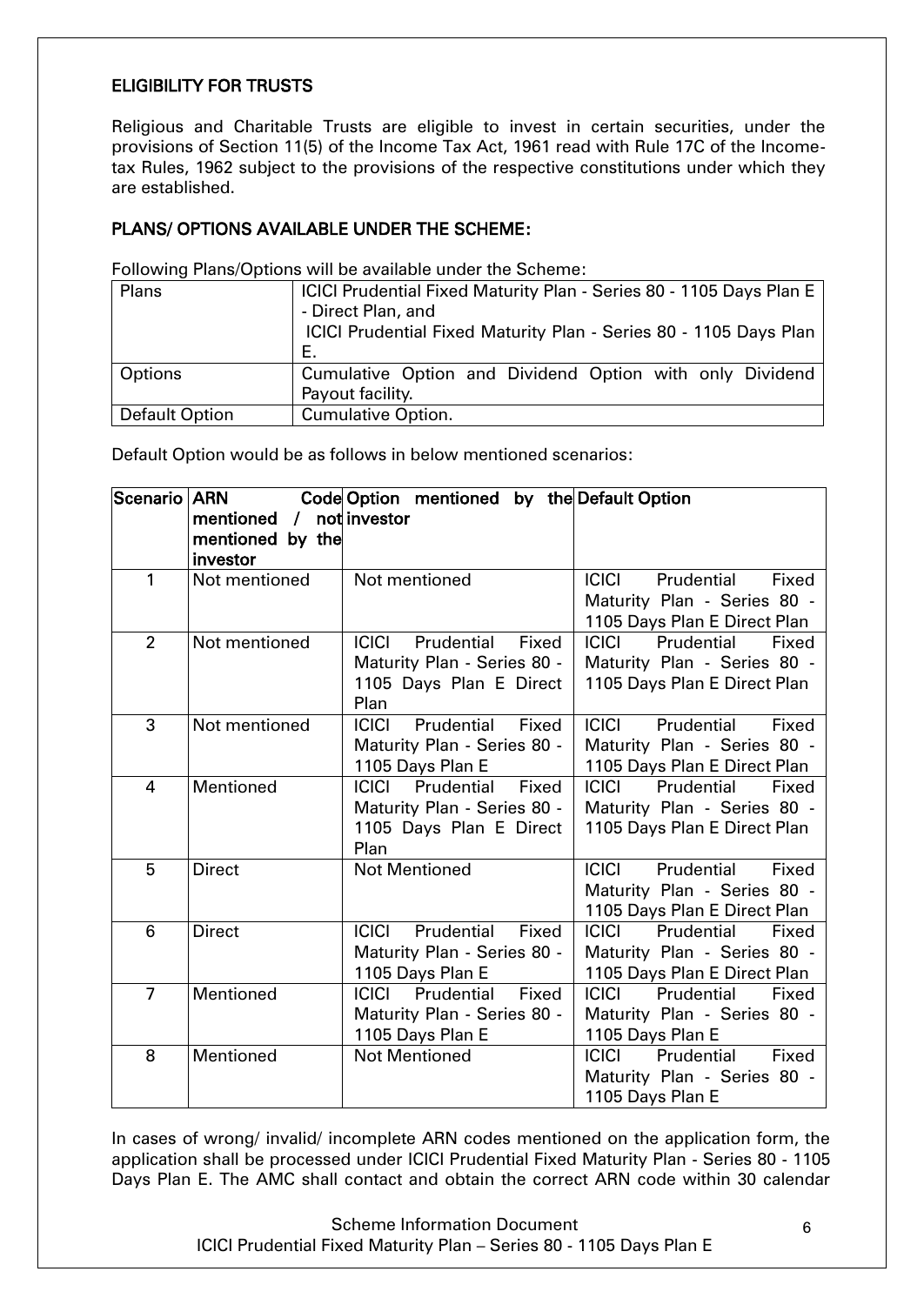# ELIGIBILITY FOR TRUSTS

Religious and Charitable Trusts are eligible to invest in certain securities, under the provisions of Section 11(5) of the Income Tax Act, 1961 read with Rule 17C of the Incometax Rules, 1962 subject to the provisions of the respective constitutions under which they are established.

#### <span id="page-5-0"></span>PLANS/ OPTIONS AVAILABLE UNDER THE SCHEME:

Following Plans/Options will be available under the Scheme:

| Plans                 | ICICI Prudential Fixed Maturity Plan - Series 80 - 1105 Days Plan E<br>- Direct Plan, and<br>ICICI Prudential Fixed Maturity Plan - Series 80 - 1105 Days Plan<br>Е. |
|-----------------------|----------------------------------------------------------------------------------------------------------------------------------------------------------------------|
| Options               | Cumulative Option and Dividend Option with only Dividend<br>Payout facility.                                                                                         |
| <b>Default Option</b> | <b>Cumulative Option.</b>                                                                                                                                            |

Default Option would be as follows in below mentioned scenarios:

| Scenario ARN   | Code Option mentioned by the Default Option |                                     |                                                             |  |
|----------------|---------------------------------------------|-------------------------------------|-------------------------------------------------------------|--|
|                | mentioned<br>$\sqrt{2}$                     | not investor                        |                                                             |  |
|                | mentioned by the                            |                                     |                                                             |  |
| 1              | investor<br>Not mentioned                   | Not mentioned                       | Prudential<br><b>ICICI</b>                                  |  |
|                |                                             |                                     | Fixed<br>Maturity Plan - Series 80 -                        |  |
|                |                                             |                                     | 1105 Days Plan E Direct Plan                                |  |
| $\overline{2}$ | Not mentioned                               | Prudential<br><b>ICICI</b><br>Fixed | <b>ICICI</b><br>Prudential<br>Fixed                         |  |
|                |                                             | Maturity Plan - Series 80 -         | Maturity Plan - Series 80 -                                 |  |
|                |                                             | 1105 Days Plan E Direct             | 1105 Days Plan E Direct Plan                                |  |
|                |                                             | Plan                                |                                                             |  |
| 3              | Not mentioned                               | Prudential<br><b>ICICI</b><br>Fixed | <b>ICICI</b><br>Prudential<br>Fixed                         |  |
|                |                                             | Maturity Plan - Series 80 -         | Maturity Plan - Series 80 -                                 |  |
|                |                                             | 1105 Days Plan E                    | 1105 Days Plan E Direct Plan                                |  |
| 4              | Mentioned                                   | Prudential<br><b>ICICI</b><br>Fixed | <b>ICICI</b><br>Prudential<br>Fixed                         |  |
|                |                                             | Maturity Plan - Series 80 -         | Maturity Plan - Series 80 -                                 |  |
|                |                                             | 1105 Days Plan E Direct             | 1105 Days Plan E Direct Plan                                |  |
|                |                                             | Plan                                |                                                             |  |
| 5              | <b>Direct</b>                               | <b>Not Mentioned</b>                | Prudential<br><b>ICICI</b><br>Fixed                         |  |
|                |                                             |                                     | Maturity Plan - Series 80 -<br>1105 Days Plan E Direct Plan |  |
| 6              | <b>Direct</b>                               | Prudential<br><b>ICICI</b><br>Fixed | Prudential<br><b>ICICI</b><br>Fixed                         |  |
|                |                                             | Maturity Plan - Series 80 -         | Maturity Plan - Series 80 -                                 |  |
|                |                                             | 1105 Days Plan E                    | 1105 Days Plan E Direct Plan                                |  |
| $\overline{7}$ | Mentioned                                   | Fixed<br>Prudential<br>ICICI        | Prudential<br><b>ICICI</b><br>Fixed                         |  |
|                |                                             | Maturity Plan - Series 80 -         | Maturity Plan - Series 80 -                                 |  |
|                |                                             | 1105 Days Plan E                    | 1105 Days Plan E                                            |  |
| 8              | Mentioned                                   | <b>Not Mentioned</b>                | <b>ICICI</b><br>Prudential<br>Fixed                         |  |
|                |                                             |                                     | Maturity Plan - Series 80 -                                 |  |
|                |                                             |                                     | 1105 Days Plan E                                            |  |

In cases of wrong/ invalid/ incomplete ARN codes mentioned on the application form, the application shall be processed under ICICI Prudential Fixed Maturity Plan - Series 80 - 1105 Days Plan E. The AMC shall contact and obtain the correct ARN code within 30 calendar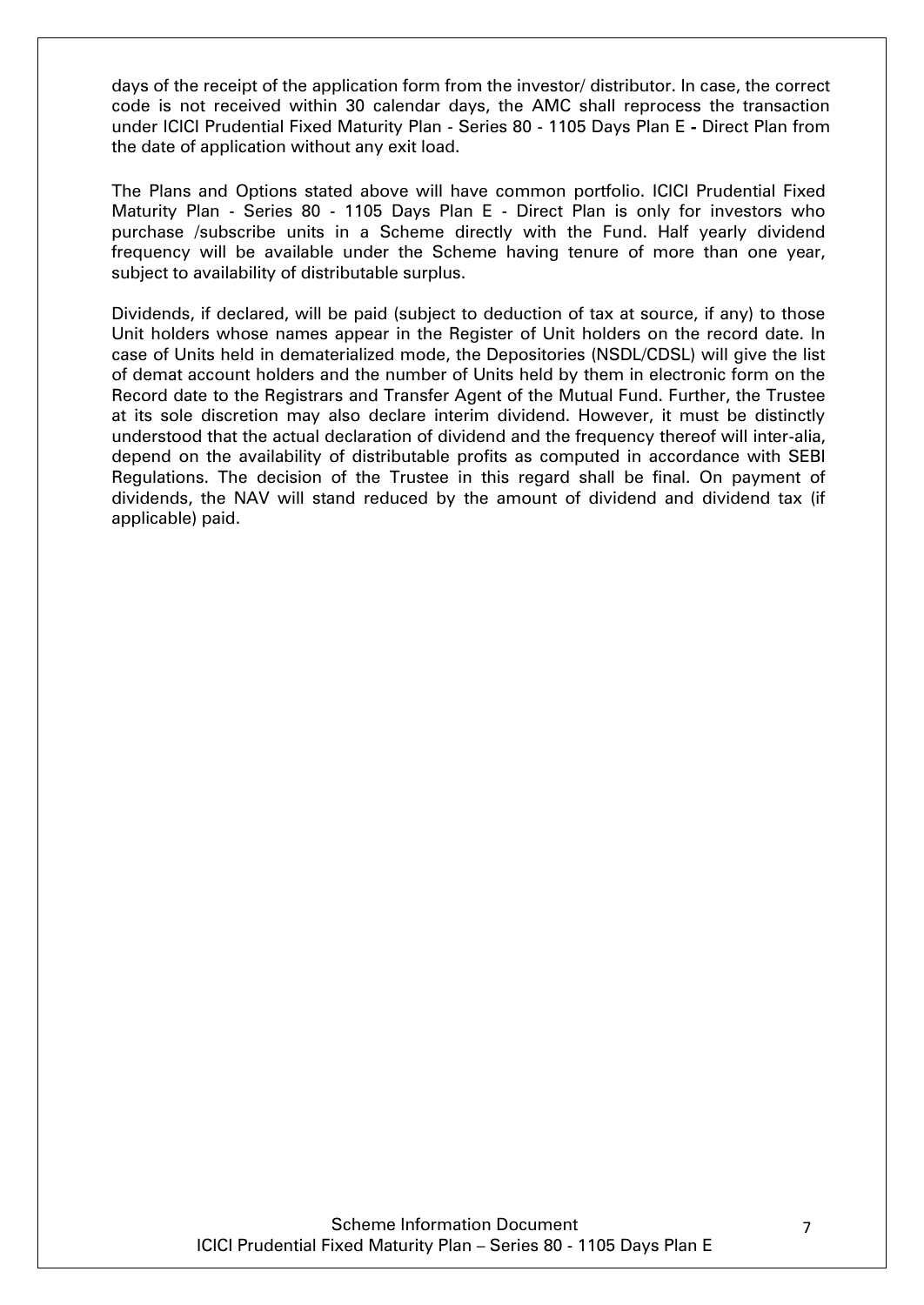days of the receipt of the application form from the investor/ distributor. In case, the correct code is not received within 30 calendar days, the AMC shall reprocess the transaction under ICICI Prudential Fixed Maturity Plan - Series 80 - 1105 Days Plan E - Direct Plan from the date of application without any exit load.

The Plans and Options stated above will have common portfolio. ICICI Prudential Fixed Maturity Plan - Series 80 - 1105 Days Plan E - Direct Plan is only for investors who purchase /subscribe units in a Scheme directly with the Fund. Half yearly dividend frequency will be available under the Scheme having tenure of more than one year, subject to availability of distributable surplus.

Dividends, if declared, will be paid (subject to deduction of tax at source, if any) to those Unit holders whose names appear in the Register of Unit holders on the record date. In case of Units held in dematerialized mode, the Depositories (NSDL/CDSL) will give the list of demat account holders and the number of Units held by them in electronic form on the Record date to the Registrars and Transfer Agent of the Mutual Fund. Further, the Trustee at its sole discretion may also declare interim dividend. However, it must be distinctly understood that the actual declaration of dividend and the frequency thereof will inter-alia, depend on the availability of distributable profits as computed in accordance with SEBI Regulations. The decision of the Trustee in this regard shall be final. On payment of dividends, the NAV will stand reduced by the amount of dividend and dividend tax (if applicable) paid.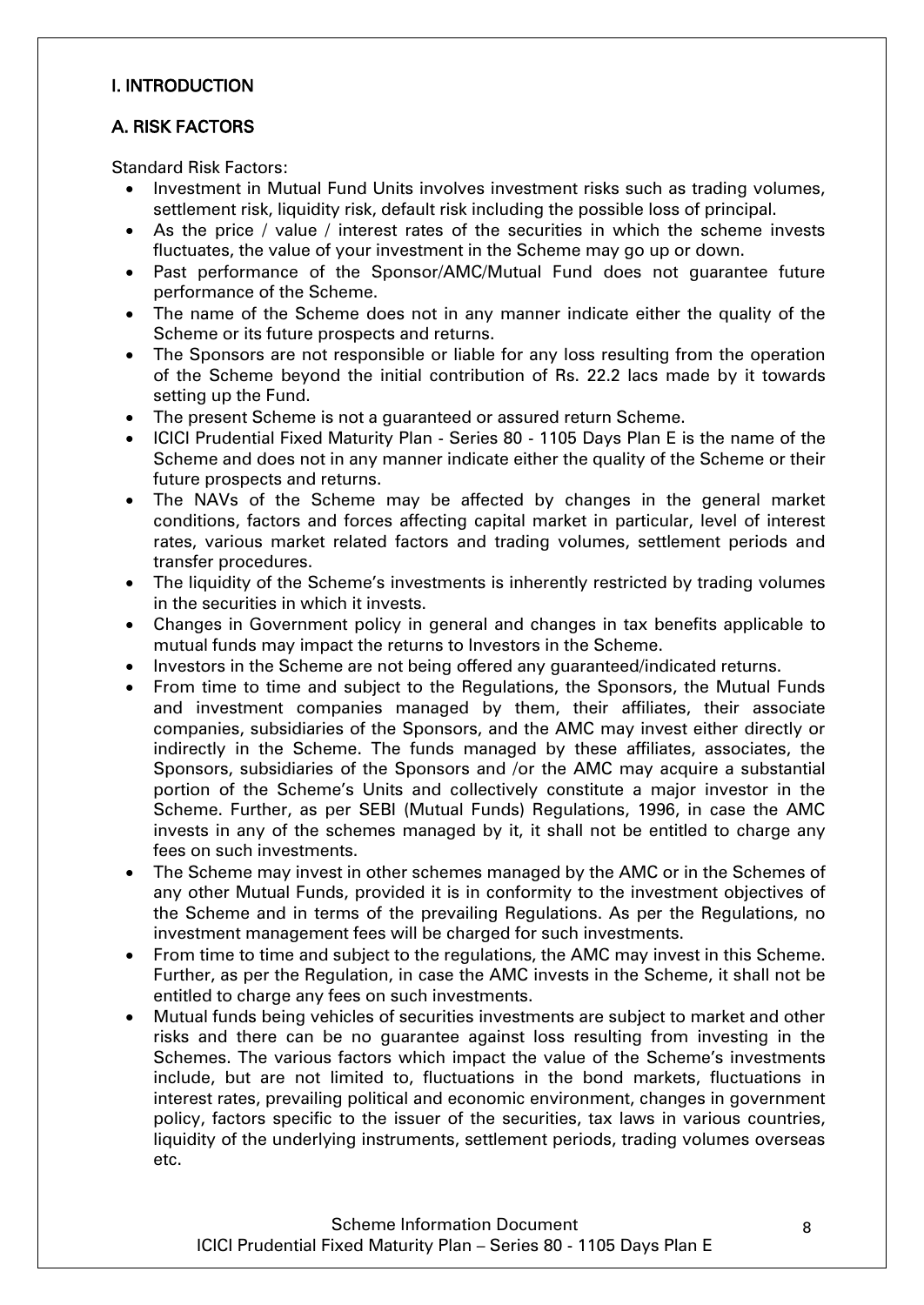# I. INTRODUCTION

# <span id="page-7-0"></span>A. RISK FACTORS

Standard Risk Factors:

- Investment in Mutual Fund Units involves investment risks such as trading volumes, settlement risk, liquidity risk, default risk including the possible loss of principal.
- As the price / value / interest rates of the securities in which the scheme invests fluctuates, the value of your investment in the Scheme may go up or down.
- Past performance of the Sponsor/AMC/Mutual Fund does not guarantee future performance of the Scheme.
- The name of the Scheme does not in any manner indicate either the quality of the Scheme or its future prospects and returns.
- The Sponsors are not responsible or liable for any loss resulting from the operation of the Scheme beyond the initial contribution of Rs. 22.2 lacs made by it towards setting up the Fund.
- The present Scheme is not a guaranteed or assured return Scheme.
- ICICI Prudential Fixed Maturity Plan Series 80 1105 Days Plan E is the name of the Scheme and does not in any manner indicate either the quality of the Scheme or their future prospects and returns.
- The NAVs of the Scheme may be affected by changes in the general market conditions, factors and forces affecting capital market in particular, level of interest rates, various market related factors and trading volumes, settlement periods and transfer procedures.
- The liquidity of the Scheme's investments is inherently restricted by trading volumes in the securities in which it invests.
- Changes in Government policy in general and changes in tax benefits applicable to mutual funds may impact the returns to Investors in the Scheme.
- Investors in the Scheme are not being offered any guaranteed/indicated returns.
- From time to time and subject to the Regulations, the Sponsors, the Mutual Funds and investment companies managed by them, their affiliates, their associate companies, subsidiaries of the Sponsors, and the AMC may invest either directly or indirectly in the Scheme. The funds managed by these affiliates, associates, the Sponsors, subsidiaries of the Sponsors and /or the AMC may acquire a substantial portion of the Scheme"s Units and collectively constitute a major investor in the Scheme. Further, as per SEBI (Mutual Funds) Regulations, 1996, in case the AMC invests in any of the schemes managed by it, it shall not be entitled to charge any fees on such investments.
- The Scheme may invest in other schemes managed by the AMC or in the Schemes of any other Mutual Funds, provided it is in conformity to the investment objectives of the Scheme and in terms of the prevailing Regulations. As per the Regulations, no investment management fees will be charged for such investments.
- From time to time and subject to the regulations, the AMC may invest in this Scheme. Further, as per the Regulation, in case the AMC invests in the Scheme, it shall not be entitled to charge any fees on such investments.
- Mutual funds being vehicles of securities investments are subject to market and other risks and there can be no guarantee against loss resulting from investing in the Schemes. The various factors which impact the value of the Scheme"s investments include, but are not limited to, fluctuations in the bond markets, fluctuations in interest rates, prevailing political and economic environment, changes in government policy, factors specific to the issuer of the securities, tax laws in various countries, liquidity of the underlying instruments, settlement periods, trading volumes overseas etc.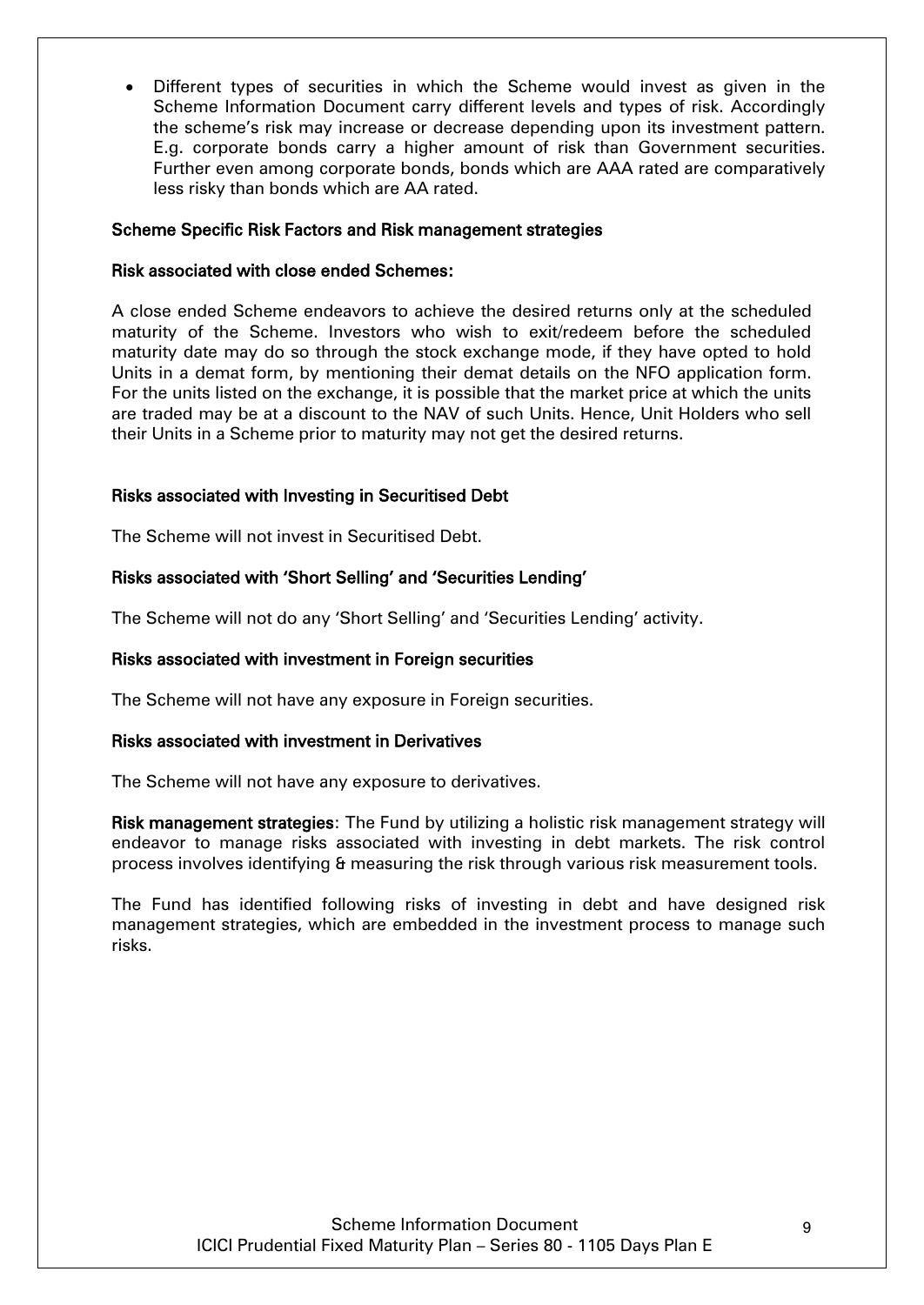Different types of securities in which the Scheme would invest as given in the Scheme Information Document carry different levels and types of risk. Accordingly the scheme's risk may increase or decrease depending upon its investment pattern. E.g. corporate bonds carry a higher amount of risk than Government securities. Further even among corporate bonds, bonds which are AAA rated are comparatively less risky than bonds which are AA rated.

#### Scheme Specific Risk Factors and Risk management strategies

#### Risk associated with close ended Schemes:

A close ended Scheme endeavors to achieve the desired returns only at the scheduled maturity of the Scheme. Investors who wish to exit/redeem before the scheduled maturity date may do so through the stock exchange mode, if they have opted to hold Units in a demat form, by mentioning their demat details on the NFO application form. For the units listed on the exchange, it is possible that the market price at which the units are traded may be at a discount to the NAV of such Units. Hence, Unit Holders who sell their Units in a Scheme prior to maturity may not get the desired returns.

#### Risks associated with Investing in Securitised Debt

The Scheme will not invest in Securitised Debt.

#### Risks associated with 'Short Selling' and 'Securities Lending'

The Scheme will not do any 'Short Selling' and 'Securities Lending' activity.

#### Risks associated with investment in Foreign securities

The Scheme will not have any exposure in Foreign securities.

#### Risks associated with investment in Derivatives

The Scheme will not have any exposure to derivatives.

Risk management strategies: The Fund by utilizing a holistic risk management strategy will endeavor to manage risks associated with investing in debt markets. The risk control process involves identifying & measuring the risk through various risk measurement tools.

The Fund has identified following risks of investing in debt and have designed risk management strategies, which are embedded in the investment process to manage such risks.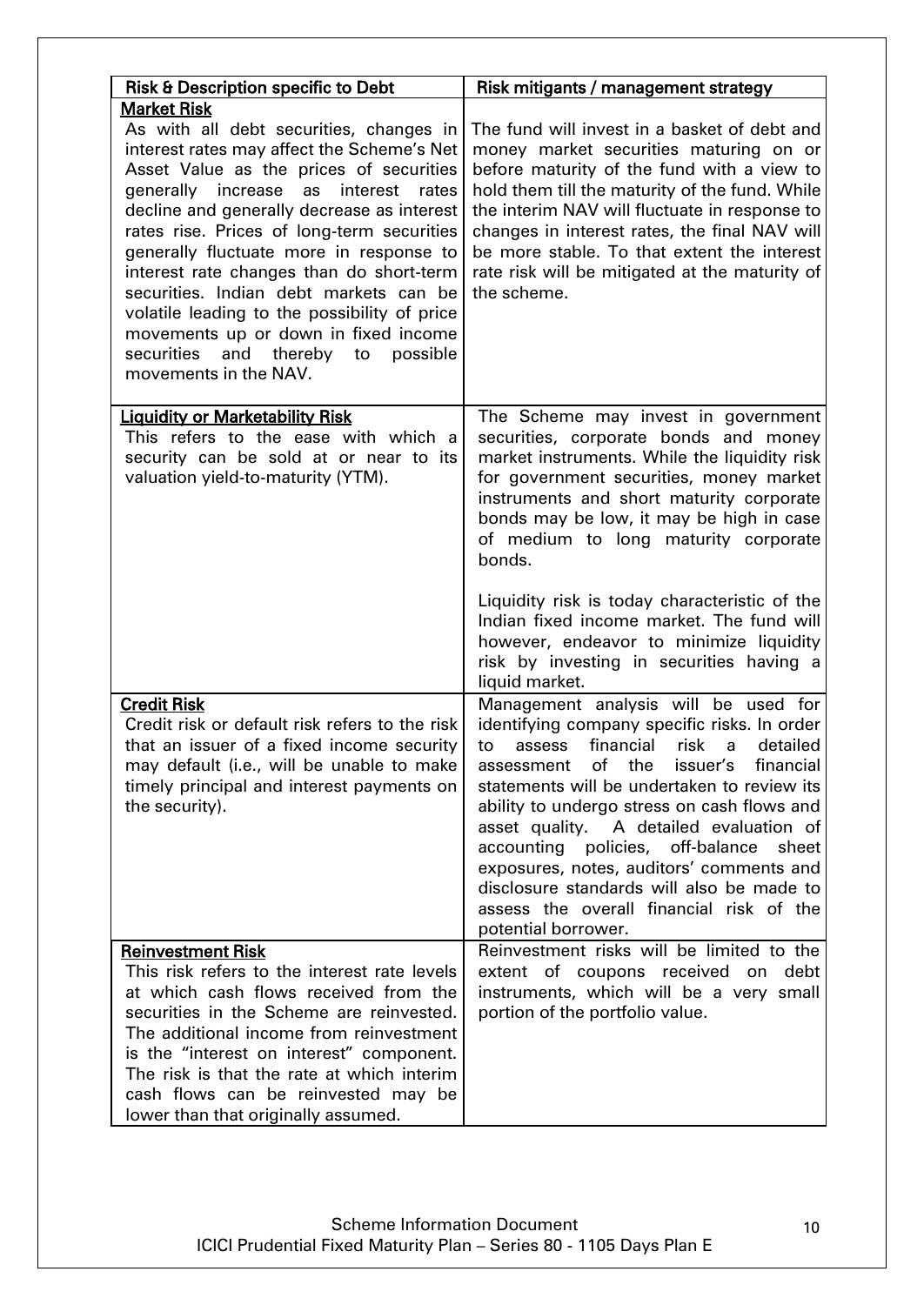| <b>Risk &amp; Description specific to Debt</b>                                                                                                                                                                                                                                                                                                                                                                                                                                                                                                                                                 | Risk mitigants / management strategy                                                                                                                                                                                                                                                                                                                                                                                                                                                                                                 |
|------------------------------------------------------------------------------------------------------------------------------------------------------------------------------------------------------------------------------------------------------------------------------------------------------------------------------------------------------------------------------------------------------------------------------------------------------------------------------------------------------------------------------------------------------------------------------------------------|--------------------------------------------------------------------------------------------------------------------------------------------------------------------------------------------------------------------------------------------------------------------------------------------------------------------------------------------------------------------------------------------------------------------------------------------------------------------------------------------------------------------------------------|
| <b>Market Risk</b><br>As with all debt securities, changes in<br>interest rates may affect the Scheme's Net<br>Asset Value as the prices of securities<br>generally increase<br>as<br>interest<br>rates<br>decline and generally decrease as interest<br>rates rise. Prices of long-term securities<br>generally fluctuate more in response to<br>interest rate changes than do short-term<br>securities. Indian debt markets can be<br>volatile leading to the possibility of price<br>movements up or down in fixed income<br>and thereby to possible<br>securities<br>movements in the NAV. | The fund will invest in a basket of debt and<br>money market securities maturing on or<br>before maturity of the fund with a view to<br>hold them till the maturity of the fund. While<br>the interim NAV will fluctuate in response to<br>changes in interest rates, the final NAV will<br>be more stable. To that extent the interest<br>rate risk will be mitigated at the maturity of<br>the scheme.                                                                                                                             |
| <b>Liquidity or Marketability Risk</b><br>This refers to the ease with which a<br>security can be sold at or near to its<br>valuation yield-to-maturity (YTM).                                                                                                                                                                                                                                                                                                                                                                                                                                 | The Scheme may invest in government<br>securities, corporate bonds and money<br>market instruments. While the liquidity risk<br>for government securities, money market<br>instruments and short maturity corporate<br>bonds may be low, it may be high in case<br>of medium to long maturity corporate<br>bonds.<br>Liquidity risk is today characteristic of the<br>Indian fixed income market. The fund will<br>however, endeavor to minimize liquidity<br>risk by investing in securities having a<br>liquid market.             |
| <b>Credit Risk</b><br>Credit risk or default risk refers to the risk<br>that an issuer of a fixed income security<br>may default (i.e., will be unable to make<br>timely principal and interest payments on<br>the security).                                                                                                                                                                                                                                                                                                                                                                  | Management analysis will be used for<br>identifying company specific risks. In order<br>financial<br>risk a<br>assess<br>detailed<br>to<br>issuer's financial<br>assessment of the<br>statements will be undertaken to review its<br>ability to undergo stress on cash flows and<br>asset quality. A detailed evaluation of<br>accounting policies, off-balance<br>sheet<br>exposures, notes, auditors' comments and<br>disclosure standards will also be made to<br>assess the overall financial risk of the<br>potential borrower. |
| <b>Reinvestment Risk</b><br>This risk refers to the interest rate levels<br>at which cash flows received from the<br>securities in the Scheme are reinvested.<br>The additional income from reinvestment<br>is the "interest on interest" component.<br>The risk is that the rate at which interim<br>cash flows can be reinvested may be<br>lower than that originally assumed.                                                                                                                                                                                                               | Reinvestment risks will be limited to the<br>extent of coupons received on<br>debt<br>instruments, which will be a very small<br>portion of the portfolio value.                                                                                                                                                                                                                                                                                                                                                                     |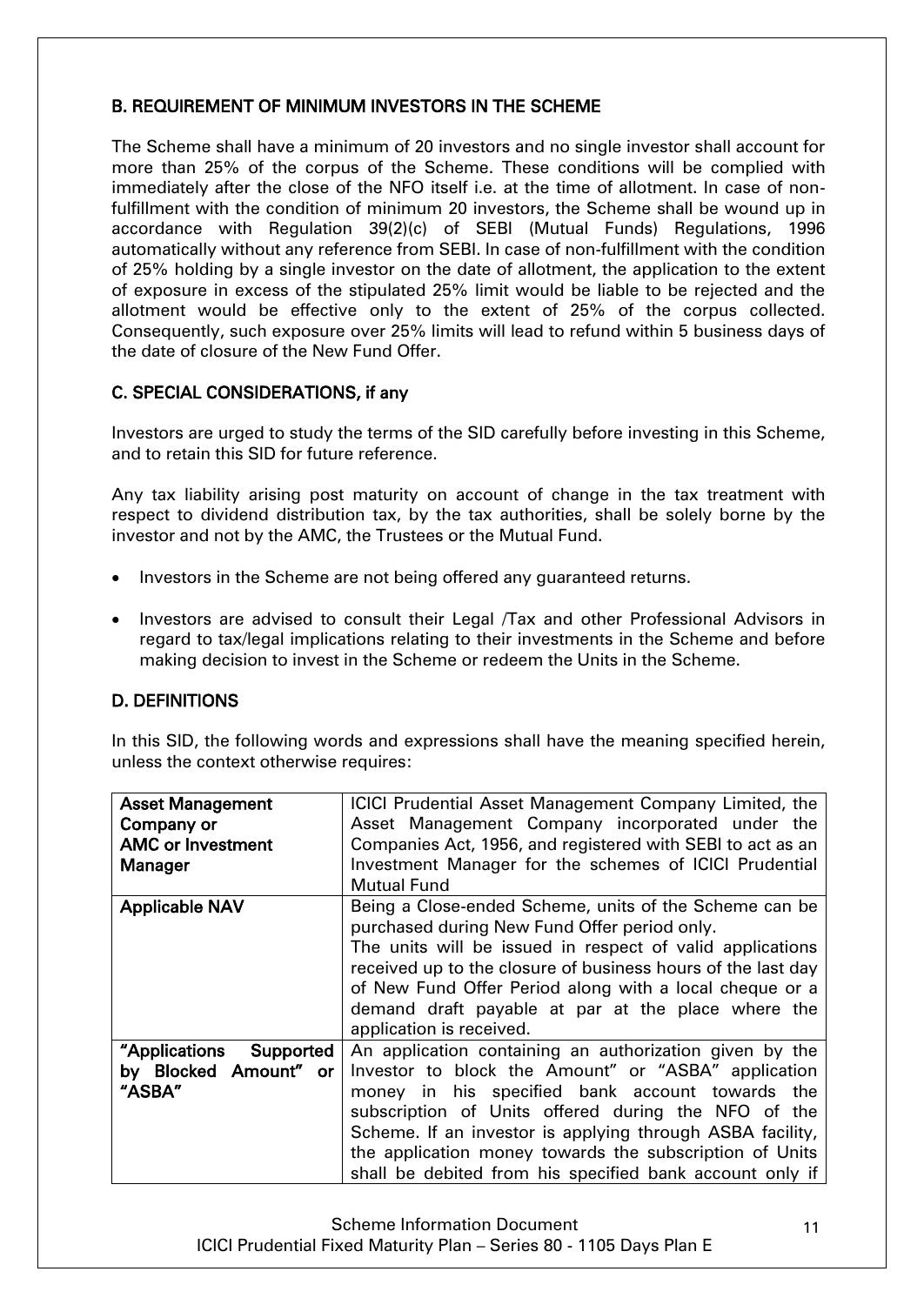# <span id="page-10-0"></span>B. REQUIREMENT OF MINIMUM INVESTORS IN THE SCHEME

The Scheme shall have a minimum of 20 investors and no single investor shall account for more than 25% of the corpus of the Scheme. These conditions will be complied with immediately after the close of the NFO itself i.e. at the time of allotment. In case of nonfulfillment with the condition of minimum 20 investors, the Scheme shall be wound up in accordance with Regulation 39(2)(c) of SEBI (Mutual Funds) Regulations, 1996 automatically without any reference from SEBI. In case of non-fulfillment with the condition of 25% holding by a single investor on the date of allotment, the application to the extent of exposure in excess of the stipulated 25% limit would be liable to be rejected and the allotment would be effective only to the extent of 25% of the corpus collected. Consequently, such exposure over 25% limits will lead to refund within 5 business days of the date of closure of the New Fund Offer.

# <span id="page-10-1"></span>C. SPECIAL CONSIDERATIONS, if any

Investors are urged to study the terms of the SID carefully before investing in this Scheme, and to retain this SID for future reference.

Any tax liability arising post maturity on account of change in the tax treatment with respect to dividend distribution tax, by the tax authorities, shall be solely borne by the investor and not by the AMC, the Trustees or the Mutual Fund.

- Investors in the Scheme are not being offered any quaranteed returns.
- Investors are advised to consult their Legal /Tax and other Professional Advisors in regard to tax/legal implications relating to their investments in the Scheme and before making decision to invest in the Scheme or redeem the Units in the Scheme.

# <span id="page-10-2"></span>D. DEFINITIONS

In this SID, the following words and expressions shall have the meaning specified herein, unless the context otherwise requires:

| <b>Asset Management</b>    | ICICI Prudential Asset Management Company Limited, the       |  |  |
|----------------------------|--------------------------------------------------------------|--|--|
| Company or                 | Asset Management Company incorporated under the              |  |  |
| <b>AMC or Investment</b>   | Companies Act, 1956, and registered with SEBI to act as an   |  |  |
| Manager                    | Investment Manager for the schemes of ICICI Prudential       |  |  |
|                            | <b>Mutual Fund</b>                                           |  |  |
| <b>Applicable NAV</b>      | Being a Close-ended Scheme, units of the Scheme can be       |  |  |
|                            | purchased during New Fund Offer period only.                 |  |  |
|                            | The units will be issued in respect of valid applications    |  |  |
|                            | received up to the closure of business hours of the last day |  |  |
|                            | of New Fund Offer Period along with a local cheque or a      |  |  |
|                            | demand draft payable at par at the place where the           |  |  |
|                            | application is received.                                     |  |  |
| "Applications<br>Supported | An application containing an authorization given by the      |  |  |
| by Blocked Amount" or      | Investor to block the Amount" or "ASBA" application          |  |  |
| "ASBA"                     | money in his specified bank account towards the              |  |  |
|                            | subscription of Units offered during the NFO of the          |  |  |
|                            | Scheme. If an investor is applying through ASBA facility,    |  |  |
|                            | the application money towards the subscription of Units      |  |  |
|                            | shall be debited from his specified bank account only if     |  |  |

Scheme Information Document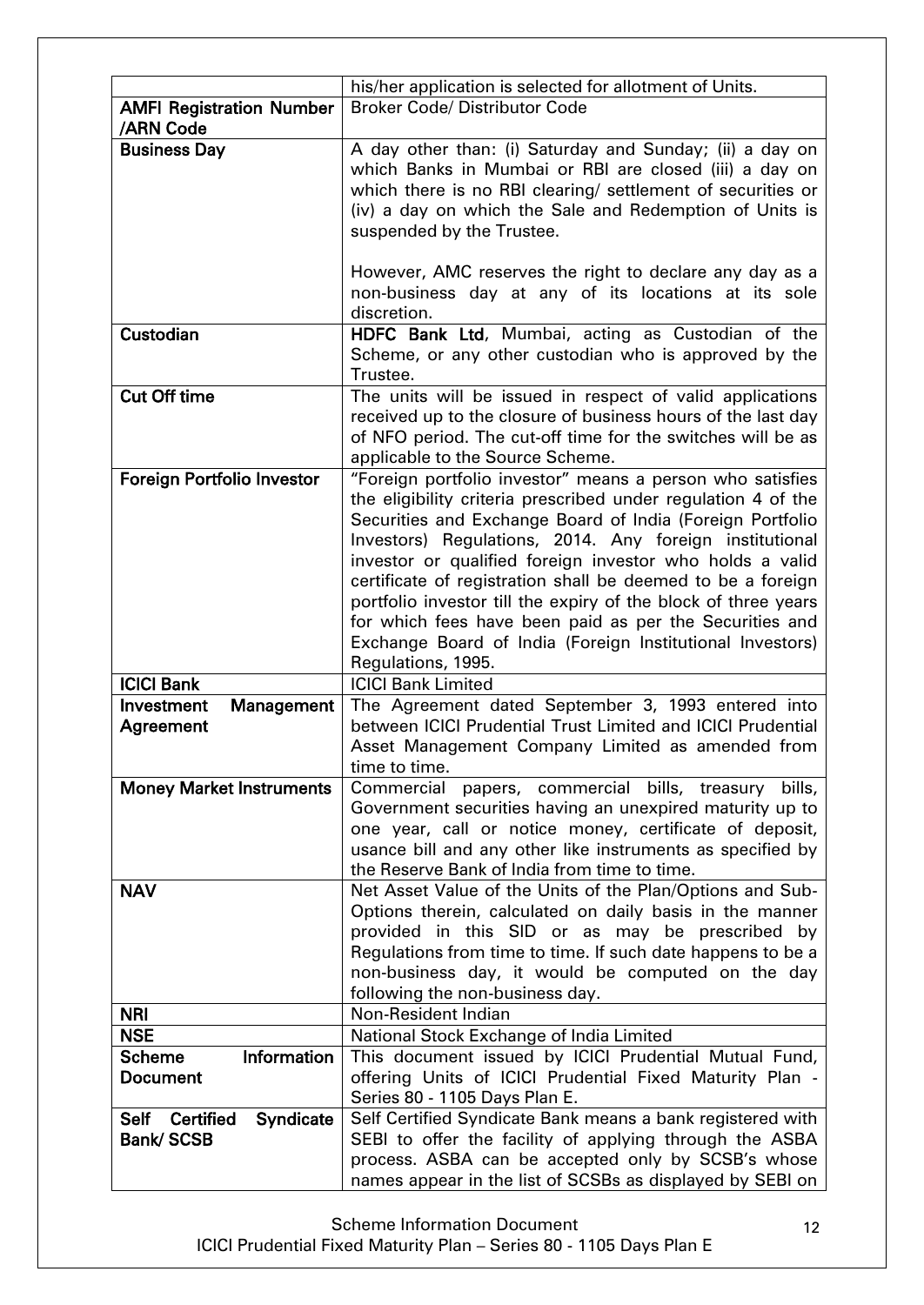|                                                                  | his/her application is selected for allotment of Units.                                                                                                                                                                                                                                                                                                                                                                                                                                                                          |  |  |
|------------------------------------------------------------------|----------------------------------------------------------------------------------------------------------------------------------------------------------------------------------------------------------------------------------------------------------------------------------------------------------------------------------------------------------------------------------------------------------------------------------------------------------------------------------------------------------------------------------|--|--|
| <b>AMFI Registration Number</b>                                  | <b>Broker Code/ Distributor Code</b>                                                                                                                                                                                                                                                                                                                                                                                                                                                                                             |  |  |
| /ARN Code                                                        |                                                                                                                                                                                                                                                                                                                                                                                                                                                                                                                                  |  |  |
| <b>Business Day</b>                                              | A day other than: (i) Saturday and Sunday; (ii) a day on<br>which Banks in Mumbai or RBI are closed (iii) a day on<br>which there is no RBI clearing/ settlement of securities or<br>(iv) a day on which the Sale and Redemption of Units is<br>suspended by the Trustee.<br>However, AMC reserves the right to declare any day as a<br>non-business day at any of its locations at its sole                                                                                                                                     |  |  |
|                                                                  | discretion.                                                                                                                                                                                                                                                                                                                                                                                                                                                                                                                      |  |  |
| Custodian                                                        | HDFC Bank Ltd, Mumbai, acting as Custodian of the<br>Scheme, or any other custodian who is approved by the<br>Trustee.                                                                                                                                                                                                                                                                                                                                                                                                           |  |  |
| <b>Cut Off time</b>                                              | The units will be issued in respect of valid applications<br>received up to the closure of business hours of the last day                                                                                                                                                                                                                                                                                                                                                                                                        |  |  |
|                                                                  | of NFO period. The cut-off time for the switches will be as<br>applicable to the Source Scheme.                                                                                                                                                                                                                                                                                                                                                                                                                                  |  |  |
| <b>Foreign Portfolio Investor</b>                                | "Foreign portfolio investor" means a person who satisfies                                                                                                                                                                                                                                                                                                                                                                                                                                                                        |  |  |
|                                                                  | the eligibility criteria prescribed under regulation 4 of the<br>Securities and Exchange Board of India (Foreign Portfolio<br>Investors) Regulations, 2014. Any foreign institutional<br>investor or qualified foreign investor who holds a valid<br>certificate of registration shall be deemed to be a foreign<br>portfolio investor till the expiry of the block of three years<br>for which fees have been paid as per the Securities and<br>Exchange Board of India (Foreign Institutional Investors)<br>Regulations, 1995. |  |  |
| <b>ICICI Bank</b>                                                | <b>ICICI Bank Limited</b>                                                                                                                                                                                                                                                                                                                                                                                                                                                                                                        |  |  |
| Investment<br>Management<br>Agreement                            | The Agreement dated September 3, 1993 entered into<br>between ICICI Prudential Trust Limited and ICICI Prudential<br>Asset Management Company Limited as amended from<br>time to time.                                                                                                                                                                                                                                                                                                                                           |  |  |
| <b>Money Market Instruments</b>                                  | bills,<br>Commercial<br>papers, commercial bills, treasury<br>Government securities having an unexpired maturity up to<br>one year, call or notice money, certificate of deposit,<br>usance bill and any other like instruments as specified by<br>the Reserve Bank of India from time to time.                                                                                                                                                                                                                                  |  |  |
| <b>NAV</b>                                                       | Net Asset Value of the Units of the Plan/Options and Sub-<br>Options therein, calculated on daily basis in the manner<br>provided in this SID or as may be prescribed by<br>Regulations from time to time. If such date happens to be a<br>non-business day, it would be computed on the day<br>following the non-business day.                                                                                                                                                                                                  |  |  |
| <b>NRI</b>                                                       | Non-Resident Indian                                                                                                                                                                                                                                                                                                                                                                                                                                                                                                              |  |  |
| <b>NSE</b>                                                       | National Stock Exchange of India Limited                                                                                                                                                                                                                                                                                                                                                                                                                                                                                         |  |  |
| <b>Scheme</b><br>Information<br><b>Document</b>                  | This document issued by ICICI Prudential Mutual Fund,<br>offering Units of ICICI Prudential Fixed Maturity Plan -<br>Series 80 - 1105 Days Plan E.                                                                                                                                                                                                                                                                                                                                                                               |  |  |
| <b>Certified</b><br>Self<br><b>Syndicate</b><br><b>Bank/SCSB</b> | Self Certified Syndicate Bank means a bank registered with<br>SEBI to offer the facility of applying through the ASBA<br>process. ASBA can be accepted only by SCSB's whose<br>names appear in the list of SCSBs as displayed by SEBI on                                                                                                                                                                                                                                                                                         |  |  |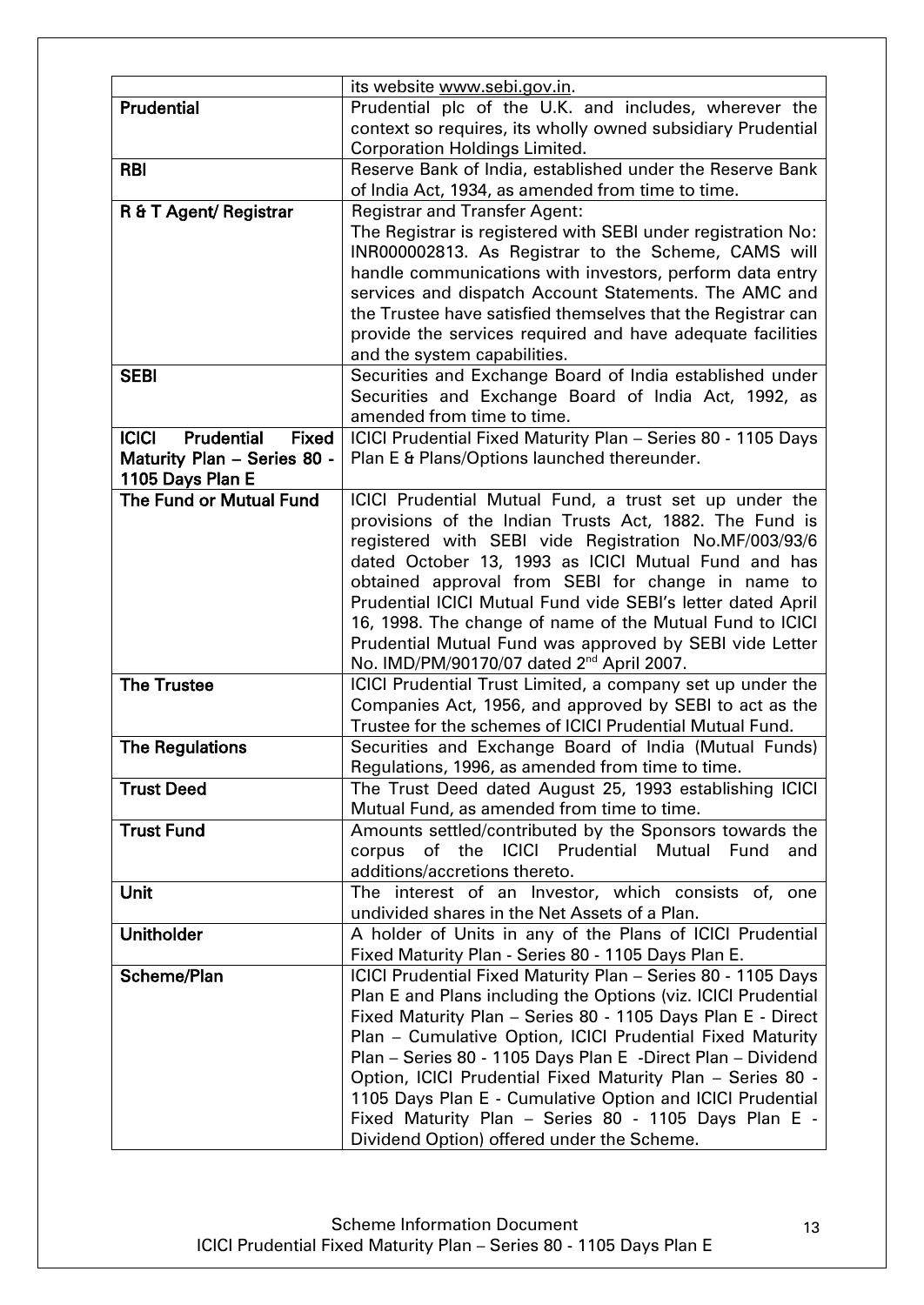| its website www.sebi.gov.in.                                                                                                 |  |  |
|------------------------------------------------------------------------------------------------------------------------------|--|--|
| Prudential plc of the U.K. and includes, wherever the                                                                        |  |  |
| context so requires, its wholly owned subsidiary Prudential                                                                  |  |  |
| <b>Corporation Holdings Limited.</b>                                                                                         |  |  |
| Reserve Bank of India, established under the Reserve Bank                                                                    |  |  |
| of India Act, 1934, as amended from time to time.                                                                            |  |  |
| <b>Registrar and Transfer Agent:</b>                                                                                         |  |  |
| The Registrar is registered with SEBI under registration No:                                                                 |  |  |
| INR000002813. As Registrar to the Scheme, CAMS will                                                                          |  |  |
| handle communications with investors, perform data entry                                                                     |  |  |
| services and dispatch Account Statements. The AMC and                                                                        |  |  |
| the Trustee have satisfied themselves that the Registrar can                                                                 |  |  |
| provide the services required and have adequate facilities                                                                   |  |  |
| and the system capabilities.                                                                                                 |  |  |
| Securities and Exchange Board of India established under<br>Securities and Exchange Board of India Act, 1992, as             |  |  |
| amended from time to time.                                                                                                   |  |  |
| ICICI Prudential Fixed Maturity Plan - Series 80 - 1105 Days                                                                 |  |  |
| Plan E & Plans/Options launched thereunder.                                                                                  |  |  |
|                                                                                                                              |  |  |
| ICICI Prudential Mutual Fund, a trust set up under the                                                                       |  |  |
| provisions of the Indian Trusts Act, 1882. The Fund is                                                                       |  |  |
| registered with SEBI vide Registration No.MF/003/93/6                                                                        |  |  |
| dated October 13, 1993 as ICICI Mutual Fund and has                                                                          |  |  |
| obtained approval from SEBI for change in name to                                                                            |  |  |
| Prudential ICICI Mutual Fund vide SEBI's letter dated April                                                                  |  |  |
| 16, 1998. The change of name of the Mutual Fund to ICICI                                                                     |  |  |
| Prudential Mutual Fund was approved by SEBI vide Letter                                                                      |  |  |
| No. IMD/PM/90170/07 dated 2 <sup>nd</sup> April 2007.                                                                        |  |  |
| ICICI Prudential Trust Limited, a company set up under the<br>Companies Act, 1956, and approved by SEBI to act as the        |  |  |
| Trustee for the schemes of ICICI Prudential Mutual Fund.                                                                     |  |  |
| Securities and Exchange Board of India (Mutual Funds)                                                                        |  |  |
| Regulations, 1996, as amended from time to time.                                                                             |  |  |
| The Trust Deed dated August 25, 1993 establishing ICICI                                                                      |  |  |
| Mutual Fund, as amended from time to time.                                                                                   |  |  |
| Amounts settled/contributed by the Sponsors towards the                                                                      |  |  |
| of the ICICI Prudential Mutual Fund<br>corpus<br>and                                                                         |  |  |
| additions/accretions thereto.                                                                                                |  |  |
| The interest of an Investor, which consists of, one                                                                          |  |  |
| undivided shares in the Net Assets of a Plan.                                                                                |  |  |
| A holder of Units in any of the Plans of ICICI Prudential                                                                    |  |  |
| Fixed Maturity Plan - Series 80 - 1105 Days Plan E.                                                                          |  |  |
| ICICI Prudential Fixed Maturity Plan - Series 80 - 1105 Days                                                                 |  |  |
| Plan E and Plans including the Options (viz. ICICI Prudential<br>Fixed Maturity Plan - Series 80 - 1105 Days Plan E - Direct |  |  |
| Plan - Cumulative Option, ICICI Prudential Fixed Maturity                                                                    |  |  |
| Plan - Series 80 - 1105 Days Plan E -Direct Plan - Dividend                                                                  |  |  |
| Option, ICICI Prudential Fixed Maturity Plan - Series 80 -                                                                   |  |  |
| 1105 Days Plan E - Cumulative Option and ICICI Prudential                                                                    |  |  |
| Fixed Maturity Plan - Series 80 - 1105 Days Plan E -                                                                         |  |  |
| Dividend Option) offered under the Scheme.                                                                                   |  |  |
|                                                                                                                              |  |  |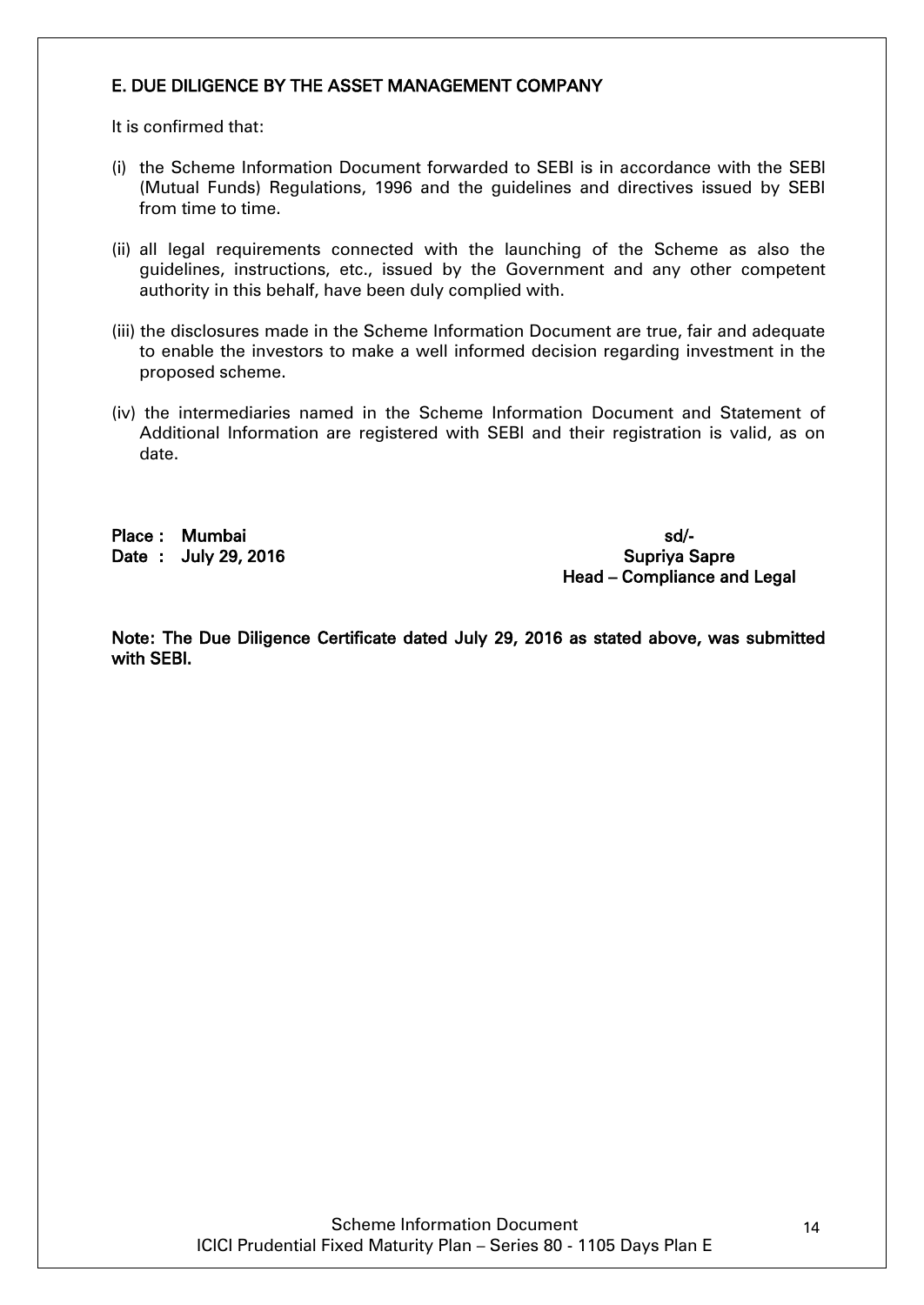# E. DUE DILIGENCE BY THE ASSET MANAGEMENT COMPANY

It is confirmed that:

- (i) the Scheme Information Document forwarded to SEBI is in accordance with the SEBI (Mutual Funds) Regulations, 1996 and the guidelines and directives issued by SEBI from time to time.
- (ii) all legal requirements connected with the launching of the Scheme as also the guidelines, instructions, etc., issued by the Government and any other competent authority in this behalf, have been duly complied with.
- (iii) the disclosures made in the Scheme Information Document are true, fair and adequate to enable the investors to make a well informed decision regarding investment in the proposed scheme.
- (iv) the intermediaries named in the Scheme Information Document and Statement of Additional Information are registered with SEBI and their registration is valid, as on date.

Place : Mumbai sd/-

Date : July 29, 2016 Supriya Sapre Head – Compliance and Legal

Note: The Due Diligence Certificate dated July 29, 2016 as stated above, was submitted with SEBI.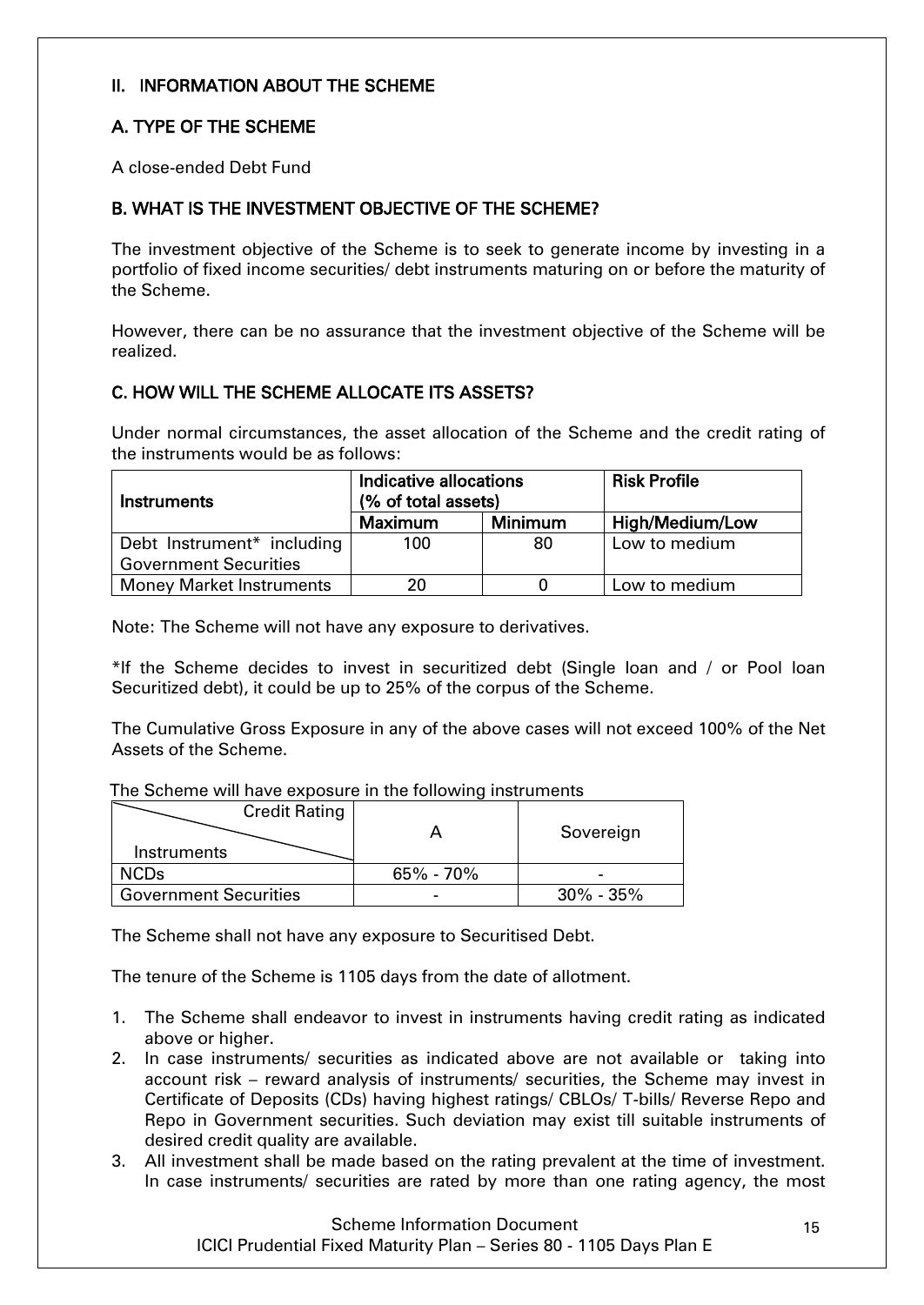# <span id="page-14-0"></span>II. INFORMATION ABOUT THE SCHEME

# <span id="page-14-1"></span>A. TYPE OF THE SCHEME

A close-ended Debt Fund

# <span id="page-14-2"></span>B. WHAT IS THE INVESTMENT OBJECTIVE OF THE SCHEME?

The investment objective of the Scheme is to seek to generate income by investing in a portfolio of fixed income securities/ debt instruments maturing on or before the maturity of the Scheme.

However, there can be no assurance that the investment objective of the Scheme will be realized.

# <span id="page-14-3"></span>C. HOW WILL THE SCHEME ALLOCATE ITS ASSETS?

Under normal circumstances, the asset allocation of the Scheme and the credit rating of the instruments would be as follows:

| Instruments                     | Indicative allocations<br>(% of total assets) |    | <b>Risk Profile</b> |
|---------------------------------|-----------------------------------------------|----|---------------------|
|                                 | <b>Maximum</b><br>Minimum                     |    | High/Medium/Low     |
| Debt Instrument* including      | 100                                           | 80 | Low to medium       |
| <b>Government Securities</b>    |                                               |    |                     |
| <b>Money Market Instruments</b> | ንበ                                            |    | Low to medium       |

Note: The Scheme will not have any exposure to derivatives.

\*If the Scheme decides to invest in securitized debt (Single loan and / or Pool loan Securitized debt), it could be up to 25% of the corpus of the Scheme.

The Cumulative Gross Exposure in any of the above cases will not exceed 100% of the Net Assets of the Scheme.

The Scheme will have exposure in the following instruments

| <b>Credit Rating</b><br>Instruments |               | Sovereign       |
|-------------------------------------|---------------|-----------------|
| <b>NCDs</b>                         | $65\% - 70\%$ |                 |
| <b>Government Securities</b>        |               | $30\%$ - $35\%$ |

The Scheme shall not have any exposure to Securitised Debt.

The tenure of the Scheme is 1105 days from the date of allotment.

- 1. The Scheme shall endeavor to invest in instruments having credit rating as indicated above or higher.
- 2. In case instruments/ securities as indicated above are not available or taking into account risk – reward analysis of instruments/ securities, the Scheme may invest in Certificate of Deposits (CDs) having highest ratings/ CBLOs/ T-bills/ Reverse Repo and Repo in Government securities. Such deviation may exist till suitable instruments of desired credit quality are available.
- 3. All investment shall be made based on the rating prevalent at the time of investment. In case instruments/ securities are rated by more than one rating agency, the most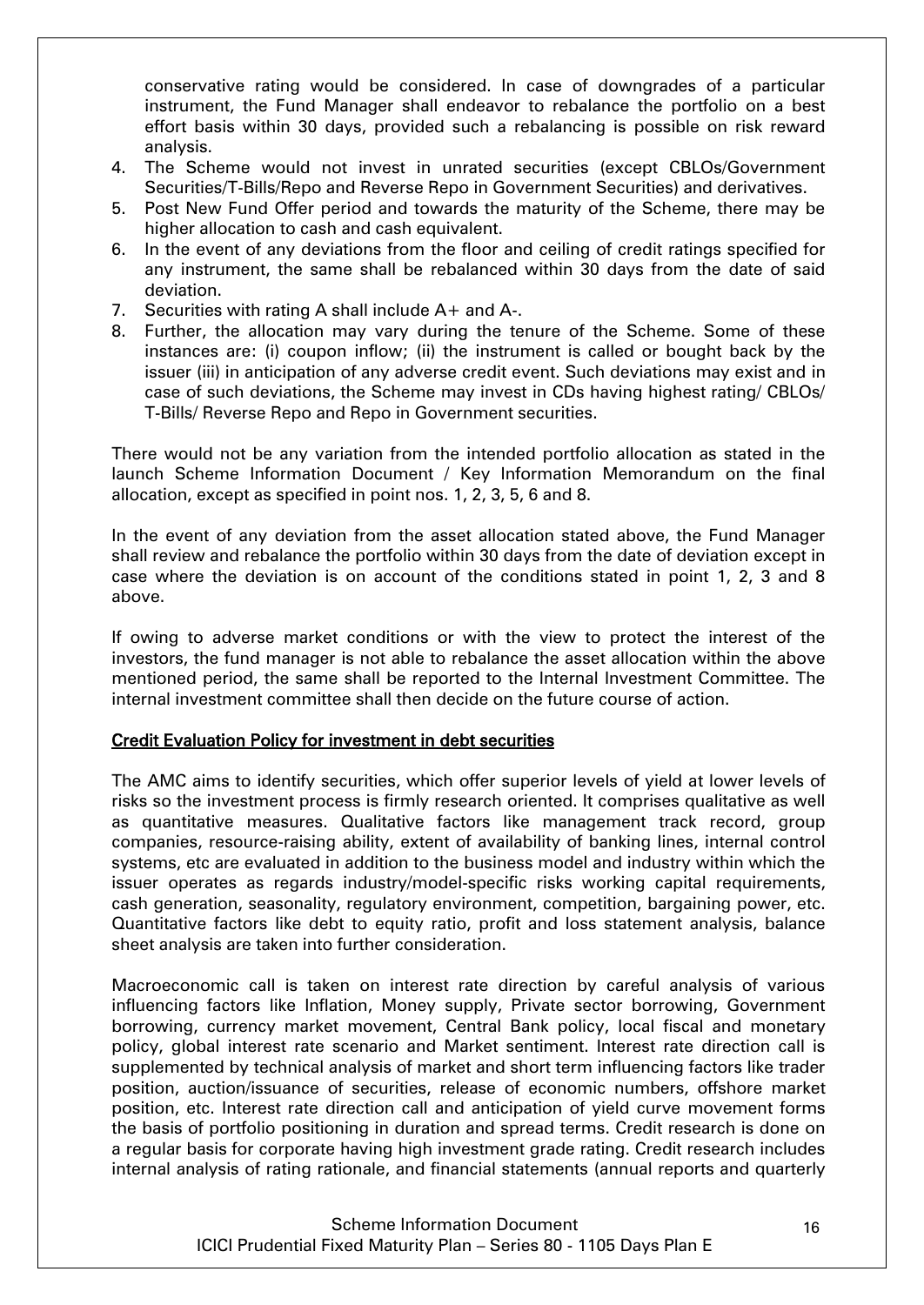conservative rating would be considered. In case of downgrades of a particular instrument, the Fund Manager shall endeavor to rebalance the portfolio on a best effort basis within 30 days, provided such a rebalancing is possible on risk reward analysis.

- 4. The Scheme would not invest in unrated securities (except CBLOs/Government Securities/T-Bills/Repo and Reverse Repo in Government Securities) and derivatives.
- 5. Post New Fund Offer period and towards the maturity of the Scheme, there may be higher allocation to cash and cash equivalent.
- 6. In the event of any deviations from the floor and ceiling of credit ratings specified for any instrument, the same shall be rebalanced within 30 days from the date of said deviation.
- 7. Securities with rating A shall include A+ and A-.
- 8. Further, the allocation may vary during the tenure of the Scheme. Some of these instances are: (i) coupon inflow; (ii) the instrument is called or bought back by the issuer (iii) in anticipation of any adverse credit event. Such deviations may exist and in case of such deviations, the Scheme may invest in CDs having highest rating/ CBLOs/ T-Bills/ Reverse Repo and Repo in Government securities.

There would not be any variation from the intended portfolio allocation as stated in the launch Scheme Information Document / Key Information Memorandum on the final allocation, except as specified in point nos. 1, 2, 3, 5, 6 and 8.

In the event of any deviation from the asset allocation stated above, the Fund Manager shall review and rebalance the portfolio within 30 days from the date of deviation except in case where the deviation is on account of the conditions stated in point 1, 2, 3 and 8 above.

If owing to adverse market conditions or with the view to protect the interest of the investors, the fund manager is not able to rebalance the asset allocation within the above mentioned period, the same shall be reported to the Internal Investment Committee. The internal investment committee shall then decide on the future course of action.

#### Credit Evaluation Policy for investment in debt securities

The AMC aims to identify securities, which offer superior levels of yield at lower levels of risks so the investment process is firmly research oriented. It comprises qualitative as well as quantitative measures. Qualitative factors like management track record, group companies, resource-raising ability, extent of availability of banking lines, internal control systems, etc are evaluated in addition to the business model and industry within which the issuer operates as regards industry/model-specific risks working capital requirements, cash generation, seasonality, regulatory environment, competition, bargaining power, etc. Quantitative factors like debt to equity ratio, profit and loss statement analysis, balance sheet analysis are taken into further consideration.

Macroeconomic call is taken on interest rate direction by careful analysis of various influencing factors like Inflation, Money supply, Private sector borrowing, Government borrowing, currency market movement, Central Bank policy, local fiscal and monetary policy, global interest rate scenario and Market sentiment. Interest rate direction call is supplemented by technical analysis of market and short term influencing factors like trader position, auction/issuance of securities, release of economic numbers, offshore market position, etc. Interest rate direction call and anticipation of yield curve movement forms the basis of portfolio positioning in duration and spread terms. Credit research is done on a regular basis for corporate having high investment grade rating. Credit research includes internal analysis of rating rationale, and financial statements (annual reports and quarterly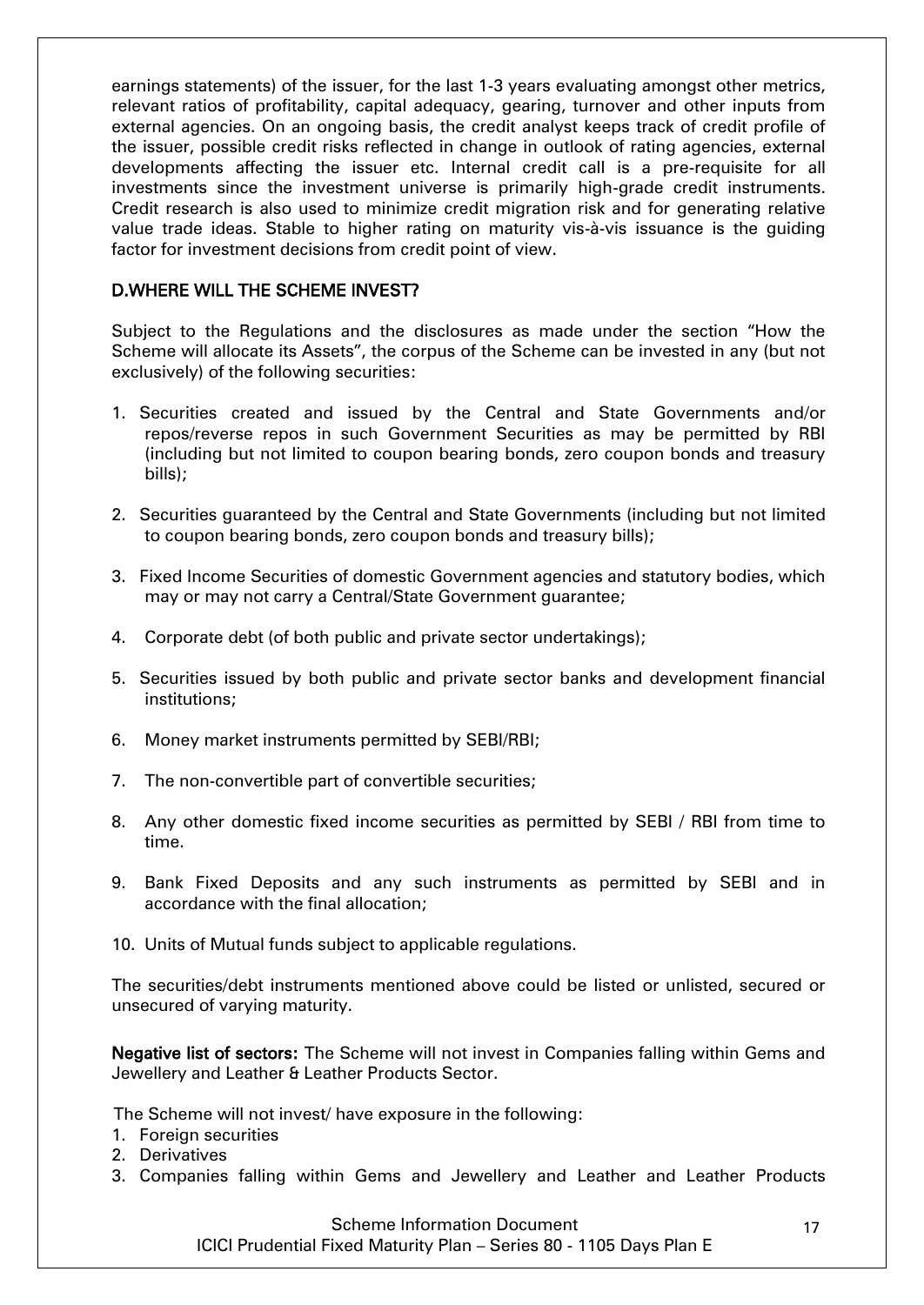earnings statements) of the issuer, for the last 1-3 years evaluating amongst other metrics, relevant ratios of profitability, capital adequacy, gearing, turnover and other inputs from external agencies. On an ongoing basis, the credit analyst keeps track of credit profile of the issuer, possible credit risks reflected in change in outlook of rating agencies, external developments affecting the issuer etc. Internal credit call is a pre-requisite for all investments since the investment universe is primarily high-grade credit instruments. Credit research is also used to minimize credit migration risk and for generating relative value trade ideas. Stable to higher rating on maturity vis-à-vis issuance is the guiding factor for investment decisions from credit point of view.

### <span id="page-16-0"></span>D.WHERE WILL THE SCHEME INVEST?

Subject to the Regulations and the disclosures as made under the section "How the Scheme will allocate its Assets", the corpus of the Scheme can be invested in any (but not exclusively) of the following securities:

- 1. Securities created and issued by the Central and State Governments and/or repos/reverse repos in such Government Securities as may be permitted by RBI (including but not limited to coupon bearing bonds, zero coupon bonds and treasury bills);
- 2. Securities guaranteed by the Central and State Governments (including but not limited to coupon bearing bonds, zero coupon bonds and treasury bills);
- 3. Fixed Income Securities of domestic Government agencies and statutory bodies, which may or may not carry a Central/State Government guarantee;
- 4. Corporate debt (of both public and private sector undertakings);
- 5. Securities issued by both public and private sector banks and development financial institutions;
- 6. Money market instruments permitted by SEBI/RBI;
- 7. The non-convertible part of convertible securities;
- 8. Any other domestic fixed income securities as permitted by SEBI / RBI from time to time.
- 9. Bank Fixed Deposits and any such instruments as permitted by SEBI and in accordance with the final allocation;
- 10. Units of Mutual funds subject to applicable regulations.

The securities/debt instruments mentioned above could be listed or unlisted, secured or unsecured of varying maturity.

Negative list of sectors: The Scheme will not invest in Companies falling within Gems and Jewellery and Leather & Leather Products Sector.

The Scheme will not invest/ have exposure in the following:

- 1. Foreign securities
- 2. Derivatives
- 3. Companies falling within Gems and Jewellery and Leather and Leather Products

Scheme Information Document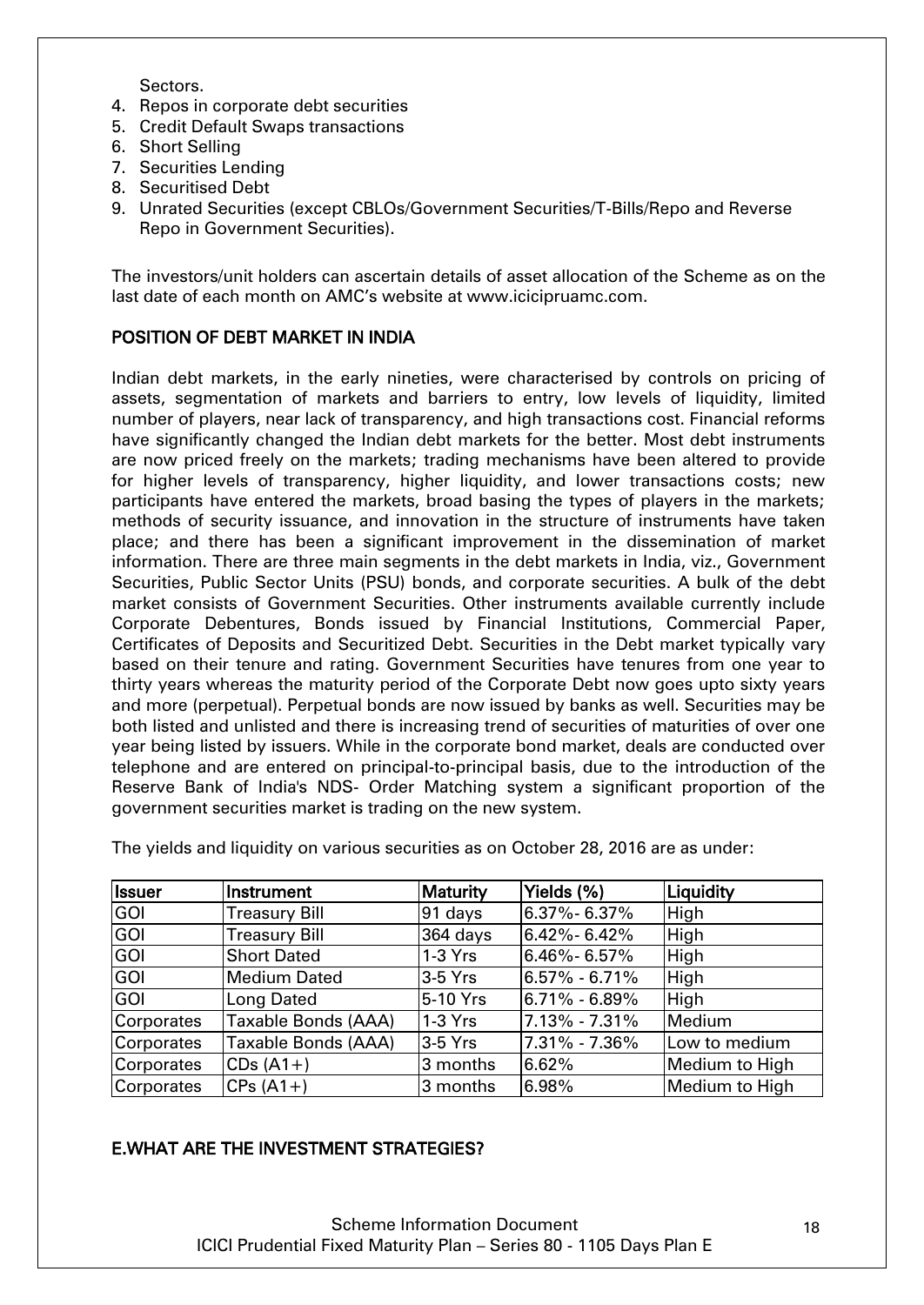Sectors.

- 4. Repos in corporate debt securities
- 5. Credit Default Swaps transactions
- 6. Short Selling
- 7. Securities Lending
- 8. Securitised Debt
- 9. Unrated Securities (except CBLOs/Government Securities/T-Bills/Repo and Reverse Repo in Government Securities).

The investors/unit holders can ascertain details of asset allocation of the Scheme as on the last date of each month on AMC"s website at [www.icicipruamc.com.](http://www.pruicici.com/)

# POSITION OF DEBT MARKET IN INDIA

Indian debt markets, in the early nineties, were characterised by controls on pricing of assets, segmentation of markets and barriers to entry, low levels of liquidity, limited number of players, near lack of transparency, and high transactions cost. Financial reforms have significantly changed the Indian debt markets for the better. Most debt instruments are now priced freely on the markets; trading mechanisms have been altered to provide for higher levels of transparency, higher liquidity, and lower transactions costs; new participants have entered the markets, broad basing the types of players in the markets; methods of security issuance, and innovation in the structure of instruments have taken place; and there has been a significant improvement in the dissemination of market information. There are three main segments in the debt markets in India, viz., Government Securities, Public Sector Units (PSU) bonds, and corporate securities. A bulk of the debt market consists of Government Securities. Other instruments available currently include Corporate Debentures, Bonds issued by Financial Institutions, Commercial Paper, Certificates of Deposits and Securitized Debt. Securities in the Debt market typically vary based on their tenure and rating. Government Securities have tenures from one year to thirty years whereas the maturity period of the Corporate Debt now goes upto sixty years and more (perpetual). Perpetual bonds are now issued by banks as well. Securities may be both listed and unlisted and there is increasing trend of securities of maturities of over one year being listed by issuers. While in the corporate bond market, deals are conducted over telephone and are entered on principal-to-principal basis, due to the introduction of the Reserve Bank of India's NDS- Order Matching system a significant proportion of the government securities market is trading on the new system.

| <b>Issuer</b> | Instrument           | <b>Maturity</b> | Yields (%)        | Liquidity      |
|---------------|----------------------|-----------------|-------------------|----------------|
| GOI           | <b>Treasury Bill</b> | $91$ days       | $6.37\% - 6.37\%$ | High           |
| GOI           | <b>Treasury Bill</b> | 364 days        | 6.42%-6.42%       | High           |
| GOI           | <b>Short Dated</b>   | $1-3$ Yrs       | 6.46%-6.57%       | High           |
| GOI           | <b>Medium Dated</b>  | $3-5$ Yrs       | $6.57\% - 6.71\%$ | High           |
| <b>GOI</b>    | <b>Long Dated</b>    | 5-10 Yrs        | $6.71\% - 6.89\%$ | High           |
| Corporates    | Taxable Bonds (AAA)  | $1-3$ Yrs       | 7.13% - 7.31%     | Medium         |
| Corporates    | Taxable Bonds (AAA)  | $3-5$ Yrs       | 7.31% - 7.36%     | Low to medium  |
| Corporates    | $CDs(A1+)$           | 3 months        | 6.62%             | Medium to High |
| Corporates    | $CPs(A1+)$           | 3 months        | 6.98%             | Medium to High |

The yields and liquidity on various securities as on October 28, 2016 are as under:

# <span id="page-17-0"></span>E.WHAT ARE THE INVESTMENT STRATEGIES?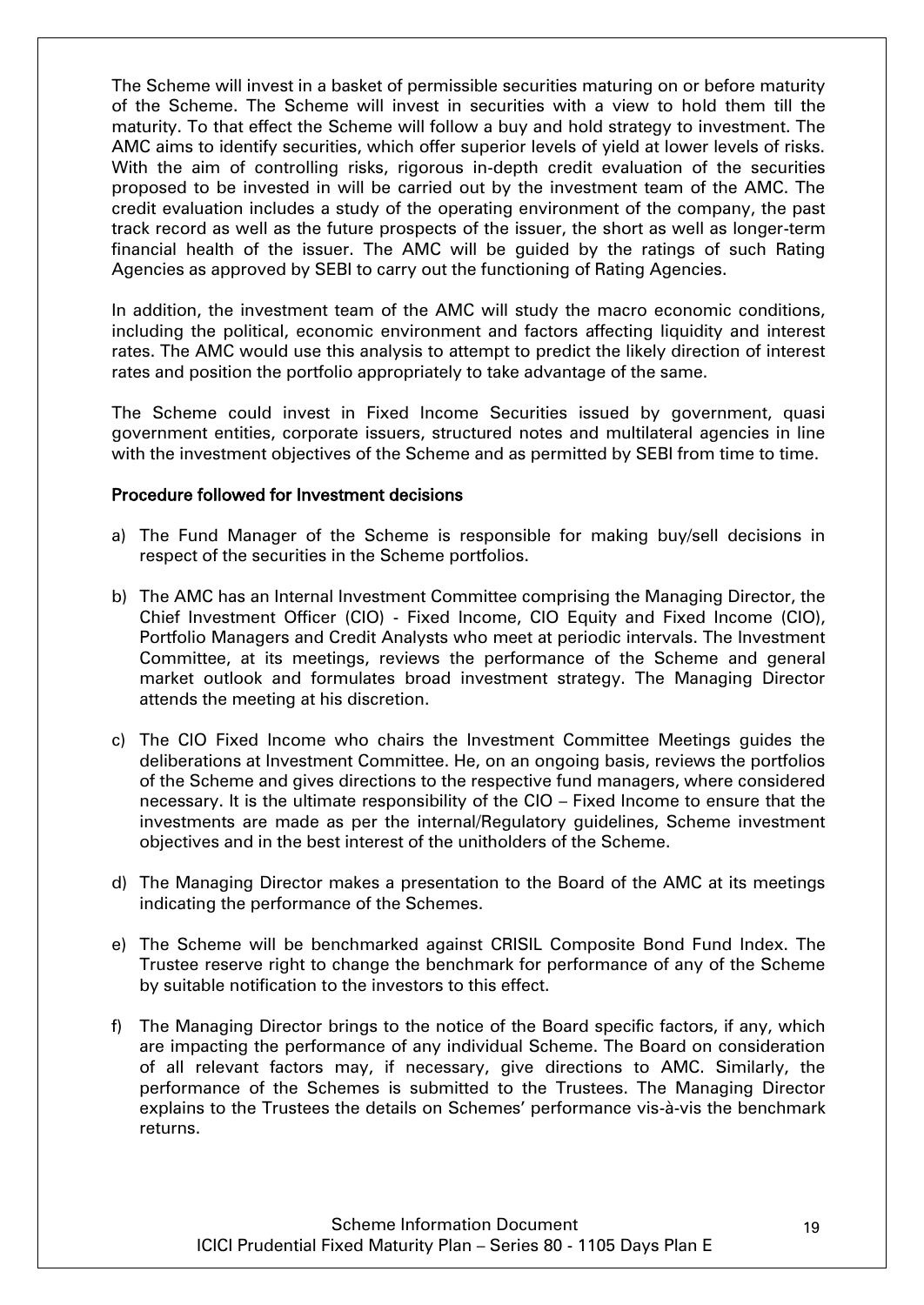The Scheme will invest in a basket of permissible securities maturing on or before maturity of the Scheme. The Scheme will invest in securities with a view to hold them till the maturity. To that effect the Scheme will follow a buy and hold strategy to investment. The AMC aims to identify securities, which offer superior levels of yield at lower levels of risks. With the aim of controlling risks, rigorous in-depth credit evaluation of the securities proposed to be invested in will be carried out by the investment team of the AMC. The credit evaluation includes a study of the operating environment of the company, the past track record as well as the future prospects of the issuer, the short as well as longer-term financial health of the issuer. The AMC will be guided by the ratings of such Rating Agencies as approved by SEBI to carry out the functioning of Rating Agencies.

In addition, the investment team of the AMC will study the macro economic conditions, including the political, economic environment and factors affecting liquidity and interest rates. The AMC would use this analysis to attempt to predict the likely direction of interest rates and position the portfolio appropriately to take advantage of the same.

The Scheme could invest in Fixed Income Securities issued by government, quasi government entities, corporate issuers, structured notes and multilateral agencies in line with the investment objectives of the Scheme and as permitted by SEBI from time to time.

#### Procedure followed for Investment decisions

- a) The Fund Manager of the Scheme is responsible for making buy/sell decisions in respect of the securities in the Scheme portfolios.
- b) The AMC has an Internal Investment Committee comprising the Managing Director, the Chief Investment Officer (CIO) - Fixed Income, CIO Equity and Fixed Income (CIO), Portfolio Managers and Credit Analysts who meet at periodic intervals. The Investment Committee, at its meetings, reviews the performance of the Scheme and general market outlook and formulates broad investment strategy. The Managing Director attends the meeting at his discretion.
- c) The CIO Fixed Income who chairs the Investment Committee Meetings guides the deliberations at Investment Committee. He, on an ongoing basis, reviews the portfolios of the Scheme and gives directions to the respective fund managers, where considered necessary. It is the ultimate responsibility of the CIO – Fixed Income to ensure that the investments are made as per the internal/Regulatory guidelines, Scheme investment objectives and in the best interest of the unitholders of the Scheme.
- d) The Managing Director makes a presentation to the Board of the AMC at its meetings indicating the performance of the Schemes.
- e) The Scheme will be benchmarked against CRISIL Composite Bond Fund Index. The Trustee reserve right to change the benchmark for performance of any of the Scheme by suitable notification to the investors to this effect.
- f) The Managing Director brings to the notice of the Board specific factors, if any, which are impacting the performance of any individual Scheme. The Board on consideration of all relevant factors may, if necessary, give directions to AMC. Similarly, the performance of the Schemes is submitted to the Trustees. The Managing Director explains to the Trustees the details on Schemes" performance vis-à-vis the benchmark returns.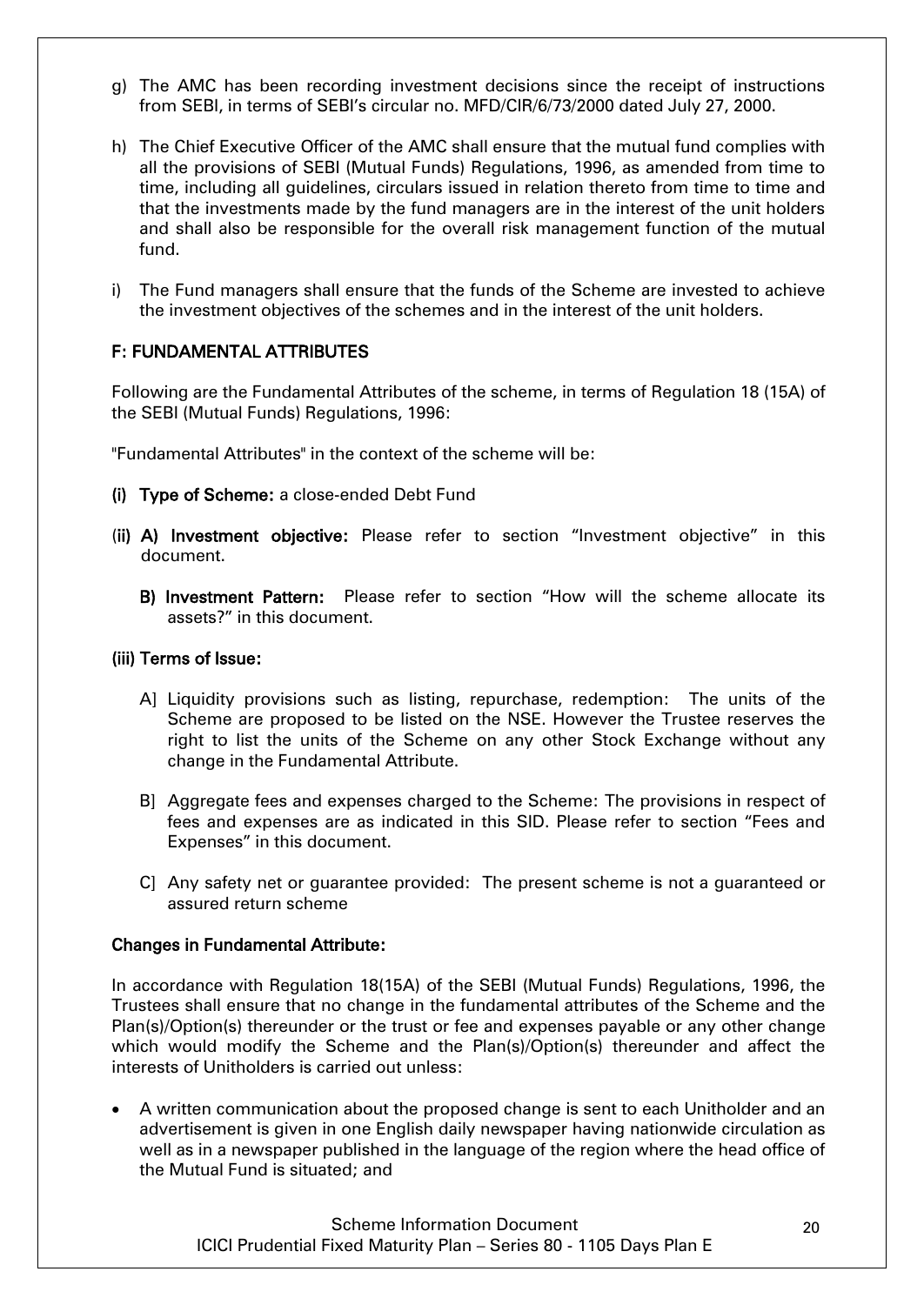- g) The AMC has been recording investment decisions since the receipt of instructions from SEBI, in terms of SEBI"s circular no. MFD/CIR/6/73/2000 dated July 27, 2000.
- h) The Chief Executive Officer of the AMC shall ensure that the mutual fund complies with all the provisions of SEBI (Mutual Funds) Regulations, 1996, as amended from time to time, including all guidelines, circulars issued in relation thereto from time to time and that the investments made by the fund managers are in the interest of the unit holders and shall also be responsible for the overall risk management function of the mutual fund.
- i) The Fund managers shall ensure that the funds of the Scheme are invested to achieve the investment objectives of the schemes and in the interest of the unit holders.

# <span id="page-19-0"></span>F: FUNDAMENTAL ATTRIBUTES

Following are the Fundamental Attributes of the scheme, in terms of Regulation 18 (15A) of the SEBI (Mutual Funds) Regulations, 1996:

"Fundamental Attributes" in the context of the scheme will be:

- (i) Type of Scheme: a close-ended Debt Fund
- (ii) A) Investment objective: Please refer to section "Investment objective" in this document.
	- B) Investment Pattern: Please refer to section "How will the scheme allocate its assets?" in this document.

#### (iii) Terms of Issue:

- A] Liquidity provisions such as listing, repurchase, redemption: The units of the Scheme are proposed to be listed on the NSE. However the Trustee reserves the right to list the units of the Scheme on any other Stock Exchange without any change in the Fundamental Attribute.
- B] Aggregate fees and expenses charged to the Scheme: The provisions in respect of fees and expenses are as indicated in this SID. Please refer to section "Fees and Expenses" in this document.
- C] Any safety net or guarantee provided: The present scheme is not a guaranteed or assured return scheme

#### Changes in Fundamental Attribute:

In accordance with Regulation 18(15A) of the SEBI (Mutual Funds) Regulations, 1996, the Trustees shall ensure that no change in the fundamental attributes of the Scheme and the Plan(s)/Option(s) thereunder or the trust or fee and expenses payable or any other change which would modify the Scheme and the Plan(s)/Option(s) thereunder and affect the interests of Unitholders is carried out unless:

 A written communication about the proposed change is sent to each Unitholder and an advertisement is given in one English daily newspaper having nationwide circulation as well as in a newspaper published in the language of the region where the head office of the Mutual Fund is situated; and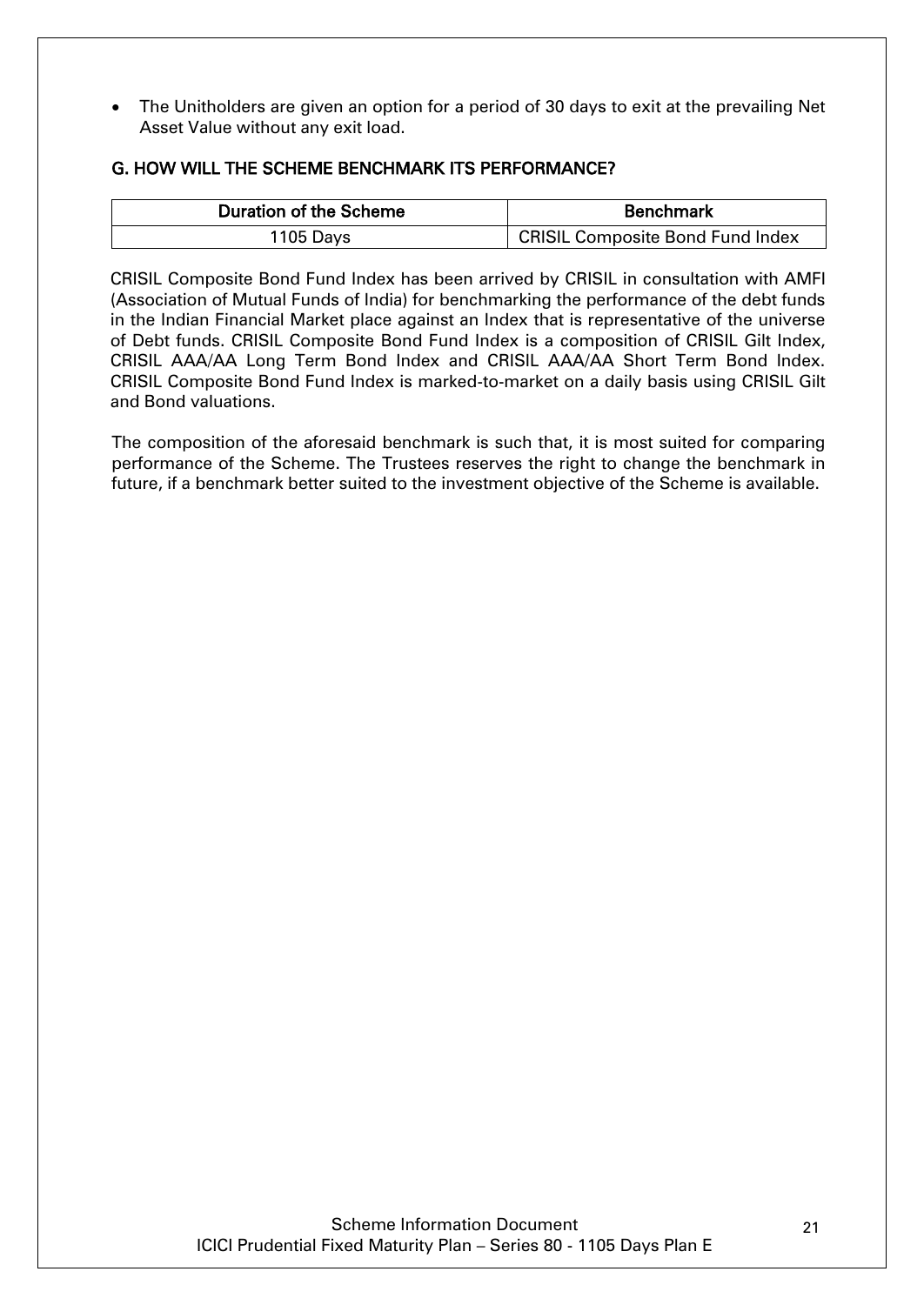The Unitholders are given an option for a period of 30 days to exit at the prevailing Net Asset Value without any exit load.

# <span id="page-20-0"></span>G. HOW WILL THE SCHEME BENCHMARK ITS PERFORMANCE?

| <b>Duration of the Scheme</b> | <b>Benchmark</b>                 |  |
|-------------------------------|----------------------------------|--|
| $1105$ Days                   | CRISIL Composite Bond Fund Index |  |

CRISIL Composite Bond Fund Index has been arrived by CRISIL in consultation with AMFI (Association of Mutual Funds of India) for benchmarking the performance of the debt funds in the Indian Financial Market place against an Index that is representative of the universe of Debt funds. CRISIL Composite Bond Fund Index is a composition of CRISIL Gilt Index, CRISIL AAA/AA Long Term Bond Index and CRISIL AAA/AA Short Term Bond Index. CRISIL Composite Bond Fund Index is marked-to-market on a daily basis using CRISIL Gilt and Bond valuations.

The composition of the aforesaid benchmark is such that, it is most suited for comparing performance of the Scheme. The Trustees reserves the right to change the benchmark in future, if a benchmark better suited to the investment objective of the Scheme is available.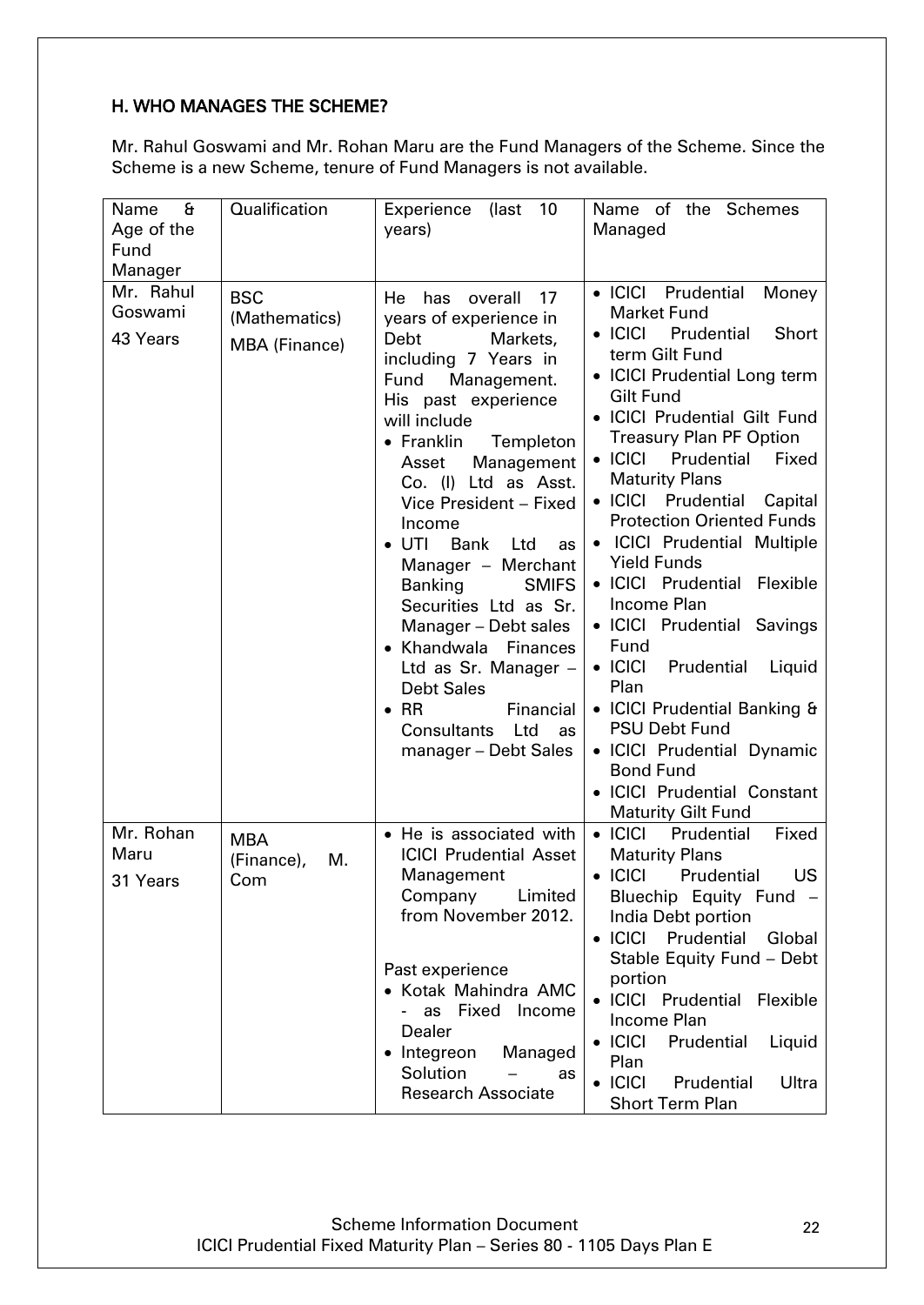# <span id="page-21-0"></span>H. WHO MANAGES THE SCHEME?

Mr. Rahul Goswami and Mr. Rohan Maru are the Fund Managers of the Scheme. Since the Scheme is a new Scheme, tenure of Fund Managers is not available.

| £<br>Name<br>Age of the<br>Fund<br>Manager | Qualification                         | 10<br>Experience (last<br>years)                                                                                                                                                                                                                                                                                                                                                            | Name of the Schemes<br>Managed                                                                                                                                                                                                                                                                                                                                                                                                                                                |
|--------------------------------------------|---------------------------------------|---------------------------------------------------------------------------------------------------------------------------------------------------------------------------------------------------------------------------------------------------------------------------------------------------------------------------------------------------------------------------------------------|-------------------------------------------------------------------------------------------------------------------------------------------------------------------------------------------------------------------------------------------------------------------------------------------------------------------------------------------------------------------------------------------------------------------------------------------------------------------------------|
| Mr. Rahul                                  | <b>BSC</b>                            | He<br>has<br>overall<br>17                                                                                                                                                                                                                                                                                                                                                                  | • ICICI Prudential<br>Money                                                                                                                                                                                                                                                                                                                                                                                                                                                   |
| Goswami<br>43 Years                        | (Mathematics)<br>MBA (Finance)        | years of experience in<br>Debt<br>Markets,<br>including 7 Years in<br>Fund<br>Management.<br>His past experience<br>will include<br>$\bullet$ Franklin<br>Templeton<br>Management<br>Asset<br>Co. (I) Ltd as Asst.<br>Vice President - Fixed<br>Income<br>UTI<br>Bank<br>Ltd<br>as<br>Manager - Merchant<br><b>Banking</b><br><b>SMIFS</b><br>Securities Ltd as Sr.<br>Manager - Debt sales | <b>Market Fund</b><br>$\bullet$ ICICI<br>Prudential<br>Short<br>term Gilt Fund<br>• ICICI Prudential Long term<br><b>Gilt Fund</b><br>• ICICI Prudential Gilt Fund<br><b>Treasury Plan PF Option</b><br>$\bullet$ ICICI<br>Prudential<br>Fixed<br><b>Maturity Plans</b><br>• ICICI Prudential<br>Capital<br><b>Protection Oriented Funds</b><br>• ICICI Prudential Multiple<br><b>Yield Funds</b><br>· ICICI Prudential Flexible<br>Income Plan<br>• ICICI Prudential Savings |
|                                            |                                       | • Khandwala Finances<br>Ltd as Sr. Manager -<br><b>Debt Sales</b><br>$\bullet$ RR<br>Financial<br><b>Consultants</b><br>Ltd<br>as<br>manager - Debt Sales                                                                                                                                                                                                                                   | Fund<br>$\bullet$ ICICI<br>Prudential<br>Liquid<br>Plan<br>• ICICI Prudential Banking &<br><b>PSU Debt Fund</b><br>• ICICI Prudential Dynamic<br><b>Bond Fund</b><br>· ICICI Prudential Constant<br><b>Maturity Gilt Fund</b>                                                                                                                                                                                                                                                 |
| Mr. Rohan<br>Maru<br>31 Years              | <b>MBA</b><br>(Finance),<br>M.<br>Com | • He is associated with<br><b>ICICI Prudential Asset</b><br>Management<br>Company<br>Limited<br>from November 2012.<br>Past experience<br>• Kotak Mahindra AMC<br>as Fixed Income<br>Dealer<br>Integreon<br>Managed<br>Solution<br>as<br><b>Research Associate</b>                                                                                                                          | $\bullet$ ICICI<br>Prudential<br>Fixed<br><b>Maturity Plans</b><br>$\bullet$ ICICI<br><b>US</b><br>Prudential<br>Bluechip Equity Fund -<br>India Debt portion<br>• ICICI Prudential<br>Global<br>Stable Equity Fund - Debt<br>portion<br>· ICICI Prudential Flexible<br>Income Plan<br>$\bullet$ ICICI<br>Prudential<br>Liquid<br>Plan<br>$\bullet$ ICICI<br>Prudential<br>Ultra<br><b>Short Term Plan</b>                                                                    |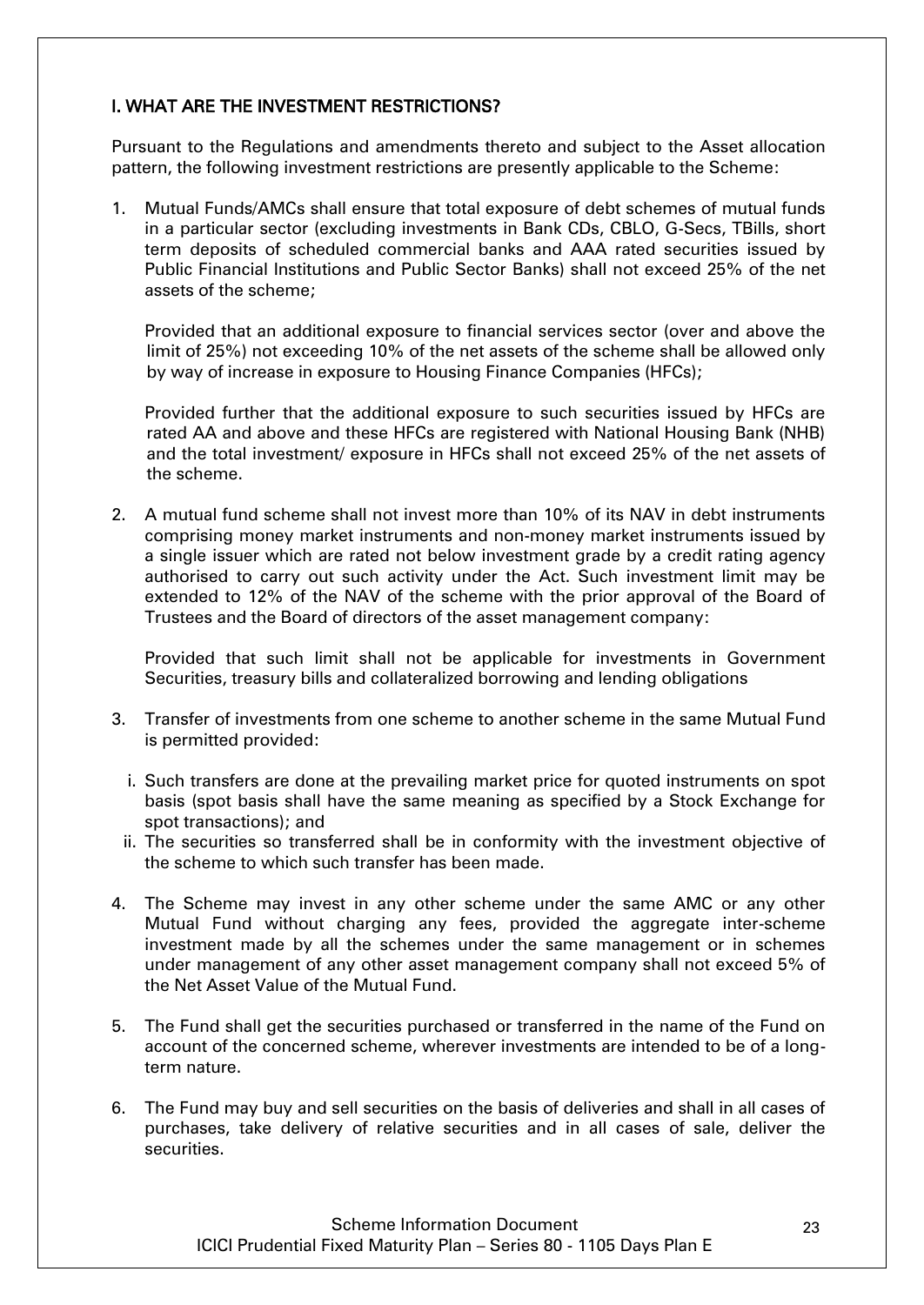# I. WHAT ARE THE INVESTMENT RESTRICTIONS?

Pursuant to the Regulations and amendments thereto and subject to the Asset allocation pattern, the following investment restrictions are presently applicable to the Scheme:

1. Mutual Funds/AMCs shall ensure that total exposure of debt schemes of mutual funds in a particular sector (excluding investments in Bank CDs, CBLO, G-Secs, TBills, short term deposits of scheduled commercial banks and AAA rated securities issued by Public Financial Institutions and Public Sector Banks) shall not exceed 25% of the net assets of the scheme;

Provided that an additional exposure to financial services sector (over and above the limit of 25%) not exceeding 10% of the net assets of the scheme shall be allowed only by way of increase in exposure to Housing Finance Companies (HFCs);

Provided further that the additional exposure to such securities issued by HFCs are rated AA and above and these HFCs are registered with National Housing Bank (NHB) and the total investment/ exposure in HFCs shall not exceed 25% of the net assets of the scheme.

2. A mutual fund scheme shall not invest more than 10% of its NAV in debt instruments comprising money market instruments and non-money market instruments issued by a single issuer which are rated not below investment grade by a credit rating agency authorised to carry out such activity under the Act. Such investment limit may be extended to 12% of the NAV of the scheme with the prior approval of the Board of Trustees and the Board of directors of the asset management company:

Provided that such limit shall not be applicable for investments in Government Securities, treasury bills and collateralized borrowing and lending obligations

- 3. Transfer of investments from one scheme to another scheme in the same Mutual Fund is permitted provided:
	- i. Such transfers are done at the prevailing market price for quoted instruments on spot basis (spot basis shall have the same meaning as specified by a Stock Exchange for spot transactions); and
	- ii. The securities so transferred shall be in conformity with the investment objective of the scheme to which such transfer has been made.
- 4. The Scheme may invest in any other scheme under the same AMC or any other Mutual Fund without charging any fees, provided the aggregate inter-scheme investment made by all the schemes under the same management or in schemes under management of any other asset management company shall not exceed 5% of the Net Asset Value of the Mutual Fund.
- 5. The Fund shall get the securities purchased or transferred in the name of the Fund on account of the concerned scheme, wherever investments are intended to be of a longterm nature.
- 6. The Fund may buy and sell securities on the basis of deliveries and shall in all cases of purchases, take delivery of relative securities and in all cases of sale, deliver the securities.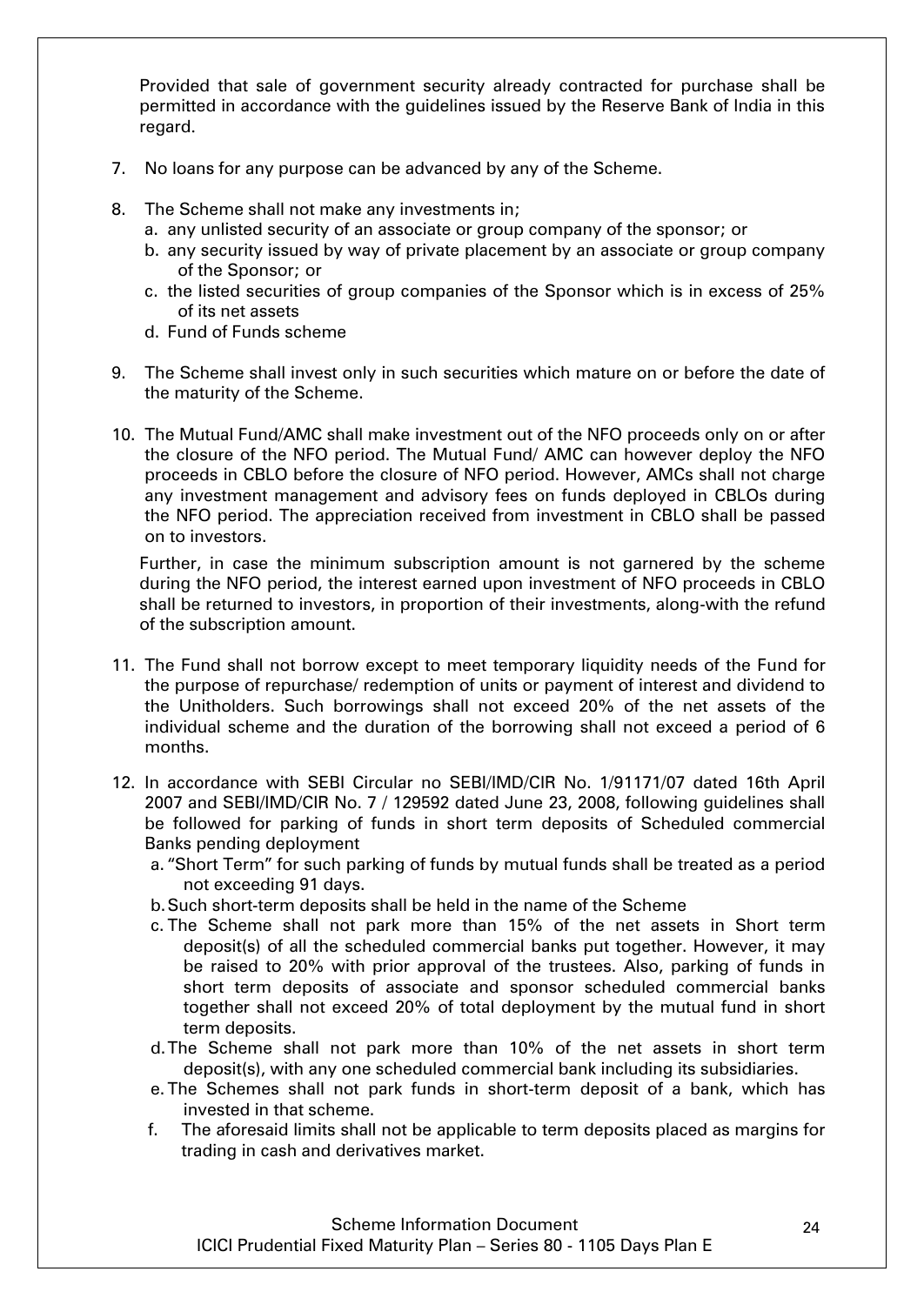Provided that sale of government security already contracted for purchase shall be permitted in accordance with the guidelines issued by the Reserve Bank of India in this regard.

- 7. No loans for any purpose can be advanced by any of the Scheme.
- 8. The Scheme shall not make any investments in;
	- a. any unlisted security of an associate or group company of the sponsor; or
	- b. any security issued by way of private placement by an associate or group company of the Sponsor; or
	- c. the listed securities of group companies of the Sponsor which is in excess of 25% of its net assets
	- d. Fund of Funds scheme
- 9. The Scheme shall invest only in such securities which mature on or before the date of the maturity of the Scheme.
- 10. The Mutual Fund/AMC shall make investment out of the NFO proceeds only on or after the closure of the NFO period. The Mutual Fund/ AMC can however deploy the NFO proceeds in CBLO before the closure of NFO period. However, AMCs shall not charge any investment management and advisory fees on funds deployed in CBLOs during the NFO period. The appreciation received from investment in CBLO shall be passed on to investors.

Further, in case the minimum subscription amount is not garnered by the scheme during the NFO period, the interest earned upon investment of NFO proceeds in CBLO shall be returned to investors, in proportion of their investments, along-with the refund of the subscription amount.

- 11. The Fund shall not borrow except to meet temporary liquidity needs of the Fund for the purpose of repurchase/ redemption of units or payment of interest and dividend to the Unitholders. Such borrowings shall not exceed 20% of the net assets of the individual scheme and the duration of the borrowing shall not exceed a period of 6 months.
- 12. In accordance with SEBI Circular no SEBI/IMD/CIR No. 1/91171/07 dated 16th April 2007 and SEBI/IMD/CIR No. 7 / 129592 dated June 23, 2008, following guidelines shall be followed for parking of funds in short term deposits of Scheduled commercial Banks pending deployment
	- a. "Short Term" for such parking of funds by mutual funds shall be treated as a period not exceeding 91 days.
	- b.Such short-term deposits shall be held in the name of the Scheme
	- c. The Scheme shall not park more than 15% of the net assets in Short term deposit(s) of all the scheduled commercial banks put together. However, it may be raised to 20% with prior approval of the trustees. Also, parking of funds in short term deposits of associate and sponsor scheduled commercial banks together shall not exceed 20% of total deployment by the mutual fund in short term deposits.
	- d.The Scheme shall not park more than 10% of the net assets in short term deposit(s), with any one scheduled commercial bank including its subsidiaries.
	- e. The Schemes shall not park funds in short-term deposit of a bank, which has invested in that scheme.
	- f. The aforesaid limits shall not be applicable to term deposits placed as margins for trading in cash and derivatives market.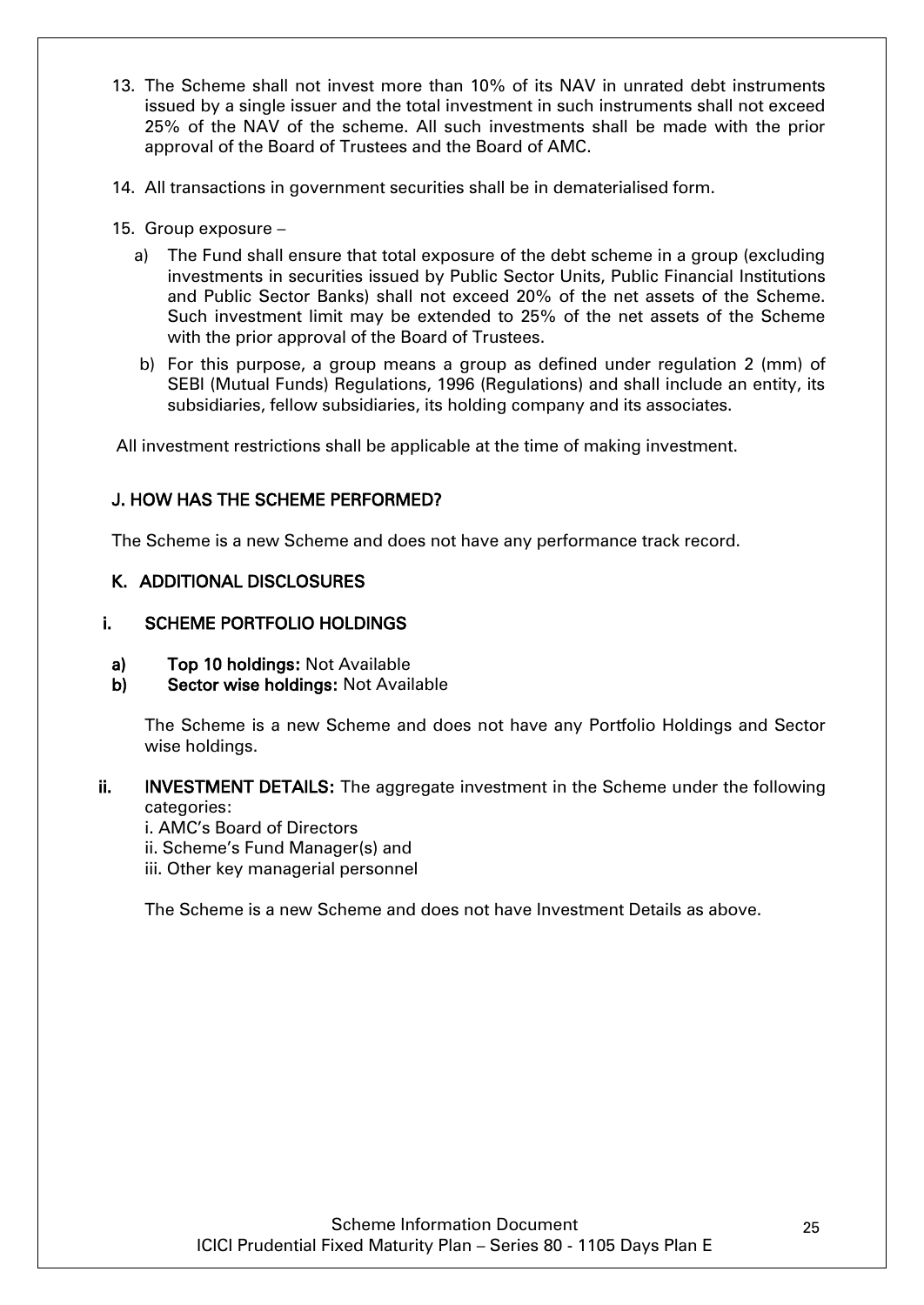- 13. The Scheme shall not invest more than 10% of its NAV in unrated debt instruments issued by a single issuer and the total investment in such instruments shall not exceed 25% of the NAV of the scheme. All such investments shall be made with the prior approval of the Board of Trustees and the Board of AMC.
- 14. All transactions in government securities shall be in dematerialised form.
- 15. Group exposure
	- a) The Fund shall ensure that total exposure of the debt scheme in a group (excluding investments in securities issued by Public Sector Units, Public Financial Institutions and Public Sector Banks) shall not exceed 20% of the net assets of the Scheme. Such investment limit may be extended to 25% of the net assets of the Scheme with the prior approval of the Board of Trustees.
	- b) For this purpose, a group means a group as defined under regulation 2 (mm) of SEBI (Mutual Funds) Regulations, 1996 (Regulations) and shall include an entity, its subsidiaries, fellow subsidiaries, its holding company and its associates.

All investment restrictions shall be applicable at the time of making investment.

# <span id="page-24-0"></span>J. HOW HAS THE SCHEME PERFORMED?

The Scheme is a new Scheme and does not have any performance track record.

# <span id="page-24-1"></span>K. ADDITIONAL DISCLOSURES

# i. SCHEME PORTFOLIO HOLDINGS

- a) Top 10 holdings: Not Available
- b) Sector wise holdings: Not Available

The Scheme is a new Scheme and does not have any Portfolio Holdings and Sector wise holdings.

#### ii. INVESTMENT DETAILS: The aggregate investment in the Scheme under the following categories:

- i. AMC"s Board of Directors
- ii. Scheme"s Fund Manager(s) and
- iii. Other key managerial personnel

The Scheme is a new Scheme and does not have Investment Details as above.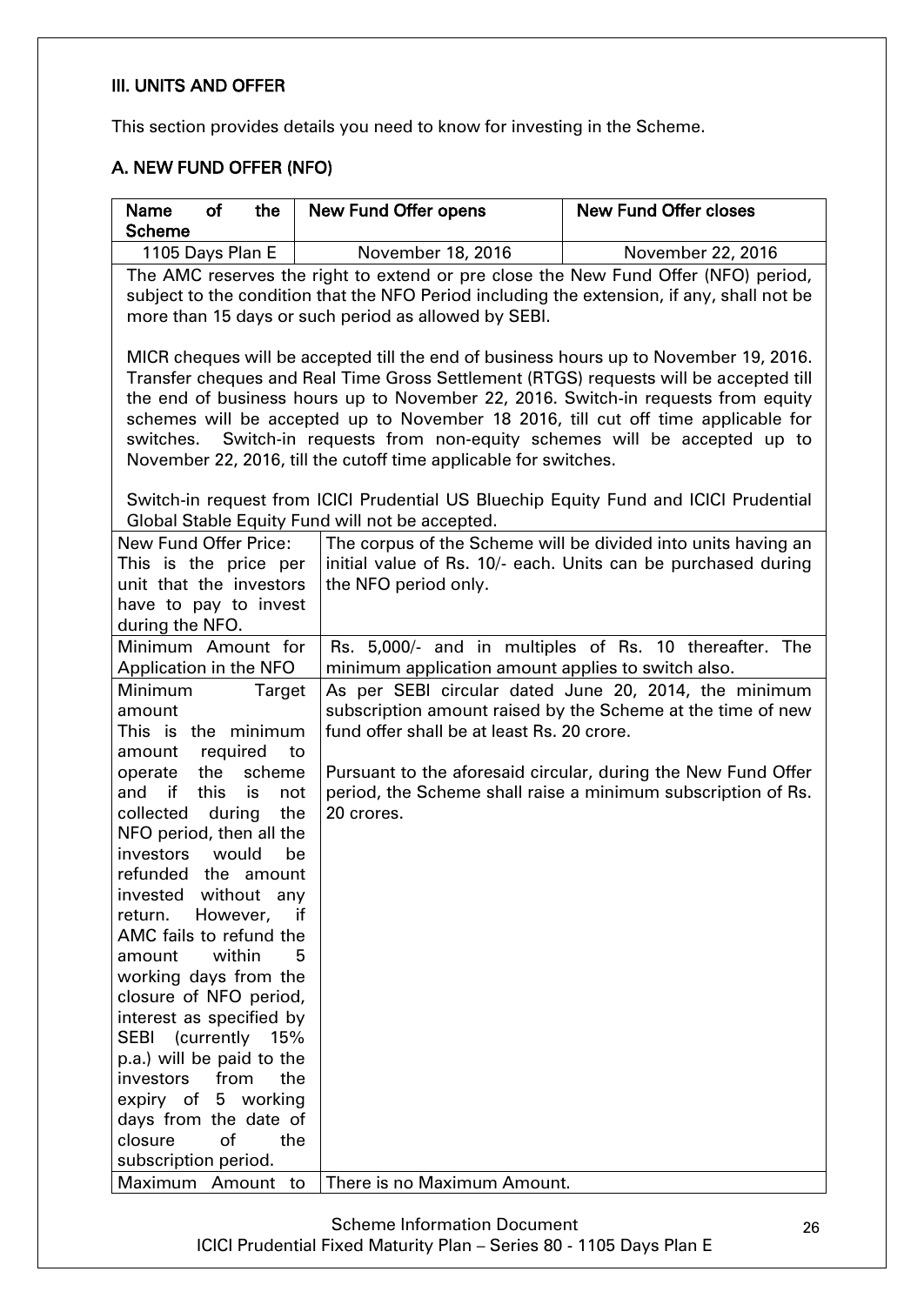### <span id="page-25-0"></span>III. UNITS AND OFFER

This section provides details you need to know for investing in the Scheme.

# <span id="page-25-1"></span>A. NEW FUND OFFER (NFO)

| <b>Name</b><br><b>of</b><br>the<br><b>Scheme</b>                                           | <b>New Fund Offer opens</b>                                                           | <b>New Fund Offer closes</b>                                                                                                   |  |  |
|--------------------------------------------------------------------------------------------|---------------------------------------------------------------------------------------|--------------------------------------------------------------------------------------------------------------------------------|--|--|
| 1105 Days Plan E                                                                           | November 18, 2016                                                                     | November 22, 2016                                                                                                              |  |  |
| The AMC reserves the right to extend or pre close the New Fund Offer (NFO) period,         |                                                                                       |                                                                                                                                |  |  |
| subject to the condition that the NFO Period including the extension, if any, shall not be |                                                                                       |                                                                                                                                |  |  |
|                                                                                            | more than 15 days or such period as allowed by SEBI.                                  |                                                                                                                                |  |  |
|                                                                                            |                                                                                       |                                                                                                                                |  |  |
|                                                                                            | MICR cheques will be accepted till the end of business hours up to November 19, 2016. |                                                                                                                                |  |  |
|                                                                                            | Transfer cheques and Real Time Gross Settlement (RTGS) requests will be accepted till |                                                                                                                                |  |  |
|                                                                                            | the end of business hours up to November 22, 2016. Switch-in requests from equity     |                                                                                                                                |  |  |
|                                                                                            | schemes will be accepted up to November 18 2016, till cut off time applicable for     |                                                                                                                                |  |  |
| switches.                                                                                  | Switch-in requests from non-equity schemes will be accepted up to                     |                                                                                                                                |  |  |
|                                                                                            | November 22, 2016, till the cutoff time applicable for switches.                      |                                                                                                                                |  |  |
|                                                                                            |                                                                                       |                                                                                                                                |  |  |
|                                                                                            | Switch-in request from ICICI Prudential US Bluechip Equity Fund and ICICI Prudential  |                                                                                                                                |  |  |
|                                                                                            | Global Stable Equity Fund will not be accepted.                                       |                                                                                                                                |  |  |
| <b>New Fund Offer Price:</b><br>This is the price per                                      |                                                                                       | The corpus of the Scheme will be divided into units having an<br>initial value of Rs. 10/- each. Units can be purchased during |  |  |
| unit that the investors                                                                    | the NFO period only.                                                                  |                                                                                                                                |  |  |
| have to pay to invest                                                                      |                                                                                       |                                                                                                                                |  |  |
| during the NFO.                                                                            |                                                                                       |                                                                                                                                |  |  |
| Minimum Amount for                                                                         |                                                                                       | Rs. 5,000/- and in multiples of Rs. 10 thereafter. The                                                                         |  |  |
| Application in the NFO                                                                     | minimum application amount applies to switch also.                                    |                                                                                                                                |  |  |
| Minimum<br><b>Target</b>                                                                   |                                                                                       | As per SEBI circular dated June 20, 2014, the minimum                                                                          |  |  |
| amount                                                                                     |                                                                                       | subscription amount raised by the Scheme at the time of new                                                                    |  |  |
| This is the minimum                                                                        | fund offer shall be at least Rs. 20 crore.                                            |                                                                                                                                |  |  |
| required<br>amount<br>to                                                                   |                                                                                       |                                                                                                                                |  |  |
| the<br>scheme<br>operate                                                                   |                                                                                       | Pursuant to the aforesaid circular, during the New Fund Offer                                                                  |  |  |
| if<br>and<br>this<br>is<br>not                                                             |                                                                                       | period, the Scheme shall raise a minimum subscription of Rs.                                                                   |  |  |
| collected<br>during<br>the                                                                 | 20 crores.                                                                            |                                                                                                                                |  |  |
| NFO period, then all the                                                                   |                                                                                       |                                                                                                                                |  |  |
| investors<br>would<br>be                                                                   |                                                                                       |                                                                                                                                |  |  |
| refunded<br>the amount                                                                     |                                                                                       |                                                                                                                                |  |  |
| invested<br>without any                                                                    |                                                                                       |                                                                                                                                |  |  |
| However,<br>return.<br>if                                                                  |                                                                                       |                                                                                                                                |  |  |
| AMC fails to refund the<br>within<br>amount<br>5                                           |                                                                                       |                                                                                                                                |  |  |
| working days from the                                                                      |                                                                                       |                                                                                                                                |  |  |
| closure of NFO period,                                                                     |                                                                                       |                                                                                                                                |  |  |
| interest as specified by                                                                   |                                                                                       |                                                                                                                                |  |  |
| SEBI (currently 15%                                                                        |                                                                                       |                                                                                                                                |  |  |
| p.a.) will be paid to the                                                                  |                                                                                       |                                                                                                                                |  |  |
| from<br>investors<br>the                                                                   |                                                                                       |                                                                                                                                |  |  |
| expiry of<br>5 working                                                                     |                                                                                       |                                                                                                                                |  |  |
| days from the date of                                                                      |                                                                                       |                                                                                                                                |  |  |
| of<br>closure<br>the                                                                       |                                                                                       |                                                                                                                                |  |  |
| subscription period.                                                                       |                                                                                       |                                                                                                                                |  |  |
| Maximum Amount to                                                                          | There is no Maximum Amount.                                                           |                                                                                                                                |  |  |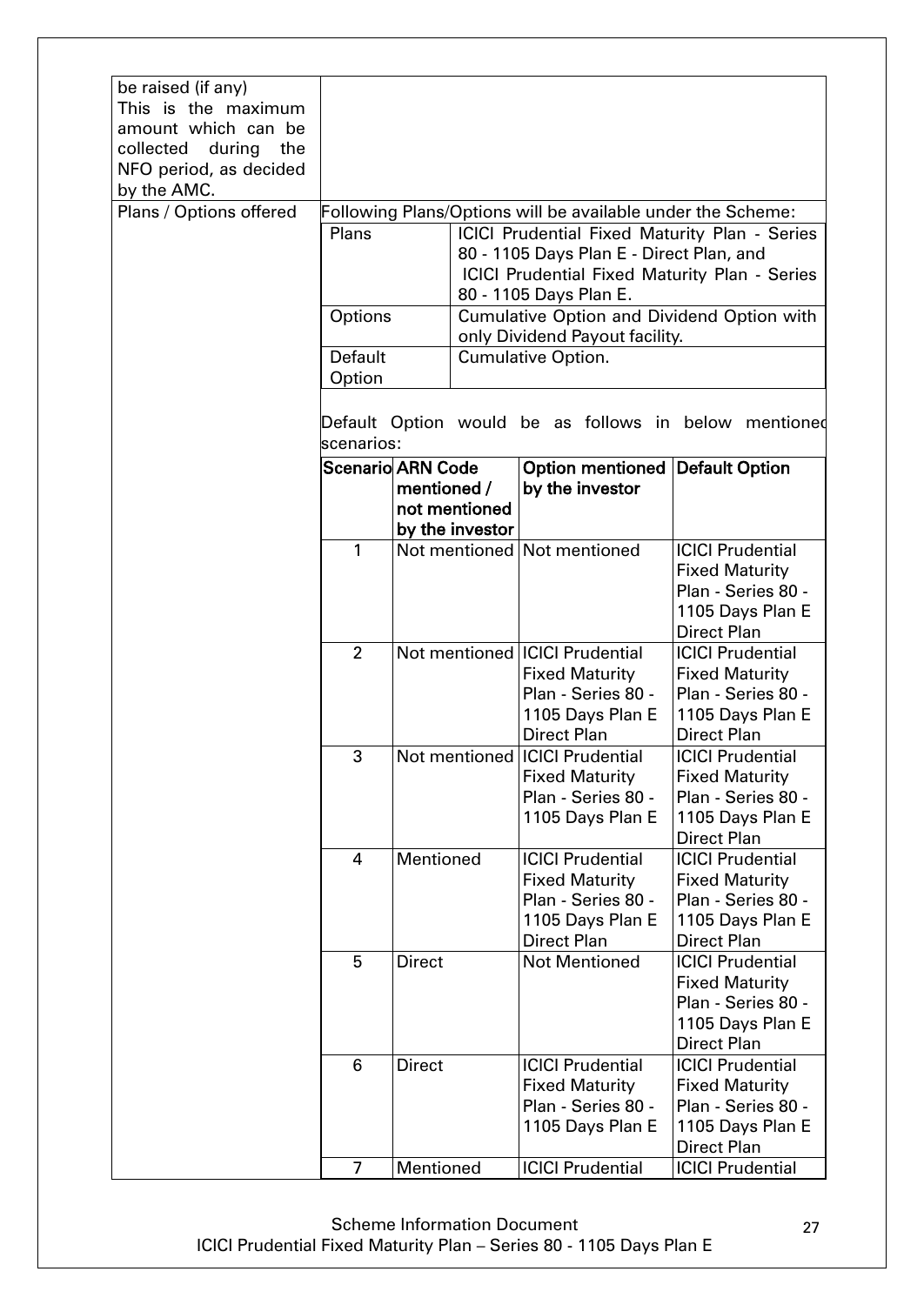| be raised (if any)<br>This is the maximum<br>amount which can be<br>collected<br>during<br>the<br>NFO period, as decided<br>by the AMC. |                          |               |                 |                                                             |                                                       |
|-----------------------------------------------------------------------------------------------------------------------------------------|--------------------------|---------------|-----------------|-------------------------------------------------------------|-------------------------------------------------------|
| Plans / Options offered                                                                                                                 |                          |               |                 | Following Plans/Options will be available under the Scheme: |                                                       |
|                                                                                                                                         |                          |               |                 |                                                             |                                                       |
|                                                                                                                                         | Plans                    |               |                 | ICICI Prudential Fixed Maturity Plan - Series               |                                                       |
|                                                                                                                                         |                          |               |                 | 80 - 1105 Days Plan E - Direct Plan, and                    |                                                       |
|                                                                                                                                         |                          |               |                 | <b>ICICI Prudential Fixed Maturity Plan - Series</b>        |                                                       |
|                                                                                                                                         |                          |               |                 | 80 - 1105 Days Plan E.                                      |                                                       |
|                                                                                                                                         | Options                  |               |                 | Cumulative Option and Dividend Option with                  |                                                       |
|                                                                                                                                         |                          |               |                 | only Dividend Payout facility.                              |                                                       |
|                                                                                                                                         | Default                  |               |                 | <b>Cumulative Option.</b>                                   |                                                       |
|                                                                                                                                         | Option                   |               |                 |                                                             |                                                       |
|                                                                                                                                         | scenarios:               |               |                 |                                                             | Default Option would be as follows in below mentioned |
|                                                                                                                                         | <b>Scenario ARN Code</b> |               |                 | Option mentioned                                            | <b>Default Option</b>                                 |
|                                                                                                                                         |                          | mentioned /   |                 | by the investor                                             |                                                       |
|                                                                                                                                         |                          |               | not mentioned   |                                                             |                                                       |
|                                                                                                                                         |                          |               | by the investor |                                                             |                                                       |
|                                                                                                                                         | 1                        |               |                 | Not mentioned Not mentioned                                 | <b>ICICI Prudential</b>                               |
|                                                                                                                                         |                          |               |                 |                                                             | <b>Fixed Maturity</b>                                 |
|                                                                                                                                         |                          |               |                 |                                                             | Plan - Series 80 -                                    |
|                                                                                                                                         |                          |               |                 |                                                             | 1105 Days Plan E                                      |
|                                                                                                                                         |                          |               |                 |                                                             | <b>Direct Plan</b>                                    |
|                                                                                                                                         | $\overline{2}$           |               |                 | Not mentioned   ICICI Prudential                            | <b>ICICI Prudential</b>                               |
|                                                                                                                                         |                          |               |                 | <b>Fixed Maturity</b>                                       | <b>Fixed Maturity</b>                                 |
|                                                                                                                                         |                          |               |                 | Plan - Series 80 -                                          | Plan - Series 80 -                                    |
|                                                                                                                                         |                          |               |                 | 1105 Days Plan E                                            | 1105 Days Plan E                                      |
|                                                                                                                                         |                          |               |                 | <b>Direct Plan</b>                                          | <b>Direct Plan</b>                                    |
|                                                                                                                                         | 3                        |               |                 | Not mentioned ICICI Prudential                              | <b>ICICI Prudential</b>                               |
|                                                                                                                                         |                          |               |                 | <b>Fixed Maturity</b>                                       | <b>Fixed Maturity</b>                                 |
|                                                                                                                                         |                          |               |                 | Plan - Series 80 -                                          | Plan - Series 80 -                                    |
|                                                                                                                                         |                          |               |                 |                                                             |                                                       |
|                                                                                                                                         |                          |               |                 | 1105 Days Plan E                                            | 1105 Days Plan E                                      |
|                                                                                                                                         |                          | Mentioned     |                 | <b>ICICI Prudential</b>                                     | <b>Direct Plan</b><br><b>ICICI Prudential</b>         |
|                                                                                                                                         | 4                        |               |                 |                                                             |                                                       |
|                                                                                                                                         |                          |               |                 | <b>Fixed Maturity</b><br>Plan - Series 80 -                 | <b>Fixed Maturity</b><br>Plan - Series 80 -           |
|                                                                                                                                         |                          |               |                 |                                                             |                                                       |
|                                                                                                                                         |                          |               |                 | 1105 Days Plan E                                            | 1105 Days Plan E                                      |
|                                                                                                                                         |                          |               |                 | <b>Direct Plan</b>                                          | <b>Direct Plan</b>                                    |
|                                                                                                                                         | 5                        | <b>Direct</b> |                 | <b>Not Mentioned</b>                                        | <b>ICICI Prudential</b>                               |
|                                                                                                                                         |                          |               |                 |                                                             | <b>Fixed Maturity</b>                                 |
|                                                                                                                                         |                          |               |                 |                                                             | Plan - Series 80 -                                    |
|                                                                                                                                         |                          |               |                 |                                                             | 1105 Days Plan E                                      |
|                                                                                                                                         |                          |               |                 |                                                             | <b>Direct Plan</b>                                    |
|                                                                                                                                         | 6                        | <b>Direct</b> |                 | <b>ICICI Prudential</b>                                     | <b>ICICI Prudential</b>                               |
|                                                                                                                                         |                          |               |                 | <b>Fixed Maturity</b><br>Plan - Series 80 -                 | <b>Fixed Maturity</b><br>Plan - Series 80 -           |
|                                                                                                                                         |                          |               |                 |                                                             |                                                       |
|                                                                                                                                         |                          |               |                 | 1105 Days Plan E                                            | 1105 Days Plan E                                      |
|                                                                                                                                         |                          |               |                 |                                                             | <b>Direct Plan</b>                                    |
|                                                                                                                                         | 7                        | Mentioned     |                 | <b>ICICI Prudential</b>                                     | <b>ICICI Prudential</b>                               |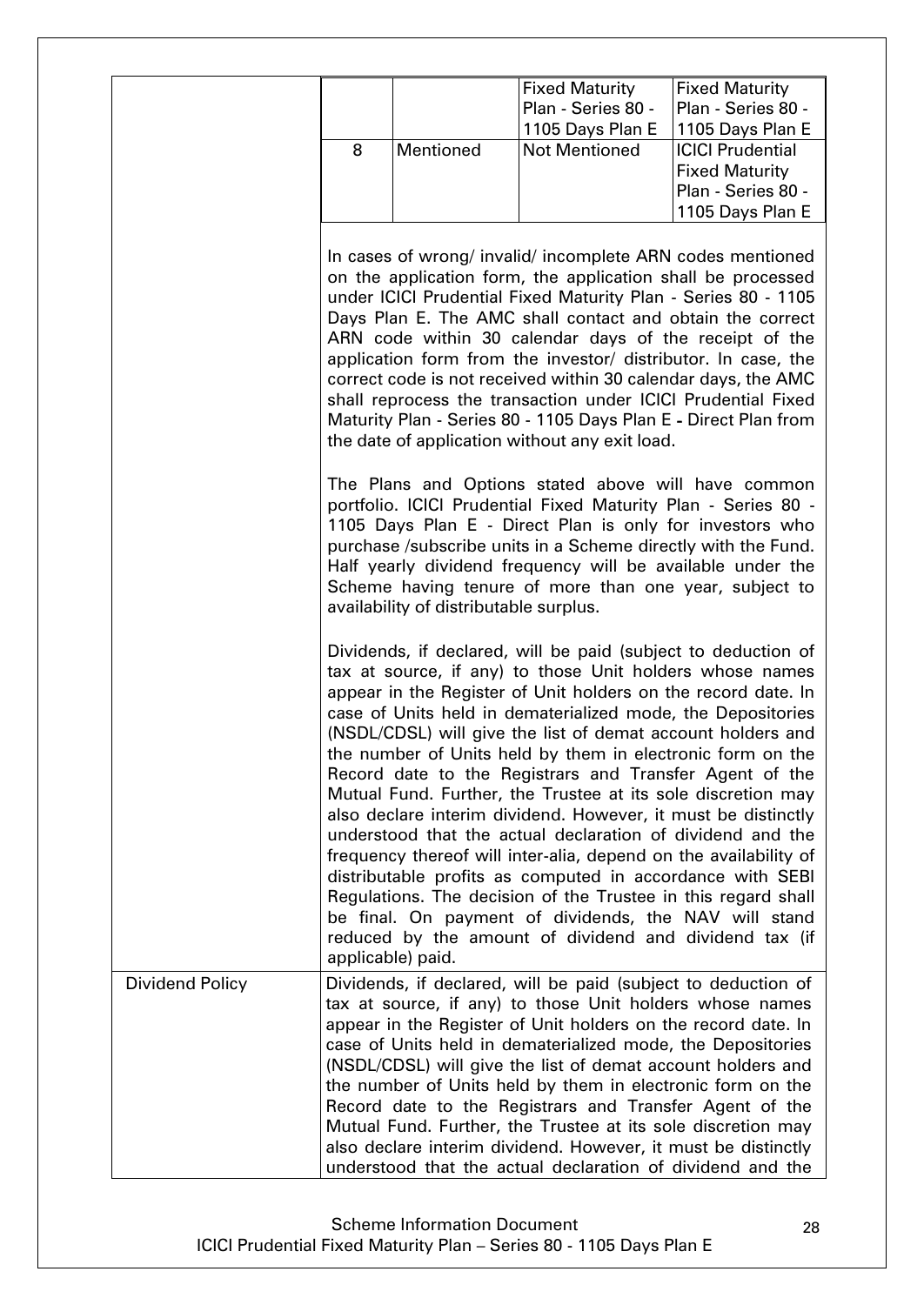|                 |   |                                        | <b>Fixed Maturity</b>                                                                                                                                                                                                                                                                                                                                                                                                                                                                                                                                                                                                                                                                                                                                                                                                                                                                                                                                                 | <b>Fixed Maturity</b>   |
|-----------------|---|----------------------------------------|-----------------------------------------------------------------------------------------------------------------------------------------------------------------------------------------------------------------------------------------------------------------------------------------------------------------------------------------------------------------------------------------------------------------------------------------------------------------------------------------------------------------------------------------------------------------------------------------------------------------------------------------------------------------------------------------------------------------------------------------------------------------------------------------------------------------------------------------------------------------------------------------------------------------------------------------------------------------------|-------------------------|
|                 |   |                                        | Plan - Series 80 -                                                                                                                                                                                                                                                                                                                                                                                                                                                                                                                                                                                                                                                                                                                                                                                                                                                                                                                                                    | Plan - Series 80 -      |
|                 |   |                                        | 1105 Days Plan E                                                                                                                                                                                                                                                                                                                                                                                                                                                                                                                                                                                                                                                                                                                                                                                                                                                                                                                                                      | 1105 Days Plan E        |
|                 | 8 | Mentioned                              | <b>Not Mentioned</b>                                                                                                                                                                                                                                                                                                                                                                                                                                                                                                                                                                                                                                                                                                                                                                                                                                                                                                                                                  | <b>ICICI Prudential</b> |
|                 |   |                                        |                                                                                                                                                                                                                                                                                                                                                                                                                                                                                                                                                                                                                                                                                                                                                                                                                                                                                                                                                                       | <b>Fixed Maturity</b>   |
|                 |   |                                        |                                                                                                                                                                                                                                                                                                                                                                                                                                                                                                                                                                                                                                                                                                                                                                                                                                                                                                                                                                       | Plan - Series 80 -      |
|                 |   |                                        |                                                                                                                                                                                                                                                                                                                                                                                                                                                                                                                                                                                                                                                                                                                                                                                                                                                                                                                                                                       | 1105 Days Plan E        |
|                 |   |                                        |                                                                                                                                                                                                                                                                                                                                                                                                                                                                                                                                                                                                                                                                                                                                                                                                                                                                                                                                                                       |                         |
|                 |   |                                        | In cases of wrong/ invalid/ incomplete ARN codes mentioned<br>on the application form, the application shall be processed<br>under ICICI Prudential Fixed Maturity Plan - Series 80 - 1105<br>Days Plan E. The AMC shall contact and obtain the correct<br>ARN code within 30 calendar days of the receipt of the<br>application form from the investor/ distributor. In case, the<br>correct code is not received within 30 calendar days, the AMC<br>shall reprocess the transaction under ICICI Prudential Fixed<br>Maturity Plan - Series 80 - 1105 Days Plan E - Direct Plan from<br>the date of application without any exit load.                                                                                                                                                                                                                                                                                                                              |                         |
|                 |   | availability of distributable surplus. | The Plans and Options stated above will have common<br>portfolio. ICICI Prudential Fixed Maturity Plan - Series 80 -<br>1105 Days Plan E - Direct Plan is only for investors who<br>purchase /subscribe units in a Scheme directly with the Fund.<br>Half yearly dividend frequency will be available under the<br>Scheme having tenure of more than one year, subject to                                                                                                                                                                                                                                                                                                                                                                                                                                                                                                                                                                                             |                         |
|                 |   | applicable) paid.                      | Dividends, if declared, will be paid (subject to deduction of<br>tax at source, if any) to those Unit holders whose names<br>appear in the Register of Unit holders on the record date. In<br>case of Units held in dematerialized mode, the Depositories<br>(NSDL/CDSL) will give the list of demat account holders and<br>the number of Units held by them in electronic form on the<br>Record date to the Registrars and Transfer Agent of the<br>Mutual Fund. Further, the Trustee at its sole discretion may<br>also declare interim dividend. However, it must be distinctly<br>understood that the actual declaration of dividend and the<br>frequency thereof will inter-alia, depend on the availability of<br>distributable profits as computed in accordance with SEBI<br>Regulations. The decision of the Trustee in this regard shall<br>be final. On payment of dividends, the NAV will stand<br>reduced by the amount of dividend and dividend tax (if |                         |
| Dividend Policy |   |                                        | Dividends, if declared, will be paid (subject to deduction of                                                                                                                                                                                                                                                                                                                                                                                                                                                                                                                                                                                                                                                                                                                                                                                                                                                                                                         |                         |
|                 |   |                                        | tax at source, if any) to those Unit holders whose names                                                                                                                                                                                                                                                                                                                                                                                                                                                                                                                                                                                                                                                                                                                                                                                                                                                                                                              |                         |
|                 |   |                                        | appear in the Register of Unit holders on the record date. In                                                                                                                                                                                                                                                                                                                                                                                                                                                                                                                                                                                                                                                                                                                                                                                                                                                                                                         |                         |
|                 |   |                                        | case of Units held in dematerialized mode, the Depositories                                                                                                                                                                                                                                                                                                                                                                                                                                                                                                                                                                                                                                                                                                                                                                                                                                                                                                           |                         |
|                 |   |                                        |                                                                                                                                                                                                                                                                                                                                                                                                                                                                                                                                                                                                                                                                                                                                                                                                                                                                                                                                                                       |                         |
|                 |   |                                        | (NSDL/CDSL) will give the list of demat account holders and                                                                                                                                                                                                                                                                                                                                                                                                                                                                                                                                                                                                                                                                                                                                                                                                                                                                                                           |                         |
|                 |   |                                        | the number of Units held by them in electronic form on the                                                                                                                                                                                                                                                                                                                                                                                                                                                                                                                                                                                                                                                                                                                                                                                                                                                                                                            |                         |
|                 |   |                                        | Record date to the Registrars and Transfer Agent of the                                                                                                                                                                                                                                                                                                                                                                                                                                                                                                                                                                                                                                                                                                                                                                                                                                                                                                               |                         |
|                 |   |                                        | Mutual Fund. Further, the Trustee at its sole discretion may                                                                                                                                                                                                                                                                                                                                                                                                                                                                                                                                                                                                                                                                                                                                                                                                                                                                                                          |                         |
|                 |   |                                        | also declare interim dividend. However, it must be distinctly                                                                                                                                                                                                                                                                                                                                                                                                                                                                                                                                                                                                                                                                                                                                                                                                                                                                                                         |                         |
|                 |   |                                        | understood that the actual declaration of dividend and the                                                                                                                                                                                                                                                                                                                                                                                                                                                                                                                                                                                                                                                                                                                                                                                                                                                                                                            |                         |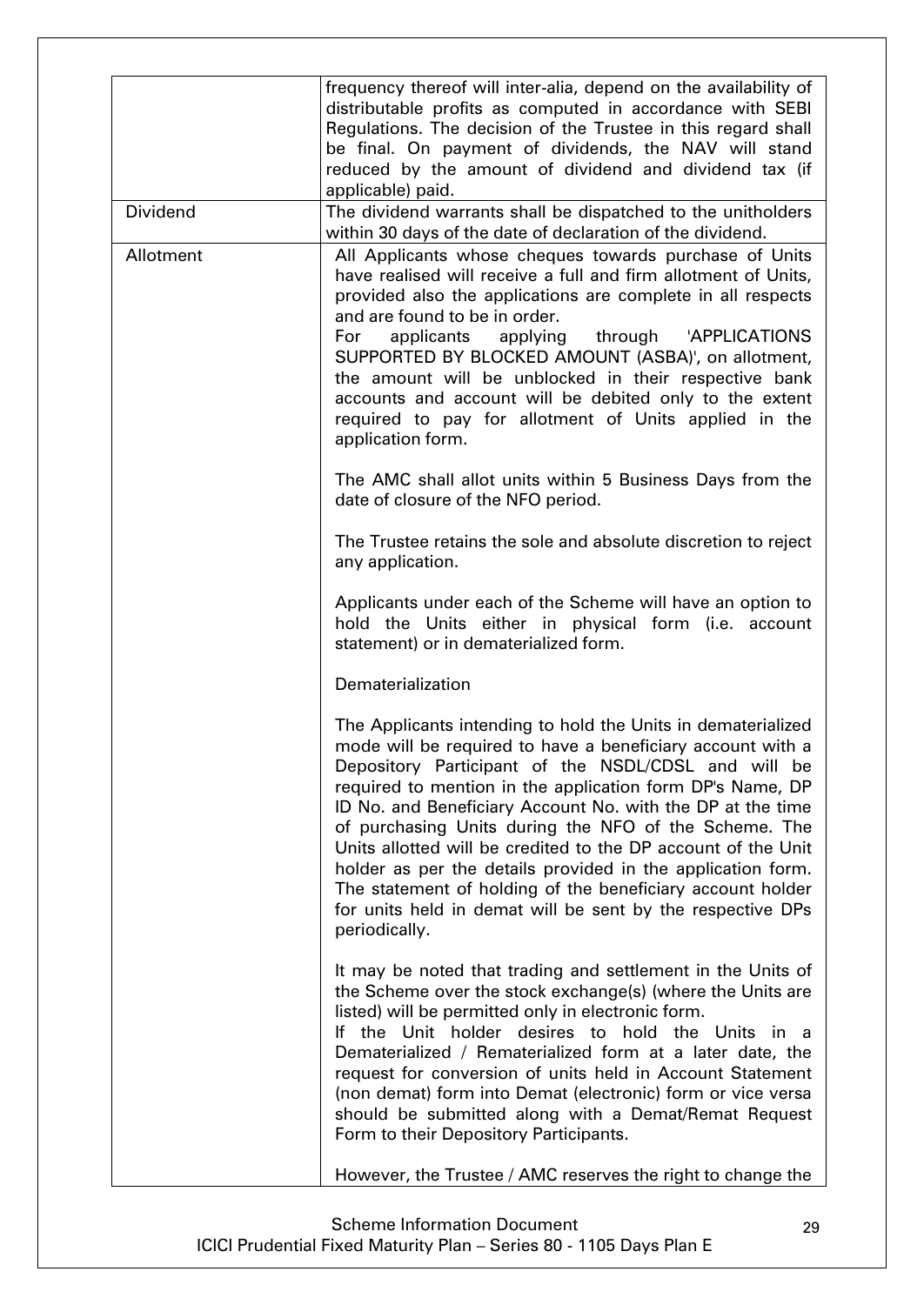|                 | frequency thereof will inter-alia, depend on the availability of<br>distributable profits as computed in accordance with SEBI<br>Regulations. The decision of the Trustee in this regard shall<br>be final. On payment of dividends, the NAV will stand<br>reduced by the amount of dividend and dividend tax (if<br>applicable) paid.                                                                                                                                                                                                                                                                                                             |
|-----------------|----------------------------------------------------------------------------------------------------------------------------------------------------------------------------------------------------------------------------------------------------------------------------------------------------------------------------------------------------------------------------------------------------------------------------------------------------------------------------------------------------------------------------------------------------------------------------------------------------------------------------------------------------|
| <b>Dividend</b> | The dividend warrants shall be dispatched to the unitholders<br>within 30 days of the date of declaration of the dividend.                                                                                                                                                                                                                                                                                                                                                                                                                                                                                                                         |
| Allotment       | All Applicants whose cheques towards purchase of Units<br>have realised will receive a full and firm allotment of Units,<br>provided also the applications are complete in all respects<br>and are found to be in order.<br>For<br>applicants<br>applying<br>through 'APPLICATIONS<br>SUPPORTED BY BLOCKED AMOUNT (ASBA)', on allotment,<br>the amount will be unblocked in their respective bank<br>accounts and account will be debited only to the extent<br>required to pay for allotment of Units applied in the<br>application form.                                                                                                         |
|                 | The AMC shall allot units within 5 Business Days from the<br>date of closure of the NFO period.                                                                                                                                                                                                                                                                                                                                                                                                                                                                                                                                                    |
|                 | The Trustee retains the sole and absolute discretion to reject<br>any application.                                                                                                                                                                                                                                                                                                                                                                                                                                                                                                                                                                 |
|                 | Applicants under each of the Scheme will have an option to<br>hold the Units either in physical form (i.e. account<br>statement) or in dematerialized form.                                                                                                                                                                                                                                                                                                                                                                                                                                                                                        |
|                 | Dematerialization                                                                                                                                                                                                                                                                                                                                                                                                                                                                                                                                                                                                                                  |
|                 | The Applicants intending to hold the Units in dematerialized<br>mode will be required to have a beneficiary account with a<br>Depository Participant of the NSDL/CDSL and will be<br>required to mention in the application form DP's Name, DP<br>ID No. and Beneficiary Account No. with the DP at the time<br>of purchasing Units during the NFO of the Scheme. The<br>Units allotted will be credited to the DP account of the Unit<br>holder as per the details provided in the application form.<br>The statement of holding of the beneficiary account holder<br>for units held in demat will be sent by the respective DPs<br>periodically. |
|                 | It may be noted that trading and settlement in the Units of<br>the Scheme over the stock exchange(s) (where the Units are<br>listed) will be permitted only in electronic form.<br>If the Unit holder desires to hold the Units in a<br>Dematerialized / Rematerialized form at a later date, the<br>request for conversion of units held in Account Statement<br>(non demat) form into Demat (electronic) form or vice versa<br>should be submitted along with a Demat/Remat Request<br>Form to their Depository Participants.                                                                                                                    |
|                 | However, the Trustee / AMC reserves the right to change the                                                                                                                                                                                                                                                                                                                                                                                                                                                                                                                                                                                        |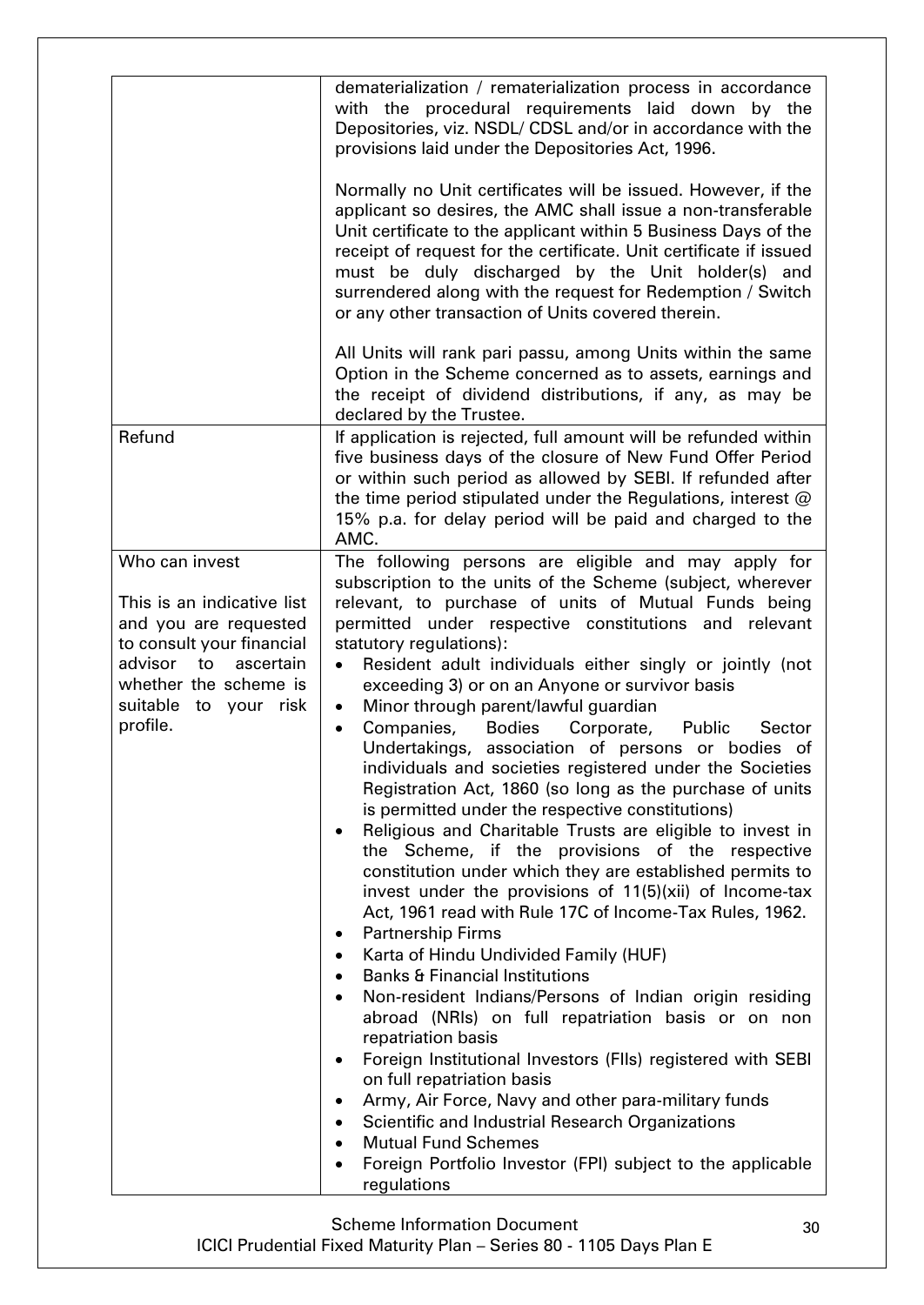|                                                                                                                       | dematerialization / rematerialization process in accordance<br>with the procedural requirements laid down by the<br>Depositories, viz. NSDL/ CDSL and/or in accordance with the<br>provisions laid under the Depositories Act, 1996.                                                                                                                                                                                                                                                                                                                                                                                                                                                                                                                                                                                                                                                                                                                                                                                                                                                                                                                                                                                                                                                                                                                                    |
|-----------------------------------------------------------------------------------------------------------------------|-------------------------------------------------------------------------------------------------------------------------------------------------------------------------------------------------------------------------------------------------------------------------------------------------------------------------------------------------------------------------------------------------------------------------------------------------------------------------------------------------------------------------------------------------------------------------------------------------------------------------------------------------------------------------------------------------------------------------------------------------------------------------------------------------------------------------------------------------------------------------------------------------------------------------------------------------------------------------------------------------------------------------------------------------------------------------------------------------------------------------------------------------------------------------------------------------------------------------------------------------------------------------------------------------------------------------------------------------------------------------|
|                                                                                                                       | Normally no Unit certificates will be issued. However, if the<br>applicant so desires, the AMC shall issue a non-transferable<br>Unit certificate to the applicant within 5 Business Days of the<br>receipt of request for the certificate. Unit certificate if issued<br>must be duly discharged by the Unit holder(s) and<br>surrendered along with the request for Redemption / Switch<br>or any other transaction of Units covered therein.                                                                                                                                                                                                                                                                                                                                                                                                                                                                                                                                                                                                                                                                                                                                                                                                                                                                                                                         |
|                                                                                                                       | All Units will rank pari passu, among Units within the same<br>Option in the Scheme concerned as to assets, earnings and<br>the receipt of dividend distributions, if any, as may be<br>declared by the Trustee.                                                                                                                                                                                                                                                                                                                                                                                                                                                                                                                                                                                                                                                                                                                                                                                                                                                                                                                                                                                                                                                                                                                                                        |
| Refund                                                                                                                | If application is rejected, full amount will be refunded within<br>five business days of the closure of New Fund Offer Period<br>or within such period as allowed by SEBI. If refunded after<br>the time period stipulated under the Regulations, interest @<br>15% p.a. for delay period will be paid and charged to the<br>AMC.                                                                                                                                                                                                                                                                                                                                                                                                                                                                                                                                                                                                                                                                                                                                                                                                                                                                                                                                                                                                                                       |
| Who can invest                                                                                                        | The following persons are eligible and may apply for<br>subscription to the units of the Scheme (subject, wherever                                                                                                                                                                                                                                                                                                                                                                                                                                                                                                                                                                                                                                                                                                                                                                                                                                                                                                                                                                                                                                                                                                                                                                                                                                                      |
| This is an indicative list<br>and you are requested                                                                   | relevant, to purchase of units of Mutual Funds being<br>permitted under respective constitutions and relevant                                                                                                                                                                                                                                                                                                                                                                                                                                                                                                                                                                                                                                                                                                                                                                                                                                                                                                                                                                                                                                                                                                                                                                                                                                                           |
| to consult your financial<br>advisor to<br>ascertain<br>whether the scheme is<br>suitable<br>to your risk<br>profile. | statutory regulations):<br>Resident adult individuals either singly or jointly (not<br>exceeding 3) or on an Anyone or survivor basis<br>Minor through parent/lawful guardian<br>$\bullet$<br>Companies, Bodies Corporate,<br>Public<br>Sector<br>$\bullet$<br>Undertakings, association of persons or bodies of<br>individuals and societies registered under the Societies<br>Registration Act, 1860 (so long as the purchase of units<br>is permitted under the respective constitutions)<br>Religious and Charitable Trusts are eligible to invest in<br>the Scheme, if the provisions of the respective<br>constitution under which they are established permits to<br>invest under the provisions of 11(5)(xii) of Income-tax<br>Act, 1961 read with Rule 17C of Income-Tax Rules, 1962.<br><b>Partnership Firms</b><br>Karta of Hindu Undivided Family (HUF)<br><b>Banks &amp; Financial Institutions</b><br>Non-resident Indians/Persons of Indian origin residing<br>abroad (NRIs) on full repatriation basis or on non<br>repatriation basis<br>Foreign Institutional Investors (FIIs) registered with SEBI<br>$\bullet$<br>on full repatriation basis<br>Army, Air Force, Navy and other para-military funds<br>Scientific and Industrial Research Organizations<br><b>Mutual Fund Schemes</b><br>Foreign Portfolio Investor (FPI) subject to the applicable |
|                                                                                                                       | regulations                                                                                                                                                                                                                                                                                                                                                                                                                                                                                                                                                                                                                                                                                                                                                                                                                                                                                                                                                                                                                                                                                                                                                                                                                                                                                                                                                             |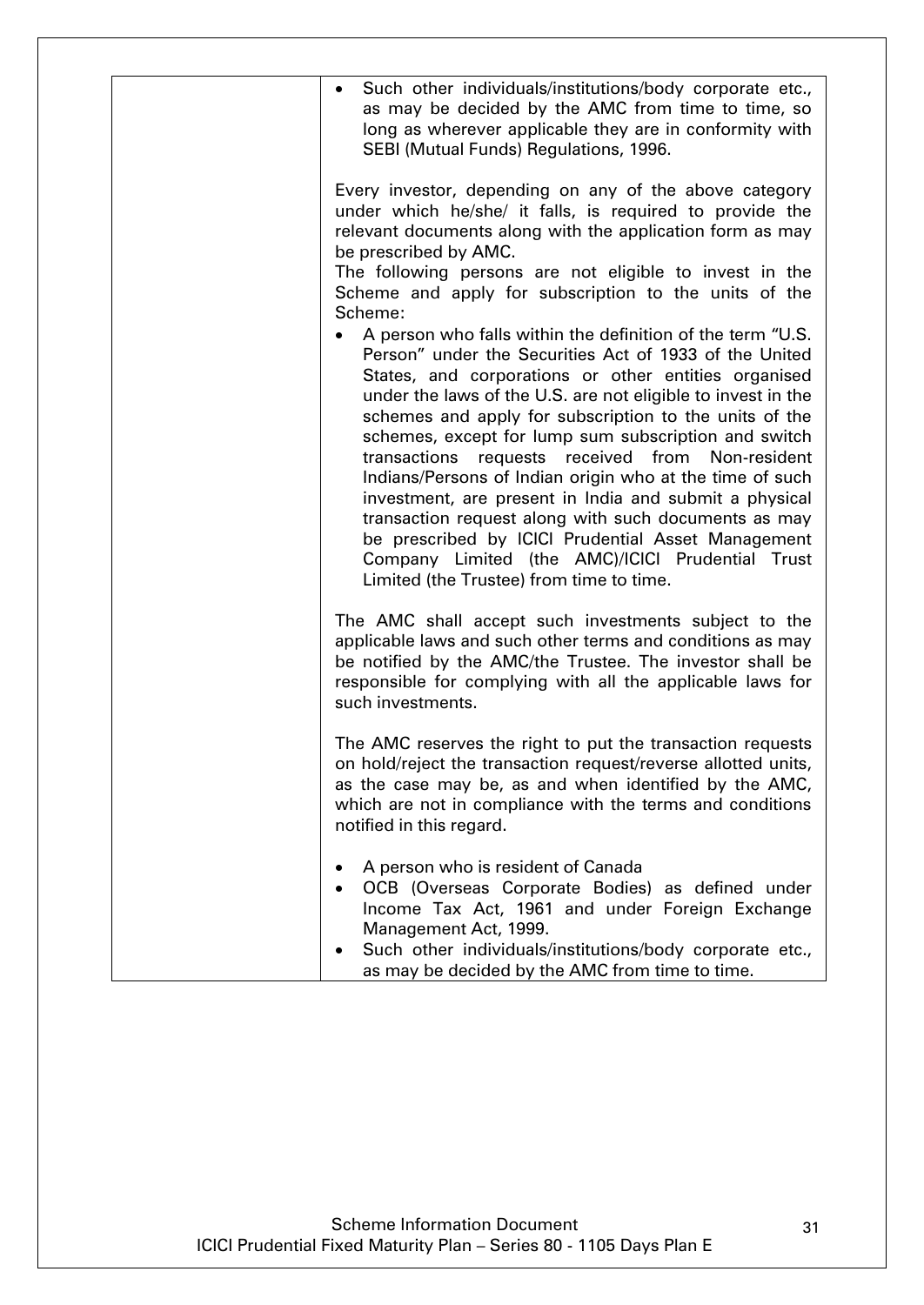| Such other individuals/institutions/body corporate etc.,<br>$\bullet$<br>as may be decided by the AMC from time to time, so<br>long as wherever applicable they are in conformity with<br>SEBI (Mutual Funds) Regulations, 1996.                                                                                                                                                                                                                                                                                                                                                                                                                                                                                                                             |
|--------------------------------------------------------------------------------------------------------------------------------------------------------------------------------------------------------------------------------------------------------------------------------------------------------------------------------------------------------------------------------------------------------------------------------------------------------------------------------------------------------------------------------------------------------------------------------------------------------------------------------------------------------------------------------------------------------------------------------------------------------------|
| Every investor, depending on any of the above category<br>under which he/she/ it falls, is required to provide the<br>relevant documents along with the application form as may<br>be prescribed by AMC.                                                                                                                                                                                                                                                                                                                                                                                                                                                                                                                                                     |
| The following persons are not eligible to invest in the<br>Scheme and apply for subscription to the units of the<br>Scheme:                                                                                                                                                                                                                                                                                                                                                                                                                                                                                                                                                                                                                                  |
| A person who falls within the definition of the term "U.S.<br>Person" under the Securities Act of 1933 of the United<br>States, and corporations or other entities organised<br>under the laws of the U.S. are not eligible to invest in the<br>schemes and apply for subscription to the units of the<br>schemes, except for lump sum subscription and switch<br>received from Non-resident<br>transactions<br>requests<br>Indians/Persons of Indian origin who at the time of such<br>investment, are present in India and submit a physical<br>transaction request along with such documents as may<br>be prescribed by ICICI Prudential Asset Management<br>Company Limited (the AMC)/ICICI Prudential Trust<br>Limited (the Trustee) from time to time. |
| The AMC shall accept such investments subject to the<br>applicable laws and such other terms and conditions as may<br>be notified by the AMC/the Trustee. The investor shall be<br>responsible for complying with all the applicable laws for<br>such investments.                                                                                                                                                                                                                                                                                                                                                                                                                                                                                           |
| The AMC reserves the right to put the transaction requests<br>on hold/reject the transaction request/reverse allotted units,<br>as the case may be, as and when identified by the AMC,<br>which are not in compliance with the terms and conditions<br>notified in this regard.                                                                                                                                                                                                                                                                                                                                                                                                                                                                              |
| A person who is resident of Canada<br>OCB (Overseas Corporate Bodies) as defined under<br>Income Tax Act, 1961 and under Foreign Exchange<br>Management Act, 1999.<br>Such other individuals/institutions/body corporate etc.,<br>as may be decided by the AMC from time to time.                                                                                                                                                                                                                                                                                                                                                                                                                                                                            |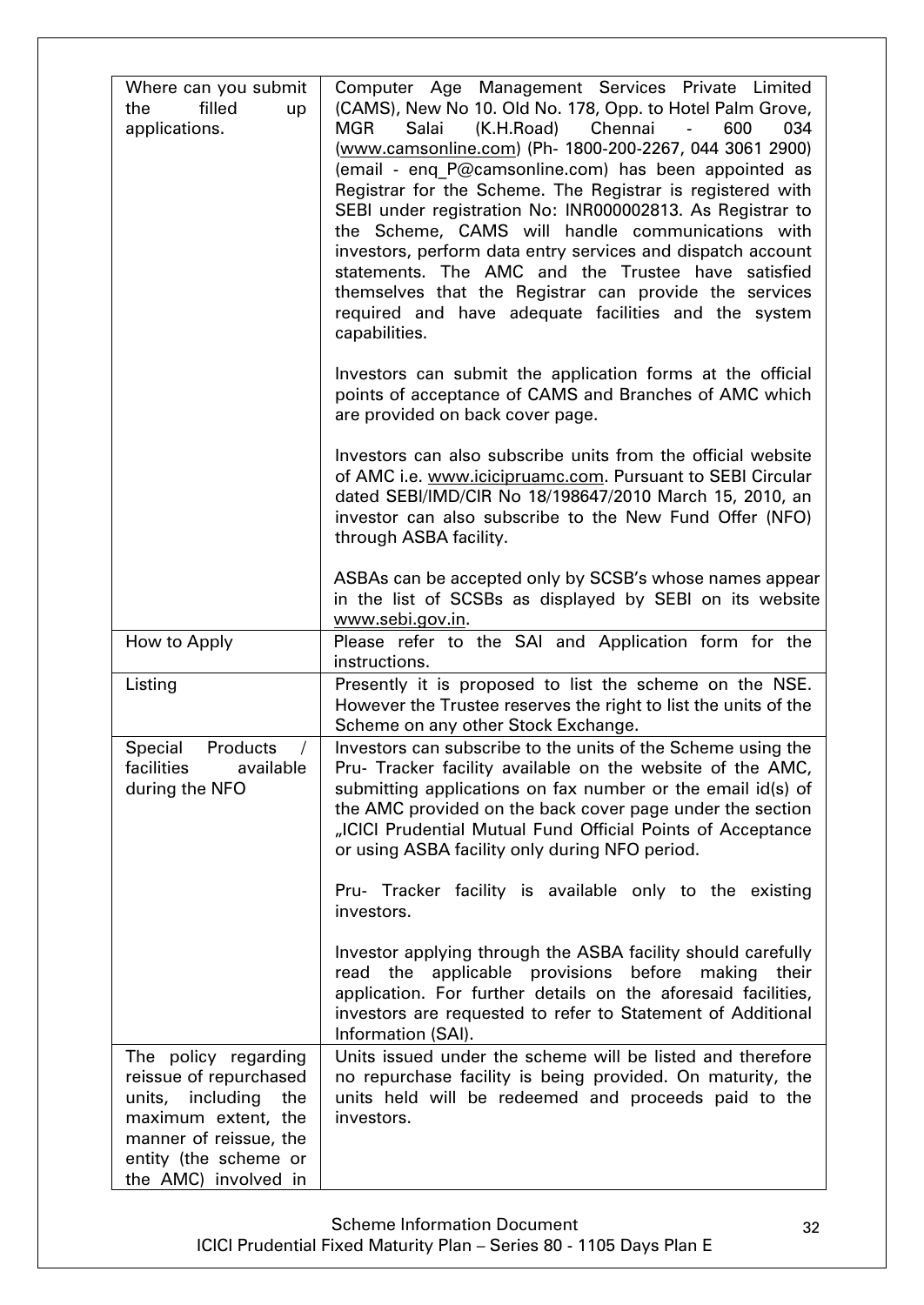| Where can you submit<br>filled<br>the<br>up<br>applications.                                                                                                                | Computer Age Management Services Private Limited<br>(CAMS), New No 10. Old No. 178, Opp. to Hotel Palm Grove,<br>(K.H.Road)<br>Chennai<br>Salai<br>600<br>034<br>MGR<br>(www.camsonline.com) (Ph- 1800-200-2267, 044 3061 2900)<br>(email - enq P@camsonline.com) has been appointed as<br>Registrar for the Scheme. The Registrar is registered with<br>SEBI under registration No: INR000002813. As Registrar to<br>the Scheme, CAMS will handle communications with<br>investors, perform data entry services and dispatch account<br>statements. The AMC and the Trustee have satisfied<br>themselves that the Registrar can provide the services<br>required and have adequate facilities and the system<br>capabilities.<br>Investors can submit the application forms at the official<br>points of acceptance of CAMS and Branches of AMC which<br>are provided on back cover page.<br>Investors can also subscribe units from the official website<br>of AMC i.e. www.icicipruamc.com. Pursuant to SEBI Circular<br>dated SEBI/IMD/CIR No 18/198647/2010 March 15, 2010, an<br>investor can also subscribe to the New Fund Offer (NFO)<br>through ASBA facility.<br>ASBAs can be accepted only by SCSB's whose names appear<br>in the list of SCSBs as displayed by SEBI on its website |
|-----------------------------------------------------------------------------------------------------------------------------------------------------------------------------|-------------------------------------------------------------------------------------------------------------------------------------------------------------------------------------------------------------------------------------------------------------------------------------------------------------------------------------------------------------------------------------------------------------------------------------------------------------------------------------------------------------------------------------------------------------------------------------------------------------------------------------------------------------------------------------------------------------------------------------------------------------------------------------------------------------------------------------------------------------------------------------------------------------------------------------------------------------------------------------------------------------------------------------------------------------------------------------------------------------------------------------------------------------------------------------------------------------------------------------------------------------------------------------------------|
|                                                                                                                                                                             | www.sebi.gov.in.                                                                                                                                                                                                                                                                                                                                                                                                                                                                                                                                                                                                                                                                                                                                                                                                                                                                                                                                                                                                                                                                                                                                                                                                                                                                                |
| How to Apply                                                                                                                                                                | Please refer to the SAI and Application form for the<br>instructions.                                                                                                                                                                                                                                                                                                                                                                                                                                                                                                                                                                                                                                                                                                                                                                                                                                                                                                                                                                                                                                                                                                                                                                                                                           |
| Listing                                                                                                                                                                     | Presently it is proposed to list the scheme on the NSE.<br>However the Trustee reserves the right to list the units of the<br>Scheme on any other Stock Exchange.                                                                                                                                                                                                                                                                                                                                                                                                                                                                                                                                                                                                                                                                                                                                                                                                                                                                                                                                                                                                                                                                                                                               |
| Special<br>Products<br>$\sqrt{2}$<br>facilities available<br>during the NFO                                                                                                 | Investors can subscribe to the units of the Scheme using the<br>Pru- Tracker facility available on the website of the AMC,<br>submitting applications on fax number or the email id(s) of<br>the AMC provided on the back cover page under the section<br>"ICICI Prudential Mutual Fund Official Points of Acceptance<br>or using ASBA facility only during NFO period.<br>Pru- Tracker facility is available only to the existing<br>investors.                                                                                                                                                                                                                                                                                                                                                                                                                                                                                                                                                                                                                                                                                                                                                                                                                                                |
|                                                                                                                                                                             | Investor applying through the ASBA facility should carefully<br>read the applicable provisions before making<br>their<br>application. For further details on the aforesaid facilities,<br>investors are requested to refer to Statement of Additional<br>Information (SAI).                                                                                                                                                                                                                                                                                                                                                                                                                                                                                                                                                                                                                                                                                                                                                                                                                                                                                                                                                                                                                     |
| The policy regarding<br>reissue of repurchased<br>units, including<br>the<br>maximum extent, the<br>manner of reissue, the<br>entity (the scheme or<br>the AMC) involved in | Units issued under the scheme will be listed and therefore<br>no repurchase facility is being provided. On maturity, the<br>units held will be redeemed and proceeds paid to the<br>investors.                                                                                                                                                                                                                                                                                                                                                                                                                                                                                                                                                                                                                                                                                                                                                                                                                                                                                                                                                                                                                                                                                                  |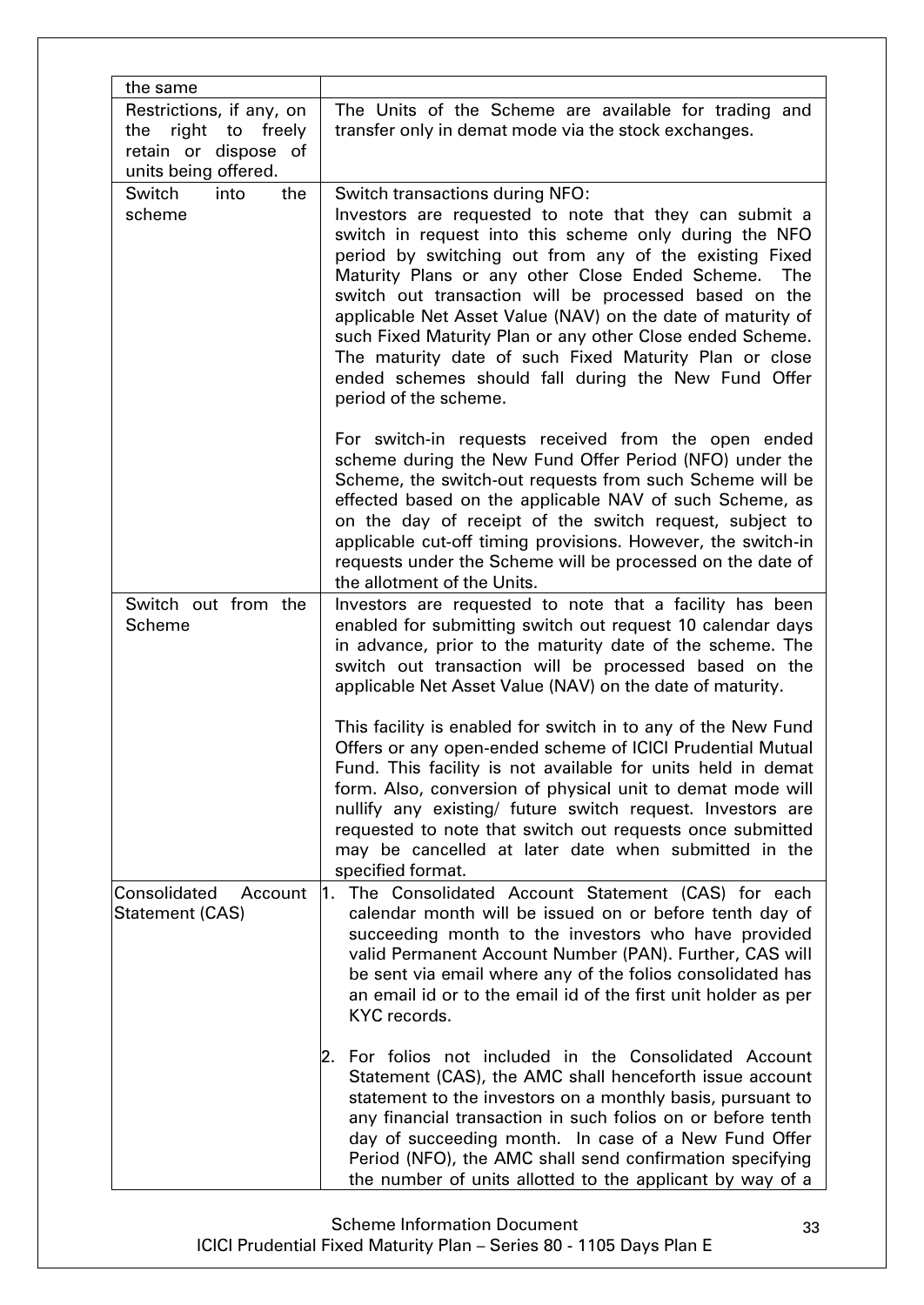| the same                                                                                              |                                                                                                                                                                                                                                                                                                                                                                                                                                                                                                                                                                                                        |
|-------------------------------------------------------------------------------------------------------|--------------------------------------------------------------------------------------------------------------------------------------------------------------------------------------------------------------------------------------------------------------------------------------------------------------------------------------------------------------------------------------------------------------------------------------------------------------------------------------------------------------------------------------------------------------------------------------------------------|
| Restrictions, if any, on<br>right to<br>the<br>freely<br>retain or dispose of<br>units being offered. | The Units of the Scheme are available for trading and<br>transfer only in demat mode via the stock exchanges.                                                                                                                                                                                                                                                                                                                                                                                                                                                                                          |
| Switch<br>into<br>the<br>scheme                                                                       | Switch transactions during NFO:<br>Investors are requested to note that they can submit a<br>switch in request into this scheme only during the NFO<br>period by switching out from any of the existing Fixed<br>Maturity Plans or any other Close Ended Scheme.<br>The<br>switch out transaction will be processed based on the<br>applicable Net Asset Value (NAV) on the date of maturity of<br>such Fixed Maturity Plan or any other Close ended Scheme.<br>The maturity date of such Fixed Maturity Plan or close<br>ended schemes should fall during the New Fund Offer<br>period of the scheme. |
|                                                                                                       | For switch-in requests received from the open ended<br>scheme during the New Fund Offer Period (NFO) under the<br>Scheme, the switch-out requests from such Scheme will be<br>effected based on the applicable NAV of such Scheme, as<br>on the day of receipt of the switch request, subject to<br>applicable cut-off timing provisions. However, the switch-in<br>requests under the Scheme will be processed on the date of<br>the allotment of the Units.                                                                                                                                          |
| Switch out from the<br><b>Scheme</b>                                                                  | Investors are requested to note that a facility has been<br>enabled for submitting switch out request 10 calendar days<br>in advance, prior to the maturity date of the scheme. The<br>switch out transaction will be processed based on the<br>applicable Net Asset Value (NAV) on the date of maturity.                                                                                                                                                                                                                                                                                              |
|                                                                                                       | This facility is enabled for switch in to any of the New Fund<br>Offers or any open-ended scheme of ICICI Prudential Mutual<br>Fund. This facility is not available for units held in demat<br>form. Also, conversion of physical unit to demat mode will<br>nullify any existing/ future switch request. Investors are<br>requested to note that switch out requests once submitted<br>may be cancelled at later date when submitted in the<br>specified format.                                                                                                                                      |
| Consolidated<br>Account<br>Statement (CAS)                                                            | The Consolidated Account Statement (CAS) for each<br>1.<br>calendar month will be issued on or before tenth day of<br>succeeding month to the investors who have provided<br>valid Permanent Account Number (PAN). Further, CAS will<br>be sent via email where any of the folios consolidated has<br>an email id or to the email id of the first unit holder as per<br>KYC records.                                                                                                                                                                                                                   |
|                                                                                                       | For folios not included in the Consolidated Account<br>2.<br>Statement (CAS), the AMC shall henceforth issue account<br>statement to the investors on a monthly basis, pursuant to<br>any financial transaction in such folios on or before tenth<br>day of succeeding month. In case of a New Fund Offer<br>Period (NFO), the AMC shall send confirmation specifying<br>the number of units allotted to the applicant by way of a                                                                                                                                                                     |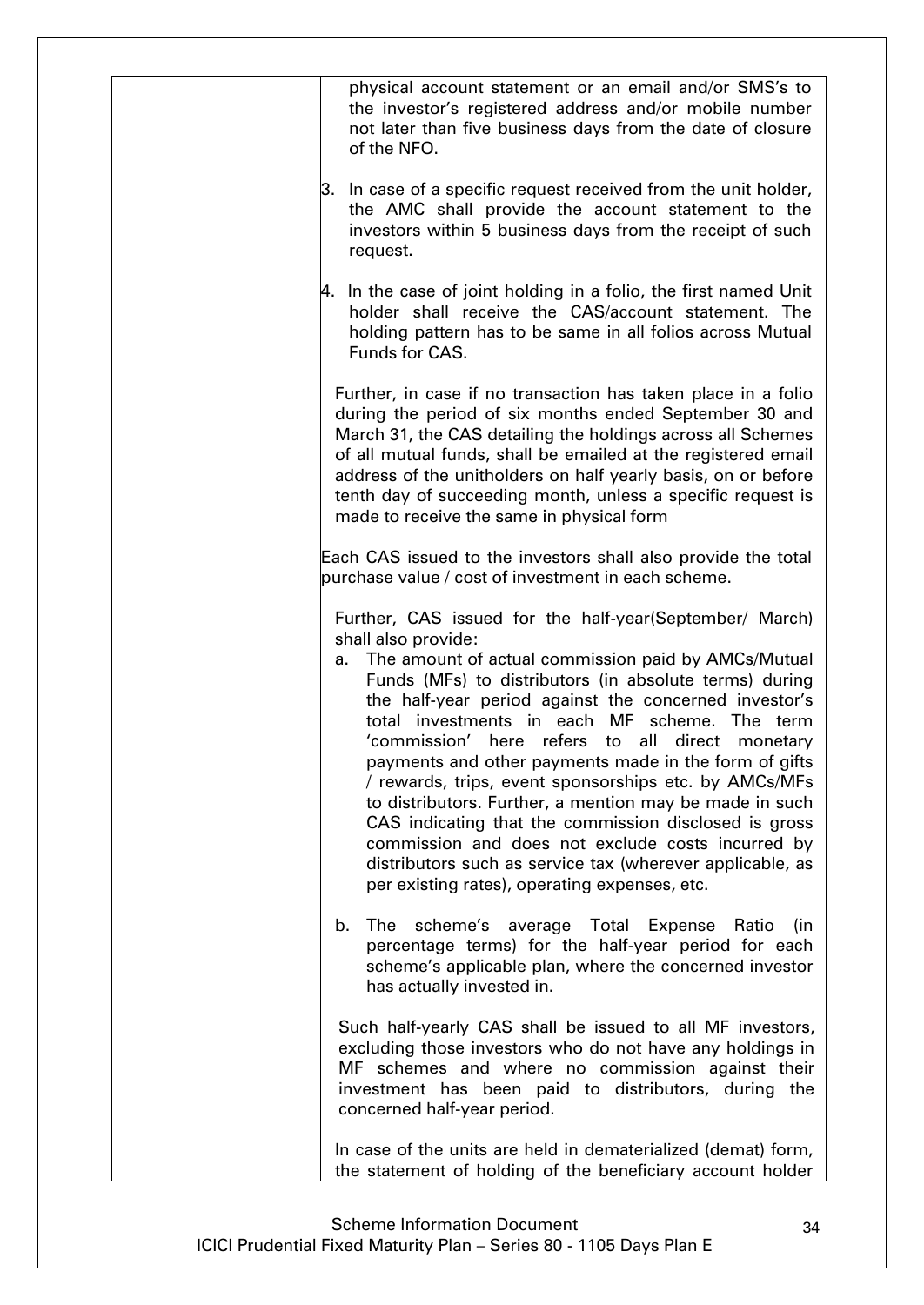| physical account statement or an email and/or SMS's to<br>the investor's registered address and/or mobile number<br>not later than five business days from the date of closure<br>of the NFO.                                                                                                                                                                                                                                                                                                                                                                                                                                                                                                                                                                               |
|-----------------------------------------------------------------------------------------------------------------------------------------------------------------------------------------------------------------------------------------------------------------------------------------------------------------------------------------------------------------------------------------------------------------------------------------------------------------------------------------------------------------------------------------------------------------------------------------------------------------------------------------------------------------------------------------------------------------------------------------------------------------------------|
| 3. In case of a specific request received from the unit holder,<br>the AMC shall provide the account statement to the<br>investors within 5 business days from the receipt of such<br>request.                                                                                                                                                                                                                                                                                                                                                                                                                                                                                                                                                                              |
| $\,\varphi$ . In the case of joint holding in a folio, the first named Unit<br>holder shall receive the CAS/account statement. The<br>holding pattern has to be same in all folios across Mutual<br>Funds for CAS.                                                                                                                                                                                                                                                                                                                                                                                                                                                                                                                                                          |
| Further, in case if no transaction has taken place in a folio<br>during the period of six months ended September 30 and<br>March 31, the CAS detailing the holdings across all Schemes<br>of all mutual funds, shall be emailed at the registered email<br>address of the unitholders on half yearly basis, on or before<br>tenth day of succeeding month, unless a specific request is<br>made to receive the same in physical form                                                                                                                                                                                                                                                                                                                                        |
| Each CAS issued to the investors shall also provide the total<br>purchase value / cost of investment in each scheme.                                                                                                                                                                                                                                                                                                                                                                                                                                                                                                                                                                                                                                                        |
| Further, CAS issued for the half-year(September/ March)<br>shall also provide:<br>a. The amount of actual commission paid by AMCs/Mutual<br>Funds (MFs) to distributors (in absolute terms) during<br>the half-year period against the concerned investor's<br>total investments in each MF scheme. The term<br>'commission' here refers to all direct<br>monetary<br>payments and other payments made in the form of gifts<br>/ rewards, trips, event sponsorships etc. by AMCs/MFs<br>to distributors. Further, a mention may be made in such<br>CAS indicating that the commission disclosed is gross<br>commission and does not exclude costs incurred by<br>distributors such as service tax (wherever applicable, as<br>per existing rates), operating expenses, etc. |
| The<br>scheme's average Total Expense Ratio<br>b.<br>(in<br>percentage terms) for the half-year period for each<br>scheme's applicable plan, where the concerned investor<br>has actually invested in.                                                                                                                                                                                                                                                                                                                                                                                                                                                                                                                                                                      |
| Such half-yearly CAS shall be issued to all MF investors,<br>excluding those investors who do not have any holdings in<br>MF schemes and where no commission against their<br>investment has been paid to distributors, during the<br>concerned half-year period.                                                                                                                                                                                                                                                                                                                                                                                                                                                                                                           |
| In case of the units are held in dematerialized (demat) form,<br>the statement of holding of the beneficiary account holder                                                                                                                                                                                                                                                                                                                                                                                                                                                                                                                                                                                                                                                 |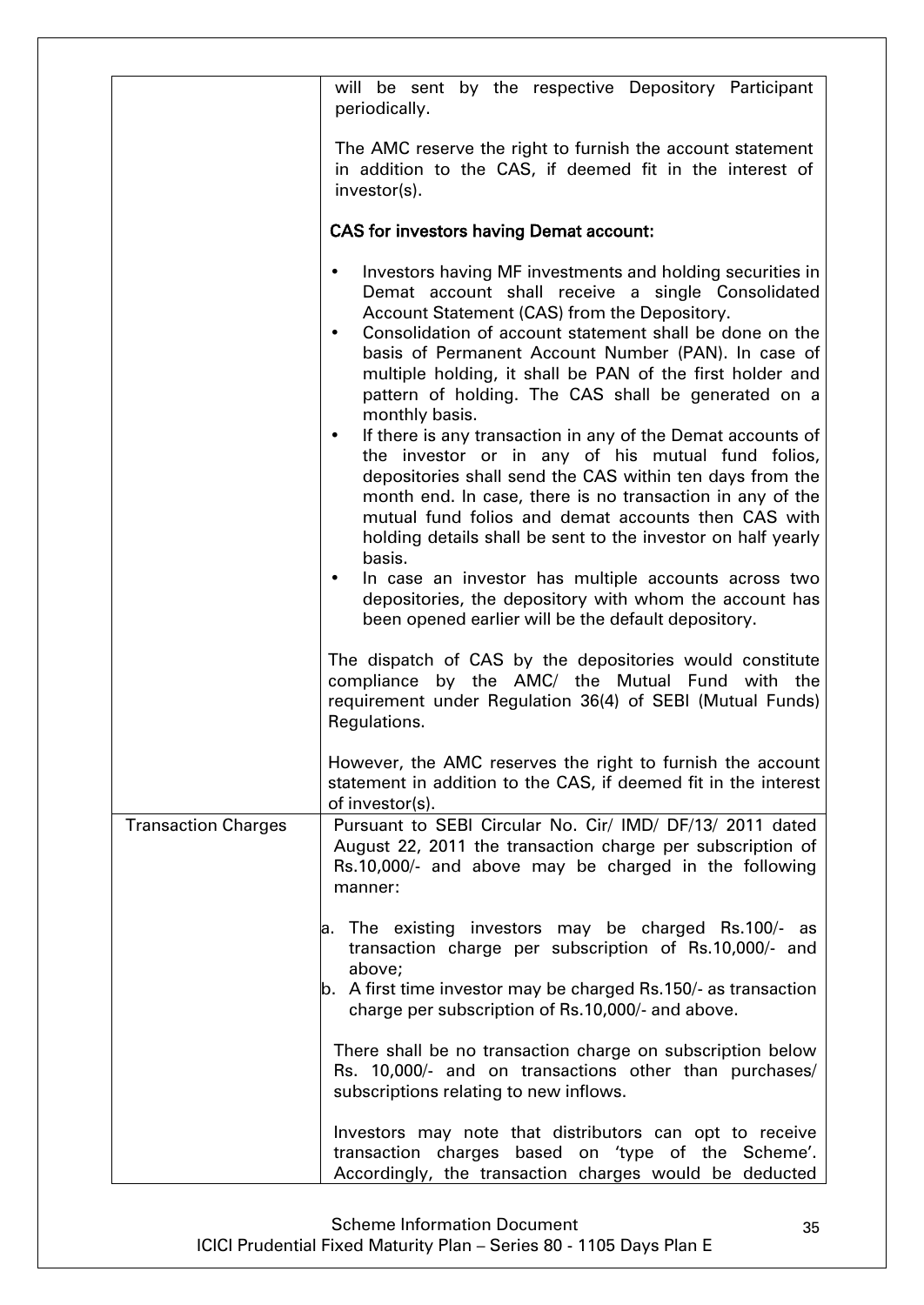|                            | will be sent by the respective Depository Participant<br>periodically.                                                                                                                                                                                                                                                                                                                                                                                                                                                                                                                                                                                                                                                                                                                                                                                                                                                                                                                                                    |
|----------------------------|---------------------------------------------------------------------------------------------------------------------------------------------------------------------------------------------------------------------------------------------------------------------------------------------------------------------------------------------------------------------------------------------------------------------------------------------------------------------------------------------------------------------------------------------------------------------------------------------------------------------------------------------------------------------------------------------------------------------------------------------------------------------------------------------------------------------------------------------------------------------------------------------------------------------------------------------------------------------------------------------------------------------------|
|                            | The AMC reserve the right to furnish the account statement<br>in addition to the CAS, if deemed fit in the interest of<br>investor(s).                                                                                                                                                                                                                                                                                                                                                                                                                                                                                                                                                                                                                                                                                                                                                                                                                                                                                    |
|                            | <b>CAS for investors having Demat account:</b>                                                                                                                                                                                                                                                                                                                                                                                                                                                                                                                                                                                                                                                                                                                                                                                                                                                                                                                                                                            |
|                            | Investors having MF investments and holding securities in<br>$\bullet$<br>Demat account shall receive a single Consolidated<br>Account Statement (CAS) from the Depository.<br>Consolidation of account statement shall be done on the<br>$\bullet$<br>basis of Permanent Account Number (PAN). In case of<br>multiple holding, it shall be PAN of the first holder and<br>pattern of holding. The CAS shall be generated on a<br>monthly basis.<br>If there is any transaction in any of the Demat accounts of<br>$\bullet$<br>the investor or in any of his mutual fund folios,<br>depositories shall send the CAS within ten days from the<br>month end. In case, there is no transaction in any of the<br>mutual fund folios and demat accounts then CAS with<br>holding details shall be sent to the investor on half yearly<br>basis.<br>In case an investor has multiple accounts across two<br>٠<br>depositories, the depository with whom the account has<br>been opened earlier will be the default depository. |
|                            | The dispatch of CAS by the depositories would constitute<br>compliance by the AMC/ the Mutual Fund with the<br>requirement under Regulation 36(4) of SEBI (Mutual Funds)<br>Regulations.                                                                                                                                                                                                                                                                                                                                                                                                                                                                                                                                                                                                                                                                                                                                                                                                                                  |
|                            | However, the AMC reserves the right to furnish the account<br>statement in addition to the CAS, if deemed fit in the interest<br>of investor(s).                                                                                                                                                                                                                                                                                                                                                                                                                                                                                                                                                                                                                                                                                                                                                                                                                                                                          |
| <b>Transaction Charges</b> | Pursuant to SEBI Circular No. Cir/ IMD/ DF/13/ 2011 dated<br>August 22, 2011 the transaction charge per subscription of<br>Rs.10,000/- and above may be charged in the following<br>manner:                                                                                                                                                                                                                                                                                                                                                                                                                                                                                                                                                                                                                                                                                                                                                                                                                               |
|                            | a. The existing investors may be charged Rs.100/- as<br>transaction charge per subscription of Rs.10,000/- and<br>above;<br>$\vert$ b. A first time investor may be charged Rs.150/- as transaction<br>charge per subscription of Rs.10,000/- and above.                                                                                                                                                                                                                                                                                                                                                                                                                                                                                                                                                                                                                                                                                                                                                                  |
|                            | There shall be no transaction charge on subscription below<br>Rs. 10,000/- and on transactions other than purchases/<br>subscriptions relating to new inflows.                                                                                                                                                                                                                                                                                                                                                                                                                                                                                                                                                                                                                                                                                                                                                                                                                                                            |
|                            | Investors may note that distributors can opt to receive<br>transaction charges based on 'type of the Scheme'.<br>Accordingly, the transaction charges would be deducted                                                                                                                                                                                                                                                                                                                                                                                                                                                                                                                                                                                                                                                                                                                                                                                                                                                   |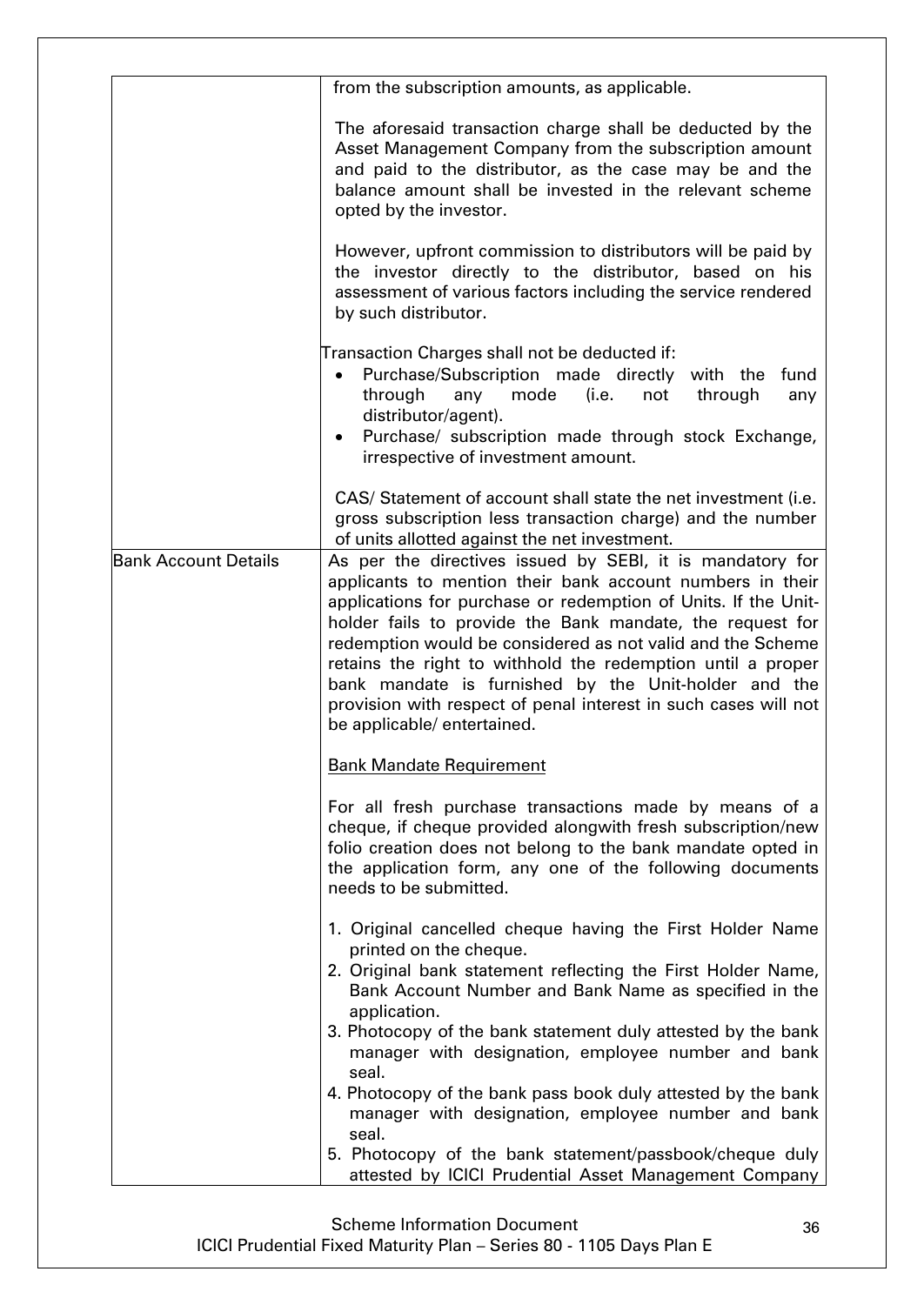|                             | from the subscription amounts, as applicable.                                                                                                                                                                                                                                                                                                                                                                                                                                                                                                |
|-----------------------------|----------------------------------------------------------------------------------------------------------------------------------------------------------------------------------------------------------------------------------------------------------------------------------------------------------------------------------------------------------------------------------------------------------------------------------------------------------------------------------------------------------------------------------------------|
|                             | The aforesaid transaction charge shall be deducted by the<br>Asset Management Company from the subscription amount<br>and paid to the distributor, as the case may be and the<br>balance amount shall be invested in the relevant scheme<br>opted by the investor.                                                                                                                                                                                                                                                                           |
|                             | However, upfront commission to distributors will be paid by<br>the investor directly to the distributor, based on his<br>assessment of various factors including the service rendered<br>by such distributor.                                                                                                                                                                                                                                                                                                                                |
|                             | Transaction Charges shall not be deducted if:<br>Purchase/Subscription made directly with the<br>fund<br>$\bullet$<br>mode<br>through<br>through<br>any<br>(i.e.<br>not<br>any<br>distributor/agent).<br>Purchase/ subscription made through stock Exchange,<br>irrespective of investment amount.                                                                                                                                                                                                                                           |
|                             | CAS/ Statement of account shall state the net investment (i.e.<br>gross subscription less transaction charge) and the number<br>of units allotted against the net investment.                                                                                                                                                                                                                                                                                                                                                                |
| <b>Bank Account Details</b> | As per the directives issued by SEBI, it is mandatory for<br>applicants to mention their bank account numbers in their<br>applications for purchase or redemption of Units. If the Unit-<br>holder fails to provide the Bank mandate, the request for<br>redemption would be considered as not valid and the Scheme<br>retains the right to withhold the redemption until a proper<br>bank mandate is furnished by the Unit-holder and the<br>provision with respect of penal interest in such cases will not<br>be applicable/ entertained. |
|                             | <b>Bank Mandate Requirement</b>                                                                                                                                                                                                                                                                                                                                                                                                                                                                                                              |
|                             | For all fresh purchase transactions made by means of a<br>cheque, if cheque provided alongwith fresh subscription/new<br>folio creation does not belong to the bank mandate opted in<br>the application form, any one of the following documents<br>needs to be submitted.                                                                                                                                                                                                                                                                   |
|                             | 1. Original cancelled cheque having the First Holder Name<br>printed on the cheque.<br>2. Original bank statement reflecting the First Holder Name,<br>Bank Account Number and Bank Name as specified in the<br>application.                                                                                                                                                                                                                                                                                                                 |
|                             | 3. Photocopy of the bank statement duly attested by the bank<br>manager with designation, employee number and bank<br>seal.<br>4. Photocopy of the bank pass book duly attested by the bank                                                                                                                                                                                                                                                                                                                                                  |
|                             | manager with designation, employee number and bank<br>seal.                                                                                                                                                                                                                                                                                                                                                                                                                                                                                  |
|                             | 5. Photocopy of the bank statement/passbook/cheque duly<br>attested by ICICI Prudential Asset Management Company                                                                                                                                                                                                                                                                                                                                                                                                                             |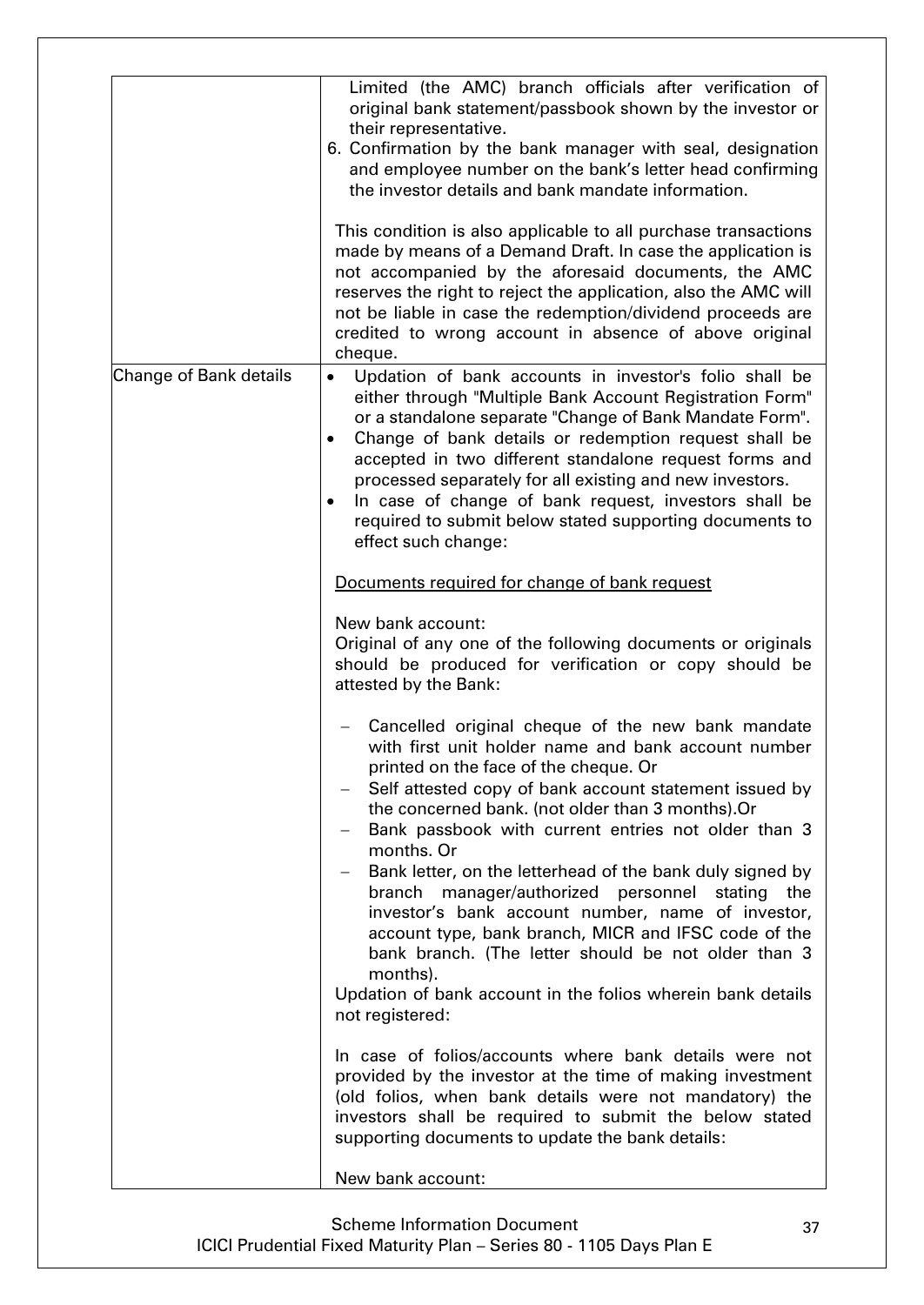|                        | Limited (the AMC) branch officials after verification of<br>original bank statement/passbook shown by the investor or<br>their representative.<br>6. Confirmation by the bank manager with seal, designation                                                                                                                                                                                                                                                                                                                                                                                                                                                                                           |
|------------------------|--------------------------------------------------------------------------------------------------------------------------------------------------------------------------------------------------------------------------------------------------------------------------------------------------------------------------------------------------------------------------------------------------------------------------------------------------------------------------------------------------------------------------------------------------------------------------------------------------------------------------------------------------------------------------------------------------------|
|                        | and employee number on the bank's letter head confirming<br>the investor details and bank mandate information.<br>This condition is also applicable to all purchase transactions                                                                                                                                                                                                                                                                                                                                                                                                                                                                                                                       |
|                        | made by means of a Demand Draft. In case the application is<br>not accompanied by the aforesaid documents, the AMC<br>reserves the right to reject the application, also the AMC will<br>not be liable in case the redemption/dividend proceeds are<br>credited to wrong account in absence of above original<br>cheque.                                                                                                                                                                                                                                                                                                                                                                               |
| Change of Bank details | Updation of bank accounts in investor's folio shall be<br>either through "Multiple Bank Account Registration Form"<br>or a standalone separate "Change of Bank Mandate Form".<br>Change of bank details or redemption request shall be<br>accepted in two different standalone request forms and<br>processed separately for all existing and new investors.<br>In case of change of bank request, investors shall be<br>required to submit below stated supporting documents to<br>effect such change:                                                                                                                                                                                                |
|                        | Documents required for change of bank request                                                                                                                                                                                                                                                                                                                                                                                                                                                                                                                                                                                                                                                          |
|                        | New bank account:<br>Original of any one of the following documents or originals<br>should be produced for verification or copy should be<br>attested by the Bank:                                                                                                                                                                                                                                                                                                                                                                                                                                                                                                                                     |
|                        | Cancelled original cheque of the new bank mandate<br>with first unit holder name and bank account number<br>printed on the face of the cheque. Or<br>Self attested copy of bank account statement issued by<br>the concerned bank. (not older than 3 months).Or<br>Bank passbook with current entries not older than 3<br>months. Or<br>Bank letter, on the letterhead of the bank duly signed by<br>manager/authorized personnel stating the<br>branch<br>investor's bank account number, name of investor,<br>account type, bank branch, MICR and IFSC code of the<br>bank branch. (The letter should be not older than 3<br>months).<br>Updation of bank account in the folios wherein bank details |
|                        | not registered:<br>In case of folios/accounts where bank details were not<br>provided by the investor at the time of making investment<br>(old folios, when bank details were not mandatory) the<br>investors shall be required to submit the below stated<br>supporting documents to update the bank details:<br>New bank account:                                                                                                                                                                                                                                                                                                                                                                    |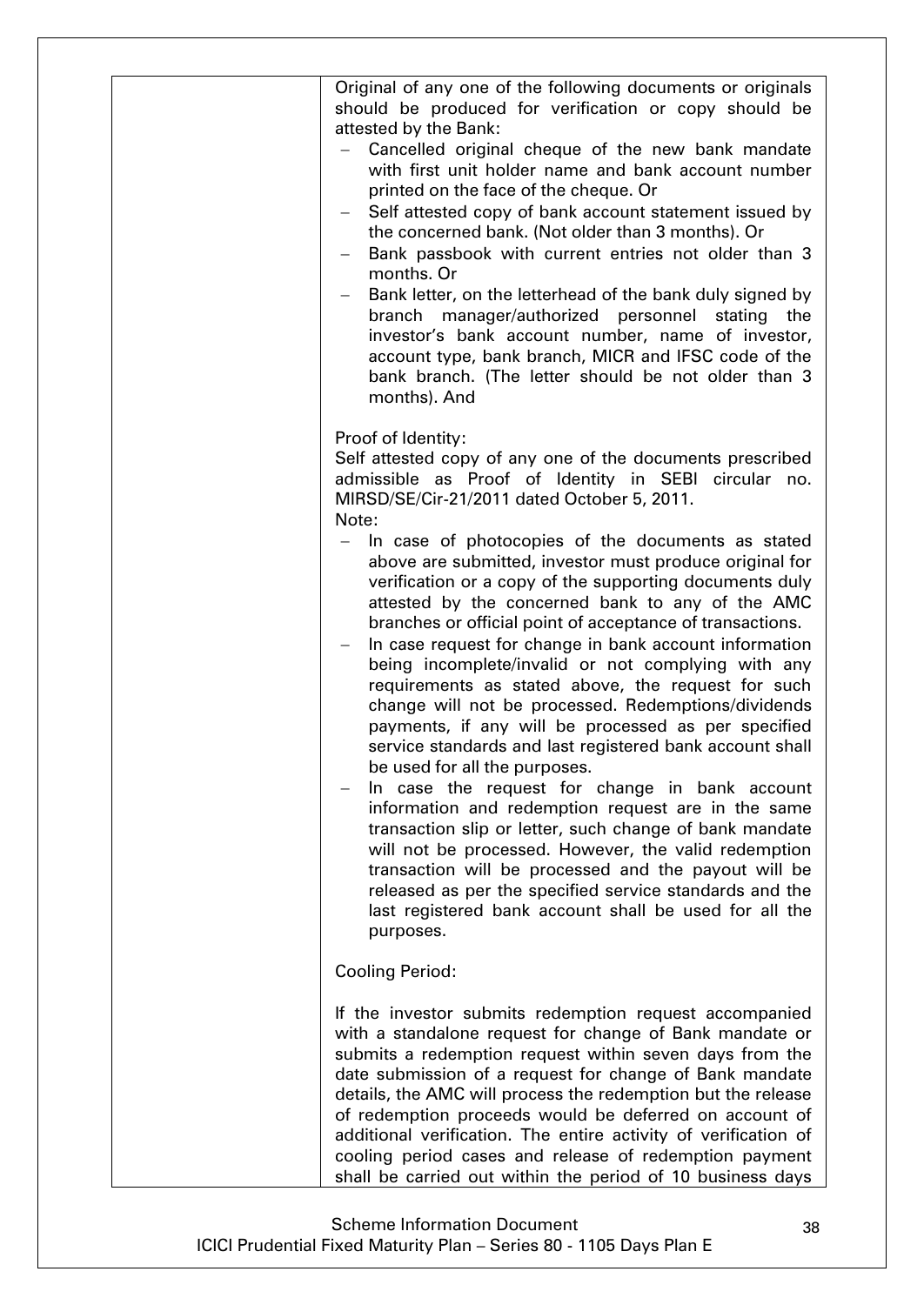| Original of any one of the following documents or originals<br>should be produced for verification or copy should be<br>attested by the Bank:<br>Cancelled original cheque of the new bank mandate<br>with first unit holder name and bank account number<br>printed on the face of the cheque. Or<br>Self attested copy of bank account statement issued by<br>the concerned bank. (Not older than 3 months). Or<br>Bank passbook with current entries not older than 3<br>months. Or<br>Bank letter, on the letterhead of the bank duly signed by<br>branch manager/authorized personnel stating<br>the<br>investor's bank account number, name of investor,<br>account type, bank branch, MICR and IFSC code of the<br>bank branch. (The letter should be not older than 3<br>months). And                                                                                                                                                                                                                                                                                                                                                                                                                                                                                                     |
|---------------------------------------------------------------------------------------------------------------------------------------------------------------------------------------------------------------------------------------------------------------------------------------------------------------------------------------------------------------------------------------------------------------------------------------------------------------------------------------------------------------------------------------------------------------------------------------------------------------------------------------------------------------------------------------------------------------------------------------------------------------------------------------------------------------------------------------------------------------------------------------------------------------------------------------------------------------------------------------------------------------------------------------------------------------------------------------------------------------------------------------------------------------------------------------------------------------------------------------------------------------------------------------------------|
| Proof of Identity:<br>Self attested copy of any one of the documents prescribed<br>admissible as Proof of Identity in SEBI circular no.<br>MIRSD/SE/Cir-21/2011 dated October 5, 2011.<br>Note:<br>In case of photocopies of the documents as stated<br>above are submitted, investor must produce original for<br>verification or a copy of the supporting documents duly<br>attested by the concerned bank to any of the AMC<br>branches or official point of acceptance of transactions.<br>In case request for change in bank account information<br>being incomplete/invalid or not complying with any<br>requirements as stated above, the request for such<br>change will not be processed. Redemptions/dividends<br>payments, if any will be processed as per specified<br>service standards and last registered bank account shall<br>be used for all the purposes.<br>In case the request for change in bank account<br>information and redemption request are in the same<br>transaction slip or letter, such change of bank mandate<br>will not be processed. However, the valid redemption<br>transaction will be processed and the payout will be<br>released as per the specified service standards and the<br>last registered bank account shall be used for all the<br>purposes. |
| <b>Cooling Period:</b>                                                                                                                                                                                                                                                                                                                                                                                                                                                                                                                                                                                                                                                                                                                                                                                                                                                                                                                                                                                                                                                                                                                                                                                                                                                                            |
| If the investor submits redemption request accompanied<br>with a standalone request for change of Bank mandate or<br>submits a redemption request within seven days from the<br>date submission of a request for change of Bank mandate<br>details, the AMC will process the redemption but the release<br>of redemption proceeds would be deferred on account of<br>additional verification. The entire activity of verification of<br>cooling period cases and release of redemption payment<br>shall be carried out within the period of 10 business days                                                                                                                                                                                                                                                                                                                                                                                                                                                                                                                                                                                                                                                                                                                                      |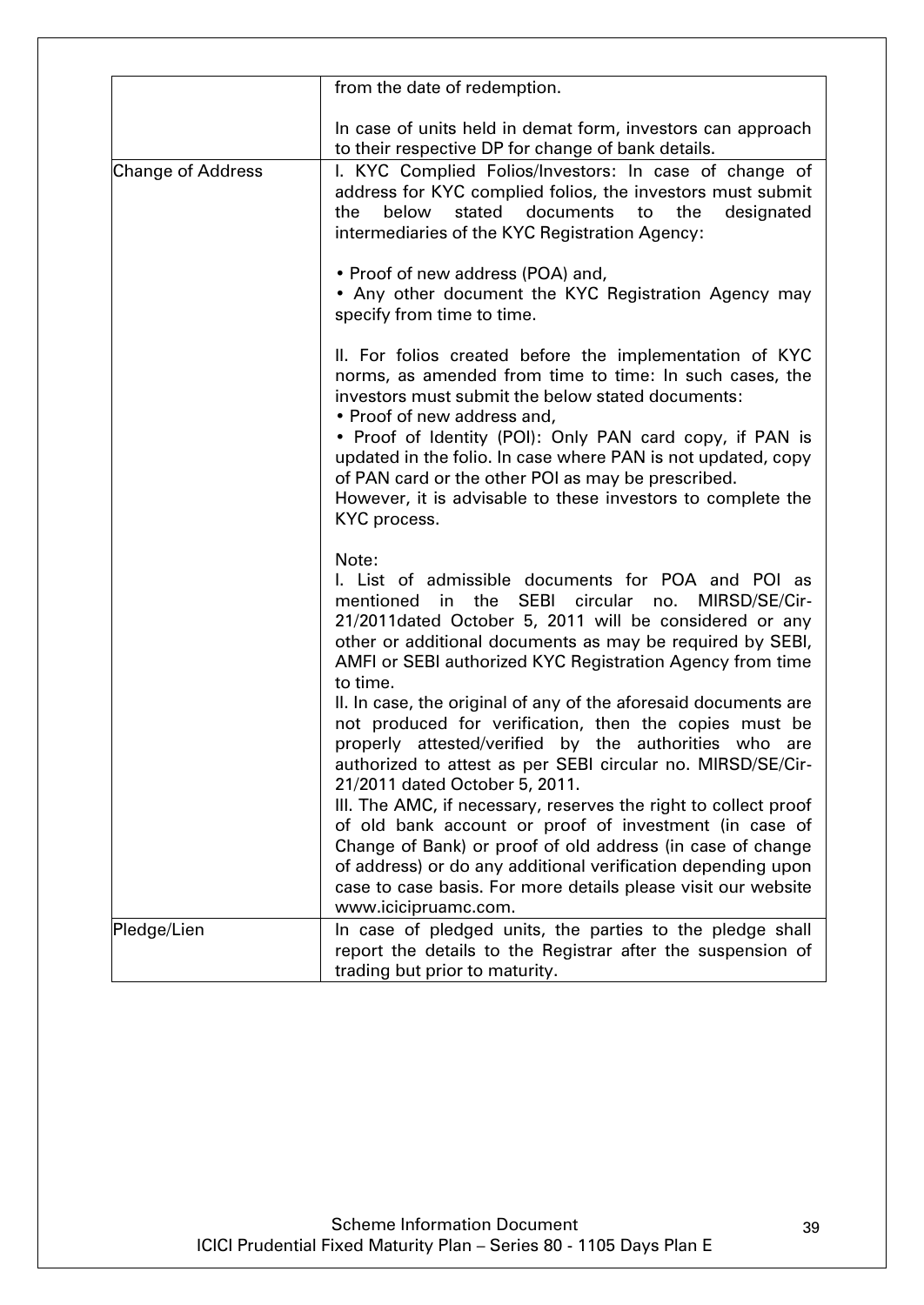|                          | from the date of redemption.                                                                                                                                                                                                                                                                                                                                                                                                                                                                                                                                                                                                                                                               |
|--------------------------|--------------------------------------------------------------------------------------------------------------------------------------------------------------------------------------------------------------------------------------------------------------------------------------------------------------------------------------------------------------------------------------------------------------------------------------------------------------------------------------------------------------------------------------------------------------------------------------------------------------------------------------------------------------------------------------------|
|                          | In case of units held in demat form, investors can approach<br>to their respective DP for change of bank details.                                                                                                                                                                                                                                                                                                                                                                                                                                                                                                                                                                          |
| <b>Change of Address</b> | I. KYC Complied Folios/Investors: In case of change of<br>address for KYC complied folios, the investors must submit<br>below<br>stated<br>the<br>documents to<br>the<br>designated<br>intermediaries of the KYC Registration Agency:                                                                                                                                                                                                                                                                                                                                                                                                                                                      |
|                          | • Proof of new address (POA) and,<br>• Any other document the KYC Registration Agency may<br>specify from time to time.                                                                                                                                                                                                                                                                                                                                                                                                                                                                                                                                                                    |
|                          | II. For folios created before the implementation of KYC<br>norms, as amended from time to time: In such cases, the<br>investors must submit the below stated documents:<br>• Proof of new address and,<br>• Proof of Identity (POI): Only PAN card copy, if PAN is<br>updated in the folio. In case where PAN is not updated, copy<br>of PAN card or the other POI as may be prescribed.<br>However, it is advisable to these investors to complete the<br>KYC process.                                                                                                                                                                                                                    |
|                          | Note:<br>I. List of admissible documents for POA and POI as<br><b>SEBI</b><br>mentioned in the<br>circular no.<br>MIRSD/SE/Cir-<br>21/2011 dated October 5, 2011 will be considered or any<br>other or additional documents as may be required by SEBI,<br>AMFI or SEBI authorized KYC Registration Agency from time<br>to time.<br>II. In case, the original of any of the aforesaid documents are<br>not produced for verification, then the copies must be<br>properly attested/verified by the authorities who are<br>authorized to attest as per SEBI circular no. MIRSD/SE/Cir-<br>21/2011 dated October 5, 2011.<br>III. The AMC, if necessary, reserves the right to collect proof |
|                          | of old bank account or proof of investment (in case of<br>Change of Bank) or proof of old address (in case of change<br>of address) or do any additional verification depending upon<br>case to case basis. For more details please visit our website<br>www.icicipruamc.com.                                                                                                                                                                                                                                                                                                                                                                                                              |
| Pledge/Lien              | In case of pledged units, the parties to the pledge shall<br>report the details to the Registrar after the suspension of<br>trading but prior to maturity.                                                                                                                                                                                                                                                                                                                                                                                                                                                                                                                                 |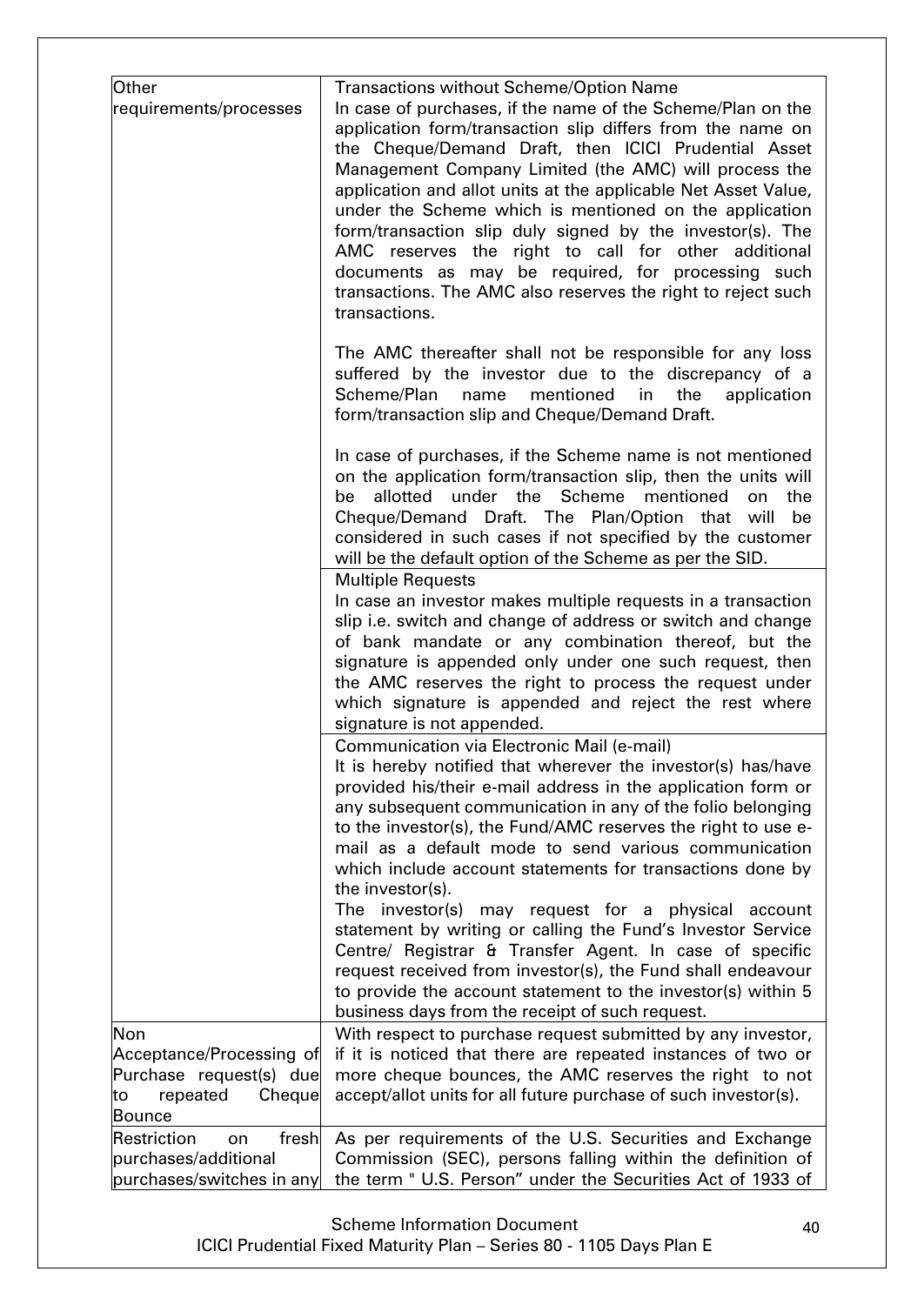| Other<br>requirements/processes                                                                         | <b>Transactions without Scheme/Option Name</b><br>In case of purchases, if the name of the Scheme/Plan on the<br>application form/transaction slip differs from the name on<br>the Cheque/Demand Draft, then ICICI Prudential Asset<br>Management Company Limited (the AMC) will process the<br>application and allot units at the applicable Net Asset Value,<br>under the Scheme which is mentioned on the application<br>form/transaction slip duly signed by the investor(s). The<br>AMC reserves the right to call for other additional<br>documents as may be required, for processing such<br>transactions. The AMC also reserves the right to reject such<br>transactions.                                                                                   |
|---------------------------------------------------------------------------------------------------------|----------------------------------------------------------------------------------------------------------------------------------------------------------------------------------------------------------------------------------------------------------------------------------------------------------------------------------------------------------------------------------------------------------------------------------------------------------------------------------------------------------------------------------------------------------------------------------------------------------------------------------------------------------------------------------------------------------------------------------------------------------------------|
|                                                                                                         | The AMC thereafter shall not be responsible for any loss<br>suffered by the investor due to the discrepancy of a<br>Scheme/Plan<br>mentioned<br>name<br>in<br>the<br>application<br>form/transaction slip and Cheque/Demand Draft.                                                                                                                                                                                                                                                                                                                                                                                                                                                                                                                                   |
|                                                                                                         | In case of purchases, if the Scheme name is not mentioned<br>on the application form/transaction slip, then the units will<br>under the Scheme<br>allotted<br>mentioned<br>the<br>be<br>on<br>Cheque/Demand Draft. The Plan/Option that will<br>be<br>considered in such cases if not specified by the customer<br>will be the default option of the Scheme as per the SID.                                                                                                                                                                                                                                                                                                                                                                                          |
|                                                                                                         | <b>Multiple Requests</b><br>In case an investor makes multiple requests in a transaction<br>slip i.e. switch and change of address or switch and change<br>of bank mandate or any combination thereof, but the<br>signature is appended only under one such request, then<br>the AMC reserves the right to process the request under<br>which signature is appended and reject the rest where<br>signature is not appended.                                                                                                                                                                                                                                                                                                                                          |
|                                                                                                         | Communication via Electronic Mail (e-mail)<br>It is hereby notified that wherever the investor(s) has/have<br>provided his/their e-mail address in the application form or<br>any subsequent communication in any of the folio belonging<br>to the investor(s), the Fund/AMC reserves the right to use e-<br>mail as a default mode to send various communication<br>which include account statements for transactions done by<br>the investor(s).<br>The investor(s)<br>may request for a physical account<br>statement by writing or calling the Fund's Investor Service<br>Centre/ Registrar & Transfer Agent. In case of specific<br>request received from investor(s), the Fund shall endeavour<br>to provide the account statement to the investor(s) within 5 |
|                                                                                                         | business days from the receipt of such request.                                                                                                                                                                                                                                                                                                                                                                                                                                                                                                                                                                                                                                                                                                                      |
| Non<br>Acceptance/Processing of<br>Purchase request(s) due<br>Cheque<br>repeated<br>to<br><b>Bounce</b> | With respect to purchase request submitted by any investor,<br>if it is noticed that there are repeated instances of two or<br>more cheque bounces, the AMC reserves the right to not<br>accept/allot units for all future purchase of such investor(s).                                                                                                                                                                                                                                                                                                                                                                                                                                                                                                             |
| Restriction<br>fresh<br>on                                                                              | As per requirements of the U.S. Securities and Exchange                                                                                                                                                                                                                                                                                                                                                                                                                                                                                                                                                                                                                                                                                                              |
| purchases/additional                                                                                    | Commission (SEC), persons falling within the definition of                                                                                                                                                                                                                                                                                                                                                                                                                                                                                                                                                                                                                                                                                                           |
| purchases/switches in any                                                                               | the term "U.S. Person" under the Securities Act of 1933 of                                                                                                                                                                                                                                                                                                                                                                                                                                                                                                                                                                                                                                                                                                           |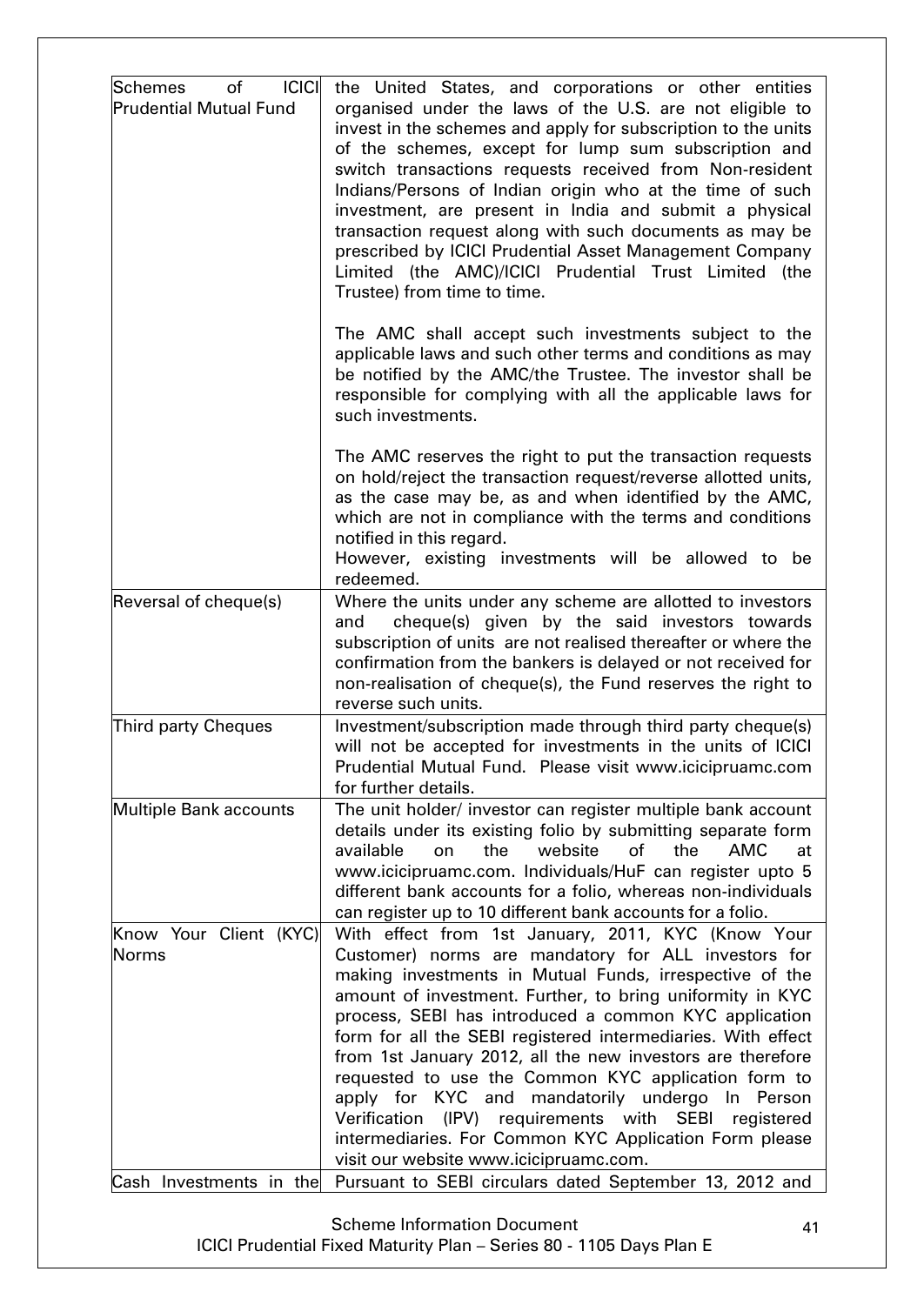| <b>ICICI</b><br>Schemes<br>of<br><b>Prudential Mutual Fund</b> | the United States, and corporations or other entities<br>organised under the laws of the U.S. are not eligible to<br>invest in the schemes and apply for subscription to the units<br>of the schemes, except for lump sum subscription and<br>switch transactions requests received from Non-resident<br>Indians/Persons of Indian origin who at the time of such<br>investment, are present in India and submit a physical<br>transaction request along with such documents as may be<br>prescribed by ICICI Prudential Asset Management Company<br>Limited (the AMC)/ICICI Prudential Trust Limited (the<br>Trustee) from time to time.                                                      |
|----------------------------------------------------------------|------------------------------------------------------------------------------------------------------------------------------------------------------------------------------------------------------------------------------------------------------------------------------------------------------------------------------------------------------------------------------------------------------------------------------------------------------------------------------------------------------------------------------------------------------------------------------------------------------------------------------------------------------------------------------------------------|
|                                                                | The AMC shall accept such investments subject to the<br>applicable laws and such other terms and conditions as may<br>be notified by the AMC/the Trustee. The investor shall be<br>responsible for complying with all the applicable laws for<br>such investments.                                                                                                                                                                                                                                                                                                                                                                                                                             |
|                                                                | The AMC reserves the right to put the transaction requests<br>on hold/reject the transaction request/reverse allotted units,<br>as the case may be, as and when identified by the AMC,<br>which are not in compliance with the terms and conditions<br>notified in this regard.<br>However, existing investments will be allowed to be<br>redeemed.                                                                                                                                                                                                                                                                                                                                            |
| Reversal of cheque(s)                                          | Where the units under any scheme are allotted to investors<br>cheque(s) given by the said investors towards<br>and<br>subscription of units are not realised thereafter or where the<br>confirmation from the bankers is delayed or not received for<br>non-realisation of cheque(s), the Fund reserves the right to<br>reverse such units.                                                                                                                                                                                                                                                                                                                                                    |
| <b>Third party Cheques</b>                                     | Investment/subscription made through third party cheque(s)<br>will not be accepted for investments in the units of ICICI<br>Prudential Mutual Fund. Please visit www.icicipruamc.com<br>for further details.                                                                                                                                                                                                                                                                                                                                                                                                                                                                                   |
| Multiple Bank accounts                                         | The unit holder/ investor can register multiple bank account<br>details under its existing folio by submitting separate form<br>available<br>the<br>website<br>of<br>the<br><b>AMC</b><br>on<br>at<br>www.icicipruamc.com. Individuals/HuF can register upto 5<br>different bank accounts for a folio, whereas non-individuals<br>can register up to 10 different bank accounts for a folio.                                                                                                                                                                                                                                                                                                   |
| Know Your Client (KYC)<br>Norms                                | With effect from 1st January, 2011, KYC (Know Your<br>Customer) norms are mandatory for ALL investors for<br>making investments in Mutual Funds, irrespective of the<br>amount of investment. Further, to bring uniformity in KYC<br>process, SEBI has introduced a common KYC application<br>form for all the SEBI registered intermediaries. With effect<br>from 1st January 2012, all the new investors are therefore<br>requested to use the Common KYC application form to<br>apply for KYC and mandatorily undergo In Person<br>Verification (IPV) requirements with SEBI registered<br>intermediaries. For Common KYC Application Form please<br>visit our website www.icicipruamc.com. |
| Cash Investments in the                                        | Pursuant to SEBI circulars dated September 13, 2012 and                                                                                                                                                                                                                                                                                                                                                                                                                                                                                                                                                                                                                                        |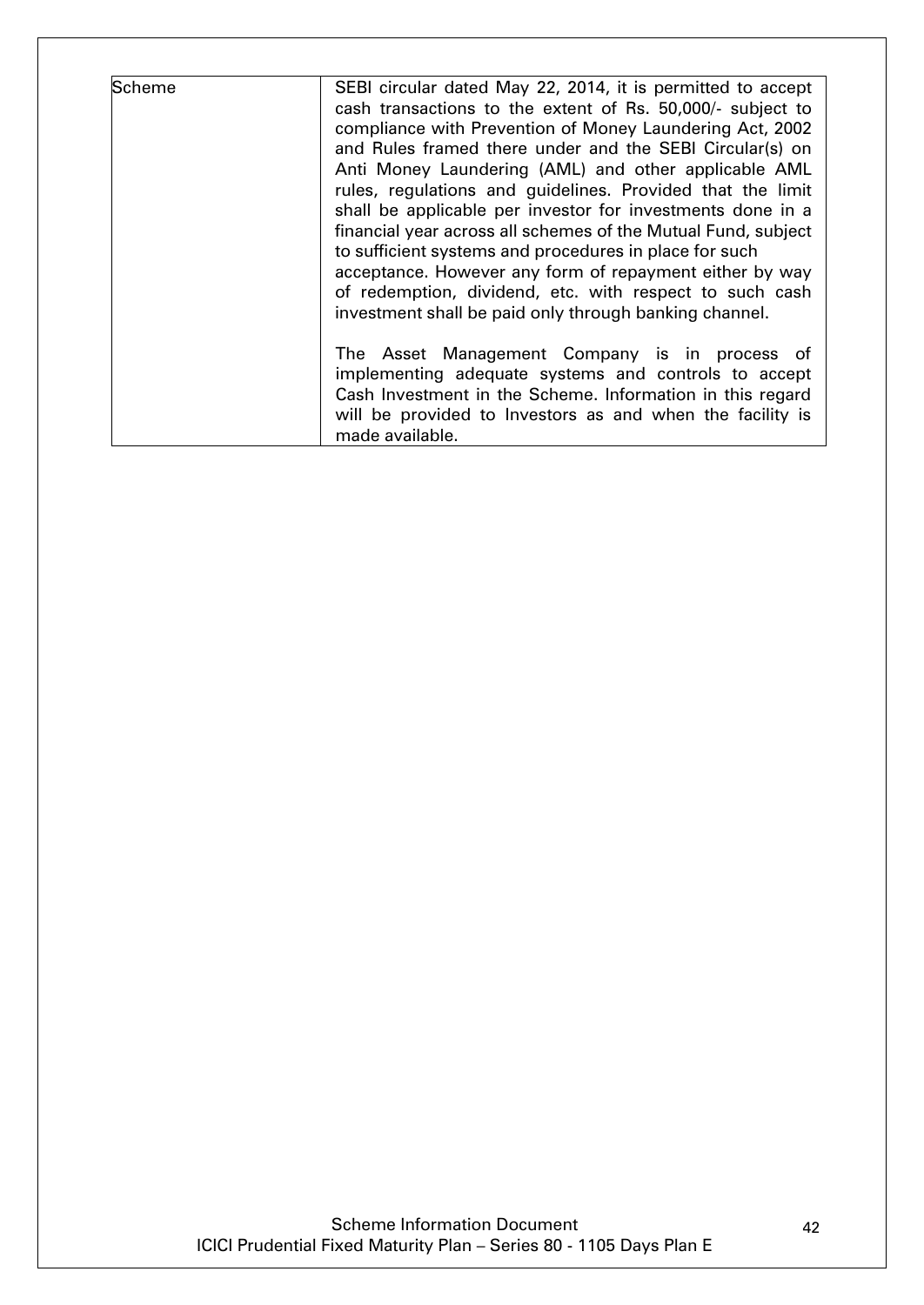| <b>Scheme</b> | SEBI circular dated May 22, 2014, it is permitted to accept<br>cash transactions to the extent of Rs. 50,000/- subject to<br>compliance with Prevention of Money Laundering Act, 2002<br>and Rules framed there under and the SEBI Circular(s) on<br>Anti Money Laundering (AML) and other applicable AML<br>rules, regulations and guidelines. Provided that the limit<br>shall be applicable per investor for investments done in a<br>financial year across all schemes of the Mutual Fund, subject<br>to sufficient systems and procedures in place for such<br>acceptance. However any form of repayment either by way<br>of redemption, dividend, etc. with respect to such cash<br>investment shall be paid only through banking channel. |
|---------------|--------------------------------------------------------------------------------------------------------------------------------------------------------------------------------------------------------------------------------------------------------------------------------------------------------------------------------------------------------------------------------------------------------------------------------------------------------------------------------------------------------------------------------------------------------------------------------------------------------------------------------------------------------------------------------------------------------------------------------------------------|
|               | The Asset Management Company is in process of<br>implementing adequate systems and controls to accept<br>Cash Investment in the Scheme. Information in this regard<br>will be provided to Investors as and when the facility is<br>made available.                                                                                                                                                                                                                                                                                                                                                                                                                                                                                               |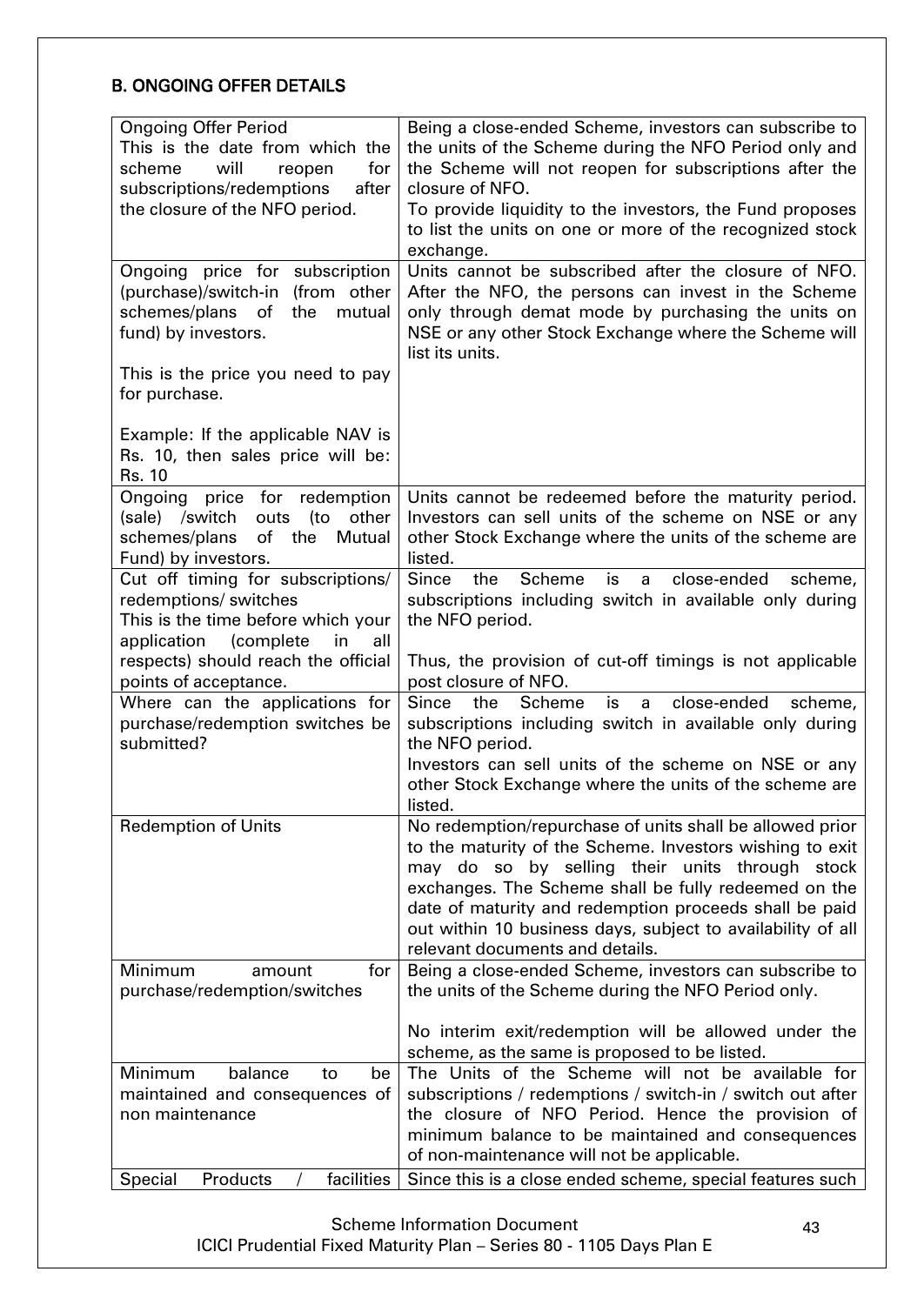# <span id="page-42-0"></span>B. ONGOING OFFER DETAILS

| <b>Ongoing Offer Period</b>                       | Being a close-ended Scheme, investors can subscribe to                                                  |
|---------------------------------------------------|---------------------------------------------------------------------------------------------------------|
| This is the date from which the                   | the units of the Scheme during the NFO Period only and                                                  |
|                                                   |                                                                                                         |
| will<br>for<br>scheme<br>reopen                   | the Scheme will not reopen for subscriptions after the                                                  |
| subscriptions/redemptions<br>after                | closure of NFO.                                                                                         |
| the closure of the NFO period.                    | To provide liquidity to the investors, the Fund proposes                                                |
|                                                   | to list the units on one or more of the recognized stock                                                |
|                                                   | exchange.                                                                                               |
| Ongoing price for subscription                    | Units cannot be subscribed after the closure of NFO.                                                    |
| (purchase)/switch-in (from other                  | After the NFO, the persons can invest in the Scheme                                                     |
| of<br>the<br>schemes/plans<br>mutual              | only through demat mode by purchasing the units on                                                      |
| fund) by investors.                               | NSE or any other Stock Exchange where the Scheme will                                                   |
|                                                   | list its units.                                                                                         |
| This is the price you need to pay                 |                                                                                                         |
| for purchase.                                     |                                                                                                         |
|                                                   |                                                                                                         |
| Example: If the applicable NAV is                 |                                                                                                         |
| Rs. 10, then sales price will be:                 |                                                                                                         |
| Rs. 10                                            |                                                                                                         |
| Ongoing price for redemption                      | Units cannot be redeemed before the maturity period.                                                    |
| (to<br>(sale) /switch<br>outs<br>other            | Investors can sell units of the scheme on NSE or any                                                    |
| of the<br>schemes/plans<br>Mutual                 | other Stock Exchange where the units of the scheme are                                                  |
| Fund) by investors.                               | listed.                                                                                                 |
| Cut off timing for subscriptions/                 | <b>Since</b><br>Scheme<br>the<br>close-ended<br>is<br>$a -$<br>scheme,                                  |
| redemptions/ switches                             | subscriptions including switch in available only during                                                 |
| This is the time before which your                | the NFO period.                                                                                         |
| (complete<br>in<br>application<br>all             |                                                                                                         |
| respects) should reach the official               | Thus, the provision of cut-off timings is not applicable                                                |
|                                                   | post closure of NFO.                                                                                    |
| points of acceptance.                             |                                                                                                         |
| Where can the applications for                    | <b>Since</b><br>the<br>Scheme<br>is<br>close-ended<br>scheme,<br>a                                      |
| purchase/redemption switches be                   | subscriptions including switch in available only during                                                 |
| submitted?                                        | the NFO period.                                                                                         |
|                                                   | Investors can sell units of the scheme on NSE or any                                                    |
|                                                   | other Stock Exchange where the units of the scheme are                                                  |
|                                                   | listed.                                                                                                 |
| <b>Redemption of Units</b>                        | No redemption/repurchase of units shall be allowed prior                                                |
|                                                   | to the maturity of the Scheme. Investors wishing to exit                                                |
|                                                   | may do so by selling their units through stock                                                          |
|                                                   | exchanges. The Scheme shall be fully redeemed on the                                                    |
|                                                   | date of maturity and redemption proceeds shall be paid                                                  |
|                                                   | out within 10 business days, subject to availability of all                                             |
|                                                   | relevant documents and details.                                                                         |
| for<br><b>Minimum</b><br>amount                   | Being a close-ended Scheme, investors can subscribe to                                                  |
| purchase/redemption/switches                      | the units of the Scheme during the NFO Period only.                                                     |
|                                                   |                                                                                                         |
|                                                   | No interim exit/redemption will be allowed under the                                                    |
|                                                   | scheme, as the same is proposed to be listed.                                                           |
| Minimum<br>balance<br>to<br>be                    |                                                                                                         |
|                                                   | The Units of the Scheme will not be available for                                                       |
|                                                   |                                                                                                         |
| maintained and consequences of<br>non maintenance | subscriptions / redemptions / switch-in / switch out after                                              |
|                                                   | the closure of NFO Period. Hence the provision of                                                       |
|                                                   | minimum balance to be maintained and consequences                                                       |
| Products<br>facilities<br>Special                 | of non-maintenance will not be applicable.<br>Since this is a close ended scheme, special features such |

Scheme Information Document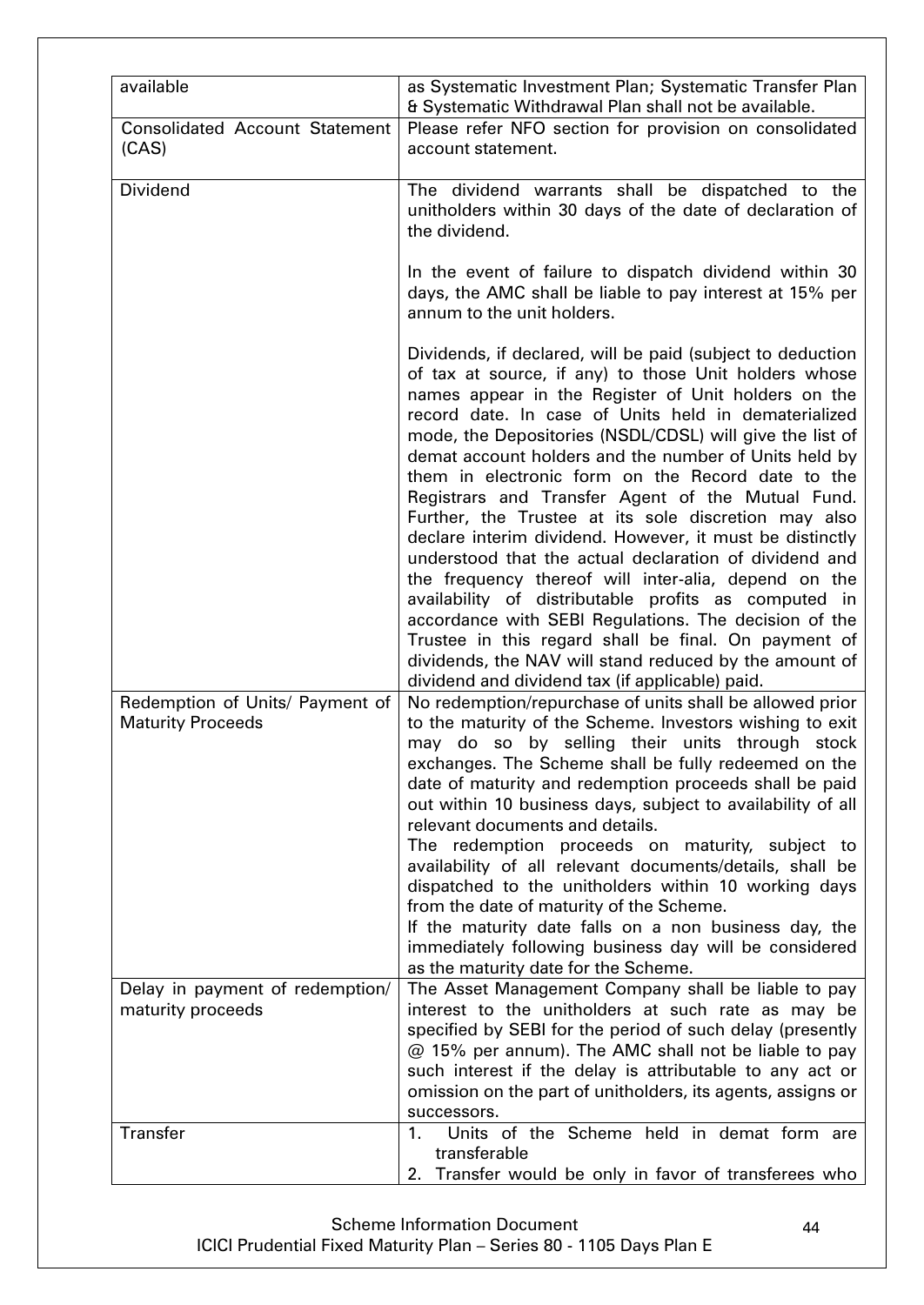| available                                                   | as Systematic Investment Plan; Systematic Transfer Plan<br>& Systematic Withdrawal Plan shall not be available.                                                                                                                                                                                                                                                                                                                                                                                                                                                                                                                                                                                                                                                                                                                                                                                                                            |
|-------------------------------------------------------------|--------------------------------------------------------------------------------------------------------------------------------------------------------------------------------------------------------------------------------------------------------------------------------------------------------------------------------------------------------------------------------------------------------------------------------------------------------------------------------------------------------------------------------------------------------------------------------------------------------------------------------------------------------------------------------------------------------------------------------------------------------------------------------------------------------------------------------------------------------------------------------------------------------------------------------------------|
| <b>Consolidated Account Statement</b><br>(CAS)              | Please refer NFO section for provision on consolidated<br>account statement.                                                                                                                                                                                                                                                                                                                                                                                                                                                                                                                                                                                                                                                                                                                                                                                                                                                               |
| <b>Dividend</b>                                             | The dividend warrants shall be dispatched to the<br>unitholders within 30 days of the date of declaration of<br>the dividend.                                                                                                                                                                                                                                                                                                                                                                                                                                                                                                                                                                                                                                                                                                                                                                                                              |
|                                                             | In the event of failure to dispatch dividend within 30<br>days, the AMC shall be liable to pay interest at 15% per<br>annum to the unit holders.                                                                                                                                                                                                                                                                                                                                                                                                                                                                                                                                                                                                                                                                                                                                                                                           |
|                                                             | Dividends, if declared, will be paid (subject to deduction<br>of tax at source, if any) to those Unit holders whose<br>names appear in the Register of Unit holders on the<br>record date. In case of Units held in dematerialized<br>mode, the Depositories (NSDL/CDSL) will give the list of<br>demat account holders and the number of Units held by<br>them in electronic form on the Record date to the<br>Registrars and Transfer Agent of the Mutual Fund.<br>Further, the Trustee at its sole discretion may also<br>declare interim dividend. However, it must be distinctly<br>understood that the actual declaration of dividend and<br>the frequency thereof will inter-alia, depend on the<br>availability of distributable profits as computed in<br>accordance with SEBI Regulations. The decision of the<br>Trustee in this regard shall be final. On payment of<br>dividends, the NAV will stand reduced by the amount of |
| Redemption of Units/ Payment of<br><b>Maturity Proceeds</b> | dividend and dividend tax (if applicable) paid.<br>No redemption/repurchase of units shall be allowed prior<br>to the maturity of the Scheme. Investors wishing to exit<br>may do so by selling their units through stock<br>exchanges. The Scheme shall be fully redeemed on the<br>date of maturity and redemption proceeds shall be paid<br>out within 10 business days, subject to availability of all<br>relevant documents and details.<br>The redemption proceeds on maturity, subject to<br>availability of all relevant documents/details, shall be<br>dispatched to the unitholders within 10 working days<br>from the date of maturity of the Scheme.<br>If the maturity date falls on a non business day, the<br>immediately following business day will be considered<br>as the maturity date for the Scheme.                                                                                                                 |
| Delay in payment of redemption/<br>maturity proceeds        | The Asset Management Company shall be liable to pay<br>interest to the unitholders at such rate as may be<br>specified by SEBI for the period of such delay (presently<br>@ 15% per annum). The AMC shall not be liable to pay<br>such interest if the delay is attributable to any act or<br>omission on the part of unitholders, its agents, assigns or<br>successors.                                                                                                                                                                                                                                                                                                                                                                                                                                                                                                                                                                   |
| <b>Transfer</b>                                             | Units of the Scheme held in demat form are<br>1.<br>transferable<br>2. Transfer would be only in favor of transferees who                                                                                                                                                                                                                                                                                                                                                                                                                                                                                                                                                                                                                                                                                                                                                                                                                  |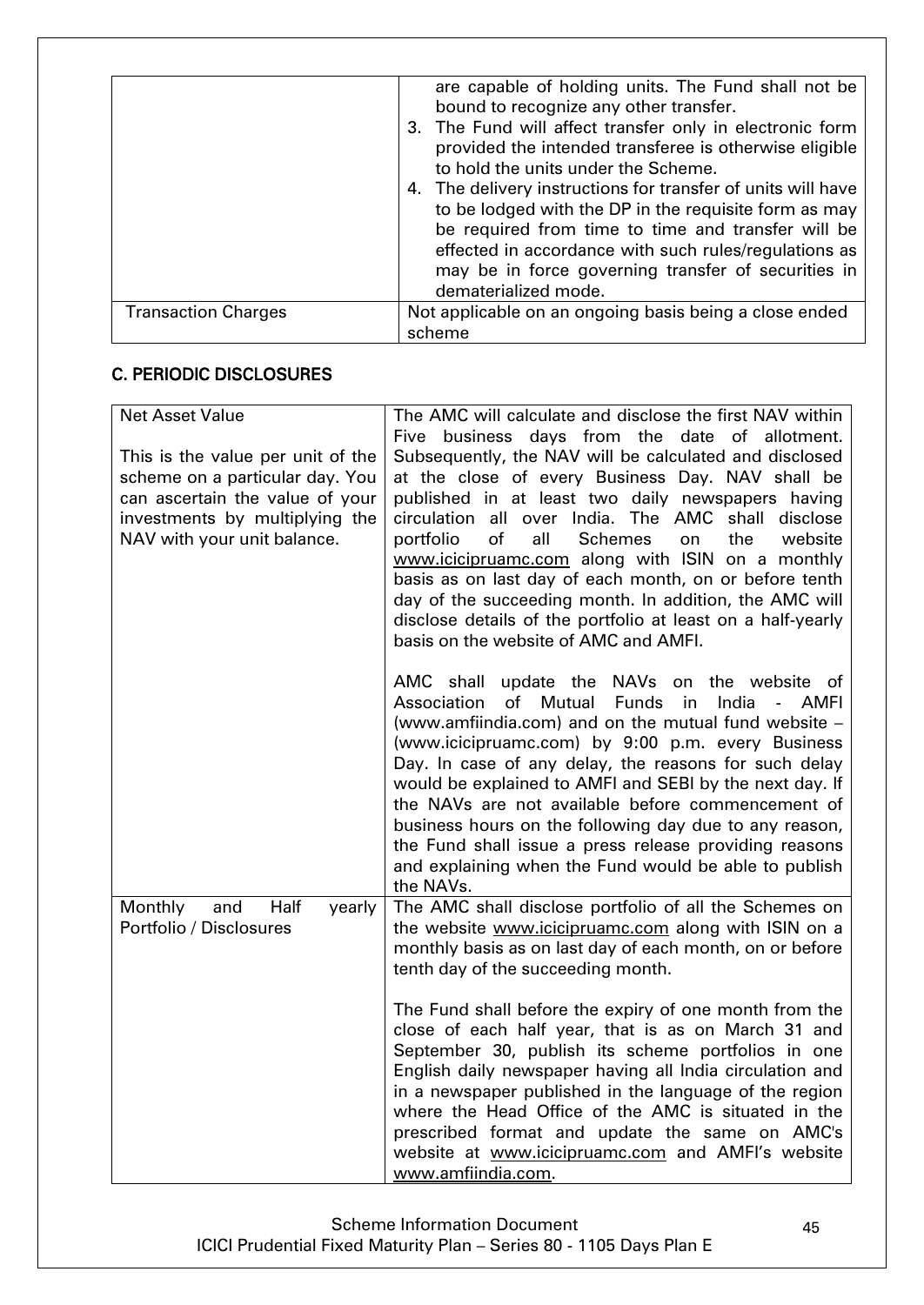|                            | are capable of holding units. The Fund shall not be<br>bound to recognize any other transfer. |
|----------------------------|-----------------------------------------------------------------------------------------------|
|                            | 3. The Fund will affect transfer only in electronic form                                      |
|                            | provided the intended transferee is otherwise eligible                                        |
|                            | to hold the units under the Scheme.                                                           |
|                            | 4. The delivery instructions for transfer of units will have                                  |
|                            | to be lodged with the DP in the requisite form as may                                         |
|                            | be required from time to time and transfer will be                                            |
|                            | effected in accordance with such rules/regulations as                                         |
|                            | may be in force governing transfer of securities in                                           |
|                            | dematerialized mode.                                                                          |
| <b>Transaction Charges</b> | Not applicable on an ongoing basis being a close ended                                        |
|                            | scheme                                                                                        |

# <span id="page-44-0"></span>C. PERIODIC DISCLOSURES

| <b>Net Asset Value</b>            | The AMC will calculate and disclose the first NAV within                                                                                                                         |
|-----------------------------------|----------------------------------------------------------------------------------------------------------------------------------------------------------------------------------|
|                                   | Five business days from the date of allotment.                                                                                                                                   |
| This is the value per unit of the | Subsequently, the NAV will be calculated and disclosed                                                                                                                           |
| scheme on a particular day. You   | at the close of every Business Day. NAV shall be                                                                                                                                 |
| can ascertain the value of your   | published in at least two daily newspapers having                                                                                                                                |
| investments by multiplying the    | circulation all over India. The AMC shall<br>disclose<br>of<br>all<br><b>Schemes</b><br>the<br>portfolio<br>website                                                              |
| NAV with your unit balance.       | on<br>www.icicipruamc.com along with ISIN on a monthly                                                                                                                           |
|                                   | basis as on last day of each month, on or before tenth                                                                                                                           |
|                                   | day of the succeeding month. In addition, the AMC will                                                                                                                           |
|                                   | disclose details of the portfolio at least on a half-yearly                                                                                                                      |
|                                   | basis on the website of AMC and AMFI.                                                                                                                                            |
|                                   |                                                                                                                                                                                  |
|                                   | AMC shall update the NAVs on the website of                                                                                                                                      |
|                                   | Association<br>of<br>Mutual<br>India<br><b>Funds</b><br><b>AMFI</b><br>in.<br>$\overline{\phantom{a}}$                                                                           |
|                                   | (www.amfiindia.com) and on the mutual fund website -                                                                                                                             |
|                                   | (www.icicipruamc.com) by 9:00 p.m. every Business                                                                                                                                |
|                                   | Day. In case of any delay, the reasons for such delay                                                                                                                            |
|                                   | would be explained to AMFI and SEBI by the next day. If                                                                                                                          |
|                                   | the NAVs are not available before commencement of                                                                                                                                |
|                                   | business hours on the following day due to any reason,                                                                                                                           |
|                                   | the Fund shall issue a press release providing reasons                                                                                                                           |
|                                   | and explaining when the Fund would be able to publish                                                                                                                            |
|                                   | the NAVs.                                                                                                                                                                        |
| Monthly<br>Half<br>and<br>yearly  | The AMC shall disclose portfolio of all the Schemes on                                                                                                                           |
| Portfolio / Disclosures           | the website www.icicipruamc.com along with ISIN on a                                                                                                                             |
|                                   | monthly basis as on last day of each month, on or before                                                                                                                         |
|                                   | tenth day of the succeeding month.                                                                                                                                               |
|                                   |                                                                                                                                                                                  |
|                                   | The Fund shall before the expiry of one month from the                                                                                                                           |
|                                   | close of each half year, that is as on March 31 and                                                                                                                              |
|                                   | September 30, publish its scheme portfolios in one                                                                                                                               |
|                                   | English daily newspaper having all India circulation and                                                                                                                         |
|                                   | in a newspaper published in the language of the region                                                                                                                           |
|                                   |                                                                                                                                                                                  |
|                                   |                                                                                                                                                                                  |
|                                   |                                                                                                                                                                                  |
|                                   | where the Head Office of the AMC is situated in the<br>prescribed format and update the same on AMC's<br>website at www.icicipruamc.com and AMFI's website<br>www.amfiindia.com. |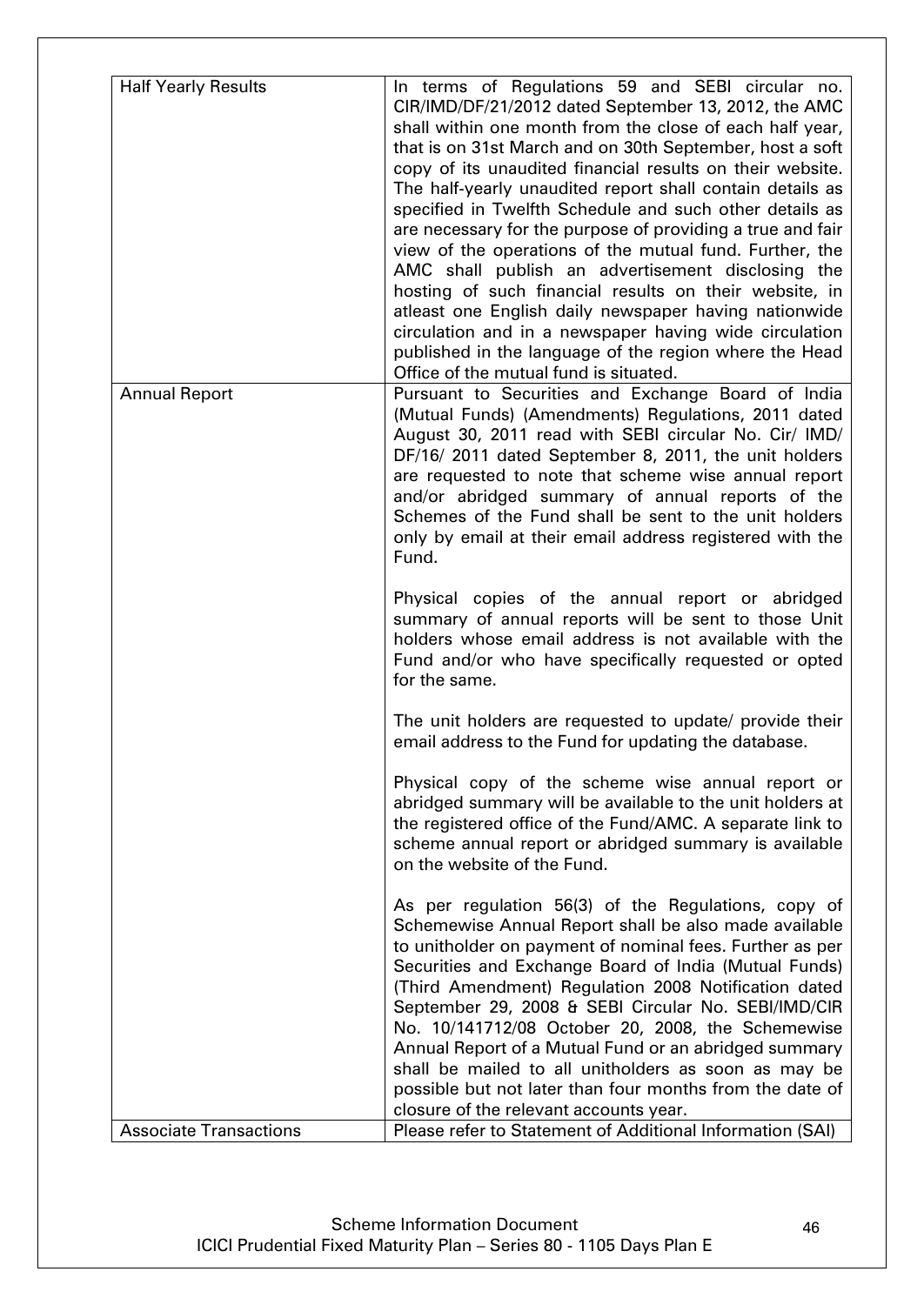| <b>Half Yearly Results</b>    | In terms of Regulations 59 and SEBI circular no.                                                                   |
|-------------------------------|--------------------------------------------------------------------------------------------------------------------|
|                               | CIR/IMD/DF/21/2012 dated September 13, 2012, the AMC                                                               |
|                               | shall within one month from the close of each half year,                                                           |
|                               | that is on 31st March and on 30th September, host a soft                                                           |
|                               | copy of its unaudited financial results on their website.                                                          |
|                               | The half-yearly unaudited report shall contain details as                                                          |
|                               | specified in Twelfth Schedule and such other details as                                                            |
|                               | are necessary for the purpose of providing a true and fair                                                         |
|                               | view of the operations of the mutual fund. Further, the                                                            |
|                               | AMC shall publish an advertisement disclosing the<br>hosting of such financial results on their website, in        |
|                               | atleast one English daily newspaper having nationwide                                                              |
|                               | circulation and in a newspaper having wide circulation                                                             |
|                               | published in the language of the region where the Head                                                             |
|                               | Office of the mutual fund is situated.                                                                             |
| <b>Annual Report</b>          | Pursuant to Securities and Exchange Board of India                                                                 |
|                               | (Mutual Funds) (Amendments) Regulations, 2011 dated                                                                |
|                               | August 30, 2011 read with SEBI circular No. Cir/ IMD/                                                              |
|                               | DF/16/ 2011 dated September 8, 2011, the unit holders                                                              |
|                               | are requested to note that scheme wise annual report                                                               |
|                               | and/or abridged summary of annual reports of the                                                                   |
|                               | Schemes of the Fund shall be sent to the unit holders                                                              |
|                               | only by email at their email address registered with the<br>Fund.                                                  |
|                               |                                                                                                                    |
|                               | Physical copies of the annual report or abridged                                                                   |
|                               | summary of annual reports will be sent to those Unit                                                               |
|                               | holders whose email address is not available with the                                                              |
|                               | Fund and/or who have specifically requested or opted                                                               |
|                               | for the same.                                                                                                      |
|                               | The unit holders are requested to update/ provide their                                                            |
|                               | email address to the Fund for updating the database.                                                               |
|                               |                                                                                                                    |
|                               | Physical copy of the scheme wise annual report or                                                                  |
|                               | abridged summary will be available to the unit holders at                                                          |
|                               | the registered office of the Fund/AMC. A separate link to<br>scheme annual report or abridged summary is available |
|                               | on the website of the Fund.                                                                                        |
|                               |                                                                                                                    |
|                               | As per regulation 56(3) of the Regulations, copy of                                                                |
|                               | Schemewise Annual Report shall be also made available                                                              |
|                               | to unitholder on payment of nominal fees. Further as per                                                           |
|                               | Securities and Exchange Board of India (Mutual Funds)                                                              |
|                               | (Third Amendment) Regulation 2008 Notification dated                                                               |
|                               | September 29, 2008 & SEBI Circular No. SEBI/IMD/CIR                                                                |
|                               | No. 10/141712/08 October 20, 2008, the Schemewise<br>Annual Report of a Mutual Fund or an abridged summary         |
|                               | shall be mailed to all unitholders as soon as may be                                                               |
|                               | possible but not later than four months from the date of                                                           |
|                               | closure of the relevant accounts year.                                                                             |
| <b>Associate Transactions</b> | Please refer to Statement of Additional Information (SAI)                                                          |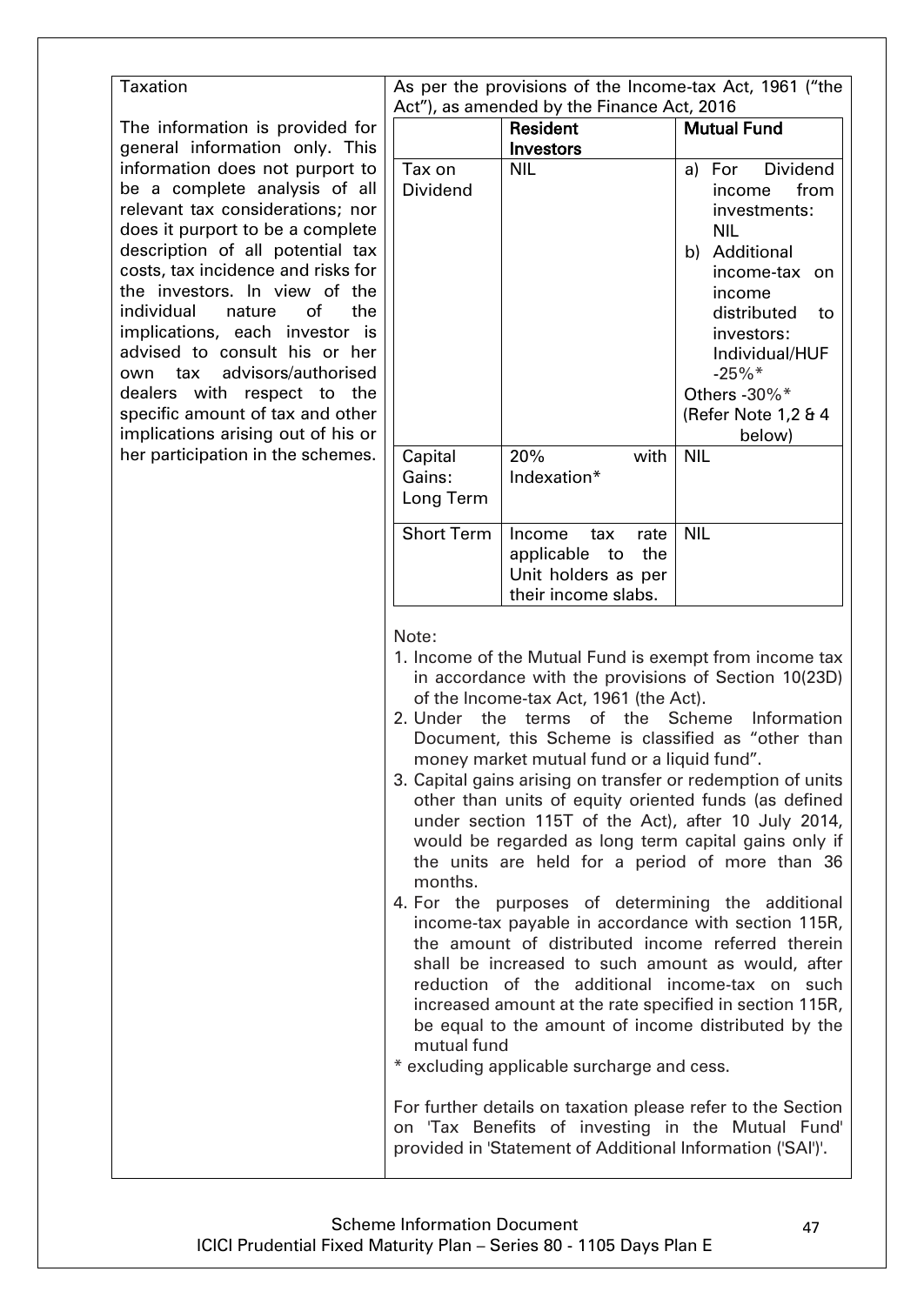| <b>Taxation</b>                                                                                                                                                                                                                                                                                                                                                                                                                                                                                                                                                               |                                                                                                                                                                                                                                                                                                                                                                                                                                                                                                                                                                                                                                                                                                                                                                                                                                                                                                                                                                                                                                                                                             |                                                                                                                                                                                | As per the provisions of the Income-tax Act, 1961 ("the                                                                                                                                                                                |
|-------------------------------------------------------------------------------------------------------------------------------------------------------------------------------------------------------------------------------------------------------------------------------------------------------------------------------------------------------------------------------------------------------------------------------------------------------------------------------------------------------------------------------------------------------------------------------|---------------------------------------------------------------------------------------------------------------------------------------------------------------------------------------------------------------------------------------------------------------------------------------------------------------------------------------------------------------------------------------------------------------------------------------------------------------------------------------------------------------------------------------------------------------------------------------------------------------------------------------------------------------------------------------------------------------------------------------------------------------------------------------------------------------------------------------------------------------------------------------------------------------------------------------------------------------------------------------------------------------------------------------------------------------------------------------------|--------------------------------------------------------------------------------------------------------------------------------------------------------------------------------|----------------------------------------------------------------------------------------------------------------------------------------------------------------------------------------------------------------------------------------|
| The information is provided for                                                                                                                                                                                                                                                                                                                                                                                                                                                                                                                                               |                                                                                                                                                                                                                                                                                                                                                                                                                                                                                                                                                                                                                                                                                                                                                                                                                                                                                                                                                                                                                                                                                             | Act"), as amended by the Finance Act, 2016<br><b>Resident</b><br>Investors                                                                                                     | <b>Mutual Fund</b>                                                                                                                                                                                                                     |
| general information only. This<br>information does not purport to<br>be a complete analysis of all<br>relevant tax considerations; nor<br>does it purport to be a complete<br>description of all potential tax<br>costs, tax incidence and risks for<br>the investors. In view of the<br>individual<br>of<br>nature<br>the<br>implications, each investor is<br>advised to consult his or her<br>advisors/authorised<br>own tax<br>dealers with respect to the<br>specific amount of tax and other<br>implications arising out of his or<br>her participation in the schemes. | Tax on<br>Dividend                                                                                                                                                                                                                                                                                                                                                                                                                                                                                                                                                                                                                                                                                                                                                                                                                                                                                                                                                                                                                                                                          | <b>NIL</b>                                                                                                                                                                     | <b>Dividend</b><br>a) For<br>from<br>income<br>investments:<br><b>NIL</b><br>b) Additional<br>income-tax on<br>income<br>distributed<br>to<br>investors:<br>Individual/HUF<br>$-25%$<br>Others - 30%*<br>(Refer Note 1,2 & 4<br>below) |
|                                                                                                                                                                                                                                                                                                                                                                                                                                                                                                                                                                               | Capital<br>Gains:<br>Long Term                                                                                                                                                                                                                                                                                                                                                                                                                                                                                                                                                                                                                                                                                                                                                                                                                                                                                                                                                                                                                                                              | 20%<br>with<br>Indexation*                                                                                                                                                     | <b>NIL</b>                                                                                                                                                                                                                             |
|                                                                                                                                                                                                                                                                                                                                                                                                                                                                                                                                                                               | <b>Short Term</b>                                                                                                                                                                                                                                                                                                                                                                                                                                                                                                                                                                                                                                                                                                                                                                                                                                                                                                                                                                                                                                                                           | Income<br>tax<br>rate<br>the<br>applicable to<br>Unit holders as per<br>their income slabs.                                                                                    | <b>NIL</b>                                                                                                                                                                                                                             |
|                                                                                                                                                                                                                                                                                                                                                                                                                                                                                                                                                                               | Note:<br>1. Income of the Mutual Fund is exempt from income tax<br>in accordance with the provisions of Section 10(23D)<br>of the Income-tax Act, 1961 (the Act).<br>2. Under<br>the terms of the<br>Scheme<br>Information<br>Document, this Scheme is classified as "other than<br>money market mutual fund or a liquid fund".<br>3. Capital gains arising on transfer or redemption of units<br>other than units of equity oriented funds (as defined<br>under section 115T of the Act), after 10 July 2014,<br>would be regarded as long term capital gains only if<br>the units are held for a period of more than 36<br>months.<br>4. For the purposes of determining the additional<br>income-tax payable in accordance with section 115R,<br>the amount of distributed income referred therein<br>shall be increased to such amount as would, after<br>reduction of the additional income-tax on such<br>increased amount at the rate specified in section 115R,<br>be equal to the amount of income distributed by the<br>mutual fund<br>* excluding applicable surcharge and cess. |                                                                                                                                                                                |                                                                                                                                                                                                                                        |
|                                                                                                                                                                                                                                                                                                                                                                                                                                                                                                                                                                               |                                                                                                                                                                                                                                                                                                                                                                                                                                                                                                                                                                                                                                                                                                                                                                                                                                                                                                                                                                                                                                                                                             | For further details on taxation please refer to the Section<br>on 'Tax Benefits of investing in the Mutual Fund'<br>provided in 'Statement of Additional Information ('SAI')'. |                                                                                                                                                                                                                                        |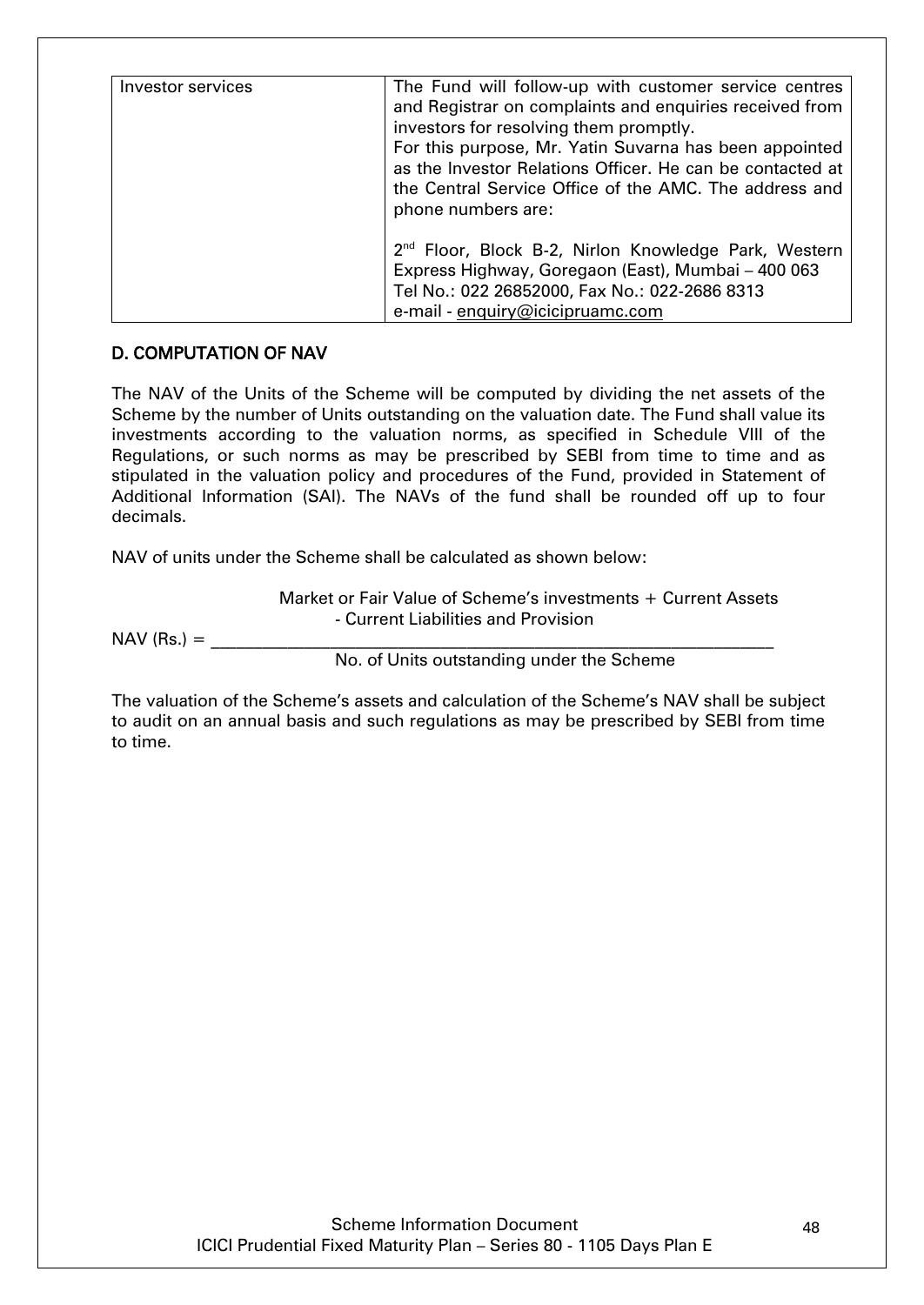| Investor services | The Fund will follow-up with customer service centres<br>and Registrar on complaints and enquiries received from<br>investors for resolving them promptly.<br>For this purpose, Mr. Yatin Suvarna has been appointed<br>as the Investor Relations Officer. He can be contacted at<br>the Central Service Office of the AMC. The address and<br>phone numbers are: |
|-------------------|-------------------------------------------------------------------------------------------------------------------------------------------------------------------------------------------------------------------------------------------------------------------------------------------------------------------------------------------------------------------|
|                   | 2 <sup>nd</sup> Floor, Block B-2, Nirlon Knowledge Park, Western<br>Express Highway, Goregaon (East), Mumbai - 400 063<br>Tel No.: 022 26852000, Fax No.: 022-2686 8313<br>e-mail - enquiry@icicipruamc.com                                                                                                                                                       |

# <span id="page-47-0"></span>D. COMPUTATION OF NAV

The NAV of the Units of the Scheme will be computed by dividing the net assets of the Scheme by the number of Units outstanding on the valuation date. The Fund shall value its investments according to the valuation norms, as specified in Schedule VIII of the Regulations, or such norms as may be prescribed by SEBI from time to time and as stipulated in the valuation policy and procedures of the Fund, provided in Statement of Additional Information (SAI). The NAVs of the fund shall be rounded off up to four decimals.

NAV of units under the Scheme shall be calculated as shown below:

Market or Fair Value of Scheme"s investments + Current Assets - Current Liabilities and Provision

 $NAV$  (Rs.)  $=$ 

No. of Units outstanding under the Scheme

The valuation of the Scheme's assets and calculation of the Scheme's NAV shall be subject to audit on an annual basis and such regulations as may be prescribed by SEBI from time to time.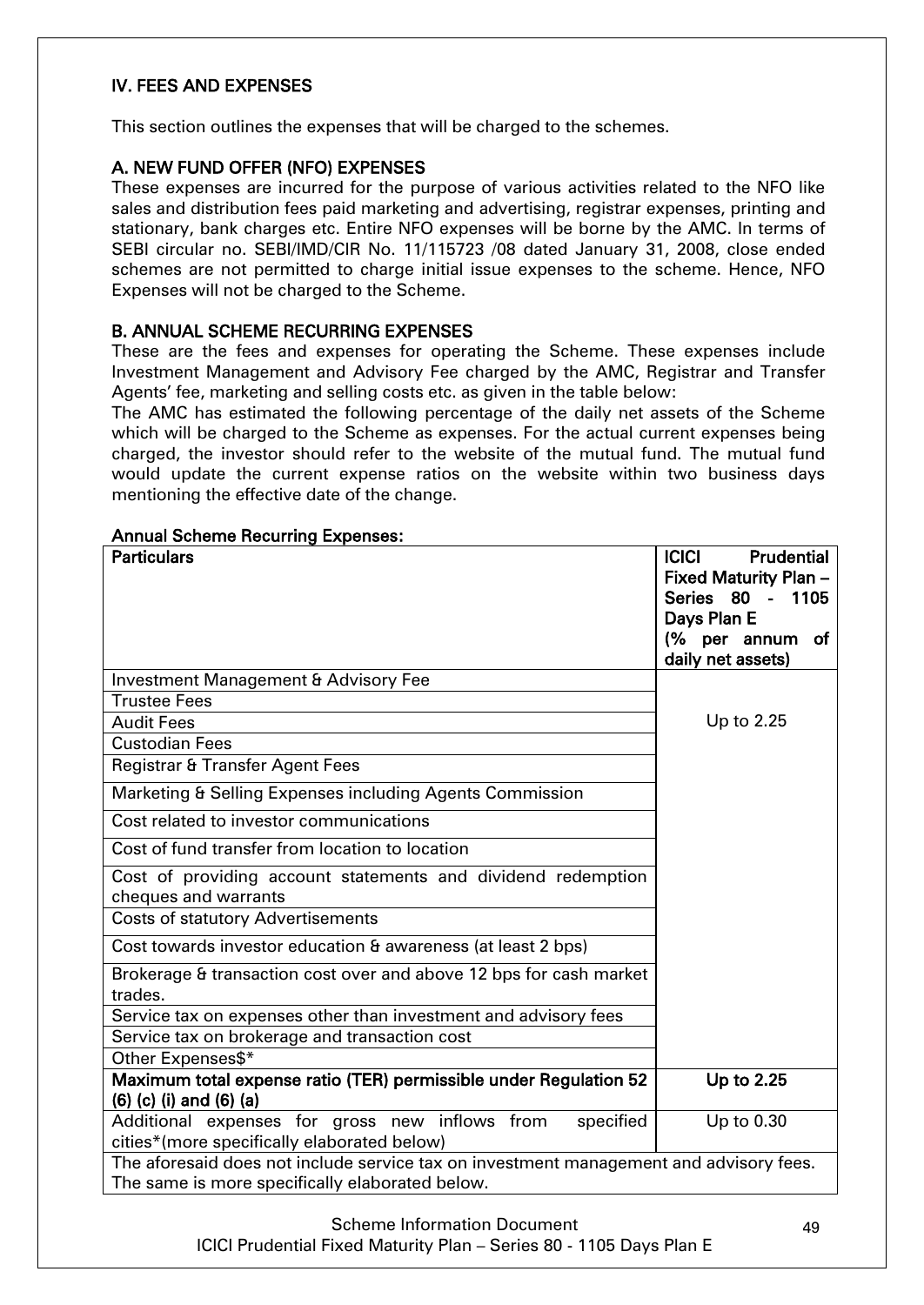# IV. FEES AND EXPENSES

This section outlines the expenses that will be charged to the schemes.

# <span id="page-48-0"></span>A. NEW FUND OFFER (NFO) EXPENSES

These expenses are incurred for the purpose of various activities related to the NFO like sales and distribution fees paid marketing and advertising, registrar expenses, printing and stationary, bank charges etc. Entire NFO expenses will be borne by the AMC. In terms of SEBI circular no. SEBI/IMD/CIR No. 11/115723 /08 dated January 31, 2008, close ended schemes are not permitted to charge initial issue expenses to the scheme. Hence, NFO Expenses will not be charged to the Scheme.

#### <span id="page-48-1"></span>B. ANNUAL SCHEME RECURRING EXPENSES

These are the fees and expenses for operating the Scheme. These expenses include Investment Management and Advisory Fee charged by the AMC, Registrar and Transfer Agents' fee, marketing and selling costs etc. as given in the table below:

The AMC has estimated the following percentage of the daily net assets of the Scheme which will be charged to the Scheme as expenses. For the actual current expenses being charged, the investor should refer to the website of the mutual fund. The mutual fund would update the current expense ratios on the website within two business days mentioning the effective date of the change.

#### Annual Scheme Recurring Expenses:

| <b>Particulars</b>                                                                                                                        | Prudential<br><b>ICICI</b><br><b>Fixed Maturity Plan-</b><br>Series 80 -<br>1105<br>Days Plan E<br>(% per annum<br>of<br>daily net assets) |
|-------------------------------------------------------------------------------------------------------------------------------------------|--------------------------------------------------------------------------------------------------------------------------------------------|
| Investment Management & Advisory Fee                                                                                                      |                                                                                                                                            |
| <b>Trustee Fees</b>                                                                                                                       |                                                                                                                                            |
| <b>Audit Fees</b>                                                                                                                         | Up to 2.25                                                                                                                                 |
| <b>Custodian Fees</b>                                                                                                                     |                                                                                                                                            |
| Registrar & Transfer Agent Fees                                                                                                           |                                                                                                                                            |
| Marketing & Selling Expenses including Agents Commission                                                                                  |                                                                                                                                            |
| Cost related to investor communications                                                                                                   |                                                                                                                                            |
| Cost of fund transfer from location to location                                                                                           |                                                                                                                                            |
| Cost of providing account statements and dividend redemption<br>cheques and warrants                                                      |                                                                                                                                            |
| <b>Costs of statutory Advertisements</b>                                                                                                  |                                                                                                                                            |
| Cost towards investor education & awareness (at least 2 bps)                                                                              |                                                                                                                                            |
| Brokerage & transaction cost over and above 12 bps for cash market<br>trades.                                                             |                                                                                                                                            |
| Service tax on expenses other than investment and advisory fees                                                                           |                                                                                                                                            |
| Service tax on brokerage and transaction cost                                                                                             |                                                                                                                                            |
| Other Expenses\$*                                                                                                                         |                                                                                                                                            |
| Maximum total expense ratio (TER) permissible under Regulation 52<br>$(6)$ $(c)$ $(i)$ and $(6)$ $(a)$                                    | Up to 2.25                                                                                                                                 |
| Additional expenses for gross new inflows from<br>specified<br>cities*(more specifically elaborated below)                                | Up to 0.30                                                                                                                                 |
| The aforesaid does not include service tax on investment management and advisory fees.<br>The same is more specifically elaborated below. |                                                                                                                                            |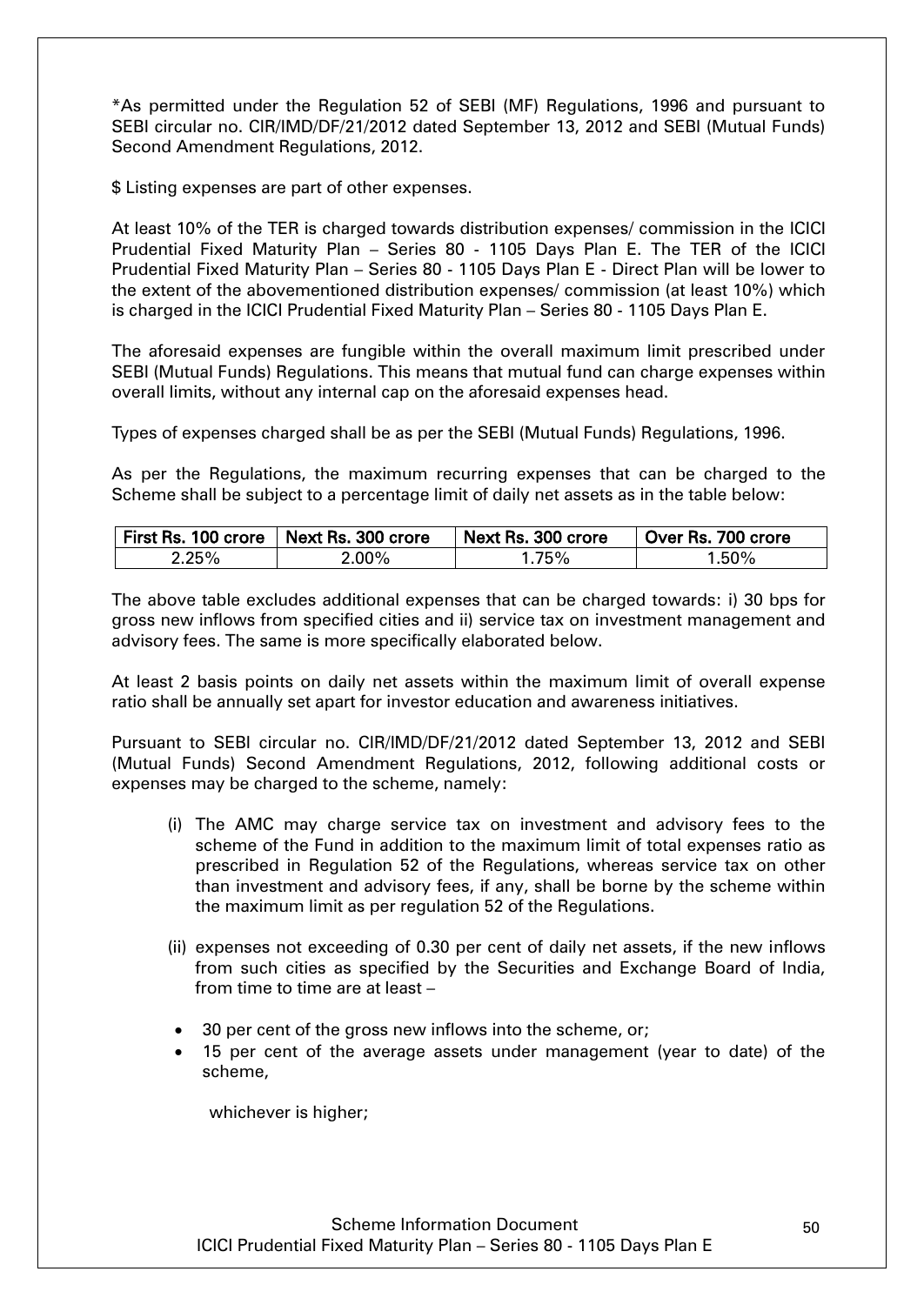\*As permitted under the Regulation 52 of SEBI (MF) Regulations, 1996 and pursuant to SEBI circular no. CIR/IMD/DF/21/2012 dated September 13, 2012 and SEBI (Mutual Funds) Second Amendment Regulations, 2012.

\$ Listing expenses are part of other expenses.

At least 10% of the TER is charged towards distribution expenses/ commission in the ICICI Prudential Fixed Maturity Plan – Series 80 - 1105 Days Plan E. The TER of the ICICI Prudential Fixed Maturity Plan – Series 80 - 1105 Days Plan E - Direct Plan will be lower to the extent of the abovementioned distribution expenses/ commission (at least 10%) which is charged in the ICICI Prudential Fixed Maturity Plan – Series 80 - 1105 Days Plan E.

The aforesaid expenses are fungible within the overall maximum limit prescribed under SEBI (Mutual Funds) Regulations. This means that mutual fund can charge expenses within overall limits, without any internal cap on the aforesaid expenses head.

Types of expenses charged shall be as per the SEBI (Mutual Funds) Regulations, 1996.

As per the Regulations, the maximum recurring expenses that can be charged to the Scheme shall be subject to a percentage limit of daily net assets as in the table below:

|       | First Rs. 100 crore   Next Rs. 300 crore | Next Rs. 300 crore | Over Rs. 700 crore |
|-------|------------------------------------------|--------------------|--------------------|
| 2.25% | $2.00\%$                                 | . 75%              | 1.50%              |

The above table excludes additional expenses that can be charged towards: i) 30 bps for gross new inflows from specified cities and ii) service tax on investment management and advisory fees. The same is more specifically elaborated below.

At least 2 basis points on daily net assets within the maximum limit of overall expense ratio shall be annually set apart for investor education and awareness initiatives.

Pursuant to SEBI circular no. CIR/IMD/DF/21/2012 dated September 13, 2012 and SEBI (Mutual Funds) Second Amendment Regulations, 2012, following additional costs or expenses may be charged to the scheme, namely:

- (i) The AMC may charge service tax on investment and advisory fees to the scheme of the Fund in addition to the maximum limit of total expenses ratio as prescribed in Regulation 52 of the Regulations, whereas service tax on other than investment and advisory fees, if any, shall be borne by the scheme within the maximum limit as per regulation 52 of the Regulations.
- (ii) expenses not exceeding of 0.30 per cent of daily net assets, if the new inflows from such cities as specified by the Securities and Exchange Board of India, from time to time are at least –
- 30 per cent of the gross new inflows into the scheme, or;
- 15 per cent of the average assets under management (year to date) of the scheme,

whichever is higher;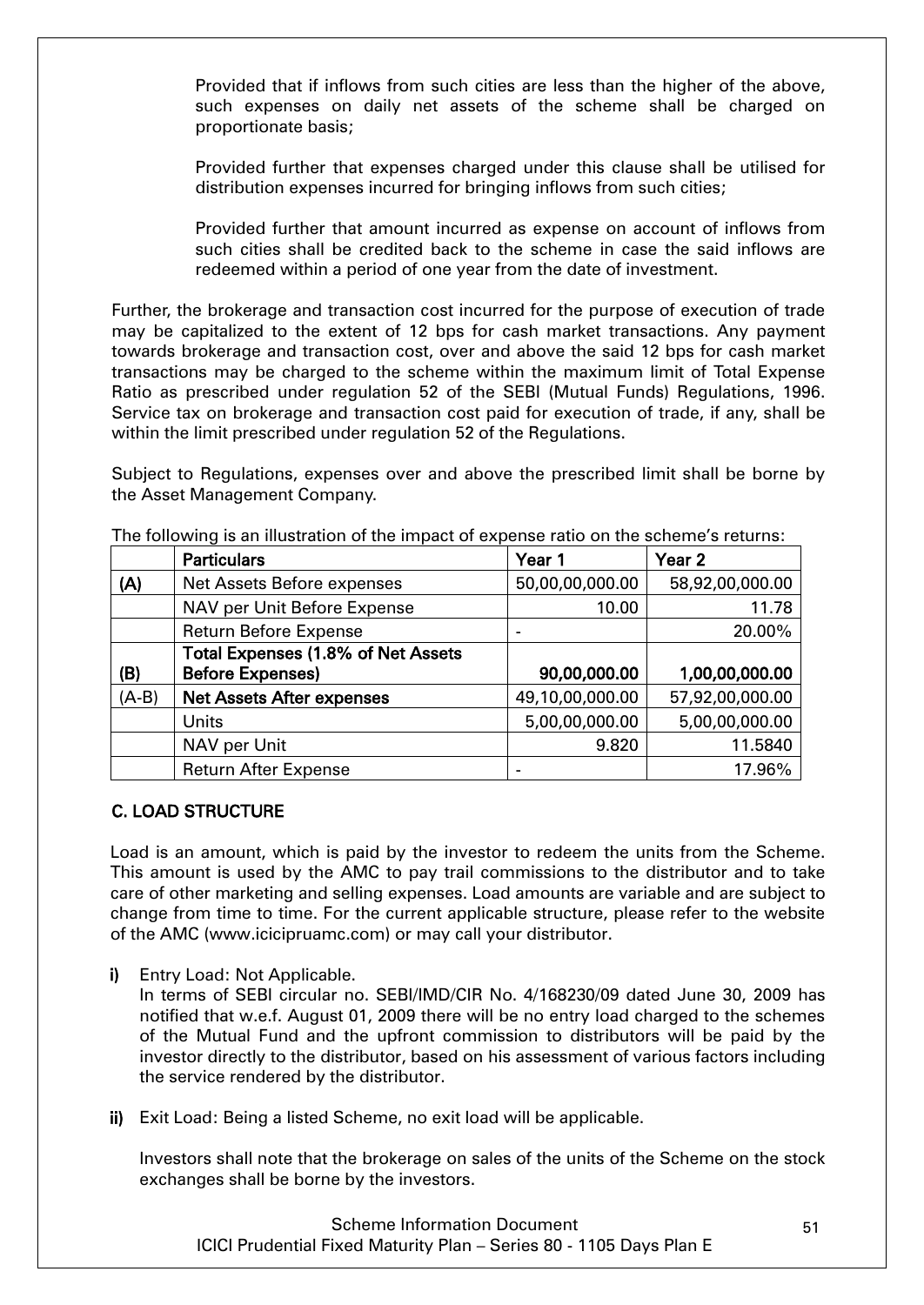Provided that if inflows from such cities are less than the higher of the above, such expenses on daily net assets of the scheme shall be charged on proportionate basis;

Provided further that expenses charged under this clause shall be utilised for distribution expenses incurred for bringing inflows from such cities;

Provided further that amount incurred as expense on account of inflows from such cities shall be credited back to the scheme in case the said inflows are redeemed within a period of one year from the date of investment.

Further, the brokerage and transaction cost incurred for the purpose of execution of trade may be capitalized to the extent of 12 bps for cash market transactions. Any payment towards brokerage and transaction cost, over and above the said 12 bps for cash market transactions may be charged to the scheme within the maximum limit of Total Expense Ratio as prescribed under regulation 52 of the SEBI (Mutual Funds) Regulations, 1996. Service tax on brokerage and transaction cost paid for execution of trade, if any, shall be within the limit prescribed under regulation 52 of the Regulations.

Subject to Regulations, expenses over and above the prescribed limit shall be borne by the Asset Management Company.

|         | <b>Particulars</b>                 | Year 1          | Year <sub>2</sub> |
|---------|------------------------------------|-----------------|-------------------|
| (A)     | Net Assets Before expenses         | 50,00,00,000.00 | 58,92,00,000.00   |
|         | NAV per Unit Before Expense        | 10.00           | 11.78             |
|         | <b>Return Before Expense</b>       |                 | 20.00%            |
|         | Total Expenses (1.8% of Net Assets |                 |                   |
| (B)     | <b>Before Expenses)</b>            | 90,00,000.00    | 1,00,00,000.00    |
| $(A-B)$ | <b>Net Assets After expenses</b>   | 49,10,00,000.00 | 57,92,00,000.00   |
|         | Units                              | 5,00,00,000.00  | 5,00,00,000.00    |
|         | NAV per Unit                       | 9.820           | 11.5840           |
|         | <b>Return After Expense</b>        |                 | 17.96%            |

The following is an illustration of the impact of expense ratio on the scheme"s returns:

# <span id="page-50-0"></span>C. LOAD STRUCTURE

Load is an amount, which is paid by the investor to redeem the units from the Scheme. This amount is used by the AMC to pay trail commissions to the distributor and to take care of other marketing and selling expenses. Load amounts are variable and are subject to change from time to time. For the current applicable structure, please refer to the website of the AMC (www.icicipruamc.com) or may call your distributor.

i) Entry Load: Not Applicable.

In terms of SEBI circular no. SEBI/IMD/CIR No. 4/168230/09 dated June 30, 2009 has notified that w.e.f. August 01, 2009 there will be no entry load charged to the schemes of the Mutual Fund and the upfront commission to distributors will be paid by the investor directly to the distributor, based on his assessment of various factors including the service rendered by the distributor.

ii) Exit Load: Being a listed Scheme, no exit load will be applicable.

Investors shall note that the brokerage on sales of the units of the Scheme on the stock exchanges shall be borne by the investors.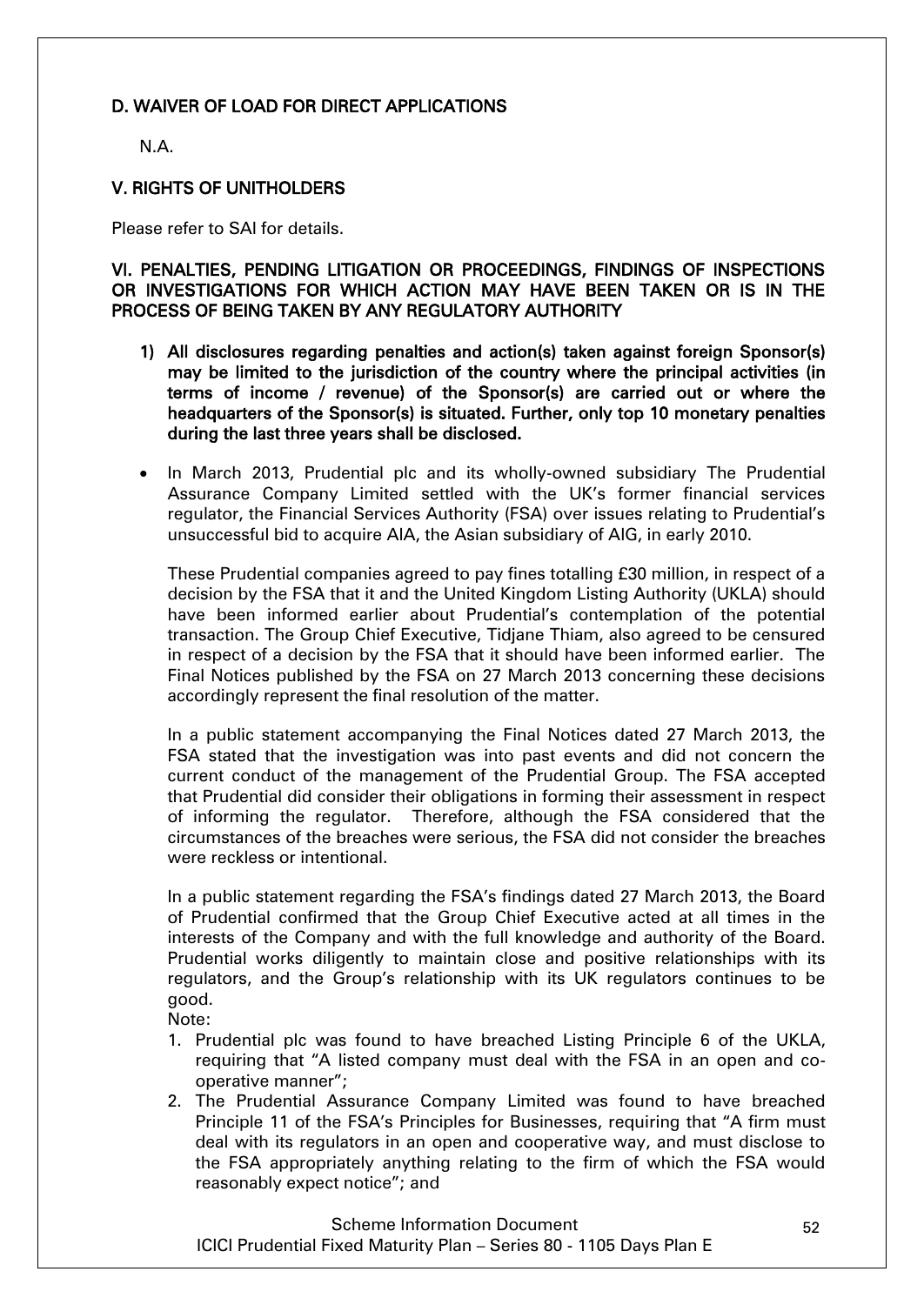# <span id="page-51-0"></span>D. WAIVER OF LOAD FOR DIRECT APPLICATIONS

N.A.

#### <span id="page-51-1"></span>V. RIGHTS OF UNITHOLDERS

Please refer to SAI for details.

<span id="page-51-2"></span>VI. PENALTIES, PENDING LITIGATION OR PROCEEDINGS, FINDINGS OF INSPECTIONS OR INVESTIGATIONS FOR WHICH ACTION MAY HAVE BEEN TAKEN OR IS IN THE PROCESS OF BEING TAKEN BY ANY REGULATORY AUTHORITY

- 1) All disclosures regarding penalties and action(s) taken against foreign Sponsor(s) may be limited to the jurisdiction of the country where the principal activities (in terms of income / revenue) of the Sponsor(s) are carried out or where the headquarters of the Sponsor(s) is situated. Further, only top 10 monetary penalties during the last three years shall be disclosed.
- In March 2013, Prudential plc and its wholly-owned subsidiary The Prudential Assurance Company Limited settled with the UK"s former financial services regulator, the Financial Services Authority (FSA) over issues relating to Prudential"s unsuccessful bid to acquire AIA, the Asian subsidiary of AIG, in early 2010.

These Prudential companies agreed to pay fines totalling £30 million, in respect of a decision by the FSA that it and the United Kingdom Listing Authority (UKLA) should have been informed earlier about Prudential's contemplation of the potential transaction. The Group Chief Executive, Tidjane Thiam, also agreed to be censured in respect of a decision by the FSA that it should have been informed earlier. The Final Notices published by the FSA on 27 March 2013 concerning these decisions accordingly represent the final resolution of the matter.

In a public statement accompanying the Final Notices dated 27 March 2013, the FSA stated that the investigation was into past events and did not concern the current conduct of the management of the Prudential Group. The FSA accepted that Prudential did consider their obligations in forming their assessment in respect of informing the regulator. Therefore, although the FSA considered that the circumstances of the breaches were serious, the FSA did not consider the breaches were reckless or intentional.

In a public statement regarding the FSA"s findings dated 27 March 2013, the Board of Prudential confirmed that the Group Chief Executive acted at all times in the interests of the Company and with the full knowledge and authority of the Board. Prudential works diligently to maintain close and positive relationships with its regulators, and the Group"s relationship with its UK regulators continues to be good.

Note:

- 1. Prudential plc was found to have breached Listing Principle 6 of the UKLA, requiring that "A listed company must deal with the FSA in an open and cooperative manner";
- 2. The Prudential Assurance Company Limited was found to have breached Principle 11 of the FSA"s Principles for Businesses, requiring that "A firm must deal with its regulators in an open and cooperative way, and must disclose to the FSA appropriately anything relating to the firm of which the FSA would reasonably expect notice"; and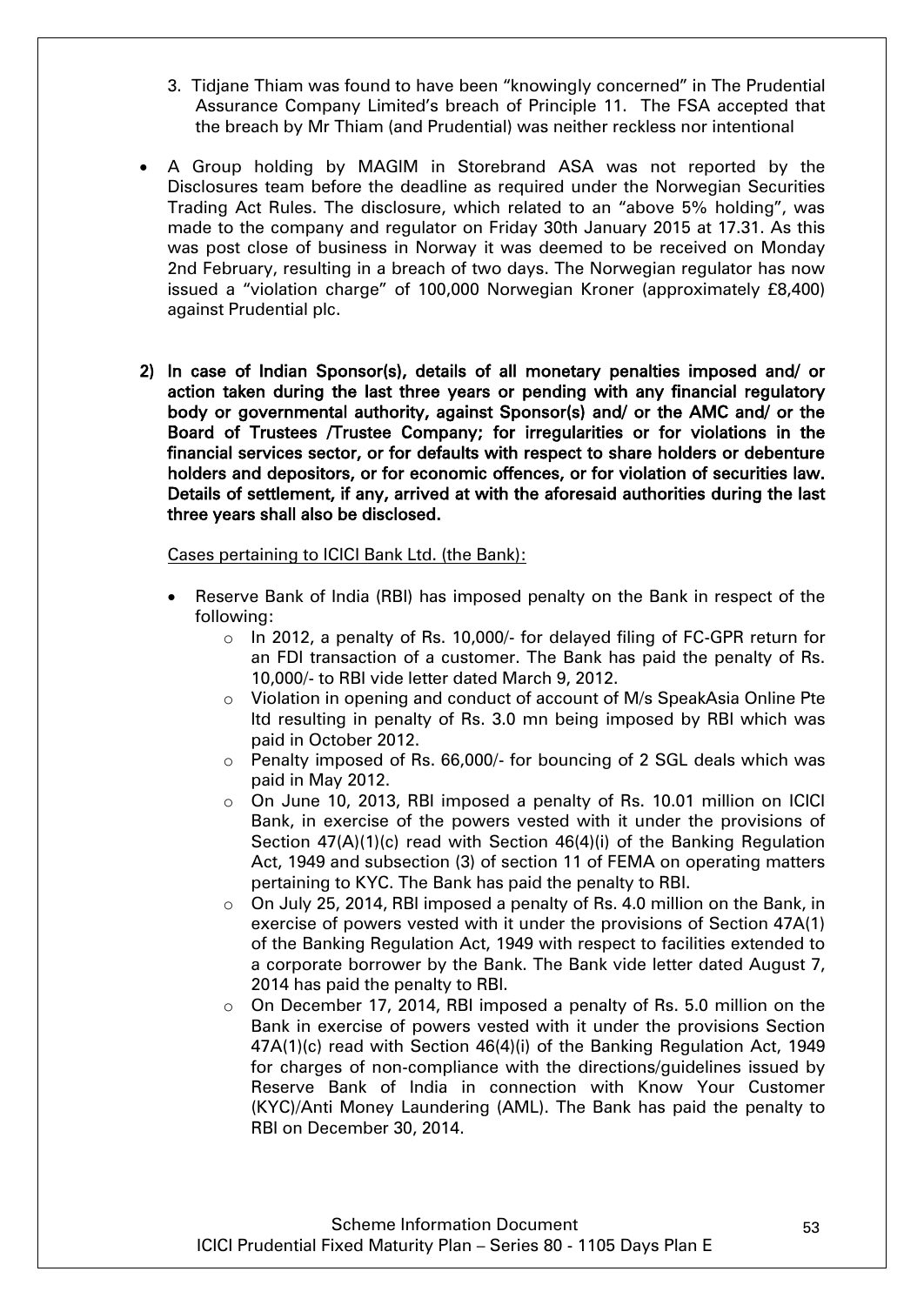- 3. Tidjane Thiam was found to have been "knowingly concerned" in The Prudential Assurance Company Limited"s breach of Principle 11. The FSA accepted that the breach by Mr Thiam (and Prudential) was neither reckless nor intentional
- A Group holding by MAGIM in Storebrand ASA was not reported by the Disclosures team before the deadline as required under the Norwegian Securities Trading Act Rules. The disclosure, which related to an "above 5% holding", was made to the company and regulator on Friday 30th January 2015 at 17.31. As this was post close of business in Norway it was deemed to be received on Monday 2nd February, resulting in a breach of two days. The Norwegian regulator has now issued a "violation charge" of 100,000 Norwegian Kroner (approximately £8,400) against Prudential plc.
- 2) In case of Indian Sponsor(s), details of all monetary penalties imposed and/ or action taken during the last three years or pending with any financial regulatory body or governmental authority, against Sponsor(s) and/ or the AMC and/ or the Board of Trustees /Trustee Company; for irregularities or for violations in the financial services sector, or for defaults with respect to share holders or debenture holders and depositors, or for economic offences, or for violation of securities law. Details of settlement, if any, arrived at with the aforesaid authorities during the last three years shall also be disclosed.

Cases pertaining to ICICI Bank Ltd. (the Bank):

- Reserve Bank of India (RBI) has imposed penalty on the Bank in respect of the following:
	- o In 2012, a penalty of Rs. 10,000/- for delayed filing of FC-GPR return for an FDI transaction of a customer. The Bank has paid the penalty of Rs. 10,000/- to RBI vide letter dated March 9, 2012.
	- o Violation in opening and conduct of account of M/s SpeakAsia Online Pte ltd resulting in penalty of Rs. 3.0 mn being imposed by RBI which was paid in October 2012.
	- $\circ$  Penalty imposed of Rs. 66,000/- for bouncing of 2 SGL deals which was paid in May 2012.
	- o On June 10, 2013, RBI imposed a penalty of Rs. 10.01 million on ICICI Bank, in exercise of the powers vested with it under the provisions of Section 47(A)(1)(c) read with Section 46(4)(i) of the Banking Regulation Act, 1949 and subsection (3) of section 11 of FEMA on operating matters pertaining to KYC. The Bank has paid the penalty to RBI.
	- $\circ$  On July 25, 2014, RBI imposed a penalty of Rs. 4.0 million on the Bank, in exercise of powers vested with it under the provisions of Section 47A(1) of the Banking Regulation Act, 1949 with respect to facilities extended to a corporate borrower by the Bank. The Bank vide letter dated August 7, 2014 has paid the penalty to RBI.
	- $\circ$  On December 17, 2014, RBI imposed a penalty of Rs. 5.0 million on the Bank in exercise of powers vested with it under the provisions Section 47A(1)(c) read with Section 46(4)(i) of the Banking Regulation Act, 1949 for charges of non-compliance with the directions/guidelines issued by Reserve Bank of India in connection with Know Your Customer (KYC)/Anti Money Laundering (AML). The Bank has paid the penalty to RBI on December 30, 2014.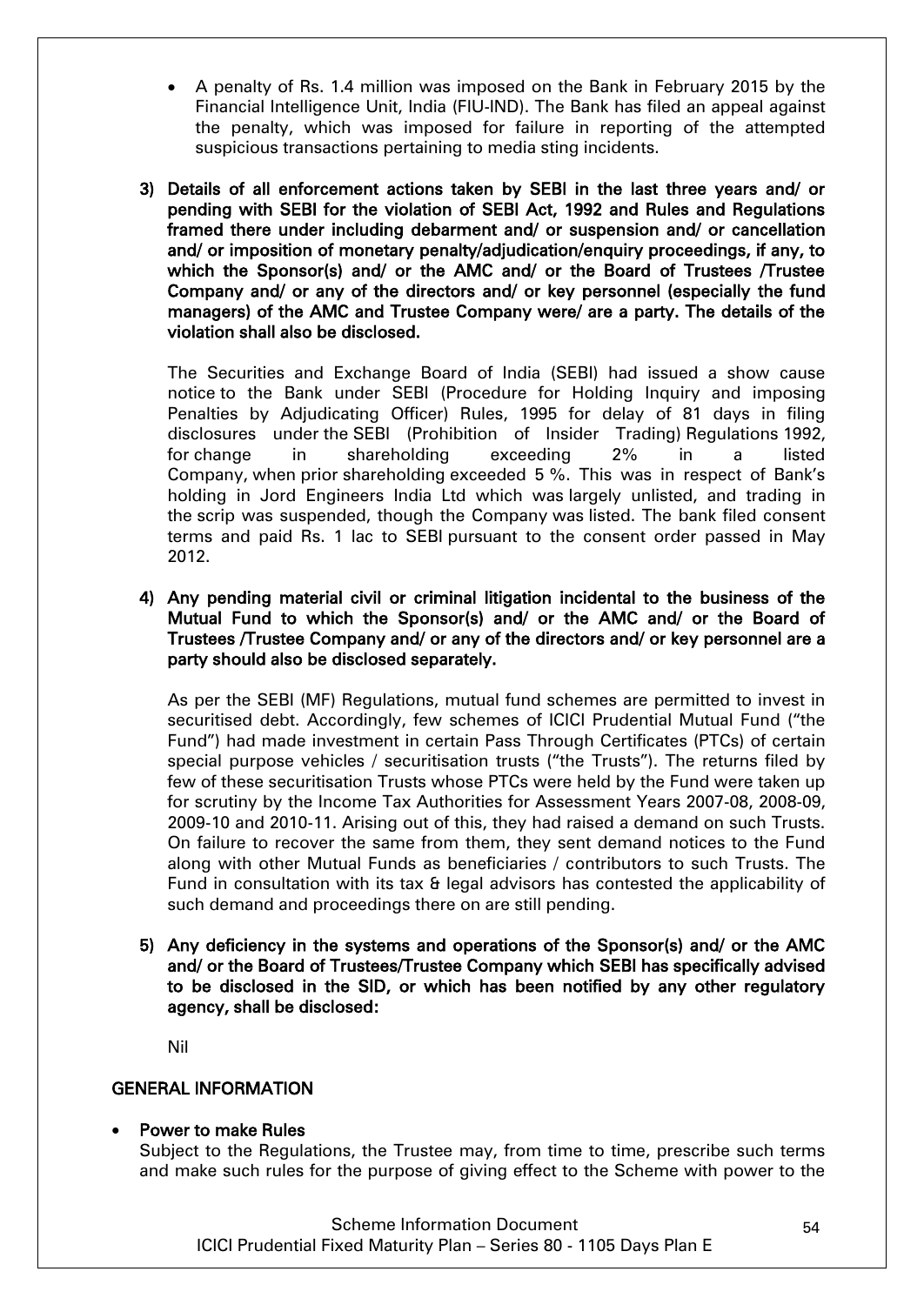- A penalty of Rs. 1.4 million was imposed on the Bank in February 2015 by the Financial Intelligence Unit, India (FIU-IND). The Bank has filed an appeal against the penalty, which was imposed for failure in reporting of the attempted suspicious transactions pertaining to media sting incidents.
- 3) Details of all enforcement actions taken by SEBI in the last three years and/ or pending with SEBI for the violation of SEBI Act, 1992 and Rules and Regulations framed there under including debarment and/ or suspension and/ or cancellation and/ or imposition of monetary penalty/adjudication/enquiry proceedings, if any, to which the Sponsor(s) and/ or the AMC and/ or the Board of Trustees /Trustee Company and/ or any of the directors and/ or key personnel (especially the fund managers) of the AMC and Trustee Company were/ are a party. The details of the violation shall also be disclosed.

The Securities and Exchange Board of India (SEBI) had issued a show cause notice to the Bank under SEBI (Procedure for Holding Inquiry and imposing Penalties by Adjudicating Officer) Rules, 1995 for delay of 81 days in filing disclosures under the SEBI (Prohibition of Insider Trading) Regulations 1992, for change in shareholding exceeding 2% in a listed Company, when prior shareholding exceeded 5 %. This was in respect of Bank"s holding in Jord Engineers India Ltd which was largely unlisted, and trading in the scrip was suspended, though the Company was listed. The bank filed consent terms and paid Rs. 1 lac to SEBI pursuant to the consent order passed in May 2012.

4) Any pending material civil or criminal litigation incidental to the business of the Mutual Fund to which the Sponsor(s) and/ or the AMC and/ or the Board of Trustees /Trustee Company and/ or any of the directors and/ or key personnel are a party should also be disclosed separately.

As per the SEBI (MF) Regulations, mutual fund schemes are permitted to invest in securitised debt. Accordingly, few schemes of ICICI Prudential Mutual Fund ("the Fund") had made investment in certain Pass Through Certificates (PTCs) of certain special purpose vehicles / securitisation trusts ("the Trusts"). The returns filed by few of these securitisation Trusts whose PTCs were held by the Fund were taken up for scrutiny by the Income Tax Authorities for Assessment Years 2007-08, 2008-09, 2009-10 and 2010-11. Arising out of this, they had raised a demand on such Trusts. On failure to recover the same from them, they sent demand notices to the Fund along with other Mutual Funds as beneficiaries / contributors to such Trusts. The Fund in consultation with its tax & legal advisors has contested the applicability of such demand and proceedings there on are still pending.

5) Any deficiency in the systems and operations of the Sponsor(s) and/ or the AMC and/ or the Board of Trustees/Trustee Company which SEBI has specifically advised to be disclosed in the SID, or which has been notified by any other regulatory agency, shall be disclosed:

Nil

# GENERAL INFORMATION

# Power to make Rules

Subject to the Regulations, the Trustee may, from time to time, prescribe such terms and make such rules for the purpose of giving effect to the Scheme with power to the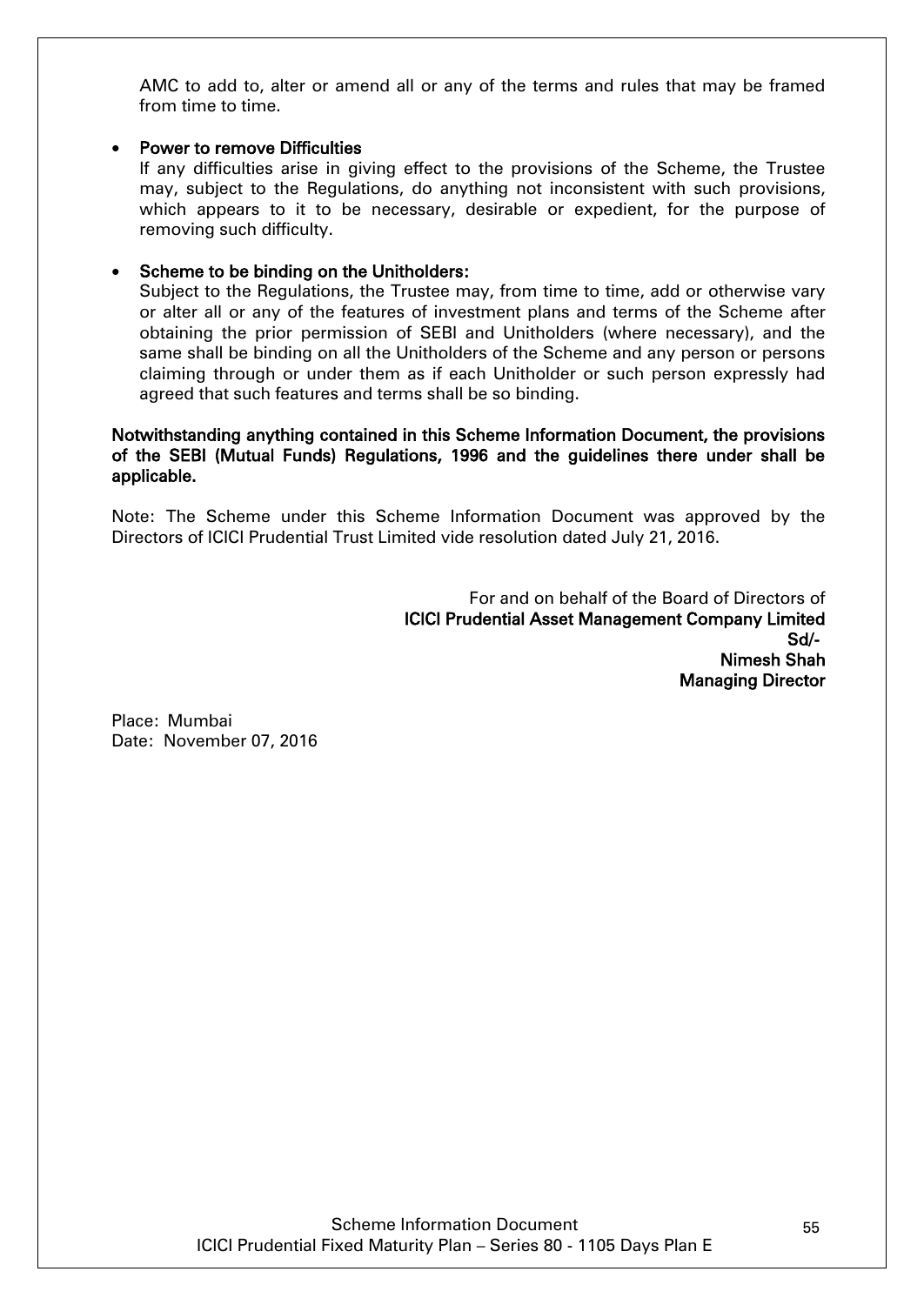AMC to add to, alter or amend all or any of the terms and rules that may be framed from time to time.

#### Power to remove Difficulties

If any difficulties arise in giving effect to the provisions of the Scheme, the Trustee may, subject to the Regulations, do anything not inconsistent with such provisions, which appears to it to be necessary, desirable or expedient, for the purpose of removing such difficulty.

#### Scheme to be binding on the Unitholders:

Subject to the Regulations, the Trustee may, from time to time, add or otherwise vary or alter all or any of the features of investment plans and terms of the Scheme after obtaining the prior permission of SEBI and Unitholders (where necessary), and the same shall be binding on all the Unitholders of the Scheme and any person or persons claiming through or under them as if each Unitholder or such person expressly had agreed that such features and terms shall be so binding.

#### Notwithstanding anything contained in this Scheme Information Document, the provisions of the SEBI (Mutual Funds) Regulations, 1996 and the guidelines there under shall be applicable.

Note: The Scheme under this Scheme Information Document was approved by the Directors of ICICI Prudential Trust Limited vide resolution dated July 21, 2016.

For and on behalf of the Board of Directors of ICICI Prudential Asset Management Company Limited Sd/- Nimesh Shah Managing Director

Place: Mumbai Date: November 07, 2016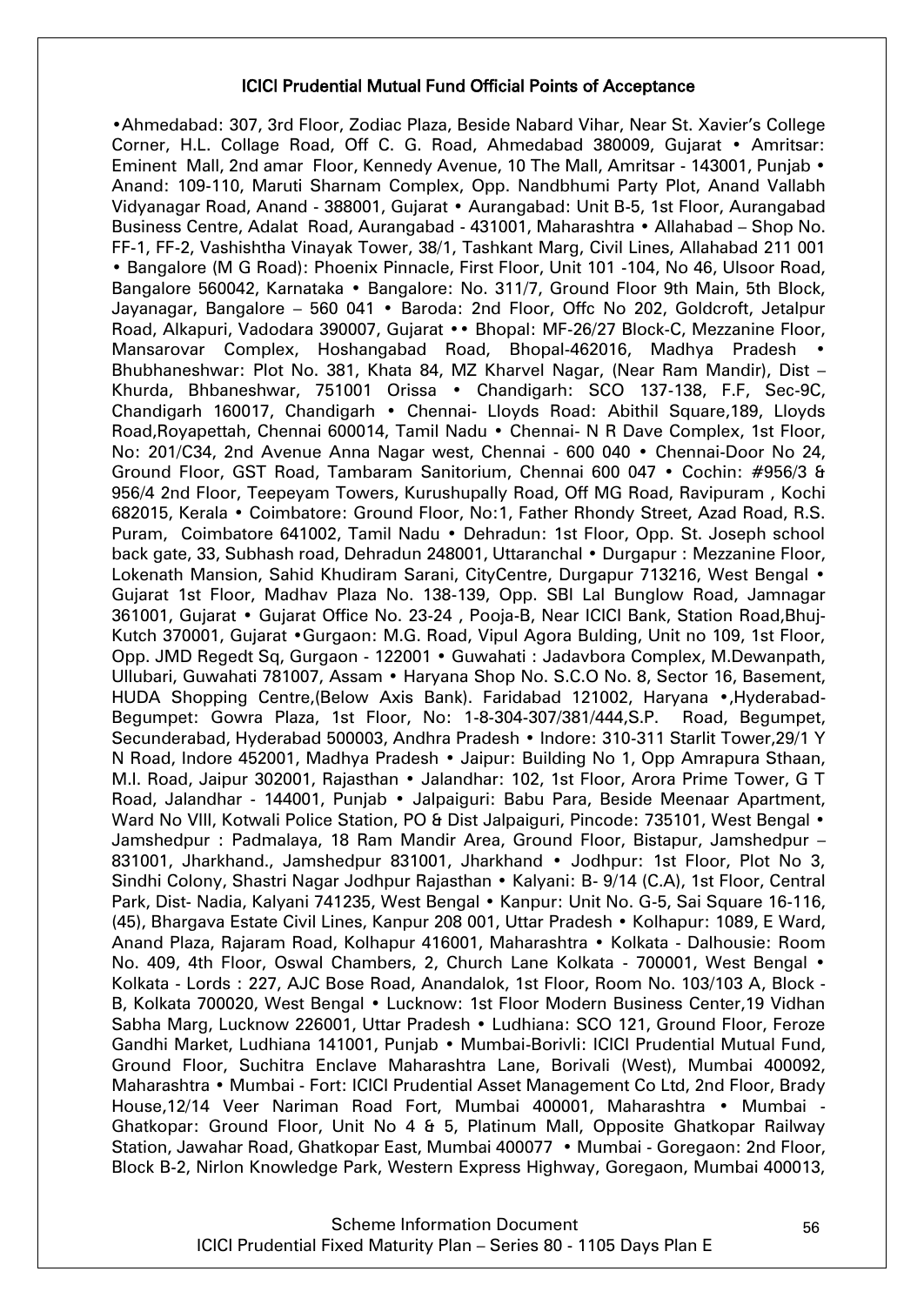#### ICICI Prudential Mutual Fund Official Points of Acceptance

•Ahmedabad: 307, 3rd Floor, Zodiac Plaza, Beside Nabard Vihar, Near St. Xavier"s College Corner, H.L. Collage Road, Off C. G. Road, Ahmedabad 380009, Gujarat • Amritsar: Eminent Mall, 2nd amar Floor, Kennedy Avenue, 10 The Mall, Amritsar - 143001, Punjab • Anand: 109-110, Maruti Sharnam Complex, Opp. Nandbhumi Party Plot, Anand Vallabh Vidyanagar Road, Anand - 388001, Gujarat • Aurangabad: Unit B-5, 1st Floor, Aurangabad Business Centre, Adalat Road, Aurangabad - 431001, Maharashtra • Allahabad – Shop No. FF-1, FF-2, Vashishtha Vinayak Tower, 38/1, Tashkant Marg, Civil Lines, Allahabad 211 001 • Bangalore (M G Road): Phoenix Pinnacle, First Floor, Unit 101 -104, No 46, Ulsoor Road, Bangalore 560042, Karnataka • Bangalore: No. 311/7, Ground Floor 9th Main, 5th Block, Jayanagar, Bangalore – 560 041 • Baroda: 2nd Floor, Offc No 202, Goldcroft, Jetalpur Road, Alkapuri, Vadodara 390007, Gujarat •• Bhopal: MF-26/27 Block-C, Mezzanine Floor, Mansarovar Complex, Hoshangabad Road, Bhopal-462016, Madhya Pradesh • Bhubhaneshwar: Plot No. 381, Khata 84, MZ Kharvel Nagar, (Near Ram Mandir), Dist – Khurda, Bhbaneshwar, 751001 Orissa • Chandigarh: SCO 137-138, F.F, Sec-9C, Chandigarh 160017, Chandigarh • Chennai- Lloyds Road: Abithil Square,189, Lloyds Road,Royapettah, Chennai 600014, Tamil Nadu • Chennai- N R Dave Complex, 1st Floor, No: 201/C34, 2nd Avenue Anna Nagar west, Chennai - 600 040 • Chennai-Door No 24, Ground Floor, GST Road, Tambaram Sanitorium, Chennai 600 047 • Cochin: #956/3 & 956/4 2nd Floor, Teepeyam Towers, Kurushupally Road, Off MG Road, Ravipuram , Kochi 682015, Kerala • Coimbatore: Ground Floor, No:1, Father Rhondy Street, Azad Road, R.S. Puram, Coimbatore 641002, Tamil Nadu • Dehradun: 1st Floor, Opp. St. Joseph school back gate, 33, Subhash road, Dehradun 248001, Uttaranchal • Durgapur : Mezzanine Floor, Lokenath Mansion, Sahid Khudiram Sarani, CityCentre, Durgapur 713216, West Bengal • Gujarat 1st Floor, Madhav Plaza No. 138-139, Opp. SBI Lal Bunglow Road, Jamnagar 361001, Gujarat • Gujarat Office No. 23-24 , Pooja-B, Near ICICI Bank, Station Road,Bhuj-Kutch 370001, Gujarat •Gurgaon: M.G. Road, Vipul Agora Bulding, Unit no 109, 1st Floor, Opp. JMD Regedt Sq, Gurgaon - 122001 • Guwahati : Jadavbora Complex, M.Dewanpath, Ullubari, Guwahati 781007, Assam • Haryana Shop No. S.C.O No. 8, Sector 16, Basement, HUDA Shopping Centre,(Below Axis Bank). Faridabad 121002, Haryana •,Hyderabad-Begumpet: Gowra Plaza, 1st Floor, No: 1-8-304-307/381/444,S.P. Road, Begumpet, Secunderabad, Hyderabad 500003, Andhra Pradesh • Indore: 310-311 Starlit Tower,29/1 Y N Road, Indore 452001, Madhya Pradesh • Jaipur: Building No 1, Opp Amrapura Sthaan, M.I. Road, Jaipur 302001, Rajasthan • Jalandhar: 102, 1st Floor, Arora Prime Tower, G T Road, Jalandhar - 144001, Punjab • Jalpaiguri: Babu Para, Beside Meenaar Apartment, Ward No VIII, Kotwali Police Station, PO & Dist Jalpaiguri, Pincode: 735101, West Bengal • Jamshedpur : Padmalaya, 18 Ram Mandir Area, Ground Floor, Bistapur, Jamshedpur – 831001, Jharkhand., Jamshedpur 831001, Jharkhand • Jodhpur: 1st Floor, Plot No 3, Sindhi Colony, Shastri Nagar Jodhpur Rajasthan • Kalyani: B- 9/14 (C.A), 1st Floor, Central Park, Dist- Nadia, Kalyani 741235, West Bengal • Kanpur: Unit No. G-5, Sai Square 16-116, (45), Bhargava Estate Civil Lines, Kanpur 208 001, Uttar Pradesh • Kolhapur: 1089, E Ward, Anand Plaza, Rajaram Road, Kolhapur 416001, Maharashtra • Kolkata - Dalhousie: Room No. 409, 4th Floor, Oswal Chambers, 2, Church Lane Kolkata - 700001, West Bengal • Kolkata - Lords : 227, AJC Bose Road, Anandalok, 1st Floor, Room No. 103/103 A, Block - B, Kolkata 700020, West Bengal • Lucknow: 1st Floor Modern Business Center,19 Vidhan Sabha Marg, Lucknow 226001, Uttar Pradesh • Ludhiana: SCO 121, Ground Floor, Feroze Gandhi Market, Ludhiana 141001, Punjab • Mumbai-Borivli: ICICI Prudential Mutual Fund, Ground Floor, Suchitra Enclave Maharashtra Lane, Borivali (West), Mumbai 400092, Maharashtra • Mumbai - Fort: ICICI Prudential Asset Management Co Ltd, 2nd Floor, Brady House,12/14 Veer Nariman Road Fort, Mumbai 400001, Maharashtra • Mumbai - Ghatkopar: Ground Floor, Unit No 4 & 5, Platinum Mall, Opposite Ghatkopar Railway Station, Jawahar Road, Ghatkopar East, Mumbai 400077 • Mumbai - Goregaon: 2nd Floor, Block B-2, Nirlon Knowledge Park, Western Express Highway, Goregaon, Mumbai 400013,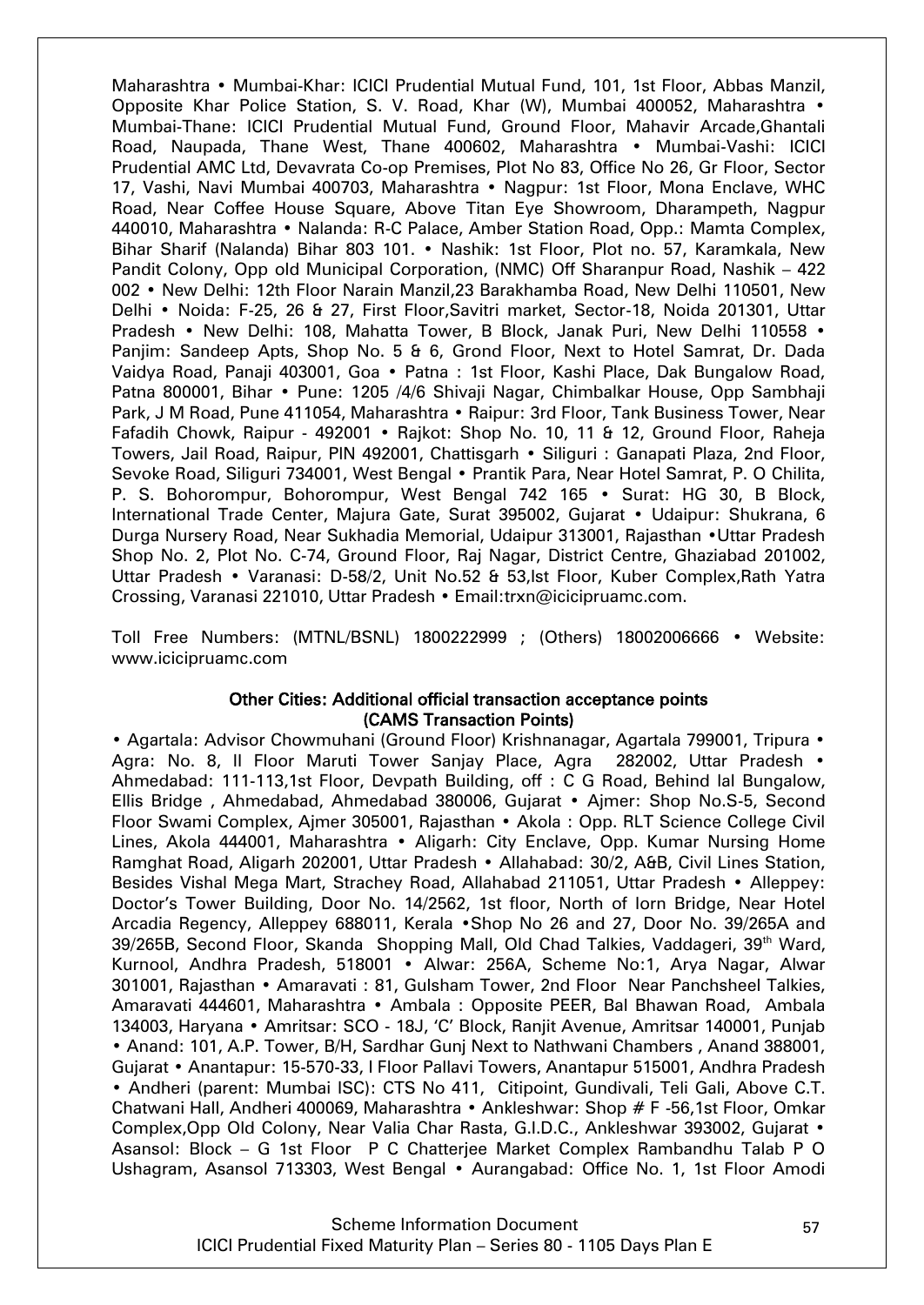Maharashtra • Mumbai-Khar: ICICI Prudential Mutual Fund, 101, 1st Floor, Abbas Manzil, Opposite Khar Police Station, S. V. Road, Khar (W), Mumbai 400052, Maharashtra • Mumbai-Thane: ICICI Prudential Mutual Fund, Ground Floor, Mahavir Arcade,Ghantali Road, Naupada, Thane West, Thane 400602, Maharashtra • Mumbai-Vashi: ICICI Prudential AMC Ltd, Devavrata Co-op Premises, Plot No 83, Office No 26, Gr Floor, Sector 17, Vashi, Navi Mumbai 400703, Maharashtra • Nagpur: 1st Floor, Mona Enclave, WHC Road, Near Coffee House Square, Above Titan Eye Showroom, Dharampeth, Nagpur 440010, Maharashtra • Nalanda: R-C Palace, Amber Station Road, Opp.: Mamta Complex, Bihar Sharif (Nalanda) Bihar 803 101. • Nashik: 1st Floor, Plot no. 57, Karamkala, New Pandit Colony, Opp old Municipal Corporation, (NMC) Off Sharanpur Road, Nashik – 422 002 • New Delhi: 12th Floor Narain Manzil,23 Barakhamba Road, New Delhi 110501, New Delhi • Noida: F-25, 26 & 27, First Floor,Savitri market, Sector-18, Noida 201301, Uttar Pradesh • New Delhi: 108, Mahatta Tower, B Block, Janak Puri, New Delhi 110558 • Panjim: Sandeep Apts, Shop No. 5 & 6, Grond Floor, Next to Hotel Samrat, Dr. Dada Vaidya Road, Panaji 403001, Goa • Patna : 1st Floor, Kashi Place, Dak Bungalow Road, Patna 800001, Bihar • Pune: 1205 /4/6 Shivaji Nagar, Chimbalkar House, Opp Sambhaji Park, J M Road, Pune 411054, Maharashtra • Raipur: 3rd Floor, Tank Business Tower, Near Fafadih Chowk, Raipur - 492001 • Rajkot: Shop No. 10, 11 & 12, Ground Floor, Raheja Towers, Jail Road, Raipur, PIN 492001, Chattisgarh • Siliguri : Ganapati Plaza, 2nd Floor, Sevoke Road, Siliguri 734001, West Bengal • Prantik Para, Near Hotel Samrat, P. O Chilita, P. S. Bohorompur, Bohorompur, West Bengal 742 165 • Surat: HG 30, B Block, International Trade Center, Majura Gate, Surat 395002, Gujarat • Udaipur: Shukrana, 6 Durga Nursery Road, Near Sukhadia Memorial, Udaipur 313001, Rajasthan •Uttar Pradesh Shop No. 2, Plot No. C-74, Ground Floor, Raj Nagar, District Centre, Ghaziabad 201002, Uttar Pradesh • Varanasi: D-58/2, Unit No.52 & 53,Ist Floor, Kuber Complex,Rath Yatra Crossing, Varanasi 221010, Uttar Pradesh • Email:trxn@icicipruamc.com.

Toll Free Numbers: (MTNL/BSNL) 1800222999 ; (Others) 18002006666 • Website: www.icicipruamc.com

#### Other Cities: Additional official transaction acceptance points (CAMS Transaction Points)

• Agartala: Advisor Chowmuhani (Ground Floor) Krishnanagar, Agartala 799001, Tripura • Agra: No. 8, Il Floor Maruti Tower Saniav Place, Agra 282002, Uttar Pradesh • Ahmedabad: 111-113,1st Floor, Devpath Building, off : C G Road, Behind lal Bungalow, Ellis Bridge , Ahmedabad, Ahmedabad 380006, Gujarat • Ajmer: Shop No.S-5, Second Floor Swami Complex, Ajmer 305001, Rajasthan • Akola : Opp. RLT Science College Civil Lines, Akola 444001, Maharashtra • Aligarh: City Enclave, Opp. Kumar Nursing Home Ramghat Road, Aligarh 202001, Uttar Pradesh • Allahabad: 30/2, A&B, Civil Lines Station, Besides Vishal Mega Mart, Strachey Road, Allahabad 211051, Uttar Pradesh • Alleppey: Doctor"s Tower Building, Door No. 14/2562, 1st floor, North of Iorn Bridge, Near Hotel Arcadia Regency, Alleppey 688011, Kerala •Shop No 26 and 27, Door No. 39/265A and 39/265B, Second Floor, Skanda Shopping Mall, Old Chad Talkies, Vaddageri, 39<sup>th</sup> Ward, Kurnool, Andhra Pradesh, 518001 • Alwar: 256A, Scheme No:1, Arya Nagar, Alwar 301001, Rajasthan • Amaravati : 81, Gulsham Tower, 2nd Floor Near Panchsheel Talkies, Amaravati 444601, Maharashtra • Ambala : Opposite PEER, Bal Bhawan Road, Ambala 134003, Haryana • Amritsar: SCO - 18J, "C" Block, Ranjit Avenue, Amritsar 140001, Punjab • Anand: 101, A.P. Tower, B/H, Sardhar Gunj Next to Nathwani Chambers , Anand 388001, Gujarat • Anantapur: 15-570-33, I Floor Pallavi Towers, Anantapur 515001, Andhra Pradesh • Andheri (parent: Mumbai ISC): CTS No 411, Citipoint, Gundivali, Teli Gali, Above C.T. Chatwani Hall, Andheri 400069, Maharashtra • Ankleshwar: Shop # F -56,1st Floor, Omkar Complex,Opp Old Colony, Near Valia Char Rasta, G.I.D.C., Ankleshwar 393002, Gujarat • Asansol: Block – G 1st Floor P C Chatterjee Market Complex Rambandhu Talab P O Ushagram, Asansol 713303, West Bengal • Aurangabad: Office No. 1, 1st Floor Amodi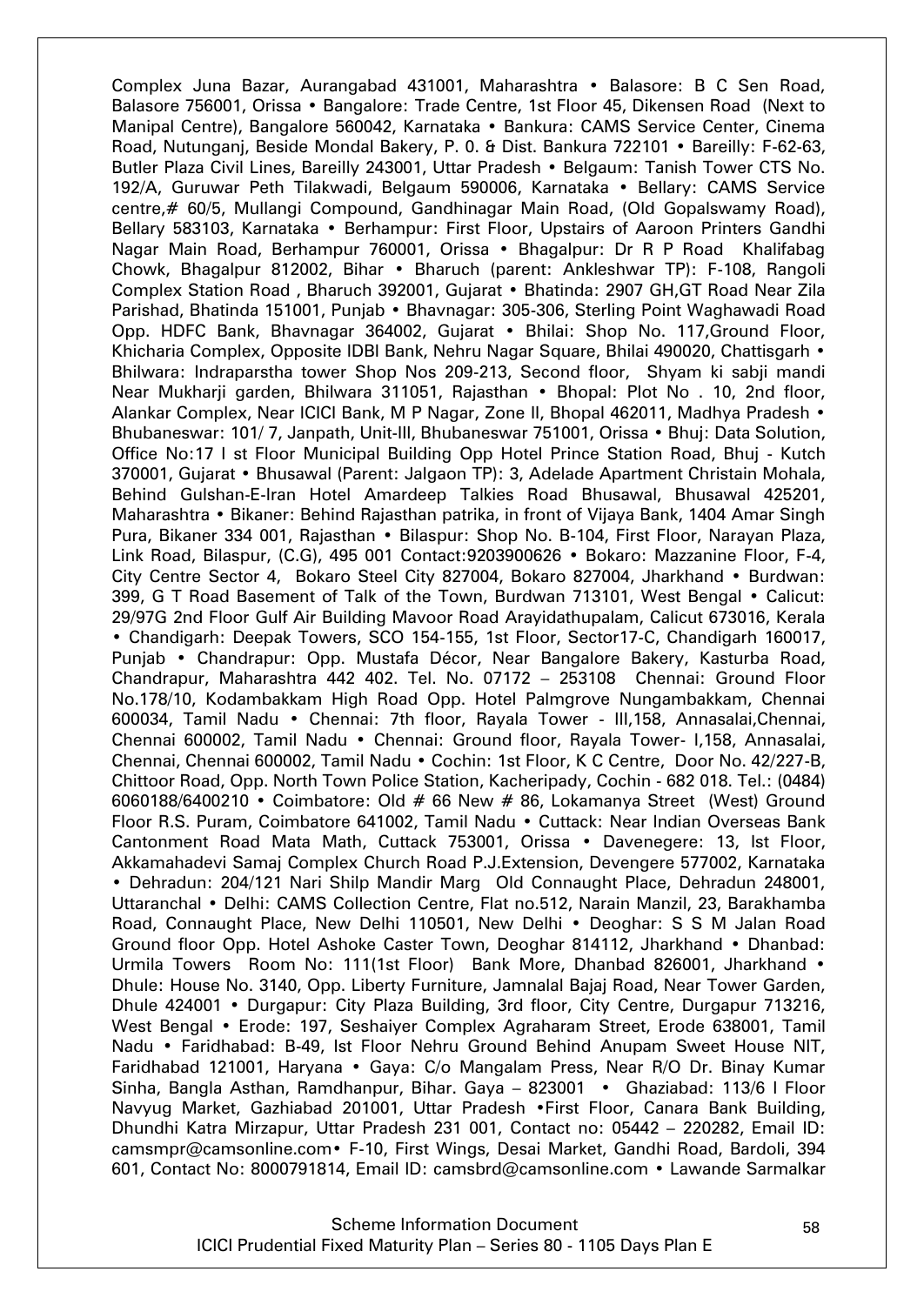Complex Juna Bazar, Aurangabad 431001, Maharashtra • Balasore: B C Sen Road, Balasore 756001, Orissa • Bangalore: Trade Centre, 1st Floor 45, Dikensen Road (Next to Manipal Centre), Bangalore 560042, Karnataka • Bankura: CAMS Service Center, Cinema Road, Nutunganj, Beside Mondal Bakery, P. 0. & Dist. Bankura 722101 • Bareilly: F-62-63, Butler Plaza Civil Lines, Bareilly 243001, Uttar Pradesh • Belgaum: Tanish Tower CTS No. 192/A, Guruwar Peth Tilakwadi, Belgaum 590006, Karnataka • Bellary: CAMS Service centre,# 60/5, Mullangi Compound, Gandhinagar Main Road, (Old Gopalswamy Road), Bellary 583103, Karnataka • Berhampur: First Floor, Upstairs of Aaroon Printers Gandhi Nagar Main Road, Berhampur 760001, Orissa • Bhagalpur: Dr R P Road Khalifabag Chowk, Bhagalpur 812002, Bihar • Bharuch (parent: Ankleshwar TP): F-108, Rangoli Complex Station Road , Bharuch 392001, Gujarat • Bhatinda: 2907 GH,GT Road Near Zila Parishad, Bhatinda 151001, Punjab • Bhavnagar: 305-306, Sterling Point Waghawadi Road Opp. HDFC Bank, Bhavnagar 364002, Gujarat • Bhilai: Shop No. 117,Ground Floor, Khicharia Complex, Opposite IDBI Bank, Nehru Nagar Square, Bhilai 490020, Chattisgarh • Bhilwara: Indraparstha tower Shop Nos 209-213, Second floor, Shyam ki sabji mandi Near Mukharji garden, Bhilwara 311051, Rajasthan • Bhopal: Plot No . 10, 2nd floor, Alankar Complex, Near ICICI Bank, M P Nagar, Zone II, Bhopal 462011, Madhya Pradesh • Bhubaneswar: 101/ 7, Janpath, Unit-III, Bhubaneswar 751001, Orissa • Bhuj: Data Solution, Office No:17 I st Floor Municipal Building Opp Hotel Prince Station Road, Bhuj - Kutch 370001, Gujarat • Bhusawal (Parent: Jalgaon TP): 3, Adelade Apartment Christain Mohala, Behind Gulshan-E-Iran Hotel Amardeep Talkies Road Bhusawal, Bhusawal 425201, Maharashtra • Bikaner: Behind Rajasthan patrika, in front of Vijaya Bank, 1404 Amar Singh Pura, Bikaner 334 001, Rajasthan • Bilaspur: Shop No. B-104, First Floor, Narayan Plaza, Link Road, Bilaspur, (C.G), 495 001 Contact:9203900626 • Bokaro: Mazzanine Floor, F-4, City Centre Sector 4, Bokaro Steel City 827004, Bokaro 827004, Jharkhand • Burdwan: 399, G T Road Basement of Talk of the Town, Burdwan 713101, West Bengal • Calicut: 29/97G 2nd Floor Gulf Air Building Mavoor Road Arayidathupalam, Calicut 673016, Kerala • Chandigarh: Deepak Towers, SCO 154-155, 1st Floor, Sector17-C, Chandigarh 160017, Punjab • Chandrapur: Opp. Mustafa Décor, Near Bangalore Bakery, Kasturba Road, Chandrapur, Maharashtra 442 402. Tel. No. 07172 – 253108 Chennai: Ground Floor No.178/10, Kodambakkam High Road Opp. Hotel Palmgrove Nungambakkam, Chennai 600034, Tamil Nadu • Chennai: 7th floor, Rayala Tower - III,158, Annasalai,Chennai, Chennai 600002, Tamil Nadu • Chennai: Ground floor, Rayala Tower- I,158, Annasalai, Chennai, Chennai 600002, Tamil Nadu • Cochin: 1st Floor, K C Centre, Door No. 42/227-B, Chittoor Road, Opp. North Town Police Station, Kacheripady, Cochin - 682 018. Tel.: (0484) 6060188/6400210 • Coimbatore: Old # 66 New # 86, Lokamanya Street (West) Ground Floor R.S. Puram, Coimbatore 641002, Tamil Nadu • Cuttack: Near Indian Overseas Bank Cantonment Road Mata Math, Cuttack 753001, Orissa • Davenegere: 13, Ist Floor, Akkamahadevi Samaj Complex Church Road P.J.Extension, Devengere 577002, Karnataka • Dehradun: 204/121 Nari Shilp Mandir Marg Old Connaught Place, Dehradun 248001, Uttaranchal • Delhi: CAMS Collection Centre, Flat no.512, Narain Manzil, 23, Barakhamba Road, Connaught Place, New Delhi 110501, New Delhi • Deoghar: S S M Jalan Road Ground floor Opp. Hotel Ashoke Caster Town, Deoghar 814112, Jharkhand • Dhanbad: Urmila Towers Room No: 111(1st Floor) Bank More, Dhanbad 826001, Jharkhand • Dhule: House No. 3140, Opp. Liberty Furniture, Jamnalal Bajaj Road, Near Tower Garden, Dhule 424001 • Durgapur: City Plaza Building, 3rd floor, City Centre, Durgapur 713216, West Bengal • Erode: 197, Seshaiyer Complex Agraharam Street, Erode 638001, Tamil Nadu • Faridhabad: B-49, Ist Floor Nehru Ground Behind Anupam Sweet House NIT, Faridhabad 121001, Haryana • Gaya: C/o Mangalam Press, Near R/O Dr. Binay Kumar Sinha, Bangla Asthan, Ramdhanpur, Bihar. Gaya – 823001 • Ghaziabad: 113/6 I Floor Navyug Market, Gazhiabad 201001, Uttar Pradesh •First Floor, Canara Bank Building, Dhundhi Katra Mirzapur, Uttar Pradesh 231 001, Contact no: 05442 – 220282, Email ID: camsmpr@camsonline.com• F-10, First Wings, Desai Market, Gandhi Road, Bardoli, 394 601, Contact No: 8000791814, Email ID: camsbrd@camsonline.com • Lawande Sarmalkar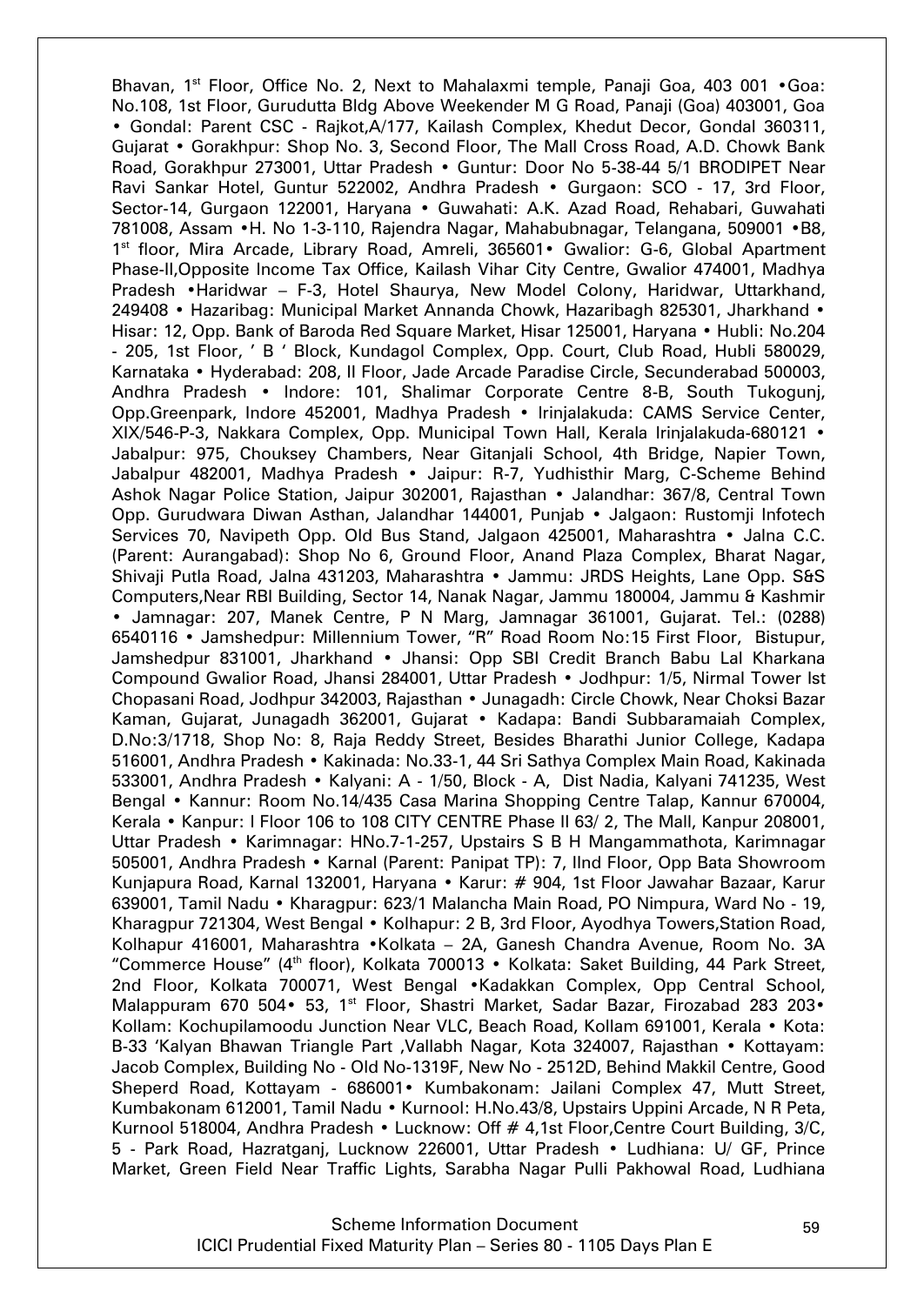Bhavan, 1<sup>st</sup> Floor, Office No. 2, Next to Mahalaxmi temple, Panaji Goa, 403 001 • Goa: No.108, 1st Floor, Gurudutta Bldg Above Weekender M G Road, Panaji (Goa) 403001, Goa • Gondal: Parent CSC - Rajkot,A/177, Kailash Complex, Khedut Decor, Gondal 360311, Gujarat • Gorakhpur: Shop No. 3, Second Floor, The Mall Cross Road, A.D. Chowk Bank Road, Gorakhpur 273001, Uttar Pradesh • Guntur: Door No 5-38-44 5/1 BRODIPET Near Ravi Sankar Hotel, Guntur 522002, Andhra Pradesh • Gurgaon: SCO - 17, 3rd Floor, Sector-14, Gurgaon 122001, Haryana • Guwahati: A.K. Azad Road, Rehabari, Guwahati 781008, Assam •H. No 1-3-110, Rajendra Nagar, Mahabubnagar, Telangana, 509001 •B8, 1<sup>st</sup> floor, Mira Arcade, Library Road, Amreli, 365601• Gwalior: G-6, Global Apartment Phase-II,Opposite Income Tax Office, Kailash Vihar City Centre, Gwalior 474001, Madhya Pradesh •Haridwar – F-3, Hotel Shaurya, New Model Colony, Haridwar, Uttarkhand, 249408 • Hazaribag: Municipal Market Annanda Chowk, Hazaribagh 825301, Jharkhand • Hisar: 12, Opp. Bank of Baroda Red Square Market, Hisar 125001, Haryana • Hubli: No.204 - 205, 1st Floor, " B " Block, Kundagol Complex, Opp. Court, Club Road, Hubli 580029, Karnataka • Hyderabad: 208, II Floor, Jade Arcade Paradise Circle, Secunderabad 500003, Andhra Pradesh • Indore: 101, Shalimar Corporate Centre 8-B, South Tukogunj, Opp.Greenpark, Indore 452001, Madhya Pradesh • Irinjalakuda: CAMS Service Center, XIX/546-P-3, Nakkara Complex, Opp. Municipal Town Hall, Kerala lrinjalakuda-680121 • Jabalpur: 975, Chouksey Chambers, Near Gitanjali School, 4th Bridge, Napier Town, Jabalpur 482001, Madhya Pradesh • Jaipur: R-7, Yudhisthir Marg, C-Scheme Behind Ashok Nagar Police Station, Jaipur 302001, Rajasthan • Jalandhar: 367/8, Central Town Opp. Gurudwara Diwan Asthan, Jalandhar 144001, Punjab • Jalgaon: Rustomji Infotech Services 70, Navipeth Opp. Old Bus Stand, Jalgaon 425001, Maharashtra • Jalna C.C. (Parent: Aurangabad): Shop No 6, Ground Floor, Anand Plaza Complex, Bharat Nagar, Shivaji Putla Road, Jalna 431203, Maharashtra • Jammu: JRDS Heights, Lane Opp. S&S Computers,Near RBI Building, Sector 14, Nanak Nagar, Jammu 180004, Jammu & Kashmir • Jamnagar: 207, Manek Centre, P N Marg, Jamnagar 361001, Gujarat. Tel.: (0288) 6540116 • Jamshedpur: Millennium Tower, "R" Road Room No:15 First Floor, Bistupur, Jamshedpur 831001, Jharkhand • Jhansi: Opp SBI Credit Branch Babu Lal Kharkana Compound Gwalior Road, Jhansi 284001, Uttar Pradesh • Jodhpur: 1/5, Nirmal Tower Ist Chopasani Road, Jodhpur 342003, Rajasthan • Junagadh: Circle Chowk, Near Choksi Bazar Kaman, Gujarat, Junagadh 362001, Gujarat • Kadapa: Bandi Subbaramaiah Complex, D.No:3/1718, Shop No: 8, Raja Reddy Street, Besides Bharathi Junior College, Kadapa 516001, Andhra Pradesh • Kakinada: No.33-1, 44 Sri Sathya Complex Main Road, Kakinada 533001, Andhra Pradesh • Kalyani: A - 1/50, Block - A, Dist Nadia, Kalyani 741235, West Bengal • Kannur: Room No.14/435 Casa Marina Shopping Centre Talap, Kannur 670004, Kerala • Kanpur: I Floor 106 to 108 CITY CENTRE Phase II 63/ 2, The Mall, Kanpur 208001, Uttar Pradesh • Karimnagar: HNo.7-1-257, Upstairs S B H Mangammathota, Karimnagar 505001, Andhra Pradesh • Karnal (Parent: Panipat TP): 7, IInd Floor, Opp Bata Showroom Kunjapura Road, Karnal 132001, Haryana • Karur: # 904, 1st Floor Jawahar Bazaar, Karur 639001, Tamil Nadu • Kharagpur: 623/1 Malancha Main Road, PO Nimpura, Ward No - 19, Kharagpur 721304, West Bengal • Kolhapur: 2 B, 3rd Floor, Ayodhya Towers,Station Road, Kolhapur 416001, Maharashtra •Kolkata – 2A, Ganesh Chandra Avenue, Room No. 3A "Commerce House" (4<sup>th</sup> floor), Kolkata 700013 • Kolkata: Saket Building, 44 Park Street, 2nd Floor, Kolkata 700071, West Bengal •Kadakkan Complex, Opp Central School, Malappuram 670 504• 53, 1<sup>st</sup> Floor, Shastri Market, Sadar Bazar, Firozabad 283 203• Kollam: Kochupilamoodu Junction Near VLC, Beach Road, Kollam 691001, Kerala • Kota: B-33 "Kalyan Bhawan Triangle Part ,Vallabh Nagar, Kota 324007, Rajasthan • Kottayam: Jacob Complex, Building No - Old No-1319F, New No - 2512D, Behind Makkil Centre, Good Sheperd Road, Kottayam - 686001• Kumbakonam: Jailani Complex 47, Mutt Street, Kumbakonam 612001, Tamil Nadu • Kurnool: H.No.43/8, Upstairs Uppini Arcade, N R Peta, Kurnool 518004, Andhra Pradesh • Lucknow: Off # 4,1st Floor,Centre Court Building, 3/C, 5 - Park Road, Hazratganj, Lucknow 226001, Uttar Pradesh • Ludhiana: U/ GF, Prince Market, Green Field Near Traffic Lights, Sarabha Nagar Pulli Pakhowal Road, Ludhiana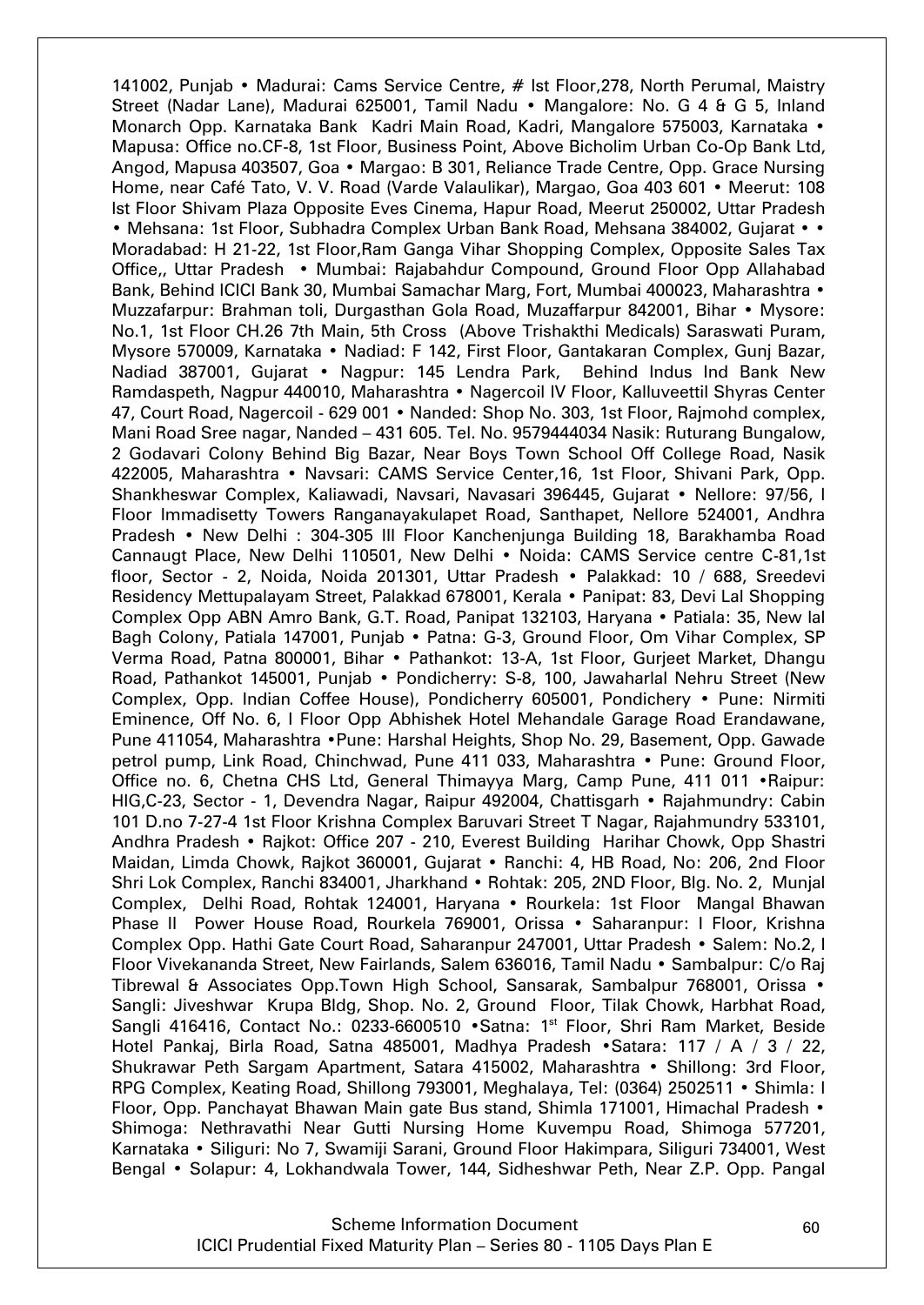141002, Punjab • Madurai: Cams Service Centre, # lst Floor, 278, North Perumal, Maistry Street (Nadar Lane), Madurai 625001, Tamil Nadu • Mangalore: No. G 4 & G 5, Inland Monarch Opp. Karnataka Bank Kadri Main Road, Kadri, Mangalore 575003, Karnataka • Mapusa: Office no.CF-8, 1st Floor, Business Point, Above Bicholim Urban Co-Op Bank Ltd, Angod, Mapusa 403507, Goa • Margao: B 301, Reliance Trade Centre, Opp. Grace Nursing Home, near Café Tato, V. V. Road (Varde Valaulikar), Margao, Goa 403 601 • Meerut: 108 Ist Floor Shivam Plaza Opposite Eves Cinema, Hapur Road, Meerut 250002, Uttar Pradesh • Mehsana: 1st Floor, Subhadra Complex Urban Bank Road, Mehsana 384002, Gujarat • • Moradabad: H 21-22, 1st Floor,Ram Ganga Vihar Shopping Complex, Opposite Sales Tax Office,, Uttar Pradesh • Mumbai: Rajabahdur Compound, Ground Floor Opp Allahabad Bank, Behind ICICI Bank 30, Mumbai Samachar Marg, Fort, Mumbai 400023, Maharashtra • Muzzafarpur: Brahman toli, Durgasthan Gola Road, Muzaffarpur 842001, Bihar • Mysore: No.1, 1st Floor CH.26 7th Main, 5th Cross (Above Trishakthi Medicals) Saraswati Puram, Mysore 570009, Karnataka • Nadiad: F 142, First Floor, Gantakaran Complex, Gunj Bazar, Nadiad 387001, Gujarat • Nagpur: 145 Lendra Park, Behind Indus Ind Bank New Ramdaspeth, Nagpur 440010, Maharashtra • Nagercoil IV Floor, Kalluveettil Shyras Center 47, Court Road, Nagercoil - 629 001 • Nanded: Shop No. 303, 1st Floor, Rajmohd complex, Mani Road Sree nagar, Nanded – 431 605. Tel. No. 9579444034 Nasik: Ruturang Bungalow, 2 Godavari Colony Behind Big Bazar, Near Boys Town School Off College Road, Nasik 422005, Maharashtra • Navsari: CAMS Service Center,16, 1st Floor, Shivani Park, Opp. Shankheswar Complex, Kaliawadi, Navsari, Navasari 396445, Gujarat • Nellore: 97/56, I Floor Immadisetty Towers Ranganayakulapet Road, Santhapet, Nellore 524001, Andhra Pradesh • New Delhi : 304-305 III Floor Kanchenjunga Building 18, Barakhamba Road Cannaugt Place, New Delhi 110501, New Delhi • Noida: CAMS Service centre C-81,1st floor, Sector - 2, Noida, Noida 201301, Uttar Pradesh • Palakkad: 10 / 688, Sreedevi Residency Mettupalayam Street, Palakkad 678001, Kerala • Panipat: 83, Devi Lal Shopping Complex Opp ABN Amro Bank, G.T. Road, Panipat 132103, Haryana • Patiala: 35, New lal Bagh Colony, Patiala 147001, Punjab • Patna: G-3, Ground Floor, Om Vihar Complex, SP Verma Road, Patna 800001, Bihar • Pathankot: 13-A, 1st Floor, Gurjeet Market, Dhangu Road, Pathankot 145001, Punjab • Pondicherry: S-8, 100, Jawaharlal Nehru Street (New Complex, Opp. Indian Coffee House), Pondicherry 605001, Pondichery • Pune: Nirmiti Eminence, Off No. 6, I Floor Opp Abhishek Hotel Mehandale Garage Road Erandawane, Pune 411054, Maharashtra •Pune: Harshal Heights, Shop No. 29, Basement, Opp. Gawade petrol pump, Link Road, Chinchwad, Pune 411 033, Maharashtra • Pune: Ground Floor, Office no. 6, Chetna CHS Ltd, General Thimayya Marg, Camp Pune, 411 011 •Raipur: HIG,C-23, Sector - 1, Devendra Nagar, Raipur 492004, Chattisgarh • Rajahmundry: Cabin 101 D.no 7-27-4 1st Floor Krishna Complex Baruvari Street T Nagar, Rajahmundry 533101, Andhra Pradesh • Rajkot: Office 207 - 210, Everest Building Harihar Chowk, Opp Shastri Maidan, Limda Chowk, Rajkot 360001, Gujarat • Ranchi: 4, HB Road, No: 206, 2nd Floor Shri Lok Complex, Ranchi 834001, Jharkhand • Rohtak: 205, 2ND Floor, Blg. No. 2, Munjal Complex, Delhi Road, Rohtak 124001, Haryana • Rourkela: 1st Floor Mangal Bhawan Phase II Power House Road, Rourkela 769001, Orissa • Saharanpur: I Floor, Krishna Complex Opp. Hathi Gate Court Road, Saharanpur 247001, Uttar Pradesh • Salem: No.2, I Floor Vivekananda Street, New Fairlands, Salem 636016, Tamil Nadu • Sambalpur: C/o Raj Tibrewal & Associates Opp. Town High School, Sansarak, Sambalpur 768001, Orissa • Sangli: Jiveshwar Krupa Bldg, Shop. No. 2, Ground Floor, Tilak Chowk, Harbhat Road, Sangli 416416, Contact No.: 0233-6600510 · Satna: 1<sup>st</sup> Floor, Shri Ram Market, Beside Hotel Pankaj, Birla Road, Satna 485001, Madhya Pradesh •Satara: 117 / A / 3 / 22, Shukrawar Peth Sargam Apartment, Satara 415002, Maharashtra • Shillong: 3rd Floor, RPG Complex, Keating Road, Shillong 793001, Meghalaya, Tel: (0364) 2502511 • Shimla: I Floor, Opp. Panchayat Bhawan Main gate Bus stand, Shimla 171001, Himachal Pradesh • Shimoga: Nethravathi Near Gutti Nursing Home Kuvempu Road, Shimoga 577201, Karnataka • Siliguri: No 7, Swamiji Sarani, Ground Floor Hakimpara, Siliguri 734001, West Bengal • Solapur: 4, Lokhandwala Tower, 144, Sidheshwar Peth, Near Z.P. Opp. Pangal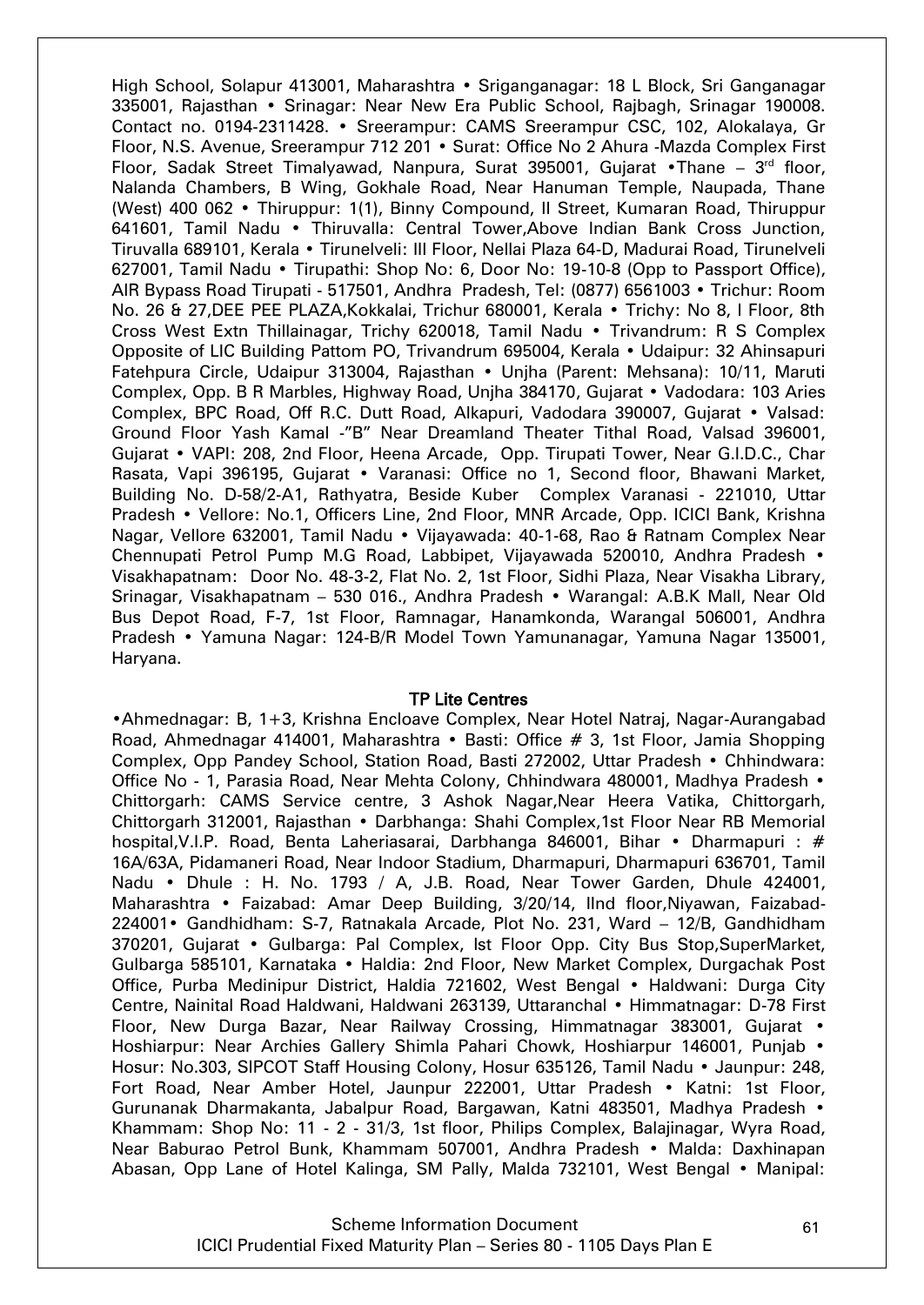High School, Solapur 413001, Maharashtra • Sriganganagar: 18 L Block, Sri Ganganagar 335001, Rajasthan • Srinagar: Near New Era Public School, Rajbagh, Srinagar 190008. Contact no. 0194-2311428. • Sreerampur: CAMS Sreerampur CSC, 102, Alokalaya, Gr Floor, N.S. Avenue, Sreerampur 712 201 • Surat: Office No 2 Ahura -Mazda Complex First Floor, Sadak Street Timalyawad, Nanpura, Surat 395001, Gujarat • Thane – 3<sup>rd</sup> floor, Nalanda Chambers, B Wing, Gokhale Road, Near Hanuman Temple, Naupada, Thane (West) 400 062 • Thiruppur: 1(1), Binny Compound, II Street, Kumaran Road, Thiruppur 641601, Tamil Nadu • Thiruvalla: Central Tower,Above Indian Bank Cross Junction, Tiruvalla 689101, Kerala • Tirunelveli: III Floor, Nellai Plaza 64-D, Madurai Road, Tirunelveli 627001, Tamil Nadu • Tirupathi: Shop No: 6, Door No: 19-10-8 (Opp to Passport Office), AIR Bypass Road Tirupati - 517501, Andhra Pradesh, Tel: (0877) 6561003 • Trichur: Room No. 26 & 27,DEE PEE PLAZA,Kokkalai, Trichur 680001, Kerala • Trichy: No 8, I Floor, 8th Cross West Extn Thillainagar, Trichy 620018, Tamil Nadu • Trivandrum: R S Complex Opposite of LIC Building Pattom PO, Trivandrum 695004, Kerala • Udaipur: 32 Ahinsapuri Fatehpura Circle, Udaipur 313004, Rajasthan • Unjha (Parent: Mehsana): 10/11, Maruti Complex, Opp. B R Marbles, Highway Road, Unjha 384170, Gujarat • Vadodara: 103 Aries Complex, BPC Road, Off R.C. Dutt Road, Alkapuri, Vadodara 390007, Gujarat • Valsad: Ground Floor Yash Kamal -"B" Near Dreamland Theater Tithal Road, Valsad 396001, Gujarat • VAPI: 208, 2nd Floor, Heena Arcade, Opp. Tirupati Tower, Near G.I.D.C., Char Rasata, Vapi 396195, Gujarat • Varanasi: Office no 1, Second floor, Bhawani Market, Building No. D-58/2-A1, Rathyatra, Beside Kuber Complex Varanasi - 221010, Uttar Pradesh • Vellore: No.1, Officers Line, 2nd Floor, MNR Arcade, Opp. ICICI Bank, Krishna Nagar, Vellore 632001, Tamil Nadu • Vijayawada: 40-1-68, Rao & Ratnam Complex Near Chennupati Petrol Pump M.G Road, Labbipet, Vijayawada 520010, Andhra Pradesh • Visakhapatnam: Door No. 48-3-2, Flat No. 2, 1st Floor, Sidhi Plaza, Near Visakha Library, Srinagar, Visakhapatnam – 530 016., Andhra Pradesh • Warangal: A.B.K Mall, Near Old Bus Depot Road, F-7, 1st Floor, Ramnagar, Hanamkonda, Warangal 506001, Andhra Pradesh • Yamuna Nagar: 124-B/R Model Town Yamunanagar, Yamuna Nagar 135001, Haryana.

#### TP Lite Centres

•Ahmednagar: B, 1+3, Krishna Encloave Complex, Near Hotel Natraj, Nagar-Aurangabad Road, Ahmednagar 414001, Maharashtra • Basti: Office # 3, 1st Floor, Jamia Shopping Complex, Opp Pandey School, Station Road, Basti 272002, Uttar Pradesh • Chhindwara: Office No - 1, Parasia Road, Near Mehta Colony, Chhindwara 480001, Madhya Pradesh • Chittorgarh: CAMS Service centre, 3 Ashok Nagar,Near Heera Vatika, Chittorgarh, Chittorgarh 312001, Rajasthan • Darbhanga: Shahi Complex,1st Floor Near RB Memorial hospital, V.I.P. Road, Benta Laheriasarai, Darbhanga 846001, Bihar • Dharmapuri : # 16A/63A, Pidamaneri Road, Near Indoor Stadium, Dharmapuri, Dharmapuri 636701, Tamil Nadu • Dhule : H. No. 1793 / A, J.B. Road, Near Tower Garden, Dhule 424001, Maharashtra • Faizabad: Amar Deep Building, 3/20/14, IInd floor,Niyawan, Faizabad-224001• Gandhidham: S-7, Ratnakala Arcade, Plot No. 231, Ward – 12/B, Gandhidham 370201, Gujarat • Gulbarga: Pal Complex, Ist Floor Opp. City Bus Stop,SuperMarket, Gulbarga 585101, Karnataka • Haldia: 2nd Floor, New Market Complex, Durgachak Post Office, Purba Medinipur District, Haldia 721602, West Bengal • Haldwani: Durga City Centre, Nainital Road Haldwani, Haldwani 263139, Uttaranchal • Himmatnagar: D-78 First Floor, New Durga Bazar, Near Railway Crossing, Himmatnagar 383001, Gujarat • Hoshiarpur: Near Archies Gallery Shimla Pahari Chowk, Hoshiarpur 146001, Punjab • Hosur: No.303, SIPCOT Staff Housing Colony, Hosur 635126, Tamil Nadu • Jaunpur: 248, Fort Road, Near Amber Hotel, Jaunpur 222001, Uttar Pradesh • Katni: 1st Floor, Gurunanak Dharmakanta, Jabalpur Road, Bargawan, Katni 483501, Madhya Pradesh • Khammam: Shop No: 11 - 2 - 31/3, 1st floor, Philips Complex, Balajinagar, Wyra Road, Near Baburao Petrol Bunk, Khammam 507001, Andhra Pradesh • Malda: Daxhinapan Abasan, Opp Lane of Hotel Kalinga, SM Pally, Malda 732101, West Bengal • Manipal: